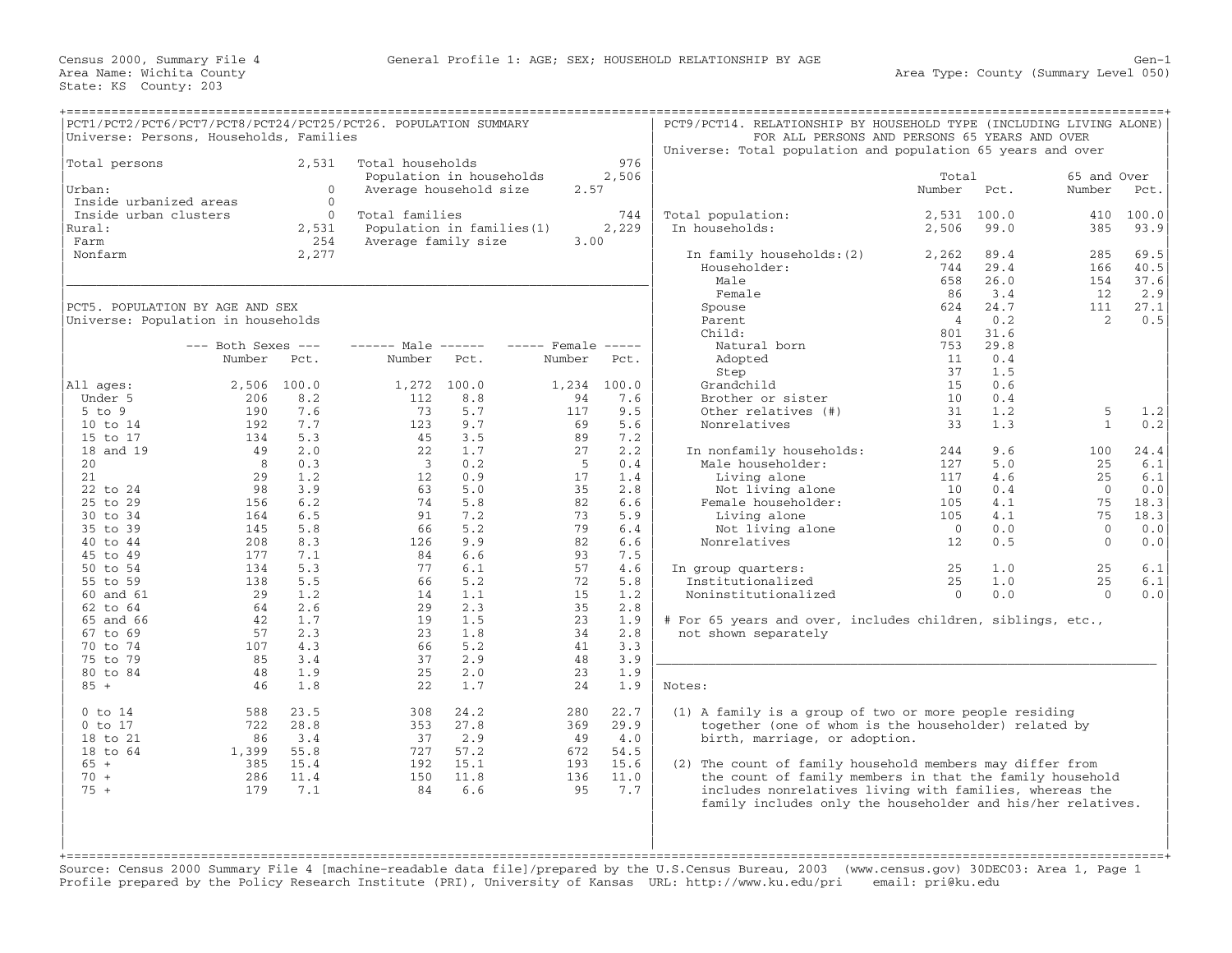| PCT1/PCT2/PCT6/PCT7/PCT8/PCT24/PCT25/PCT26. POPULATION SUMMARY<br>Universe: Persons, Households, Families |                                         |                                            |                                           |                                                    |                                      |                                            | PCT9/PCT14. RELATIONSHIP BY HOUSEHOLD TYPE (INCLUDING LIVING ALONE)<br>Universe: Total population and population 65 years and over                                                                                                                                                                                                       | FOR ALL PERSONS AND PERSONS 65 YEARS AND OVER |                             |                                        |                             |
|-----------------------------------------------------------------------------------------------------------|-----------------------------------------|--------------------------------------------|-------------------------------------------|----------------------------------------------------|--------------------------------------|--------------------------------------------|------------------------------------------------------------------------------------------------------------------------------------------------------------------------------------------------------------------------------------------------------------------------------------------------------------------------------------------|-----------------------------------------------|-----------------------------|----------------------------------------|-----------------------------|
| Total persons<br>Urban:                                                                                   |                                         | 2,531<br>$\Omega$                          | Total households                          | Population in households<br>Average household size | 2.57                                 | 976<br>2,506                               |                                                                                                                                                                                                                                                                                                                                          | Total<br>Number                               | Pct.                        | 65 and Over<br>Number                  | Pct.                        |
| Inside urbanized areas<br>Inside urban clusters<br>Rural:<br>Farm                                         |                                         | $\mathbf{0}$<br>$\Omega$<br>2,531<br>254   | Total families<br>Average family size     | Population in families (1)                         | 3.00                                 | 744<br>2,229                               | Total population:<br>In households:                                                                                                                                                                                                                                                                                                      | 2,531<br>2,506                                | 100.0<br>99.0               | 410<br>385                             | 100.0<br>93.9               |
| Nonfarm                                                                                                   |                                         | 2,277                                      |                                           |                                                    |                                      |                                            | In family households: (2)<br>Householder:<br>Male<br>Female                                                                                                                                                                                                                                                                              | 2,262<br>744<br>658<br>86                     | 89.4<br>29.4<br>26.0<br>3.4 | 285<br>166<br>154<br>12                | 69.5<br>40.5<br>37.6<br>2.9 |
| PCT5. POPULATION BY AGE AND SEX<br>Universe: Population in households                                     |                                         |                                            |                                           |                                                    |                                      |                                            | Spouse<br>Parent<br>Child:                                                                                                                                                                                                                                                                                                               | 624<br>$\overline{4}$<br>801                  | 24.7<br>0.2<br>31.6         | 111<br>2                               | 27.1<br>0.5                 |
|                                                                                                           | $---$ Both Sexes $---$<br>Number        | Pct.                                       | $--- - -$ Male $--- -$<br>Number          | Pct.                                               | $---$ Female $---$<br>Number         | Pct.                                       | Natural born<br>Adopted<br>Step                                                                                                                                                                                                                                                                                                          | 753<br>11<br>37                               | 29.8<br>0.4<br>1.5          |                                        |                             |
| All ages:<br>Under 5<br>$5$ to $9$<br>10 to 14                                                            | 2,506<br>206<br>190<br>192              | 100.0<br>8.2<br>7.6<br>7.7                 | 1,272 100.0<br>112<br>73<br>123           | 8.8<br>5.7<br>9.7                                  | 1,234<br>94<br>117<br>69             | 100.0<br>7.6<br>9.5<br>5.6                 | Grandchild<br>Brother or sister<br>Other relatives (#)<br>Nonrelatives                                                                                                                                                                                                                                                                   | 15 <sub>1</sub><br>10<br>31<br>33             | 0.6<br>0.4<br>1.2<br>1.3    | 5<br>$\mathbf{1}$                      | 1.2<br>0.2                  |
| 15 to 17<br>18 and 19<br>20<br>21                                                                         | 134<br>49<br>8<br>29                    | 5.3<br>2.0<br>0.3<br>1.2                   | 45<br>22<br>$\overline{\mathbf{3}}$<br>12 | 3.5<br>1.7<br>0.2<br>0.9                           | 89<br>27<br>-5<br>17                 | 7.2<br>2.2<br>0.4<br>1.4                   | In nonfamily households:<br>Male householder:<br>Living alone                                                                                                                                                                                                                                                                            | 244<br>127<br>117                             | 9.6<br>5.0<br>4.6           | 100<br>25<br>25                        | 24.4<br>6.1<br>6.1          |
| 22 to 24<br>25 to 29<br>30 to 34<br>35 to 39                                                              | 98<br>156<br>164<br>145                 | 3.9<br>6.2<br>6.5<br>5.8                   | 63<br>74<br>91<br>66                      | 5.0<br>5.8<br>7.2<br>5.2                           | 35<br>82<br>73<br>79                 | 2.8<br>6.6<br>5.9<br>6.4                   | Not living alone<br>Female householder:<br>Living alone<br>Not living alone                                                                                                                                                                                                                                                              | 10<br>105<br>105<br>$\overline{0}$            | 0.4<br>4.1<br>4.1<br>0.0    | $\overline{0}$<br>75<br>75<br>$\Omega$ | 0.0<br>18.3<br>18.3<br>0.0  |
| 40 to 44<br>45 to 49<br>50 to 54<br>55 to 59                                                              | 208<br>177<br>134<br>138                | 8.3<br>7.1<br>5.3<br>5.5                   | 126<br>84<br>77<br>66                     | 9.9<br>6.6<br>6.1<br>5.2                           | 82<br>93<br>57<br>72                 | 6.6<br>7.5<br>4.6<br>5.8                   | Nonrelatives<br>In group quarters:<br>Institutionalized                                                                                                                                                                                                                                                                                  | 12<br>25<br>25                                | 0.5<br>1.0<br>1.0           | $\overline{0}$<br>25<br>25             | 0.0<br>6.1<br>6.1           |
| 60 and 61<br>62 to 64<br>65 and 66                                                                        | 29<br>64<br>42                          | 1.2<br>2.6<br>1.7                          | 14<br>29<br>19                            | 1.1<br>2.3<br>1.5                                  | 15<br>35<br>23                       | 1.2<br>2.8<br>1.9                          | Noninstitutionalized<br># For 65 years and over, includes children, siblings, etc.,                                                                                                                                                                                                                                                      | $\overline{0}$                                | 0.0                         | $\Omega$                               | 0.0                         |
| 67 to 69<br>70 to 74<br>75 to 79<br>80 to 84                                                              | 57<br>107<br>85<br>48                   | 2.3<br>4.3<br>3.4<br>1.9                   | 23<br>66<br>37<br>25                      | 1.8<br>5.2<br>2.9<br>2.0                           | 34<br>41<br>48<br>23                 | 2.8<br>3.3<br>3.9<br>1.9                   | not shown separately                                                                                                                                                                                                                                                                                                                     |                                               |                             |                                        |                             |
| $85 +$<br>$0$ to $14$                                                                                     | 46<br>588                               | 1.8<br>23.5                                | 22<br>308                                 | 1.7<br>24.2                                        | 24<br>280                            | 1.9<br>22.7                                | Notes:<br>(1) A family is a group of two or more people residing                                                                                                                                                                                                                                                                         |                                               |                             |                                        |                             |
| $0$ to $17$<br>18 to 21<br>18 to 64<br>$65 +$<br>$70 +$<br>$75 +$                                         | 722<br>86<br>1,399<br>385<br>286<br>179 | 28.8<br>3.4<br>55.8<br>15.4<br>11.4<br>7.1 | 353<br>37<br>727<br>192<br>150<br>84      | 27.8<br>2.9<br>57.2<br>15.1<br>11.8<br>6.6         | 369<br>49<br>672<br>193<br>136<br>95 | 29.9<br>4.0<br>54.5<br>15.6<br>11.0<br>7.7 | together (one of whom is the householder) related by<br>birth, marriage, or adoption.<br>(2) The count of family household members may differ from<br>the count of family members in that the family household<br>includes nonrelatives living with families, whereas the<br>family includes only the householder and his/her relatives. |                                               |                             |                                        |                             |
|                                                                                                           |                                         |                                            |                                           |                                                    |                                      |                                            |                                                                                                                                                                                                                                                                                                                                          |                                               |                             |                                        |                             |

Source: Census 2000 Summary File 4 [machine−readable data file]/prepared by the U.S.Census Bureau, 2003 (www.census.gov) 30DEC03: Area 1, Page 1 Profile prepared by the Policy Research Institute (PRI), University of Kansas URL: http://www.ku.edu/pri email: pri@ku.edu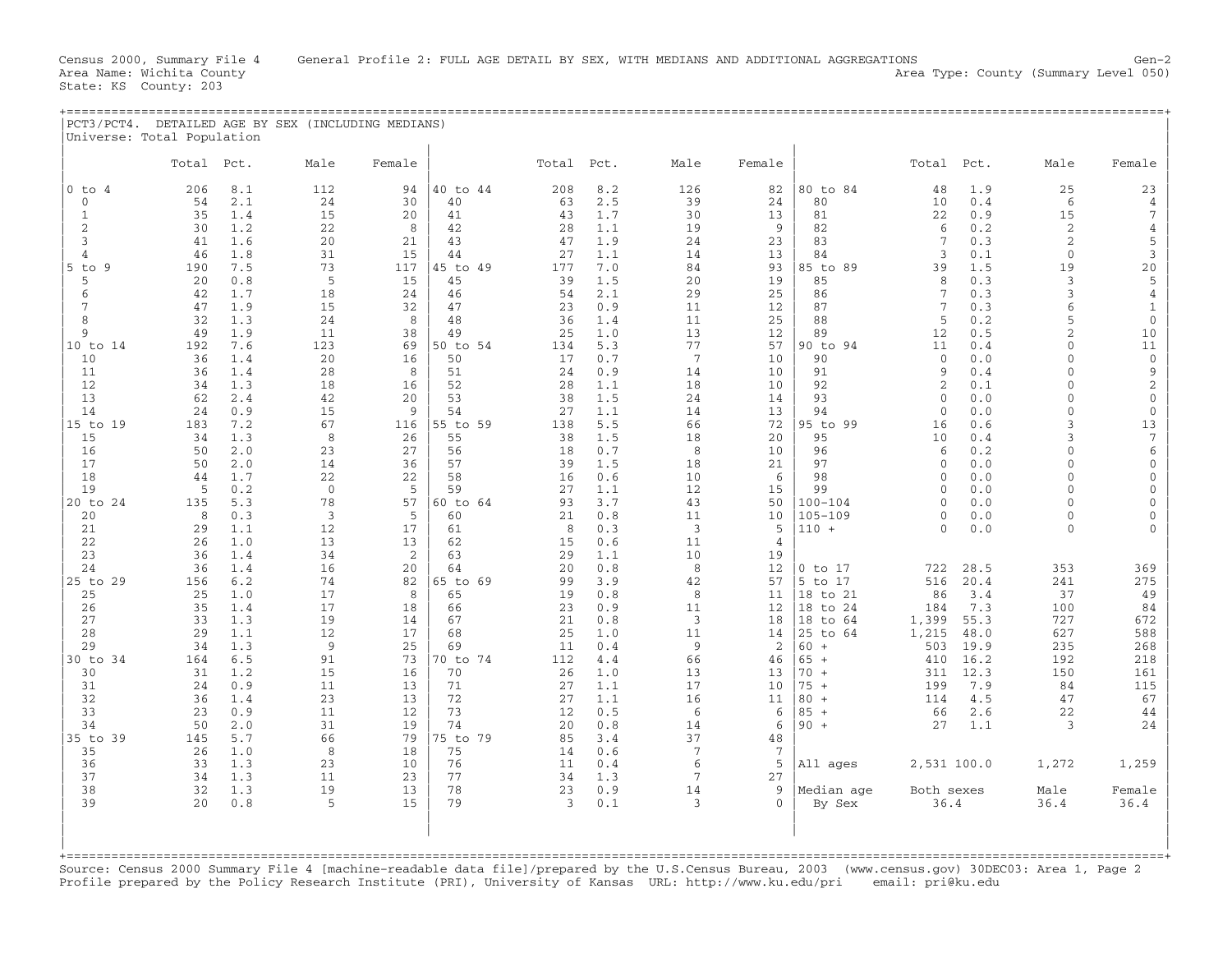| PCT3/PCT4<br>DETAILED AGE BY SEX (INCLUDING ) | MEDIANS) |  |  |  |
|-----------------------------------------------|----------|--|--|--|
| Universe: Total<br>Population                 |          |  |  |  |
|                                               |          |  |  |  |

|                | Total | Pct. | Male           | Female |          | Total | Pct. | Male            | Female   |             | Total           | Pct. | Male           | Female       |
|----------------|-------|------|----------------|--------|----------|-------|------|-----------------|----------|-------------|-----------------|------|----------------|--------------|
| $0$ to $4$     | 206   | 8.1  | 112            | 94     | 40 to 44 | 208   | 8.2  | 126             | 82       | 80 to 84    | 48              | 1.9  | 25             | 23           |
| $\mathbf{0}$   | 54    | 2.1  | 24             | 30     |          | 63    | 2.5  | 39              | 24       | 80          | 10              | 0.4  | 6              | 4            |
|                |       |      |                |        | 40       |       |      |                 |          |             |                 |      |                |              |
| 1              | 35    | 1.4  | 15             | 20     | 41       | 43    | 1.7  | 30              | 13       | 81          | 22              | 0.9  | 15             | 7            |
| 2              | 30    | 1.2  | 22             | 8      | 42       | 28    | 1.1  | 19              | 9        | 82          | 6               | 0.2  | $\sqrt{2}$     | $\sqrt{4}$   |
| 3              | 41    | 1.6  | 20             | 21     | 43       | 47    | 1.9  | 24              | 23       | 83          | 7               | 0.3  | $\sqrt{2}$     | 5            |
| $\overline{4}$ | 46    | 1.8  | 31             | 15     | 44       | 27    | 1.1  | 14              | 13       | 84          | 3               | 0.1  | $\Omega$       | 3            |
| $5$ to $9$     | 190   | 7.5  | 73             | 117    | 45 to 49 | 177   | 7.0  | 84              | 93       | 85 to 89    | 39              | 1.5  | 19             | 20           |
| 5              | 20    | 0.8  | 5              | 15     | 45       | 39    | 1.5  | 20              | 19       | 85          | 8               | 0.3  | 3              | 5            |
| 6              | 42    | 1.7  | 18             | 24     | 46       | 54    | 2.1  | 29              | 25       | 86          | $7\phantom{.0}$ | 0.3  | 3              | $\sqrt{4}$   |
| 7              | 47    | 1.9  | 15             | 32     | 47       | 23    | 0.9  | 11              | 12       | 87          | $7\phantom{.0}$ | 0.3  | 6              | $\mathbf{1}$ |
| $\mathsf{R}$   | 32    | 1.3  | 24             | 8      | 48       | 36    | 1.4  | 11              | 25       | 88          | 5               | 0.2  | 5              | $\mathbf{0}$ |
| 9              | 49    | 1.9  | 11             | 38     | 49       | 25    | 1.0  | 13              | 12       | 89          | 12              | 0.5  | $\overline{2}$ | 10           |
| 10 to 14       | 192   | 7.6  | 123            | 69     | 50 to 54 | 134   | 5.3  | 77              | 57       | 90 to 94    | 11              | 0.4  | $\Omega$       | 11           |
|                |       |      |                |        |          |       |      | $7\phantom{.0}$ |          |             | $\mathbf{0}$    |      | $\cap$         |              |
| 10             | 36    | 1.4  | 20             | 16     | 50       | 17    | 0.7  |                 | 10       | 90          |                 | 0.0  |                | $\mathbf 0$  |
| 11             | 36    | 1.4  | 28             | 8      | 51       | 24    | 0.9  | 14              | 10       | 91          | 9               | 0.4  | $\Omega$       | 9            |
| 12             | 34    | 1.3  | 18             | 16     | 52       | 28    | 1.1  | 18              | 10       | 92          | $\overline{2}$  | 0.1  | $\Omega$       | $\sqrt{2}$   |
| 13             | 62    | 2.4  | 42             | 20     | 53       | 38    | 1.5  | 24              | 14       | 93          | $\Omega$        | 0.0  | $\Omega$       | $\mathbf 0$  |
| 14             | 24    | 0.9  | 15             | 9      | 54       | 27    | 1.1  | 14              | 13       | 94          | $\mathbf{0}$    | 0.0  | $\Omega$       | $\mathbf 0$  |
| 19<br>$15$ to  | 183   | 7.2  | 67             | 116    | 55 to 59 | 138   | 5.5  | 66              | 72       | 95 to 99    | 16              | 0.6  | 3              | 13           |
| 15             | 34    | 1.3  | 8              | 26     | 55       | 38    | 1.5  | 18              | 20       | 95          | 10              | 0.4  | 3              | 7            |
| 16             | 50    | 2.0  | 23             | 27     | 56       | 18    | 0.7  | 8               | 10       | 96          | 6               | 0.2  | $\Omega$       | 6            |
| 17             | 50    | 2.0  | 14             | 36     | 57       | 39    | 1.5  | 18              | 21       | 97          | $\Omega$        | 0.0  | $\Omega$       | $\Omega$     |
| 18             | 44    | 1.7  | 22             | 22     | 58       | 16    | 0.6  | 10              | 6        | 98          | $\Omega$        | 0.0  | $\Omega$       | $\Omega$     |
| 19             | 5     | 0.2  | $\mathbf 0$    | 5      | 59       | 27    | 1.1  | 12              | 15       | 99          | $\Omega$        | 0.0  | $\Omega$       | $\Omega$     |
| 20 to 24       | 135   | 5.3  | 78             | 57     | 60 to 64 | 93    | 3.7  | 43              | 50       | $100 - 104$ | $\Omega$        | 0.0  | $\Omega$       | $\Omega$     |
| 20             | 8     | 0.3  | 3              | 5      | 60       | 21    | 0.8  | 11              | 10       | $105 - 109$ | $\Omega$        | 0.0  | $\Omega$       | $\Omega$     |
|                |       |      |                |        |          |       |      |                 |          |             | $\Omega$        |      | $\mathbf{0}$   |              |
| 21             | 29    | 1.1  | 12             | 17     | 61       | 8     | 0.3  | 3               | 5        | $110 +$     |                 | 0.0  |                |              |
| 22             | 26    | 1.0  | 13             | 13     | 62       | 15    | 0.6  | 11              | 4        |             |                 |      |                |              |
| 23             | 36    | 1.4  | 34             | 2      | 63       | 29    | 1.1  | 10              | 19       |             |                 |      |                |              |
| 24             | 36    | 1.4  | 16             | 20     | 64       | 20    | 0.8  | 8               | 12       | $0$ to $17$ | 722             | 28.5 | 353            | 369          |
| 25 to 29       | 156   | 6.2  | 74             | 82     | 65 to 69 | 99    | 3.9  | 42              | 57       | 5 to 17     | 516             | 20.4 | 241            | 275          |
| 25             | 25    | 1.0  | 17             | 8      | 65       | 19    | 0.8  | 8               | 11       | 18 to 21    | 86              | 3.4  | 37             | 49           |
| 26             | 35    | 1.4  | 17             | 18     | 66       | 23    | 0.9  | 11              | 12       | 18 to 24    | 184             | 7.3  | 100            | 84           |
| 27             | 33    | 1.3  | 19             | 14     | 67       | 21    | 0.8  | 3               | 18       | 18 to 64    | 1,399           | 55.3 | 727            | 672          |
| 28             | 29    | 1.1  | 12             | 17     | 68       | 25    | 1.0  | 11              | 14       | 25 to 64    | 1,215           | 48.0 | 627            | 588          |
| 29             | 34    | 1.3  | $\overline{9}$ | 25     | 69       | 11    | 0.4  | 9               | 2        | $60 +$      | 503             | 19.9 | 235            | 268          |
| 30 to 34       | 164   | 6.5  | 91             | 73     | 70 to 74 | 112   | 4.4  | 66              | 46       | $65 +$      | 410             | 16.2 | 192            | 218          |
| 30             | 31    | 1.2  | 15             | 16     | 70       | 26    | 1.0  | 13              | 13       | $70 +$      | 311             | 12.3 | 150            | 161          |
| 31             | 24    | 0.9  | 11             | 13     | 71       | 27    | 1.1  | 17              | 10       | $75 +$      | 199             | 7.9  | 84             | 115          |
| 32             | 36    | 1.4  | 23             | 13     | 72       | 27    | 1.1  | 16              | 11       | $80 +$      | 114             | 4.5  | 47             | 67           |
| 33             | 23    | 0.9  | 11             | 12     | 73       | 12    | 0.5  | 6               | 6        | $85 +$      | 66              | 2.6  | 22             | 44           |
| 34             | 50    | 2.0  | 31             | 19     | 74       | 20    | 0.8  | 14              | 6        | $90 +$      | 27              | 1.1  | 3              | 24           |
|                |       |      |                |        |          |       |      |                 |          |             |                 |      |                |              |
| 35 to 39       | 145   | 5.7  | 66             | 79     | 75 to 79 | 85    | 3.4  | 37              | 48       |             |                 |      |                |              |
| 35             | 26    | 1.0  | 8              | 18     | 75       | 14    | 0.6  | 7               | 7        |             |                 |      |                |              |
| 36             | 33    | 1.3  | 23             | 10     | 76       | 11    | 0.4  | 6               | 5        | All ages    | 2,531 100.0     |      | 1,272          | 1,259        |
| 37             | 34    | 1.3  | 11             | 23     | 77       | 34    | 1.3  | 7               | 27       |             |                 |      |                |              |
| 38             | 32    | 1.3  | 19             | 13     | 78       | 23    | 0.9  | 14              | 9        | Median age  | Both sexes      |      | Male           | Female       |
| 39             | 20    | 0.8  | 5              | 15     | 79       | 3     | 0.1  | 3               | $\Omega$ | By Sex      | 36.4            |      | 36.4           | 36.4         |
|                |       |      |                |        |          |       |      |                 |          |             |                 |      |                |              |
|                |       |      |                |        |          |       |      |                 |          |             |                 |      |                |              |
|                |       |      |                |        |          |       |      |                 |          |             |                 |      |                |              |
|                |       |      |                |        |          |       |      |                 |          |             |                 |      |                |              |

Source: Census 2000 Summary File 4 [machine−readable data file]/prepared by the U.S.Census Bureau, 2003 (www.census.gov) 30DEC03: Area 1, Page 2 Profile prepared by the Policy Research Institute (PRI), University of Kansas URL: http://www.ku.edu/pri email: pri@ku.edu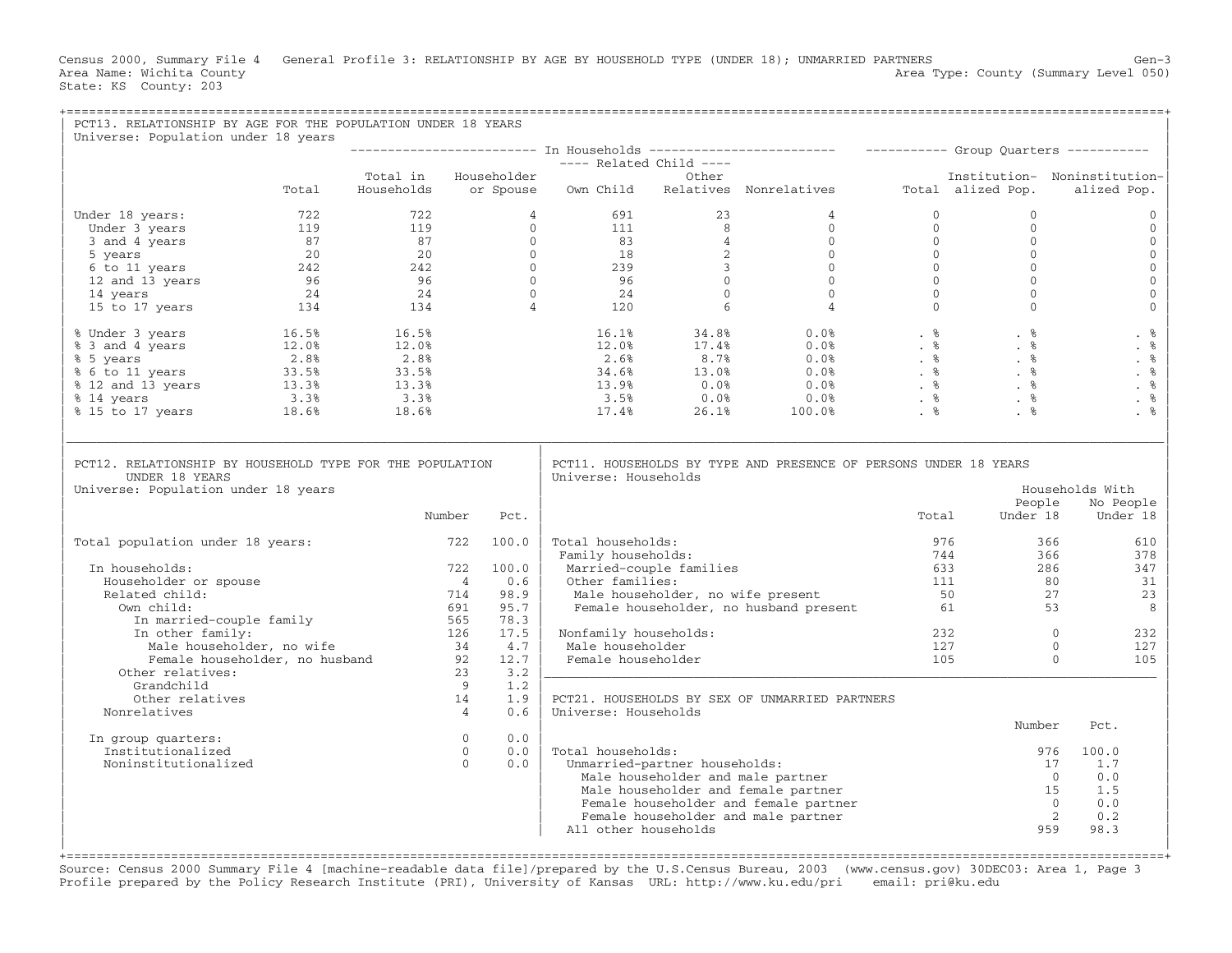Census 2000, Summary File 4 General Profile 3: RELATIONSHIP BY AGE BY HOUSEHOLD TYPE (UNDER 18); UNMARRIED PARTNERS Gen-3<br>Area Name: Wichita County General Profile 3: RELATIONSHIP BY AGE BY HOUSEHOLD TYPE (UNDER 18); UNMA Area Type: County (Summary Level 050) State: KS County: 203

| PCT13. RELATIONSHIP BY AGE FOR THE POPULATION UNDER 18 YEARS<br>Universe: Population under 18 years                                                                                                                                                                |       |                      |                |       |                                           |                               |                                                                                                          |              |                                                                        |                              |
|--------------------------------------------------------------------------------------------------------------------------------------------------------------------------------------------------------------------------------------------------------------------|-------|----------------------|----------------|-------|-------------------------------------------|-------------------------------|----------------------------------------------------------------------------------------------------------|--------------|------------------------------------------------------------------------|------------------------------|
|                                                                                                                                                                                                                                                                    |       |                      |                |       |                                           |                               |                                                                                                          |              |                                                                        |                              |
|                                                                                                                                                                                                                                                                    |       |                      |                |       | ---- Related Child ----<br>Other          |                               |                                                                                                          |              |                                                                        |                              |
|                                                                                                                                                                                                                                                                    |       | Total in Householder |                |       |                                           |                               |                                                                                                          |              |                                                                        | Institution- Noninstitution- |
|                                                                                                                                                                                                                                                                    | Total | Households           |                |       |                                           |                               | or Spouse Own Child Relatives Nonrelatives Total alized Pop.                                             |              |                                                                        | alized Pop.                  |
| Under 18 years:                                                                                                                                                                                                                                                    |       |                      |                |       |                                           |                               |                                                                                                          | $\mathbf{0}$ | $\mathbf{0}$                                                           | $\mathbf{0}$                 |
|                                                                                                                                                                                                                                                                    |       |                      |                |       |                                           |                               |                                                                                                          | $\Omega$     | $\Omega$                                                               | $\mathbf{0}$                 |
|                                                                                                                                                                                                                                                                    |       |                      |                |       |                                           |                               |                                                                                                          |              | $0 \qquad \qquad$<br>$\mathbf{0}$                                      | $\mathbf{0}$                 |
|                                                                                                                                                                                                                                                                    |       |                      |                |       |                                           |                               |                                                                                                          |              | $\Omega$                                                               | $\mathbf{0}$                 |
|                                                                                                                                                                                                                                                                    |       |                      |                |       |                                           |                               |                                                                                                          |              | $\mathbf{0}$                                                           | $\mathbf 0$                  |
|                                                                                                                                                                                                                                                                    |       |                      |                |       |                                           |                               |                                                                                                          |              | $\mathbf{0}$                                                           | $\mathsf{O}\xspace$          |
|                                                                                                                                                                                                                                                                    |       |                      |                |       |                                           |                               |                                                                                                          |              | $\Omega$                                                               | $\mathsf{O}\xspace$          |
|                                                                                                                                                                                                                                                                    |       |                      |                |       |                                           |                               |                                                                                                          |              | $\begin{bmatrix} 0 \\ 0 \\ 0 \\ 0 \\ 0 \\ 0 \end{bmatrix}$<br>$\Omega$ | $\mathbf{O}$                 |
| % Under 3 years<br>% 3 and 4 years<br>% 5 years<br>% 5 years<br>% 6 to 11 years<br>% 12 and 13 years<br>% 12 and 13 years<br>% 13.3%<br>% 14 years<br>% 15 to 17 years<br>% 18.6%<br>18.6%<br>18.6%<br>18.6%<br>18.6%<br>18.6%<br>18.6%<br>18.6%<br>18.6%<br>18.6% |       |                      |                |       |                                           |                               |                                                                                                          |              |                                                                        | . %                          |
|                                                                                                                                                                                                                                                                    |       |                      |                |       |                                           |                               |                                                                                                          |              |                                                                        | . $%$                        |
|                                                                                                                                                                                                                                                                    |       |                      |                |       |                                           |                               |                                                                                                          |              |                                                                        | . %                          |
|                                                                                                                                                                                                                                                                    |       |                      |                |       |                                           |                               |                                                                                                          |              |                                                                        | . $\,$ 8                     |
|                                                                                                                                                                                                                                                                    |       |                      |                |       |                                           |                               |                                                                                                          |              |                                                                        | . $%$                        |
|                                                                                                                                                                                                                                                                    |       |                      |                |       |                                           |                               |                                                                                                          |              |                                                                        | . $\frac{6}{6}$              |
|                                                                                                                                                                                                                                                                    |       |                      |                |       |                                           |                               |                                                                                                          |              |                                                                        | . %                          |
| UNDER 18 YEARS<br>Universe: Population under 18 years                                                                                                                                                                                                              |       |                      |                |       | Universe: Households                      |                               |                                                                                                          |              | People                                                                 | Households With<br>No People |
|                                                                                                                                                                                                                                                                    |       |                      | Number         | Pct.  |                                           |                               |                                                                                                          | Total        | Under 18                                                               | Under 18                     |
| Total population under 18 years:                                                                                                                                                                                                                                   |       |                      | 722 100.0      |       | Total households:                         |                               |                                                                                                          | 976          |                                                                        | 366<br>610                   |
|                                                                                                                                                                                                                                                                    |       |                      |                |       | Family households:                        |                               |                                                                                                          | 744          | 366                                                                    | 378                          |
| In households:                                                                                                                                                                                                                                                     |       |                      | 722            | 100.0 |                                           | Married-couple families       |                                                                                                          | 633          | 286                                                                    | 347                          |
| Householder or spouse                                                                                                                                                                                                                                              |       |                      | $\overline{4}$ | 0.6   | Other families:                           |                               | Other families: 111<br>Male householder, no wife present 50<br>Female householder, no husband present 61 |              | 80                                                                     | 31                           |
| Related child:                                                                                                                                                                                                                                                     |       |                      | 714            | 98.9  |                                           |                               | Male householder, no wife present                                                                        |              |                                                                        | 27<br>23                     |
| Own child:<br>wn child:<br>In married-couple family                                                                                                                                                                                                                |       |                      | 691            | 95.7  |                                           |                               |                                                                                                          |              | 53                                                                     | 8                            |
|                                                                                                                                                                                                                                                                    |       |                      | 565            | 78.3  |                                           |                               |                                                                                                          |              | $\overline{0}$                                                         |                              |
|                                                                                                                                                                                                                                                                    |       |                      | 126            | 17.5  | Nonfamily households:<br>Male householder |                               |                                                                                                          | 127          | 232                                                                    | 232<br>$\Omega$<br>127       |
|                                                                                                                                                                                                                                                                    |       |                      |                |       | Female householder                        |                               |                                                                                                          | 105          |                                                                        | $\Omega$<br>105              |
| Male householder, no wife<br>Female householder, no husband<br>$\begin{array}{cccc}\n & 34 & 4.7 \\ 92 & 12.7 \\ \text{Pr} \text{ relatives:} & 92 & 12.7\n\end{array}$<br>Other relatives:                                                                        |       |                      | 23             | 3.2   |                                           |                               |                                                                                                          |              |                                                                        |                              |
| Grandchild                                                                                                                                                                                                                                                         |       |                      | 9              | 1.2   |                                           |                               |                                                                                                          |              |                                                                        |                              |
| Other relatives                                                                                                                                                                                                                                                    |       |                      | 14             | 1.9   |                                           |                               | PCT21. HOUSEHOLDS BY SEX OF UNMARRIED PARTNERS                                                           |              |                                                                        |                              |
| Nonrelatives                                                                                                                                                                                                                                                       |       |                      | $\overline{4}$ | 0.6   | Universe: Households                      |                               |                                                                                                          |              |                                                                        |                              |
|                                                                                                                                                                                                                                                                    |       |                      |                |       |                                           |                               |                                                                                                          |              | Number                                                                 | Pct.                         |
| In group quarters:                                                                                                                                                                                                                                                 |       |                      | $\Omega$       | 0.0   |                                           |                               |                                                                                                          |              |                                                                        |                              |
| Institutionalized                                                                                                                                                                                                                                                  |       |                      | $\overline{0}$ | 0.0   | Total households:                         |                               |                                                                                                          |              |                                                                        | 100.0<br>976                 |
| Noninstitutionalized                                                                                                                                                                                                                                               |       |                      | $\Omega$       | 0.0   |                                           | Unmarried-partner households: |                                                                                                          |              |                                                                        | 17<br>1.7                    |
|                                                                                                                                                                                                                                                                    |       |                      |                |       |                                           |                               | Male householder and male partner                                                                        |              |                                                                        | 0.0<br>$\bigcirc$            |
|                                                                                                                                                                                                                                                                    |       |                      |                |       |                                           |                               | Male householder and female partner                                                                      |              |                                                                        | 15<br>1.5<br>$\Omega$        |
|                                                                                                                                                                                                                                                                    |       |                      |                |       |                                           |                               | Female householder and female partner<br>Female householder and male partner                             |              |                                                                        | 0.0<br>2<br>0.2              |
|                                                                                                                                                                                                                                                                    |       |                      |                |       | All other households                      |                               |                                                                                                          |              | 959                                                                    | 98.3                         |
|                                                                                                                                                                                                                                                                    |       |                      |                |       |                                           |                               |                                                                                                          |              |                                                                        |                              |

+===================================================================================================================================================+ Source: Census 2000 Summary File 4 [machine−readable data file]/prepared by the U.S.Census Bureau, 2003 (www.census.gov) 30DEC03: Area 1, Page 3 Profile prepared by the Policy Research Institute (PRI), University of Kansas URL: http://www.ku.edu/pri email: pri@ku.edu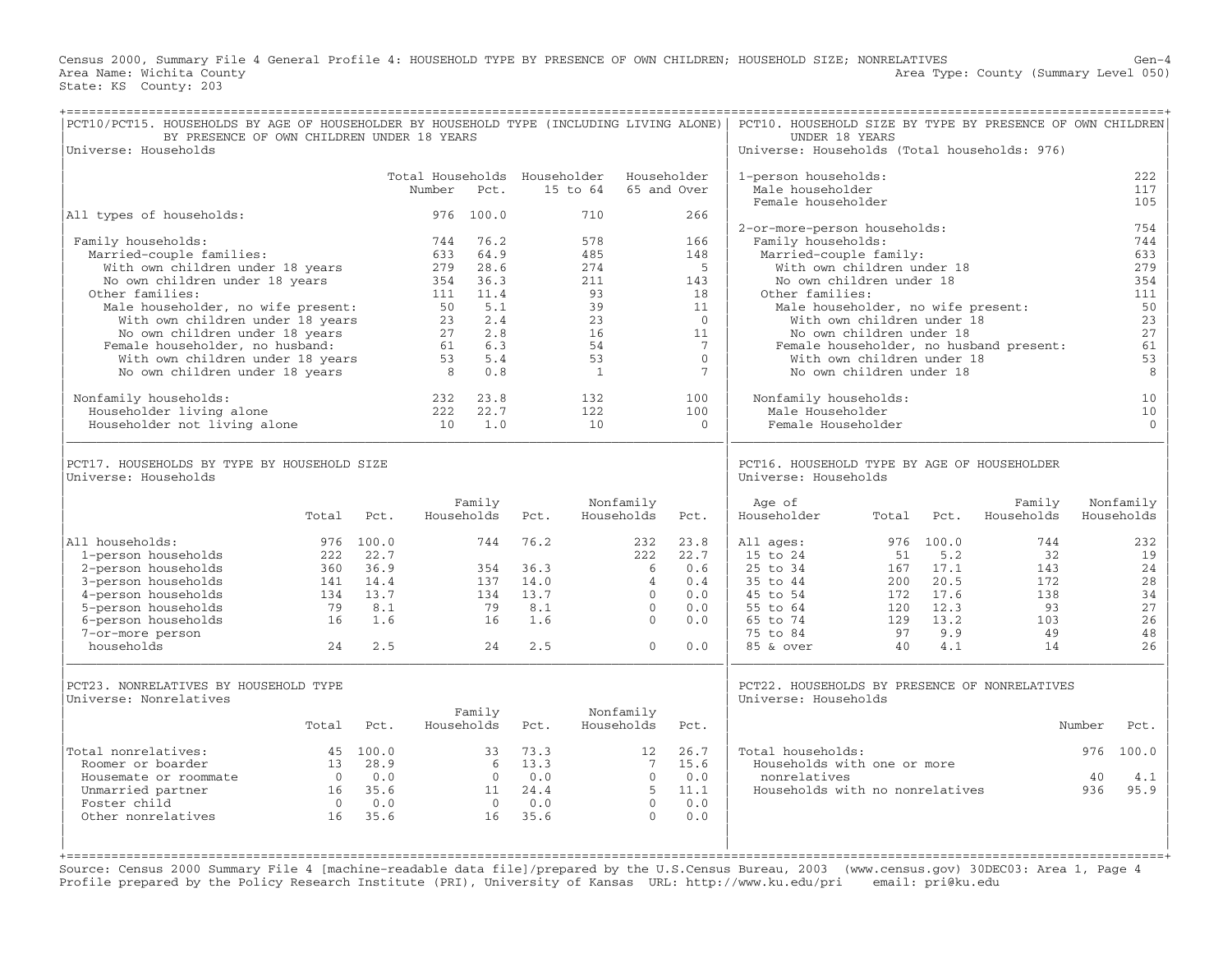Census 2000, Summary File 4 General Profile 4: HOUSEHOLD TYPE BY PRESENCE OF OWN CHILDREN; HOUSEHOLD SIZE; NONRELATIVES Gen−4 Area Name: Wichita County  $\blacksquare$  Area Type: County (Summary Level 050) State: KS County: 203

| PCT10/PCT15. HOUSEHOLDS BY AGE OF HOUSEHOLDER BY HOUSEHOLD TYPE (INCLUDING LIVING ALONE)<br>BY PRESENCE OF OWN CHILDREN UNDER 18 YEARS                                                                                                                                                                                                                                                                                                            |                                                |                                                                |                                                                                                                 |                                                                                                       |                                                                 |                                                                                                  |                                                                                              |                                                                                                                         | PCT10. HOUSEHOLD SIZE BY TYPE BY PRESENCE OF OWN CHILDREN<br>UNDER 18 YEARS                                                                                                                                                                                                                                                                                                            |                                            |                                                                            |                                                         |                  |                                                                                                   |
|---------------------------------------------------------------------------------------------------------------------------------------------------------------------------------------------------------------------------------------------------------------------------------------------------------------------------------------------------------------------------------------------------------------------------------------------------|------------------------------------------------|----------------------------------------------------------------|-----------------------------------------------------------------------------------------------------------------|-------------------------------------------------------------------------------------------------------|-----------------------------------------------------------------|--------------------------------------------------------------------------------------------------|----------------------------------------------------------------------------------------------|-------------------------------------------------------------------------------------------------------------------------|----------------------------------------------------------------------------------------------------------------------------------------------------------------------------------------------------------------------------------------------------------------------------------------------------------------------------------------------------------------------------------------|--------------------------------------------|----------------------------------------------------------------------------|---------------------------------------------------------|------------------|---------------------------------------------------------------------------------------------------|
| Universe: Households                                                                                                                                                                                                                                                                                                                                                                                                                              |                                                |                                                                |                                                                                                                 |                                                                                                       |                                                                 |                                                                                                  |                                                                                              |                                                                                                                         | Universe: Households (Total households: 976)                                                                                                                                                                                                                                                                                                                                           |                                            |                                                                            |                                                         |                  |                                                                                                   |
|                                                                                                                                                                                                                                                                                                                                                                                                                                                   |                                                |                                                                | Total Households Householder<br>Number                                                                          | Pct.                                                                                                  |                                                                 | 15 to 64                                                                                         |                                                                                              | Householder<br>65 and Over                                                                                              | 1-person households:<br>Male householder<br>Female householder                                                                                                                                                                                                                                                                                                                         |                                            |                                                                            |                                                         |                  | 222<br>117<br>105                                                                                 |
| All types of households:                                                                                                                                                                                                                                                                                                                                                                                                                          |                                                |                                                                |                                                                                                                 | 976 100.0                                                                                             |                                                                 | 710                                                                                              |                                                                                              | 266                                                                                                                     |                                                                                                                                                                                                                                                                                                                                                                                        |                                            |                                                                            |                                                         |                  |                                                                                                   |
| Family households:<br>Married-couple families:<br>With own children under 18 years<br>No own children under 18 years<br>Other families:<br>Male householder, no wife present:<br>With own children under 18 years<br>No own children under 18 years<br>Female householder, no husband:<br>With own children under 18 years<br>No own children under 18 years<br>Nonfamily households:<br>Householder living alone<br>Householder not living alone |                                                |                                                                | 744<br>633<br>279<br>354<br>111<br>50<br>23<br>27<br>61<br>53<br>$\overline{\phantom{0}}$ 8<br>232<br>222<br>10 | 76.2<br>64.9<br>28.6<br>36.3<br>11.4<br>5.1<br>2.4<br>2.8<br>6.3<br>5.4<br>0.8<br>23.8<br>22.7<br>1.0 |                                                                 | 578<br>485<br>274<br>211<br>93<br>39<br>23<br>16<br>54<br>53<br>$\mathbf{1}$<br>132<br>122<br>10 |                                                                                              | 166<br>148<br>5<br>143<br>18<br>11<br>$\overline{0}$<br>11<br>7<br>$\Omega$<br>$7\phantom{.}$<br>100<br>100<br>$\Omega$ | 2-or-more-person households:<br>Family households:<br>Married-couple family:<br>With own children under 18<br>No own children under 18<br>Other families:<br>Male householder, no wife present:<br>With own children under 18<br>No own children under 18<br>With own children under 18<br>No own children under 18<br>Nonfamily households:<br>Male Householder<br>Female Householder |                                            |                                                                            | Female householder, no husband present:                 |                  | 754<br>744<br>633<br>279<br>354<br>111<br>50<br>23<br>27<br>61<br>53<br>8<br>10<br>10<br>$\Omega$ |
| PCT17. HOUSEHOLDS BY TYPE BY HOUSEHOLD SIZE<br>Universe: Households                                                                                                                                                                                                                                                                                                                                                                               |                                                |                                                                |                                                                                                                 |                                                                                                       |                                                                 |                                                                                                  |                                                                                              |                                                                                                                         | PCT16. HOUSEHOLD TYPE BY AGE OF HOUSEHOLDER<br>Universe: Households                                                                                                                                                                                                                                                                                                                    |                                            |                                                                            |                                                         |                  |                                                                                                   |
|                                                                                                                                                                                                                                                                                                                                                                                                                                                   | Total                                          | Pct.                                                           |                                                                                                                 | Family<br>Households                                                                                  | Pct.                                                            |                                                                                                  | Nonfamily<br>Households                                                                      | Pct.                                                                                                                    | Age of<br>Householder                                                                                                                                                                                                                                                                                                                                                                  | Total                                      | Pct.                                                                       | Family<br>Households                                    |                  | Nonfamily<br>Households                                                                           |
| All households:<br>1-person households<br>2-person households<br>3-person households<br>4-person households<br>5-person households<br>6-person households<br>7-or-more person<br>households                                                                                                                                                                                                                                                       | 222<br>360<br>141<br>134<br>79<br>16<br>24     | 976 100.0<br>22.7<br>36.9<br>14.4<br>13.7<br>8.1<br>1.6<br>2.5 |                                                                                                                 | 744<br>354<br>137<br>134<br>79<br>16<br>24                                                            | 76.2<br>36.3<br>14.0<br>13.7<br>8.1<br>1.6<br>2.5               |                                                                                                  | 232<br>222<br>6<br>$\overline{4}$<br>$\Omega$<br>$\mathbf 0$<br>$\mathbf{0}$<br>$\mathbf{0}$ | 23.8<br>22.7<br>0.6<br>0.4<br>0.0<br>0.0<br>0.0<br>0.0                                                                  | All ages:<br>15 to 24<br>25 to 34<br>35 to 44<br>45 to 54<br>55 to 64<br>65 to 74<br>75 to 84<br>85 & over                                                                                                                                                                                                                                                                             | 51<br>167<br>200<br>172<br>129<br>97<br>40 | 976 100.0<br>5.2<br>17.1<br>20.5<br>17.6<br>120 12.3<br>13.2<br>9.9<br>4.1 | 744<br>32<br>143<br>172<br>138<br>93<br>103<br>49<br>14 |                  | 232<br>19<br>24<br>28<br>34<br>27<br>26<br>48<br>26                                               |
| PCT23. NONRELATIVES BY HOUSEHOLD TYPE<br>Universe: Nonrelatives                                                                                                                                                                                                                                                                                                                                                                                   | Total                                          | Pct.                                                           |                                                                                                                 | Family<br>Households                                                                                  | Pct.                                                            |                                                                                                  | Nonfamily<br>Households                                                                      | Pct.                                                                                                                    | PCT22. HOUSEHOLDS BY PRESENCE OF NONRELATIVES<br>Universe: Households                                                                                                                                                                                                                                                                                                                  |                                            |                                                                            |                                                         | Number           | Pct.                                                                                              |
| Total nonrelatives:<br>Roomer or boarder<br>Housemate or roommate<br>Unmarried partner<br>Foster child<br>Other nonrelatives                                                                                                                                                                                                                                                                                                                      | 13<br>$\bigcirc$<br>16<br>$\overline{0}$<br>16 | 45 100.0<br>28.9<br>0.0<br>35.6<br>0.0<br>35.6                 |                                                                                                                 | 33<br>$\Omega$<br>16                                                                                  | 73.3<br>$6 \t 13.3$<br>0.0<br>11 24.4<br>$0 \qquad 0.0$<br>35.6 |                                                                                                  | 12<br>7<br>$\Omega$<br>5<br>$\Omega$<br>$\Omega$                                             | 26.7<br>15.6<br>0.0<br>11.1<br>0.0<br>0.0                                                                               | Total households:<br>Households with one or more<br>nonrelatives<br>Households with no nonrelatives                                                                                                                                                                                                                                                                                    |                                            |                                                                            |                                                         | 976<br>40<br>936 | 100.0<br>4.1<br>95.9                                                                              |

Source: Census 2000 Summary File 4 [machine−readable data file]/prepared by the U.S.Census Bureau, 2003 (www.census.gov) 30DEC03: Area 1, Page 4 Profile prepared by the Policy Research Institute (PRI), University of Kansas URL: http://www.ku.edu/pri email: pri@ku.edu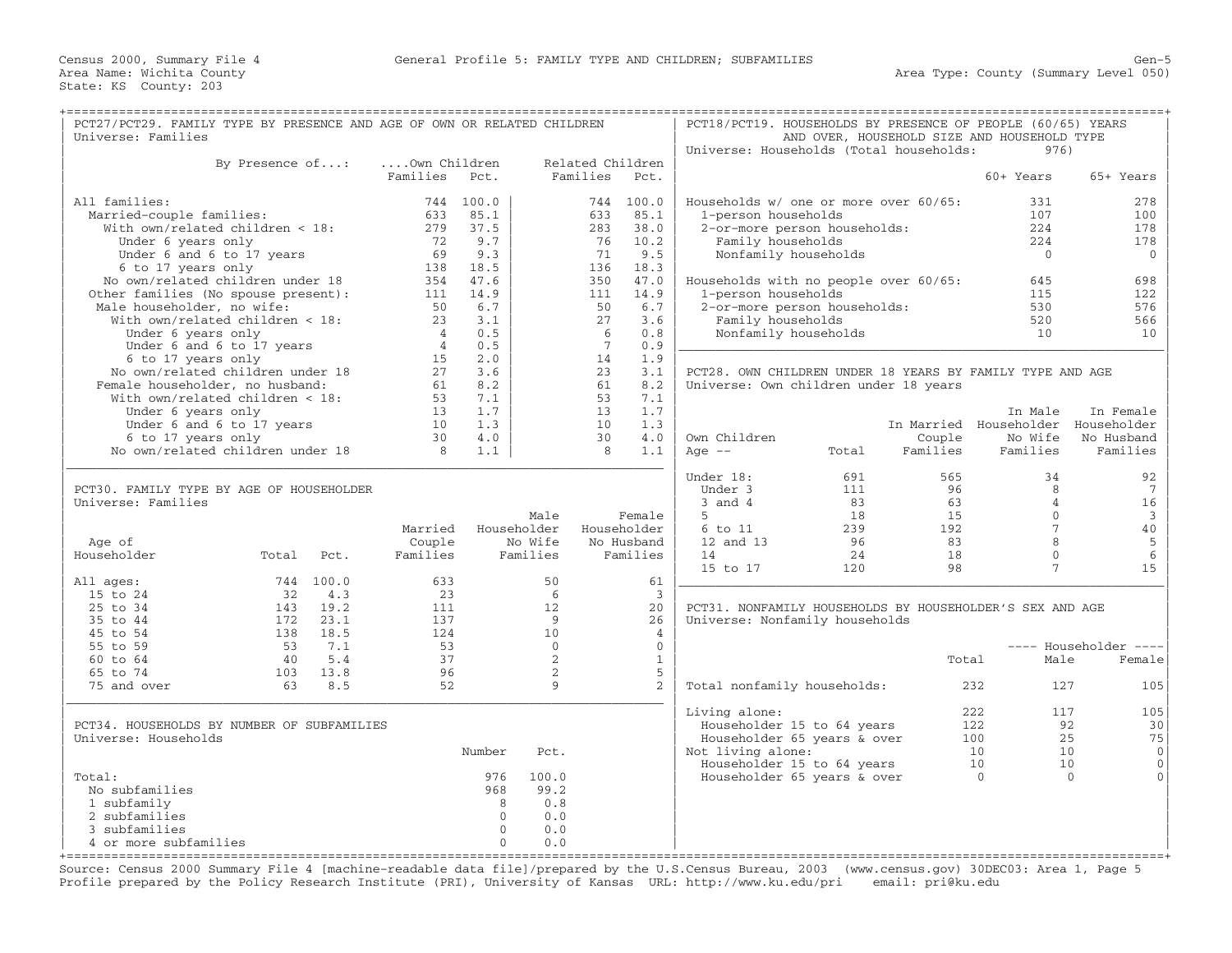| PCT27/PCT29. FAMILY TYPE BY PRESENCE AND AGE OF OWN OR RELATED CHILDREN |                 |              |                |              |                  |                | PCT18/PCT19. HOUSEHOLDS BY PRESENCE OF PEOPLE (60/65) YEARS |       |          |                                             |                                                                                                                                                                                                                                                                                                                                                                                                                  |
|-------------------------------------------------------------------------|-----------------|--------------|----------------|--------------|------------------|----------------|-------------------------------------------------------------|-------|----------|---------------------------------------------|------------------------------------------------------------------------------------------------------------------------------------------------------------------------------------------------------------------------------------------------------------------------------------------------------------------------------------------------------------------------------------------------------------------|
| Universe: Families                                                      |                 |              |                |              |                  |                |                                                             |       |          | AND OVER, HOUSEHOLD SIZE AND HOUSEHOLD TYPE |                                                                                                                                                                                                                                                                                                                                                                                                                  |
|                                                                         |                 |              |                |              |                  |                | Universe: Households (Total households:                     |       |          | 976)                                        |                                                                                                                                                                                                                                                                                                                                                                                                                  |
|                                                                         | By Presence of: |              | Own Children   |              | Related Children |                |                                                             |       |          |                                             |                                                                                                                                                                                                                                                                                                                                                                                                                  |
|                                                                         |                 |              | Families       | Pct.         | Families         | Pct.           |                                                             |       |          | 60+ Years                                   | 65+ Years                                                                                                                                                                                                                                                                                                                                                                                                        |
|                                                                         |                 |              |                |              |                  |                |                                                             |       |          |                                             |                                                                                                                                                                                                                                                                                                                                                                                                                  |
| All families:                                                           |                 |              |                | 744 100.0    |                  | 744 100.0      | Households w/ one or more over 60/65:                       |       |          | 331                                         | 278                                                                                                                                                                                                                                                                                                                                                                                                              |
| Married-couple families:                                                |                 |              | 633            | 85.1         | 633              | 85.1           | 1-person households                                         |       |          | 107                                         | 100                                                                                                                                                                                                                                                                                                                                                                                                              |
| With own/related children < 18:                                         |                 |              | 279            | 37.5         | 283              | 38.0           | 2-or-more person households:                                |       |          | 2.2.4                                       | 178                                                                                                                                                                                                                                                                                                                                                                                                              |
| Under 6 years only                                                      |                 |              | 72             | 9.7          | 76               | 10.2           | Family households                                           |       |          | 224                                         | 178                                                                                                                                                                                                                                                                                                                                                                                                              |
|                                                                         |                 |              | 69             | 9.3          | 71               | 9.5            |                                                             |       |          | $\bigcirc$                                  |                                                                                                                                                                                                                                                                                                                                                                                                                  |
| Under 6 and 6 to 17 years                                               |                 |              |                |              |                  |                | Nonfamily households                                        |       |          |                                             | $\mathbf{0}$                                                                                                                                                                                                                                                                                                                                                                                                     |
| 6 to 17 years only                                                      |                 |              | 138            | 18.5         | 136              | 18.3           |                                                             |       |          |                                             |                                                                                                                                                                                                                                                                                                                                                                                                                  |
| No own/related children under 18                                        |                 |              | 354            | 47.6         | 350              | 47.0           | Households with no people over 60/65:                       |       |          | 645                                         | 698                                                                                                                                                                                                                                                                                                                                                                                                              |
| Other families (No spouse present):                                     |                 |              | 111            | 14.9         | 111              | 14.9           | 1-person households                                         |       |          | 115                                         | 122                                                                                                                                                                                                                                                                                                                                                                                                              |
| Male householder, no wife:                                              |                 |              | 50             | 6.7          | 50               | 6.7            | 2-or-more person households:                                |       |          | 530                                         | 576                                                                                                                                                                                                                                                                                                                                                                                                              |
| With $own/related children < 18$ :                                      |                 |              | 23             | 3.1          | 27               | 3.6            | Family households                                           |       |          | 520                                         | 566                                                                                                                                                                                                                                                                                                                                                                                                              |
| Under 6 years only                                                      |                 |              | $\overline{4}$ | 0.5          | 6                | 0.8            | Nonfamily households                                        |       |          | 10                                          | 10                                                                                                                                                                                                                                                                                                                                                                                                               |
| Under 6 and 6 to 17 years                                               |                 |              | $\overline{4}$ | 0.5          | $7\overline{ }$  | 0.9            |                                                             |       |          |                                             |                                                                                                                                                                                                                                                                                                                                                                                                                  |
| 6 to 17 years only                                                      |                 |              | 15             | 2.0          | 14               | 1.9            |                                                             |       |          |                                             |                                                                                                                                                                                                                                                                                                                                                                                                                  |
| No own/related children under 18                                        |                 |              | 27             | 3.6          | 23               | 3.1            | PCT28. OWN CHILDREN UNDER 18 YEARS BY FAMILY TYPE AND AGE   |       |          |                                             |                                                                                                                                                                                                                                                                                                                                                                                                                  |
| Female householder, no husband:                                         |                 |              | 61             | 8.2          | 61               | 8.2            | Universe: Own children under 18 years                       |       |          |                                             |                                                                                                                                                                                                                                                                                                                                                                                                                  |
| With own/related children < 18:                                         |                 |              | 53             | 7.1          | 53               | 7.1            |                                                             |       |          |                                             |                                                                                                                                                                                                                                                                                                                                                                                                                  |
| Under 6 years only                                                      |                 |              | 13             | 1.7          | 13               | 1.7            |                                                             |       |          | In Male                                     | In Female                                                                                                                                                                                                                                                                                                                                                                                                        |
| Under 6 and 6 to 17 years                                               |                 |              | 10             | 1.3          | 10               | 1.3            |                                                             |       |          | In Married Householder Householder          |                                                                                                                                                                                                                                                                                                                                                                                                                  |
| 6 to 17 years only                                                      |                 |              | 30             | 4.0          | 30               | 4.0            | Own Children                                                |       | Couple   | No Wife                                     | No Husband                                                                                                                                                                                                                                                                                                                                                                                                       |
| No own/related children under 18                                        |                 |              | $\overline{8}$ |              | 8                | 1.1            | Age $--$                                                    | Total | Families | Families                                    | Families                                                                                                                                                                                                                                                                                                                                                                                                         |
|                                                                         |                 |              |                | 1.1          |                  |                |                                                             |       |          |                                             |                                                                                                                                                                                                                                                                                                                                                                                                                  |
|                                                                         |                 |              |                |              |                  |                | Under 18:                                                   | 691   | 565      |                                             |                                                                                                                                                                                                                                                                                                                                                                                                                  |
|                                                                         |                 |              |                |              |                  |                |                                                             |       | 96       | 34<br>8                                     | 92<br>7                                                                                                                                                                                                                                                                                                                                                                                                          |
| PCT30. FAMILY TYPE BY AGE OF HOUSEHOLDER                                |                 |              |                |              |                  |                | Under 3                                                     | 111   |          |                                             |                                                                                                                                                                                                                                                                                                                                                                                                                  |
| Universe: Families                                                      |                 |              |                |              |                  |                | $3$ and $4$                                                 | 83    | 63       | $\overline{4}$                              | 16                                                                                                                                                                                                                                                                                                                                                                                                               |
|                                                                         |                 |              |                |              | Male             | Female         | 5                                                           | 18    | 15       | $\Omega$                                    | $\mathbf{3}$                                                                                                                                                                                                                                                                                                                                                                                                     |
|                                                                         |                 |              | Married        | Householder  |                  | Householder    | 6 to 11                                                     | 239   | 192      | $\overline{7}$                              | $4\,0$                                                                                                                                                                                                                                                                                                                                                                                                           |
| Age of                                                                  |                 |              | Couple         | No Wife      |                  | No Husband     | 12 and 13                                                   | 96    | 83       | 8                                           | 5                                                                                                                                                                                                                                                                                                                                                                                                                |
| Householder                                                             | Total           | Pct.         | Families       | Families     |                  | Families       | 14                                                          | 24    | 18       | $\Omega$                                    | 6                                                                                                                                                                                                                                                                                                                                                                                                                |
|                                                                         |                 |              |                |              |                  |                | 15 to 17                                                    | 120   | 98       | $7\phantom{.0}$                             | 15                                                                                                                                                                                                                                                                                                                                                                                                               |
| All ages:                                                               |                 | 744 100.0    | 633            |              | 50               | 61             |                                                             |       |          |                                             |                                                                                                                                                                                                                                                                                                                                                                                                                  |
| 15 to 24                                                                | 32              | 4.3          | 23             |              | 6                | $\overline{3}$ |                                                             |       |          |                                             |                                                                                                                                                                                                                                                                                                                                                                                                                  |
| 25 to 34                                                                | 143             | 19.2         | 111            |              | 12               | 20             | PCT31. NONFAMILY HOUSEHOLDS BY HOUSEHOLDER'S SEX AND AGE    |       |          |                                             |                                                                                                                                                                                                                                                                                                                                                                                                                  |
| 35 to 44                                                                |                 | $172$ $23.1$ | 137            |              | 9                | 26             | Universe: Nonfamily households                              |       |          |                                             |                                                                                                                                                                                                                                                                                                                                                                                                                  |
| 45 to 54                                                                | 138             | 18.5         | 124            |              | 10               | $\overline{4}$ |                                                             |       |          |                                             |                                                                                                                                                                                                                                                                                                                                                                                                                  |
| 55 to 59                                                                | 53              | 7.1          | 53             |              | $\Omega$         | $\Omega$       |                                                             |       |          |                                             | ---- Householder<br>$\frac{1}{2} \frac{1}{2} \frac{1}{2} \frac{1}{2} \frac{1}{2} \frac{1}{2} \frac{1}{2} \frac{1}{2} \frac{1}{2} \frac{1}{2} \frac{1}{2} \frac{1}{2} \frac{1}{2} \frac{1}{2} \frac{1}{2} \frac{1}{2} \frac{1}{2} \frac{1}{2} \frac{1}{2} \frac{1}{2} \frac{1}{2} \frac{1}{2} \frac{1}{2} \frac{1}{2} \frac{1}{2} \frac{1}{2} \frac{1}{2} \frac{1}{2} \frac{1}{2} \frac{1}{2} \frac{1}{2} \frac{$ |
| 60 to 64                                                                | 40              | 5.4          | 37             |              | 2                | $\mathbf{1}$   |                                                             |       | Total    | Male                                        | Female                                                                                                                                                                                                                                                                                                                                                                                                           |
| 65 to 74                                                                | 103             | 13.8         | 96             |              | 2                | 5              |                                                             |       |          |                                             |                                                                                                                                                                                                                                                                                                                                                                                                                  |
| 75 and over                                                             | 63              | 8.5          | 52             |              | $\circ$          | 2              | Total nonfamily households:                                 |       |          | 232<br>127                                  | 105                                                                                                                                                                                                                                                                                                                                                                                                              |
|                                                                         |                 |              |                |              |                  |                |                                                             |       |          |                                             |                                                                                                                                                                                                                                                                                                                                                                                                                  |
|                                                                         |                 |              |                |              |                  |                | Living alone:                                               |       |          | 222<br>117                                  | 105                                                                                                                                                                                                                                                                                                                                                                                                              |
| PCT34. HOUSEHOLDS BY NUMBER OF SUBFAMILIES                              |                 |              |                |              |                  |                |                                                             |       |          | 122                                         | 92<br>30                                                                                                                                                                                                                                                                                                                                                                                                         |
|                                                                         |                 |              |                |              |                  |                | Householder 15 to 64 years                                  |       |          |                                             |                                                                                                                                                                                                                                                                                                                                                                                                                  |
| Universe: Households                                                    |                 |              |                |              |                  |                | Householder 65 years & over                                 |       |          | 100                                         | 75<br>25                                                                                                                                                                                                                                                                                                                                                                                                         |
|                                                                         |                 |              |                | Number       | Pct.             |                | Not living alone:                                           |       |          | 10                                          | 10<br>$\mathbf{0}$                                                                                                                                                                                                                                                                                                                                                                                               |
|                                                                         |                 |              |                |              |                  |                | Householder 15 to 64 years                                  |       |          | 10                                          | 10<br>$\mathbf{0}$                                                                                                                                                                                                                                                                                                                                                                                               |
| Total:                                                                  |                 |              |                | 976          | 100.0            |                | Householder 65 years & over                                 |       |          | $\mathbf{0}$                                | $\mathbf{0}$<br>$\Omega$                                                                                                                                                                                                                                                                                                                                                                                         |
|                                                                         |                 |              |                | 968          | 99.2             |                |                                                             |       |          |                                             |                                                                                                                                                                                                                                                                                                                                                                                                                  |
| No subfamilies                                                          |                 |              |                |              |                  |                |                                                             |       |          |                                             |                                                                                                                                                                                                                                                                                                                                                                                                                  |
| 1 subfamily                                                             |                 |              |                | 8            | 0.8              |                |                                                             |       |          |                                             |                                                                                                                                                                                                                                                                                                                                                                                                                  |
| 2 subfamilies                                                           |                 |              |                | $\Omega$     | 0.0              |                |                                                             |       |          |                                             |                                                                                                                                                                                                                                                                                                                                                                                                                  |
| 3 subfamilies                                                           |                 |              |                | $\mathbf{0}$ | 0.0              |                |                                                             |       |          |                                             |                                                                                                                                                                                                                                                                                                                                                                                                                  |

+===================================================================================================================================================+ Source: Census 2000 Summary File 4 [machine−readable data file]/prepared by the U.S.Census Bureau, 2003 (www.census.gov) 30DEC03: Area 1, Page 5 Profile prepared by the Policy Research Institute (PRI), University of Kansas URL: http://www.ku.edu/pri email: pri@ku.edu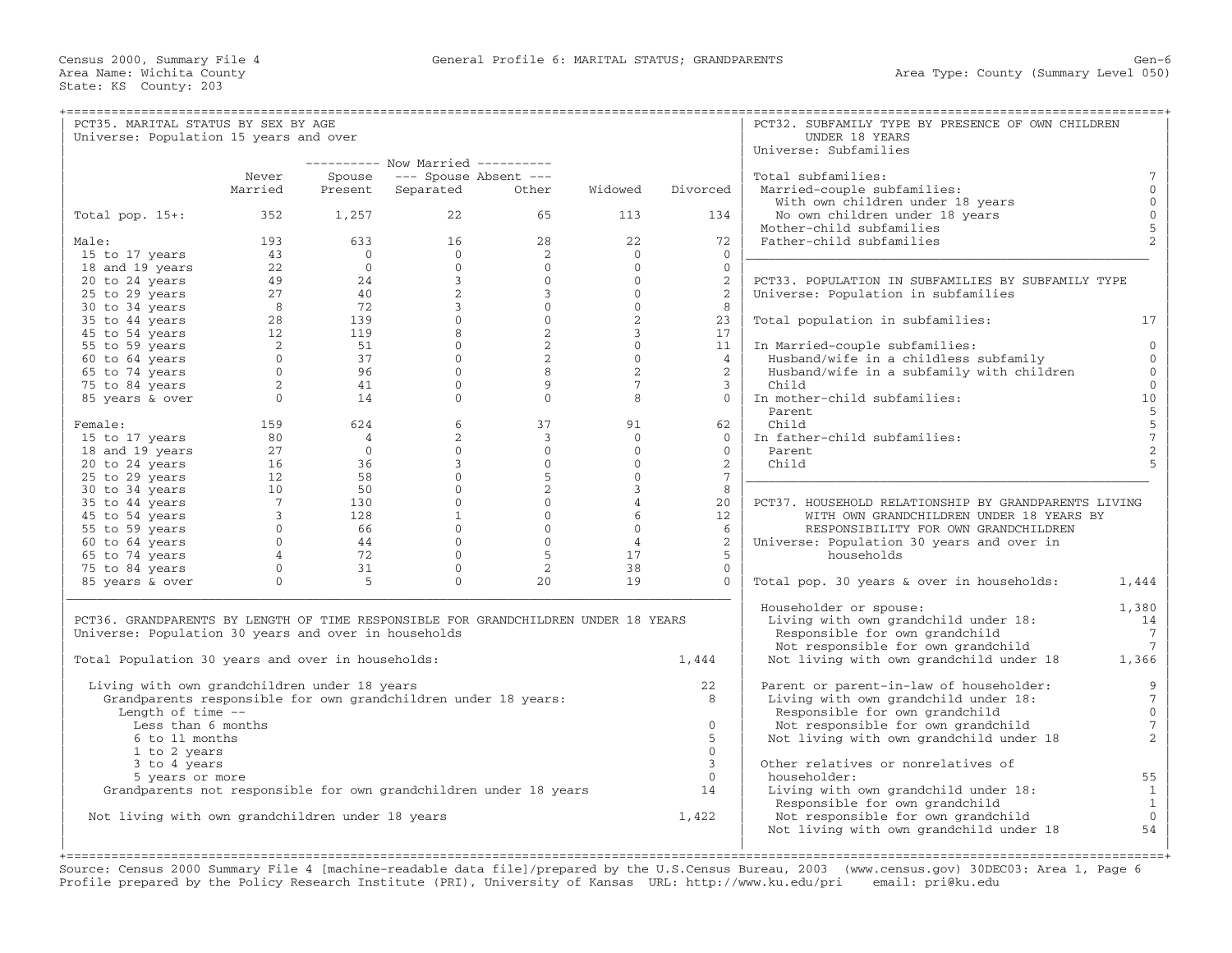| PCT35. MARITAL STATUS BY SEX BY AGE                                                |                   |                                                                        |                                                                                                                    |                                                                                            |                     |                          | PCT32. SUBFAMILY TYPE BY PRESENCE OF OWN CHILDREN    |                                            |
|------------------------------------------------------------------------------------|-------------------|------------------------------------------------------------------------|--------------------------------------------------------------------------------------------------------------------|--------------------------------------------------------------------------------------------|---------------------|--------------------------|------------------------------------------------------|--------------------------------------------|
| Universe: Population 15 years and over                                             |                   |                                                                        |                                                                                                                    |                                                                                            |                     |                          | UNDER 18 YEARS                                       |                                            |
|                                                                                    |                   |                                                                        | ---------- Now Married ----------                                                                                  |                                                                                            |                     |                          | Universe: Subfamilies                                |                                            |
|                                                                                    | Never             | Spouse                                                                 | --- Spouse Absent ---                                                                                              |                                                                                            |                     |                          | Total subfamilies:                                   | $7\phantom{.0}$                            |
|                                                                                    | Married           | Present                                                                | Separated                                                                                                          | Other                                                                                      | Widowed             | Divorced                 | Married-couple subfamilies:                          | $\mathbf{0}$                               |
|                                                                                    |                   |                                                                        |                                                                                                                    |                                                                                            |                     |                          | With own children under 18 years                     | $\mathbb O$                                |
| Total pop. 15+:                                                                    | 352               | 1,257                                                                  | 22                                                                                                                 | 65                                                                                         | 113                 | 134                      | No own children under 18 years                       | $\mathbf 0$                                |
|                                                                                    |                   |                                                                        |                                                                                                                    |                                                                                            |                     |                          | Mother-child subfamilies                             | 5                                          |
| Male:                                                                              | 193               |                                                                        | 16                                                                                                                 | 28                                                                                         | 22                  | 72                       | Father-child subfamilies                             | $\overline{2}$                             |
| 15 to 17 years                                                                     |                   |                                                                        |                                                                                                                    | 2                                                                                          | $\Omega$            | $\Omega$                 |                                                      |                                            |
| 18 and 19 years                                                                    |                   |                                                                        |                                                                                                                    | $\Omega$                                                                                   | $\mathbf{0}$        | $\Omega$                 |                                                      |                                            |
| 20 to 24 years                                                                     |                   |                                                                        | $3^{\circ}$                                                                                                        | $\overline{0}$                                                                             | $\overline{0}$      | 2                        | PCT33. POPULATION IN SUBFAMILIES BY SUBFAMILY TYPE   |                                            |
| $25$ to $29$ years                                                                 |                   |                                                                        |                                                                                                                    | $3^{\circ}$                                                                                | $\Omega$            | 2                        | Universe: Population in subfamilies                  |                                            |
| 30 to 34 years                                                                     |                   |                                                                        |                                                                                                                    | $\begin{bmatrix} 0 \\ 0 \end{bmatrix}$                                                     | $\overline{0}$      | 8                        |                                                      |                                            |
| 35 to 44 years                                                                     |                   |                                                                        |                                                                                                                    |                                                                                            | 2                   | 23                       | Total population in subfamilies:                     | 17                                         |
| 45 to 54 years                                                                     |                   |                                                                        |                                                                                                                    | $\overline{2}$                                                                             | $\overline{3}$      | 17                       |                                                      |                                            |
| 55 to 59 years                                                                     |                   |                                                                        |                                                                                                                    | 2                                                                                          | $\Omega$            | 11                       | In Married-couple subfamilies:                       | $\overline{0}$                             |
| 60 to 64 years                                                                     |                   |                                                                        |                                                                                                                    | 2<br>8                                                                                     | $\overline{0}$<br>2 | $\overline{4}$           | Husband/wife in a childless subfamily                | $\mathbf{0}$<br>$\mathbf{0}$               |
| 65 to 74 years                                                                     |                   |                                                                        |                                                                                                                    | 9                                                                                          | $7\overline{ }$     | 2                        | Husband/wife in a subfamily with children            |                                            |
| 75 to 84 years                                                                     | $\overline{0}$    |                                                                        | $\circ$                                                                                                            | $\overline{0}$                                                                             | 8                   | $\mathbf{3}$<br>$\Omega$ | Child                                                | $\mathbf 0$<br>10                          |
| 85 years & over                                                                    |                   | 14                                                                     |                                                                                                                    |                                                                                            |                     |                          | In mother-child subfamilies:<br>Parent.              |                                            |
| Female:                                                                            | 159               | 624                                                                    | 6                                                                                                                  | 37                                                                                         | 91                  | 62                       | Child                                                | $\begin{array}{c} 5 \\ 5 \\ 7 \end{array}$ |
| 15 to 17 years                                                                     | 80                |                                                                        |                                                                                                                    | $\overline{\mathbf{3}}$                                                                    | $\overline{0}$      | $\Omega$                 | In father-child subfamilies:                         |                                            |
| 18 and 19 years                                                                    | 27                |                                                                        | $\overline{0}$                                                                                                     | $\Omega$                                                                                   | $\Omega$            | $\Omega$                 | Parent.                                              | $\overline{c}$                             |
| 20 to 24 years                                                                     | $\frac{27}{16}$   |                                                                        |                                                                                                                    | $\overline{0}$                                                                             | $\circ$             | $2^{\circ}$              | Child                                                | 5                                          |
| 25 to 29 years                                                                     | 12                |                                                                        |                                                                                                                    | 5                                                                                          | $\Omega$            | $7^{\circ}$              |                                                      |                                            |
| 30 to 34 years                                                                     | 10                |                                                                        |                                                                                                                    | $\overline{2}$                                                                             | $\overline{3}$      | 8                        |                                                      |                                            |
| 35 to 44 years                                                                     | $\overline{7}$    |                                                                        |                                                                                                                    | $\overline{0}$                                                                             | $\overline{4}$      | 20                       | PCT37. HOUSEHOLD RELATIONSHIP BY GRANDPARENTS LIVING |                                            |
| 45 to 54 years                                                                     | $\overline{3}$    |                                                                        |                                                                                                                    | $\Omega$                                                                                   | 6                   | 12                       | WITH OWN GRANDCHILDREN UNDER 18 YEARS BY             |                                            |
| 55 to 59 years                                                                     | $\overline{0}$    |                                                                        | $\begin{array}{ccc} 0 & & & \\ 36 & & & \\ -8 & & & 0 \\ & & & 0 \\ & & & & 0 \\ & & & & 1 \\ & & & & \end{array}$ | $\begin{bmatrix} 3 \\ 0 \\ 0 \\ 1 \\ 0 \end{bmatrix}$<br>$\overline{0}$ and $\overline{0}$ | $\overline{0}$      | 6                        | RESPONSIBILITY FOR OWN GRANDCHILDREN                 |                                            |
| 60 to 64 years                                                                     | $0 \qquad \qquad$ | $\begin{bmatrix} 3 \\ 5 \\ 130 \\ 128 \\ 66 \\ 44 \\ 72 \end{bmatrix}$ | $0 \qquad \qquad$                                                                                                  | $\overline{0}$                                                                             | $\overline{4}$      | 2                        | Universe: Population 30 years and over in            |                                            |
| 65 to 74 years                                                                     | $\overline{4}$    |                                                                        | $\Omega$                                                                                                           | $-5$                                                                                       | 17                  | $5^{\circ}$              | households                                           |                                            |
| 75 to 84 years                                                                     | $\overline{0}$    | 31                                                                     | $\mathbf{0}$                                                                                                       | 2                                                                                          | 38                  | $\overline{0}$           |                                                      |                                            |
| 85 years & over                                                                    | $\Omega$          | 5                                                                      | $\Omega$                                                                                                           | 20                                                                                         | 19                  | $\Omega$                 | Total pop. 30 years & over in households:            | 1,444                                      |
|                                                                                    |                   |                                                                        |                                                                                                                    |                                                                                            |                     |                          | Householder or spouse:                               | 1,380                                      |
| PCT36. GRANDPARENTS BY LENGTH OF TIME RESPONSIBLE FOR GRANDCHILDREN UNDER 18 YEARS |                   |                                                                        |                                                                                                                    |                                                                                            |                     |                          | Living with own grandchild under 18:                 | 14                                         |
| Universe: Population 30 years and over in households                               |                   |                                                                        |                                                                                                                    |                                                                                            |                     |                          | Responsible for own grandchild                       | $7\overline{ }$                            |
|                                                                                    |                   |                                                                        |                                                                                                                    |                                                                                            |                     |                          | Not responsible for own grandchild                   | $7\phantom{.0}$                            |
| Total Population 30 years and over in households:                                  |                   |                                                                        |                                                                                                                    |                                                                                            |                     | 1,444                    | Not living with own grandchild under 18              | 1,366                                      |
| Living with own grandchildren under 18 years                                       |                   |                                                                        |                                                                                                                    |                                                                                            |                     | 22                       | Parent or parent-in-law of householder:              | 9                                          |
| Grandparents responsible for own grandchildren under 18 years:                     |                   |                                                                        |                                                                                                                    |                                                                                            |                     | 8                        | Living with own grandchild under 18:                 | $\boldsymbol{7}$                           |
| Length of time $-$ -                                                               |                   |                                                                        |                                                                                                                    |                                                                                            |                     |                          | Responsible for own grandchild                       | $\circ$                                    |
| Less than 6 months                                                                 |                   |                                                                        |                                                                                                                    |                                                                                            |                     | $\Omega$                 | Not responsible for own grandchild                   | $7\phantom{.0}$                            |
| 6 to 11 months                                                                     |                   |                                                                        |                                                                                                                    |                                                                                            |                     | 5                        | Not living with own grandchild under 18              | $\overline{a}$                             |
| 1 to 2 years                                                                       |                   |                                                                        |                                                                                                                    |                                                                                            |                     | $\Omega$                 |                                                      |                                            |
| 3 to 4 years                                                                       |                   |                                                                        |                                                                                                                    |                                                                                            |                     | $\mathbf{3}$             | Other relatives or nonrelatives of                   |                                            |
| 5 years or more                                                                    |                   |                                                                        |                                                                                                                    |                                                                                            |                     | $\Omega$                 | householder:                                         | 55                                         |
| Grandparents not responsible for own grandchildren under 18 years                  |                   |                                                                        |                                                                                                                    |                                                                                            |                     | 14                       | Living with own grandchild under 18:                 | $\mathbf{1}$                               |
|                                                                                    |                   |                                                                        |                                                                                                                    |                                                                                            |                     |                          | Responsible for own grandchild                       | $\mathbf{1}$                               |
| Not living with own grandchildren under 18 years                                   |                   |                                                                        |                                                                                                                    |                                                                                            |                     | 1,422                    | Not responsible for own grandchild                   | $\mathbf{0}$                               |
|                                                                                    |                   |                                                                        |                                                                                                                    |                                                                                            |                     |                          | Not living with own grandchild under 18              | 54                                         |
|                                                                                    |                   |                                                                        |                                                                                                                    |                                                                                            |                     |                          |                                                      |                                            |

+===================================================================================================================================================+ Source: Census 2000 Summary File 4 [machine−readable data file]/prepared by the U.S.Census Bureau, 2003 (www.census.gov) 30DEC03: Area 1, Page 6 Profile prepared by the Policy Research Institute (PRI), University of Kansas URL: http://www.ku.edu/pri email: pri@ku.edu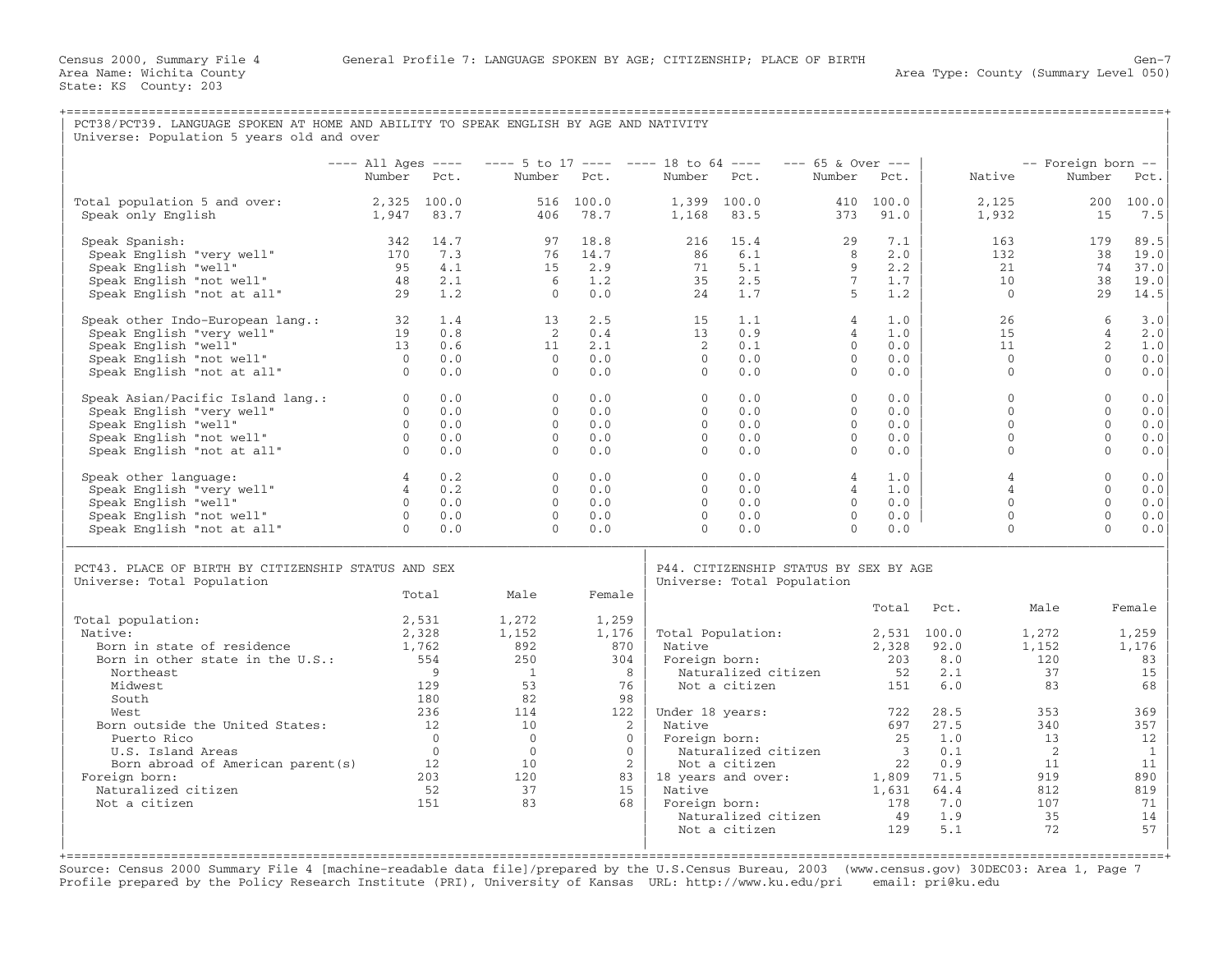| PCT38/PCT39. LANGUAGE SPOKEN AT HOME AND ABILITY TO SPEAK ENGLISH BY AGE AND NATIVITY<br>Universe: Population 5 years old and over |                                |                  |                                                 |                   |                      |                                      |                                                                     |                                  |                            |                              |                    |
|------------------------------------------------------------------------------------------------------------------------------------|--------------------------------|------------------|-------------------------------------------------|-------------------|----------------------|--------------------------------------|---------------------------------------------------------------------|----------------------------------|----------------------------|------------------------------|--------------------|
|                                                                                                                                    | $---$ All Ages $---$<br>Number | Pct.             | $--- 5$ to 17 ---- ---- 18 to 64 ----<br>Number | Pct.              | Number               | Pct.                                 | $--- 65$ & Over $---$<br>Number                                     | Pct.                             | Native                     | -- Foreign born --<br>Number | Pct.               |
| Total population 5 and over:<br>Speak only English                                                                                 | 2,325 100.0<br>1,947           | 83.7             | 406                                             | 516 100.0<br>78.7 | 1,168                | 1,399 100.0<br>83.5                  | 373                                                                 | 410 100.0<br>91.0                | 2,125<br>1,932             | 200<br>15                    | 100.0<br>7.5       |
|                                                                                                                                    |                                |                  |                                                 |                   |                      |                                      |                                                                     |                                  |                            |                              |                    |
| Speak Spanish:                                                                                                                     | 342                            | 14.7             | 97                                              | 18.8              | 216                  | 15.4                                 | 29                                                                  | 7.1                              | 163                        | 179                          | 89.5               |
| Speak English "very well"<br>Speak English "well"                                                                                  | 170<br>95                      | 7.3<br>4.1       | 76<br>15                                        | 14.7<br>2.9       | 86<br>71             | 6.1<br>5.1                           | 8<br>9                                                              | 2.0<br>2.2                       | 132<br>21                  | 38<br>74                     | 19.0<br>37.0       |
| Speak English "not well"                                                                                                           | 48                             | 2.1              | -6                                              | 1.2               | 35                   | 2.5                                  | $7^{\circ}$                                                         | 1.7                              | 10                         | 38                           | 19.0               |
| Speak English "not at all"                                                                                                         | 29                             | 1.2              | $\Omega$                                        | 0.0               | 24                   | 1.7                                  | -5                                                                  | 1.2                              | $\Omega$                   | 2.9                          | 14.5               |
| Speak other Indo-European lang.:                                                                                                   | 32                             | 1.4              | 13                                              | 2.5               | 15                   | 1.1                                  | $\overline{4}$                                                      | 1.0                              | 26                         | 6                            | 3.0                |
| Speak English "very well"                                                                                                          | 19                             | 0.8              | 2                                               | 0.4               | 13                   | 0.9                                  | $\overline{4}$<br>$\Omega$                                          | 1.0<br>0.0                       | 15                         | $\overline{4}$               | 2.0                |
| Speak English "well"<br>Speak English "not well"                                                                                   | 13<br>$\overline{0}$           | 0.6<br>0.0       | 11<br>$\Omega$                                  | 2.1<br>0.0        | 2<br>$\Omega$        | 0.1<br>0.0                           | $\Omega$                                                            | 0.0                              | 11<br>$\Omega$             | 2<br>$\Omega$                | 1.0<br>0.0         |
| Speak English "not at all"                                                                                                         | $\sim$ 0                       | 0.0              | $\Omega$                                        | 0.0               | $\Omega$             | 0.0                                  | $\circ$                                                             | 0.0                              | $\mathbf{0}$               | $\mathbf{0}$                 | 0.0                |
| Speak Asian/Pacific Island lang.:                                                                                                  | $\overline{0}$                 | 0.0              | $\mathbf{0}$                                    | 0.0               | $\Omega$             | 0.0                                  | $\circ$                                                             | 0.0                              | $\Omega$                   | $\mathbf{0}$                 | 0.0                |
| Speak English "very well"                                                                                                          | $\overline{0}$                 | 0.0              | $\overline{0}$                                  | 0.0               | $\circ$              | 0.0                                  | $\circ$                                                             | 0.0                              | $\Omega$                   | $\Omega$                     | 0.0                |
| Speak English "well"                                                                                                               | $\Omega$                       | 0.0              | $\Omega$                                        | 0.0               | $\Omega$             | 0.0                                  | $\Omega$                                                            | 0.0                              | $\Omega$                   | $\Omega$                     | 0.0                |
| Speak English "not well"                                                                                                           | $\overline{0}$<br>$\Omega$     | 0.0<br>0.0       | $\overline{0}$<br>$\Omega$                      | 0.0               | $\Omega$<br>$\Omega$ | 0.0<br>0.0                           | $\circ$<br>$\Omega$                                                 | 0.0<br>0.0                       | $\mathbf{0}$<br>$\Omega$   | $\mathbf{0}$<br>$\Omega$     | 0.0                |
| Speak English "not at all"                                                                                                         |                                |                  |                                                 | 0.0               |                      |                                      |                                                                     |                                  |                            |                              | 0.0                |
| Speak other language:                                                                                                              | $\overline{4}$                 | 0.2              | $\circ$                                         | 0.0               | $\Omega$             | 0.0                                  | $\overline{4}$                                                      | 1.0                              | $\overline{4}$             | $\Omega$                     | 0.0                |
| Speak English "very well"                                                                                                          | $\overline{4}$<br>$\Omega$     | 0.2<br>0.0       | $\Omega$<br>$\Omega$                            | 0.0<br>0.0        | $\Omega$<br>$\Omega$ | 0.0<br>0.0                           | $\overline{4}$<br>$\Omega$                                          | 1.0<br>0.0                       | $\overline{4}$<br>$\Omega$ | $\Omega$<br>$\Omega$         | 0.0                |
| Speak English "well"<br>Speak English "not well"                                                                                   | $\overline{0}$                 | 0.0              | $\overline{0}$                                  | 0.0               | $\Omega$             | 0.0                                  | $\mathbf{0}$                                                        | 0.0                              | $\mathbf{0}$               | $\Omega$                     | 0.0<br>0.0         |
| Speak English "not at all"                                                                                                         | $\Omega$                       | 0.0              | $\Omega$                                        | 0.0               | $\Omega$             | 0.0                                  | $\Omega$                                                            | 0.0                              | $\Omega$                   | $\Omega$                     | 0.0                |
|                                                                                                                                    |                                |                  |                                                 |                   |                      |                                      |                                                                     |                                  |                            |                              |                    |
| PCT43. PLACE OF BIRTH BY CITIZENSHIP STATUS AND SEX<br>Universe: Total Population                                                  |                                |                  |                                                 |                   |                      |                                      | P44. CITIZENSHIP STATUS BY SEX BY AGE<br>Universe: Total Population |                                  |                            |                              |                    |
|                                                                                                                                    |                                | Total            | Male                                            | Female            |                      |                                      |                                                                     |                                  |                            | Male                         |                    |
| Total population:                                                                                                                  |                                | 2,531            | 1,272                                           | 1,259             |                      |                                      |                                                                     | Total                            | Pct.                       |                              | Female             |
| Native:                                                                                                                            |                                | 2,328            | 1,152                                           | 1,176             |                      | Total Population:                    |                                                                     |                                  | 2,531 100.0                | 1,272                        | 1,259              |
| Born in state of residence                                                                                                         |                                | 1,762            | 892                                             | 870               | Native               |                                      |                                                                     | 2,328                            | 92.0                       | 1,152                        | 1,176              |
| Born in other state in the U.S.:<br>Northeast                                                                                      |                                | 554<br>9         | 250<br>$\overline{1}$                           | 304<br>8          | Foreign born:        | Naturalized citizen                  |                                                                     | 203<br>52                        | 8.0<br>2.1                 | 120<br>37                    | 83<br>15           |
| Midwest                                                                                                                            |                                | 129              | 53                                              | 76                |                      | Not a citizen                        |                                                                     | 151                              | 6.0                        | 83                           | 68                 |
| South                                                                                                                              |                                | 180              | 82                                              | 98                |                      |                                      |                                                                     |                                  |                            |                              |                    |
| West                                                                                                                               |                                | 236              | 114                                             | 122               |                      | Under 18 years:                      |                                                                     | 722                              | 28.5                       | 353                          | 369                |
| Born outside the United States:                                                                                                    |                                | 12               | 10                                              | 2                 | Native               |                                      |                                                                     | 697                              | 27.5                       | 340                          | 357                |
| Puerto Rico                                                                                                                        |                                | $\overline{0}$   | $\overline{0}$                                  | $\overline{0}$    | Foreign born:        |                                      |                                                                     | 25                               | 1.0                        | 13                           | 12                 |
| U.S. Island Areas<br>Born abroad of American parent(s)                                                                             |                                | $\bigcirc$<br>12 | $\overline{0}$<br>10                            | $\Omega$<br>2     |                      | Naturalized citizen<br>Not a citizen |                                                                     | $\overline{\phantom{a}}$ 3<br>22 | 0.1<br>0.9                 | $\overline{2}$<br>11         | $\mathbf{1}$<br>11 |
| Foreign born:                                                                                                                      |                                | 203              | 120                                             | 83                |                      | 18 years and over:                   |                                                                     | 1,809                            | 71.5                       | 919                          | 890                |
| Naturalized citizen                                                                                                                |                                | 52               | 37                                              | 15                | Native               |                                      |                                                                     | 1,631                            | 64.4                       | 812                          | 819                |
| Not a citizen                                                                                                                      |                                | 151              | 83                                              | 68                |                      | Foreign born:                        |                                                                     | 178                              | 7.0                        | 107                          | 71                 |
|                                                                                                                                    |                                |                  |                                                 |                   |                      | Naturalized citizen                  |                                                                     | 49                               | 1.9                        | 35                           | 14                 |
|                                                                                                                                    |                                |                  |                                                 |                   |                      | Not a citizen                        |                                                                     | 129                              | 5.1                        | 72                           | 57                 |

+===================================================================================================================================================+ Source: Census 2000 Summary File 4 [machine−readable data file]/prepared by the U.S.Census Bureau, 2003 (www.census.gov) 30DEC03: Area 1, Page 7 Profile prepared by the Policy Research Institute (PRI), University of Kansas URL: http://www.ku.edu/pri email: pri@ku.edu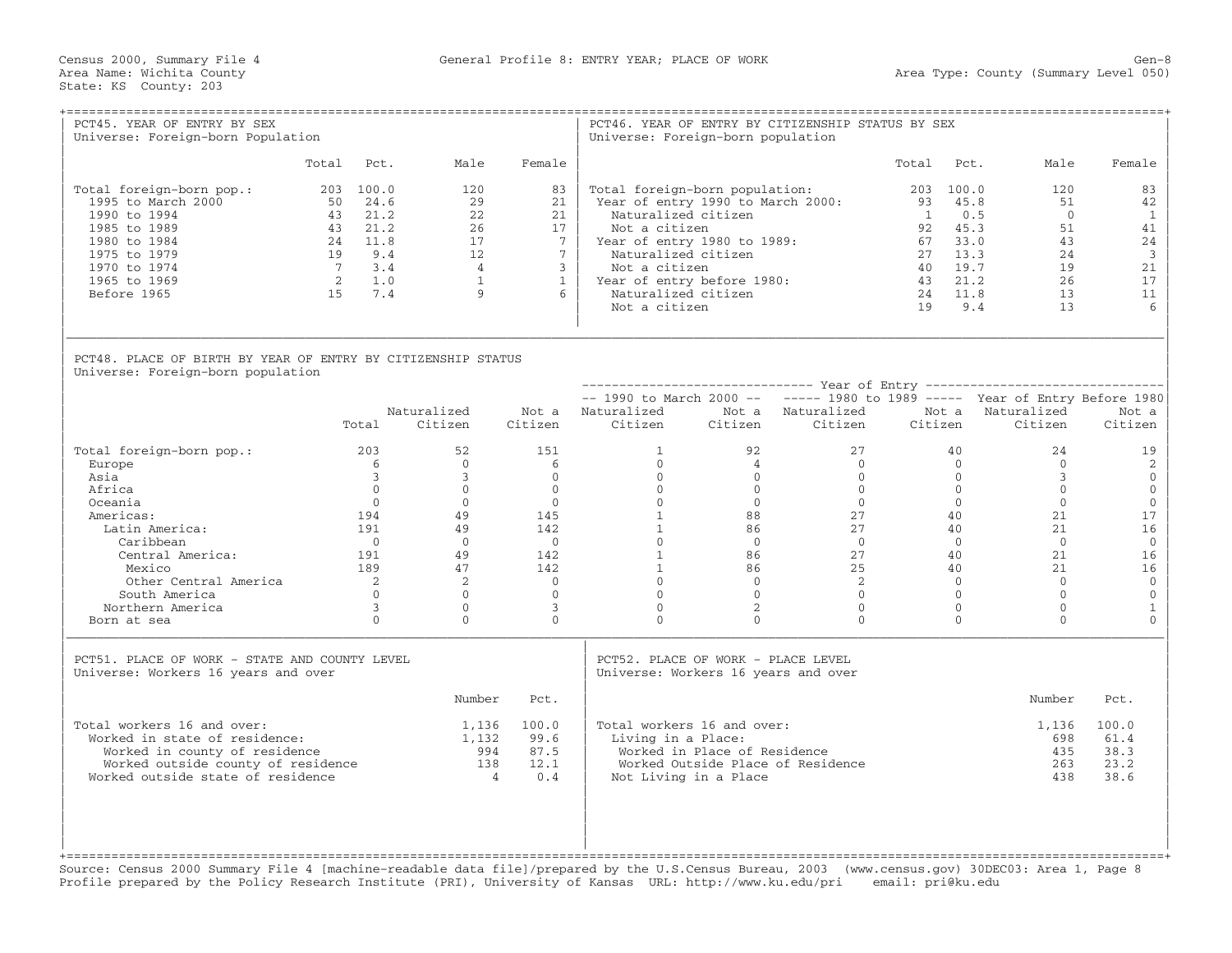| PCT45. YEAR OF ENTRY BY SEX<br>Universe: Foreign-born Population                                                                                                        |                                                                                             |                                                                             |                                                                                       | Universe: Foreign-born population                                                                                                                                                                                   |                                                       | PCT46. YEAR OF ENTRY BY CITIZENSHIP STATUS BY SEX                             |                                                          |                                                                        |                                                                        |                                                                               |
|-------------------------------------------------------------------------------------------------------------------------------------------------------------------------|---------------------------------------------------------------------------------------------|-----------------------------------------------------------------------------|---------------------------------------------------------------------------------------|---------------------------------------------------------------------------------------------------------------------------------------------------------------------------------------------------------------------|-------------------------------------------------------|-------------------------------------------------------------------------------|----------------------------------------------------------|------------------------------------------------------------------------|------------------------------------------------------------------------|-------------------------------------------------------------------------------|
|                                                                                                                                                                         | Total Pct.                                                                                  | Male                                                                        | Female                                                                                |                                                                                                                                                                                                                     |                                                       |                                                                               | Total                                                    | Pct.                                                                   | Male                                                                   | Female                                                                        |
| Total foreign-born pop.:<br>1995 to March 2000<br>1990 to 1994<br>1985 to 1989<br>1980 to 1984<br>1975 to 1979<br>1970 to 1974<br>1965 to 1969<br>Before 1965           | 203 100.0<br>50 24.6<br>43 21.2<br>43 21.2<br>24 11.8<br>19 9.4<br>7 3.4<br>2 1.0<br>15 7.4 | 120<br>29<br>22<br>2.6<br>17<br>12<br>$\overline{4}$<br>$\overline{1}$<br>9 | 83<br>21<br>21<br>17<br>7<br>$7\overline{ }$<br>$\overline{3}$<br>$\overline{1}$<br>6 | Total foreign-born population:<br>Naturalized citizen<br>Not a citizen<br>Year of entry 1980 to 1989:<br>Naturalized citizen<br>Not a citizen<br>Year of entry before 1980:<br>Naturalized citizen<br>Not a citizen |                                                       | Year of entry 1990 to March 2000:                                             | 203 100.0<br>$\overline{1}$<br>67 33.0<br>27<br>43<br>19 | 93 45.8<br>0.5<br>92 45.3<br>13.3<br>40 19.7<br>21.2<br>24 11.8<br>9.4 | 120<br>51<br>$\overline{0}$<br>51<br>43<br>24<br>19<br>2.6<br>13<br>13 | 83<br>42<br>$\mathbf{1}$<br>41<br>24<br>$\overline{3}$<br>21<br>17<br>11<br>6 |
| PCT48. PLACE OF BIRTH BY YEAR OF ENTRY BY CITIZENSHIP STATUS<br>Universe: Foreign-born population                                                                       |                                                                                             |                                                                             |                                                                                       |                                                                                                                                                                                                                     |                                                       |                                                                               |                                                          |                                                                        |                                                                        |                                                                               |
|                                                                                                                                                                         |                                                                                             |                                                                             |                                                                                       |                                                                                                                                                                                                                     |                                                       | $--$ 1990 to March 2000 -- $---$ 1980 to 1989 ----- Year of Entry Before 1980 |                                                          |                                                                        |                                                                        |                                                                               |
|                                                                                                                                                                         | Total                                                                                       | Naturalized<br>Citizen                                                      | Citizen                                                                               | Not a Naturalized<br>Citizen                                                                                                                                                                                        |                                                       | Not a Naturalized<br>Citizen Citizen                                          | Citizen                                                  | Not a                                                                  | Naturalized<br>Citizen                                                 | Not a<br>Citizen                                                              |
| Total foreign-born pop.:                                                                                                                                                | 203                                                                                         | 52                                                                          | 151                                                                                   | $\mathbf{1}$                                                                                                                                                                                                        | 92                                                    | 2.7                                                                           |                                                          | 40                                                                     | 24                                                                     | 19                                                                            |
| Europe                                                                                                                                                                  | - 6                                                                                         | $\Omega$                                                                    | 6                                                                                     | $\Omega$                                                                                                                                                                                                            | 4                                                     | $\Omega$                                                                      |                                                          | $\Omega$                                                               | $\Omega$                                                               | 2                                                                             |
| Asia                                                                                                                                                                    | $\overline{3}$                                                                              | $\overline{3}$                                                              | $\circ$                                                                               | $\overline{0}$                                                                                                                                                                                                      | $\overline{0}$                                        | $\Omega$                                                                      |                                                          | $\overline{0}$                                                         | $\mathbf{3}$                                                           | $\mathbf 0$                                                                   |
| Africa                                                                                                                                                                  | $\Omega$<br>$\Omega$                                                                        | $\Omega$<br>$\Omega$                                                        | $\overline{0}$<br>$\Omega$                                                            | $0 \qquad \qquad$<br>$\Omega$                                                                                                                                                                                       | $\overline{0}$<br>$\bigcirc$                          | $\Omega$<br>$\bigcirc$                                                        |                                                          | $\overline{0}$<br>$\Omega$                                             | $\Omega$<br>$\Omega$                                                   | $\mathbf 0$                                                                   |
| Oceania<br>Americas:                                                                                                                                                    | 194                                                                                         | 49                                                                          | 145                                                                                   | $\mathbf{1}$                                                                                                                                                                                                        | 88                                                    | 27                                                                            |                                                          | 40                                                                     | 21                                                                     | $\mathbf 0$<br>17                                                             |
| Latin America:                                                                                                                                                          | 191                                                                                         | 49                                                                          | 142                                                                                   | $1 \quad \blacksquare$                                                                                                                                                                                              | 86 —                                                  | 27                                                                            |                                                          | 40                                                                     | 21                                                                     | 16                                                                            |
| Caribbean                                                                                                                                                               | $\bigcap$                                                                                   | $\Omega$                                                                    | $\bigcap$                                                                             | $\Omega$                                                                                                                                                                                                            | $\bigcap$                                             | $\bigcap$                                                                     |                                                          | $\overline{0}$                                                         | $\bigcap$                                                              | $\mathbf{0}$                                                                  |
| Central America:                                                                                                                                                        | 191                                                                                         | 49                                                                          | 142                                                                                   | 1                                                                                                                                                                                                                   | 86                                                    | 27                                                                            |                                                          | 40                                                                     | 21                                                                     | 16                                                                            |
| Mexico                                                                                                                                                                  | 189                                                                                         | 47                                                                          | 142                                                                                   | 1                                                                                                                                                                                                                   | 86                                                    | 25                                                                            |                                                          | 40                                                                     | 21                                                                     | 16                                                                            |
| Other Central America                                                                                                                                                   | 2                                                                                           | $\overline{2}$                                                              | $\Omega$                                                                              | $\overline{0}$                                                                                                                                                                                                      | $\overline{0}$                                        | 2                                                                             |                                                          | $\Omega$                                                               | $\Omega$                                                               | $\mathbf{0}$                                                                  |
| South America                                                                                                                                                           | $\Omega$                                                                                    | $\Omega$                                                                    | $\Omega$                                                                              | $\overline{0}$                                                                                                                                                                                                      | $\Omega$                                              | $\Omega$                                                                      |                                                          | $\Omega$                                                               | $\Omega$                                                               | $\mathbb O$                                                                   |
| Northern America                                                                                                                                                        | $\overline{\mathbf{3}}$                                                                     | $\Omega$                                                                    | $\overline{3}$                                                                        | $\Omega$                                                                                                                                                                                                            | 2                                                     | $\Omega$                                                                      |                                                          | $\Omega$                                                               | $\Omega$                                                               | $\mathbf{1}$                                                                  |
| Born at sea                                                                                                                                                             | $\Omega$                                                                                    | $\Omega$                                                                    | $\Omega$                                                                              | $\Omega$                                                                                                                                                                                                            | $\Omega$                                              | $\Omega$                                                                      |                                                          | $\Omega$                                                               | $\Omega$                                                               | $\Omega$                                                                      |
| PCT51. PLACE OF WORK - STATE AND COUNTY LEVEL<br>Universe: Workers 16 years and over                                                                                    |                                                                                             |                                                                             |                                                                                       | PCT52. PLACE OF WORK - PLACE LEVEL<br>Universe: Workers 16 years and over                                                                                                                                           |                                                       |                                                                               |                                                          |                                                                        |                                                                        |                                                                               |
|                                                                                                                                                                         |                                                                                             | Number                                                                      | Pct.                                                                                  |                                                                                                                                                                                                                     |                                                       |                                                                               |                                                          |                                                                        | Number                                                                 | Pct.                                                                          |
| Total workers 16 and over:<br>Worked in state of residence:<br>Worked in county of residence<br>Worked outside county of residence<br>Worked outside state of residence |                                                                                             | 1,132<br>994<br>138<br>$\overline{4}$                                       | 1,136 100.0<br>99.6<br>87.5<br>12.1<br>0.4                                            | Total workers 16 and over:<br>Living in a Place:                                                                                                                                                                    | Worked in Place of Residence<br>Not Living in a Place | Worked Outside Place of Residence                                             |                                                          |                                                                        | 1,136<br>698<br>435<br>263<br>438                                      | 100.0<br>61.4<br>38.3<br>23.2<br>38.6                                         |

Source: Census 2000 Summary File 4 [machine−readable data file]/prepared by the U.S.Census Bureau, 2003 (www.census.gov) 30DEC03: Area 1, Page 8 Profile prepared by the Policy Research Institute (PRI), University of Kansas URL: http://www.ku.edu/pri email: pri@ku.edu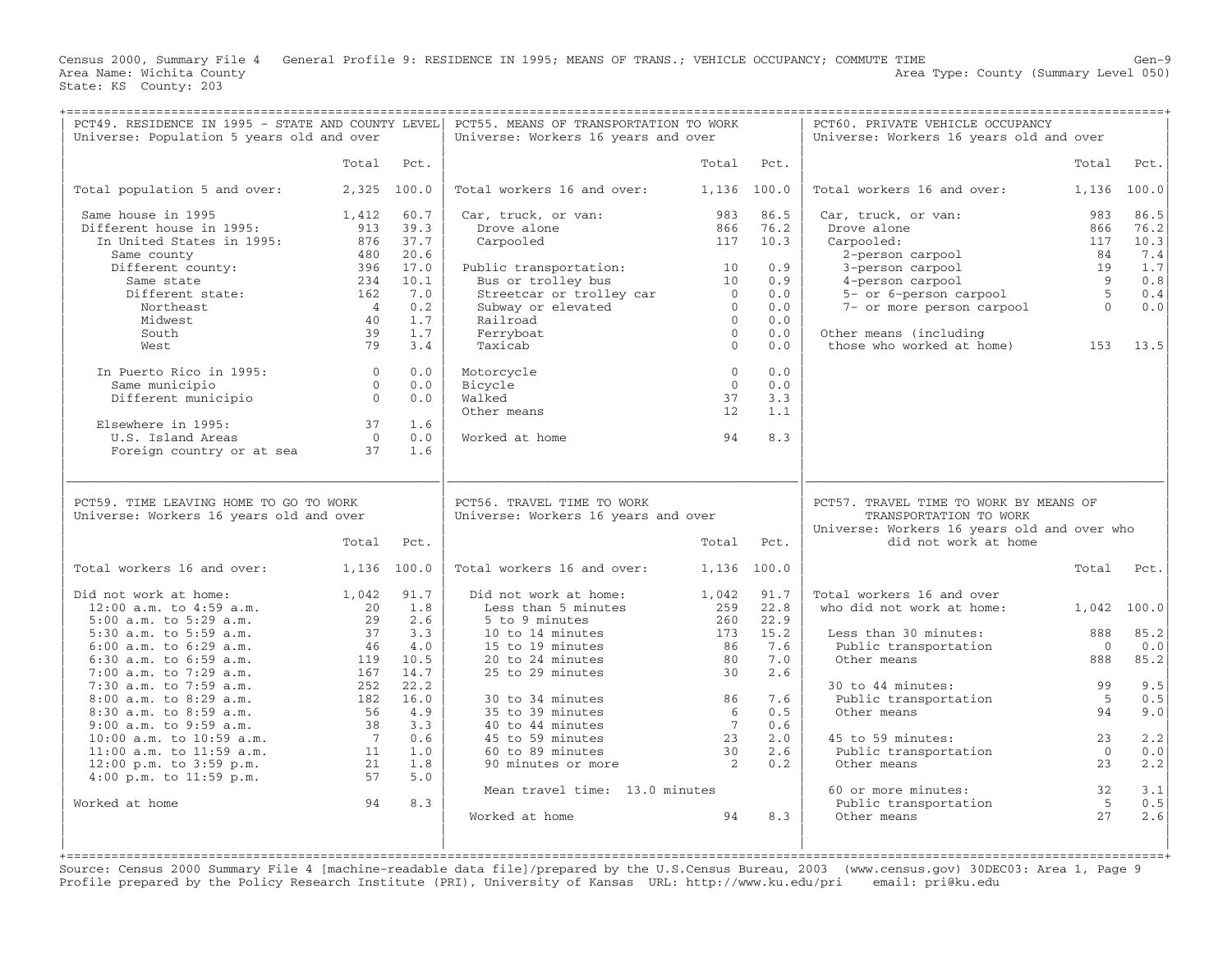Census 2000, Summary File 4 General Profile 9: RESIDENCE IN 1995; MEANS OF TRANS.; VEHICLE OCCUPANCY; COMMUTE TIME<br>Area Name: Wichita County Level 050) Area Type: County (Summary Level 050) Area Type: County (Summary Level 050) State: KS County: 203

| PCT49. RESIDENCE IN 1995 - STATE AND COUNTY LEVEL<br>Universe: Population 5 years old and over                                                                                                                                                                                                                                                                                      |                     |      | PCT55. MEANS OF TRANSPORTATION TO WORK<br>Universe: Workers 16 years and over                                                                                                                                                                                                      |                                              |                                       | PCT60. PRIVATE VEHICLE OCCUPANCY<br>Universe: Workers 16 years old and over                                                                                                                                                 |                                      |                           |
|-------------------------------------------------------------------------------------------------------------------------------------------------------------------------------------------------------------------------------------------------------------------------------------------------------------------------------------------------------------------------------------|---------------------|------|------------------------------------------------------------------------------------------------------------------------------------------------------------------------------------------------------------------------------------------------------------------------------------|----------------------------------------------|---------------------------------------|-----------------------------------------------------------------------------------------------------------------------------------------------------------------------------------------------------------------------------|--------------------------------------|---------------------------|
|                                                                                                                                                                                                                                                                                                                                                                                     | Total               | Pct. |                                                                                                                                                                                                                                                                                    |                                              | Total Pct.                            |                                                                                                                                                                                                                             | Total                                | Pct.                      |
| Total population 5 and over: 2,325 100.0                                                                                                                                                                                                                                                                                                                                            |                     |      | Total workers 16 and over: 1,136 100.0                                                                                                                                                                                                                                             |                                              |                                       | Total workers 16 and over:                                                                                                                                                                                                  | 1,136 100.0                          |                           |
| Same house in 1995<br>Different house in 1995:                                                                                                                                                                                                                                                                                                                                      | 1,412<br>913 39.3   | 60.7 | Car, truck, or van: 983 86.5<br>Drove alone                                                                                                                                                                                                                                        |                                              | 866 76.2                              | Car, truck, or van:<br>Carr, Liuck, Of van:<br>Drove alone<br>Carpooled:<br>2-person carpool 84 7.4<br>3-person carpool 84 7.4<br>4-person carpool 9 0.8<br>5- or 6-person carpool 5 0.4<br>7- or more person carpool 0 0.0 | 983                                  | 86.5                      |
| In United States in 1995: 876 37.7                                                                                                                                                                                                                                                                                                                                                  |                     |      | Carpooled                                                                                                                                                                                                                                                                          |                                              | 117 10.3                              |                                                                                                                                                                                                                             |                                      |                           |
| Same county                                                                                                                                                                                                                                                                                                                                                                         | 480                 | 20.6 |                                                                                                                                                                                                                                                                                    |                                              |                                       |                                                                                                                                                                                                                             |                                      |                           |
|                                                                                                                                                                                                                                                                                                                                                                                     |                     |      |                                                                                                                                                                                                                                                                                    |                                              | 0.9                                   |                                                                                                                                                                                                                             |                                      |                           |
|                                                                                                                                                                                                                                                                                                                                                                                     |                     |      |                                                                                                                                                                                                                                                                                    |                                              | 0.9                                   |                                                                                                                                                                                                                             |                                      |                           |
| Different county:<br>Same state<br>Different state:<br>234 10.1<br>Northernt state:<br>162 7.0                                                                                                                                                                                                                                                                                      |                     |      |                                                                                                                                                                                                                                                                                    |                                              | 0.0                                   |                                                                                                                                                                                                                             |                                      |                           |
| Northeast                                                                                                                                                                                                                                                                                                                                                                           | $\overline{4}$      | 0.2  |                                                                                                                                                                                                                                                                                    |                                              | 0.0                                   |                                                                                                                                                                                                                             |                                      |                           |
| Midwest                                                                                                                                                                                                                                                                                                                                                                             | 40                  | 1.7  |                                                                                                                                                                                                                                                                                    |                                              | 0.0                                   |                                                                                                                                                                                                                             |                                      |                           |
| South                                                                                                                                                                                                                                                                                                                                                                               | 39                  | 1.7  |                                                                                                                                                                                                                                                                                    |                                              | 0.0                                   | Other means (including<br>Other means (including<br>those who worked at home) 153 13.5                                                                                                                                      |                                      |                           |
| West                                                                                                                                                                                                                                                                                                                                                                                | 79                  | 3.4  | Public transportation: 10<br>Bus or trolley bus<br>fireetcar or trolley car<br>Subway or elevated 0<br>Railroad 0<br>Ferryboat 0<br>Taxicab 0<br>(1                                                                                                                                |                                              | 0.0                                   |                                                                                                                                                                                                                             |                                      |                           |
| In Puerto Rico in 1995: 0                                                                                                                                                                                                                                                                                                                                                           |                     | 0.0  | Motorcycle                                                                                                                                                                                                                                                                         | $\overline{0}$                               | 0.0                                   |                                                                                                                                                                                                                             |                                      |                           |
| Same municipio different municipio different municipio different municipio di different different different di<br>0                                                                                                                                                                                                                                                                 |                     | 0.0  | Bicycle                                                                                                                                                                                                                                                                            | $\bigcirc$                                   | 0.0                                   |                                                                                                                                                                                                                             |                                      |                           |
|                                                                                                                                                                                                                                                                                                                                                                                     |                     | 0.0  | Walked                                                                                                                                                                                                                                                                             | 37                                           | 3.3                                   |                                                                                                                                                                                                                             |                                      |                           |
|                                                                                                                                                                                                                                                                                                                                                                                     |                     |      | Other means                                                                                                                                                                                                                                                                        | 12                                           | 1.1                                   |                                                                                                                                                                                                                             |                                      |                           |
| Elsewhere in 1995: 37 1.6<br>U.S. Island Areas 6 0 0.0<br>Foreign country or at sea 37 1.6                                                                                                                                                                                                                                                                                          |                     |      |                                                                                                                                                                                                                                                                                    |                                              |                                       |                                                                                                                                                                                                                             |                                      |                           |
|                                                                                                                                                                                                                                                                                                                                                                                     |                     |      | Worked at home                                                                                                                                                                                                                                                                     | 94                                           | 8.3                                   |                                                                                                                                                                                                                             |                                      |                           |
|                                                                                                                                                                                                                                                                                                                                                                                     |                     |      |                                                                                                                                                                                                                                                                                    |                                              |                                       |                                                                                                                                                                                                                             |                                      |                           |
| PCT59. TIME LEAVING HOME TO GO TO WORK<br>Universe: Workers 16 years old and over<br>Total workers 16 and over: 1,136 100.0<br>Did not work at home:<br>12.00 a.m. to 4:59 a.m.<br>5:00 a.m. to 5:29 a.m.<br>5:30 a.m. to 5:59 a.m.<br>6:00 a.m. to 6:29 a.m.<br>46 4.0<br>6:30 a.m. to 6:59 a.m.<br>46 4.0<br>6:30 a.m. to 6:59 a.m.<br>119 10.5                                   | Total<br>1,042 91.7 | Pct. | PCT56. TRAVEL TIME TO WORK<br>Universe: Workers 16 years and over<br>Total workers 16 and over:<br>Did not work at home:<br>Less than 5 minutes<br>5 to 9 minutes<br>10 to 14 minutes<br>10 to 14 minutes 173<br>15 to 19 minutes 86<br>20 to 24 minutes 80<br>25 to 29 minutes 30 | 1,136 100.0<br>1,042 91.7<br>259 22.8<br>173 | Total Pct.<br>260 22.9<br>15.2<br>7.6 | PCT57. TRAVEL TIME TO WORK BY MEANS OF<br>TRANSPORTATION TO WORK<br>Universe: Workers 16 years old and over who<br>did not work at home<br>Total workers 16 and over<br>who did not work at home:<br>Less than 30 minutes:  | 1,042 100.0<br>888<br>$\overline{0}$ | Total Pct.<br>85.2<br>0.0 |
|                                                                                                                                                                                                                                                                                                                                                                                     |                     |      |                                                                                                                                                                                                                                                                                    | 80                                           | 7.0                                   | Public transportation<br>Other means                                                                                                                                                                                        |                                      |                           |
| 7:00 a.m. to 7:29 a.m.                                                                                                                                                                                                                                                                                                                                                              | 167                 | 14.7 |                                                                                                                                                                                                                                                                                    |                                              | 2.6                                   |                                                                                                                                                                                                                             | 888                                  | 85.2                      |
| 7:30 a.m. to 7:59 a.m.                                                                                                                                                                                                                                                                                                                                                              | 252                 | 22.2 |                                                                                                                                                                                                                                                                                    |                                              |                                       | 30 to 44 minutes:<br>30 to 44 minutes:<br>Public transportation 5<br>94                                                                                                                                                     |                                      | 9.5                       |
|                                                                                                                                                                                                                                                                                                                                                                                     |                     |      | 30 to 34 minutes<br>35 to 39 minutes<br>40 to 44 minutes<br>45 to 59 minutes<br>60 to 89 minutes<br>90 minutes or more<br>50 to 89 minutes                                                                                                                                         |                                              | 7.6                                   |                                                                                                                                                                                                                             |                                      | 0.5                       |
|                                                                                                                                                                                                                                                                                                                                                                                     |                     |      |                                                                                                                                                                                                                                                                                    |                                              | 0.5                                   | Other means                                                                                                                                                                                                                 | 94                                   | 9.0                       |
|                                                                                                                                                                                                                                                                                                                                                                                     |                     |      |                                                                                                                                                                                                                                                                                    |                                              | 0.6                                   |                                                                                                                                                                                                                             |                                      |                           |
|                                                                                                                                                                                                                                                                                                                                                                                     |                     |      |                                                                                                                                                                                                                                                                                    |                                              | 2.0                                   | 45 to 59 minutes:                                                                                                                                                                                                           | 23                                   | 2.2                       |
|                                                                                                                                                                                                                                                                                                                                                                                     |                     |      |                                                                                                                                                                                                                                                                                    |                                              | 2.6                                   | 15 to 59 minutes:<br>Public transportation                                                                                                                                                                                  | $\overline{0}$                       | 0.0                       |
|                                                                                                                                                                                                                                                                                                                                                                                     |                     |      |                                                                                                                                                                                                                                                                                    |                                              | 0.2                                   | Other means                                                                                                                                                                                                                 | 23                                   | 2.2                       |
| $\begin{array}{lllllllllllllllllllllllllllllllll} \end{array} \begin{array}{lllllllllllll} \text{3:0 a.m. to } 0:59 \text{ a.m.} & \text{2.52} & \text{2.53} \\ \text{8:00 a.m. to } 8:29 \text{ a.m.} & 182 & 16.0 \\ \text{9:00 a.m. to } 8:59 \text{ a.m.} & 56 & 4.9 \\ \text{9:00 a.m. to } 9:59 \text{ a.m.} & 38 & 3.3 \\ \text{10:00 a.m. to } 10:59 \text{ a.m.} & 7 & 0.$ |                     |      |                                                                                                                                                                                                                                                                                    |                                              |                                       |                                                                                                                                                                                                                             |                                      |                           |
| Worked at home                                                                                                                                                                                                                                                                                                                                                                      |                     |      | Mean travel time: 13.0 minutes                                                                                                                                                                                                                                                     |                                              |                                       |                                                                                                                                                                                                                             |                                      |                           |
|                                                                                                                                                                                                                                                                                                                                                                                     |                     |      |                                                                                                                                                                                                                                                                                    |                                              |                                       |                                                                                                                                                                                                                             |                                      |                           |
|                                                                                                                                                                                                                                                                                                                                                                                     | $\sim$ 94           | 8.3  | Worked at home 94                                                                                                                                                                                                                                                                  |                                              | 8.3                                   | 60 or more minutes: $32 \t 3.1$<br>Public transportation $5 \t 0.5$<br>Other means $27 \t 2.6$<br>Other means                                                                                                               |                                      | 2.6                       |

+===================================================================================================================================================+ Source: Census 2000 Summary File 4 [machine−readable data file]/prepared by the U.S.Census Bureau, 2003 (www.census.gov) 30DEC03: Area 1, Page 9 Profile prepared by the Policy Research Institute (PRI), University of Kansas URL: http://www.ku.edu/pri email: pri@ku.edu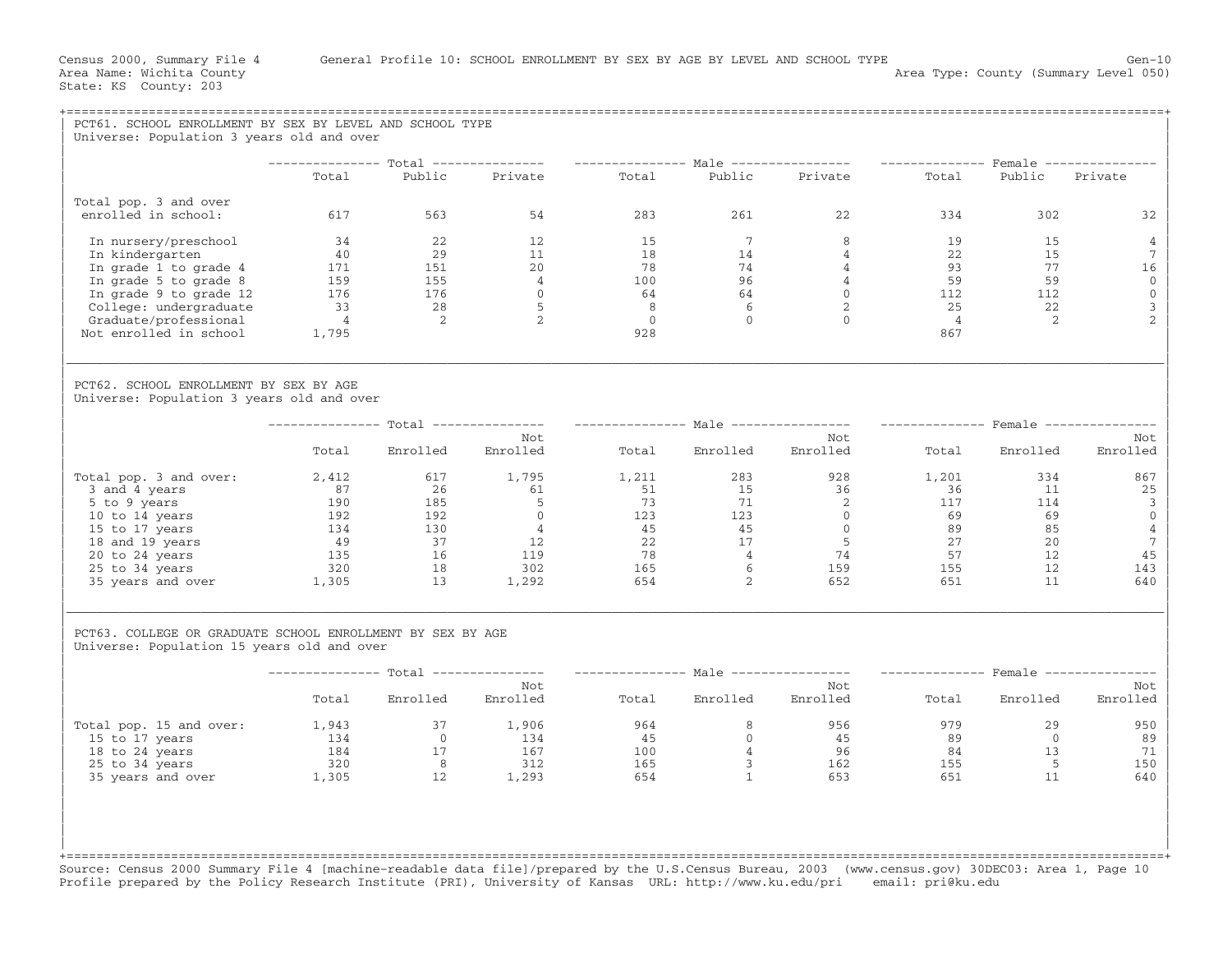| PCT61. SCHOOL ENROLLMENT BY SEX BY LEVEL AND SCHOOL TYPE<br>Universe: Population 3 years old and over                                                                                            |                                                                |                                                                                                                            |                                                                             |                                |                      |                                                                                                                                                                                             |                                                          |                                                                                           |                                                                                                |
|--------------------------------------------------------------------------------------------------------------------------------------------------------------------------------------------------|----------------------------------------------------------------|----------------------------------------------------------------------------------------------------------------------------|-----------------------------------------------------------------------------|--------------------------------|----------------------|---------------------------------------------------------------------------------------------------------------------------------------------------------------------------------------------|----------------------------------------------------------|-------------------------------------------------------------------------------------------|------------------------------------------------------------------------------------------------|
|                                                                                                                                                                                                  |                                                                |                                                                                                                            |                                                                             |                                |                      | -------------- Total --------------- --------------- Male ---------------- -------------- Female --------------                                                                             |                                                          |                                                                                           |                                                                                                |
|                                                                                                                                                                                                  | Total                                                          | Public                                                                                                                     | Private                                                                     | Total                          |                      | Public Private                                                                                                                                                                              | Total                                                    | Public                                                                                    | Private                                                                                        |
| Total pop. 3 and over<br>enrolled in school:                                                                                                                                                     | 617                                                            | 563                                                                                                                        | 54                                                                          | 283                            | 261                  | 22                                                                                                                                                                                          | 334                                                      | 302                                                                                       | 32                                                                                             |
| In nursery/preschool<br>In kindergarten<br>In grade 1 to grade 4<br>In grade 5 to grade 8<br>In grade 9 to grade 12<br>College: undergraduate<br>Graduate/professional<br>Not enrolled in school | 34<br>40<br>$\frac{171}{159}$<br>33<br>$\overline{4}$<br>1,795 | 22<br>29<br>$\begin{array}{r} 151 \\ 155 \\ 176 \\ 28 \\ 2 \end{array}$<br>$\overline{\phantom{0}}^2$                      | 12<br>11<br>20<br>$\begin{array}{c} 4 \\ 0 \end{array}$<br>$5^{\circ}$<br>2 | 15<br>18<br>928                | $\overline{7}$<br>14 | 8<br>$\frac{4}{ }$<br>$\begin{array}{cccc} 18 & & & 14 & & & 4 \\ 78 & & & 74 & & & 4 \\ 100 & & & 96 & & & 4 \\ 64 & & & 64 & & & 0 \\ 8 & & & 6 & & & 2 \\ 0 & & & 0 & & & 0 \end{array}$ | 19<br>22<br>25<br>$\overline{4}$<br>867                  | 15<br>15<br>$\begin{array}{cc} 93 & 77 \\ 59 & 59 \\ 112 & 112 \\ \end{array}$<br>22<br>2 | $\overline{4}$<br>7<br>16<br>$\mathbf{0}$<br>$\mathbf 0$<br>$\mathbf{3}$<br>$\overline{2}$     |
| PCT62. SCHOOL ENROLLMENT BY SEX BY AGE<br>Universe: Population 3 years old and over                                                                                                              |                                                                |                                                                                                                            |                                                                             |                                |                      |                                                                                                                                                                                             |                                                          |                                                                                           |                                                                                                |
|                                                                                                                                                                                                  |                                                                |                                                                                                                            |                                                                             |                                |                      | -------------- Total --------------- --------------- Male ---------------- --------------- Female ---------------                                                                           |                                                          |                                                                                           |                                                                                                |
|                                                                                                                                                                                                  | Total                                                          | Enrolled                                                                                                                   | Not<br>Enrolled                                                             | Total                          |                      | Not<br>Enrolled Enrolled                                                                                                                                                                    | Total                                                    | Enrolled                                                                                  | Not<br>Enrolled                                                                                |
| Total pop. 3 and over:<br>3 and 4 years<br>5 to 9 years<br>10 to 14 years<br>15 to 17 years<br>18 and 19 years<br>20 to 24 years<br>25 to 34 years<br>35 years and over 1,305                    | 2,412<br>$\frac{190}{2}$<br>192<br>134<br>49<br>135<br>320     | 617<br>26<br>$\begin{array}{r} 185 \\ 192 \\ 130 \\ 37 \end{array}$<br>37<br>$\begin{array}{c} 16 \\ 18 \end{array}$<br>13 | 1,795<br>61<br>$\frac{5}{0}$<br>$\frac{4}{12}$<br>12<br>119<br>302<br>1,292 | 1,211                          |                      | $\begin{array}{cccc} 11 & & 283 \\ 51 & & 15 \\ 73 & & 71 \\ 45 & & 45 \\ 22 & & 17 \\ 78 & & 4 \\ 78 & & 6 \\ 22 & & 159 \\ 2 & & 652 \\ \end{array}$                                      | 1,201<br>36<br>117<br>69<br>89<br>27<br>57<br>155<br>651 | 334<br>11<br>114<br>69<br>85<br>20<br>12<br>12<br>11                                      | 867<br>25<br>$\overline{\mathbf{3}}$<br>$\mathbf 0$<br>$\overline{4}$<br>7<br>45<br>143<br>640 |
| PCT63. COLLEGE OR GRADUATE SCHOOL ENROLLMENT BY SEX BY AGE<br>Universe: Population 15 years old and over                                                                                         |                                                                |                                                                                                                            |                                                                             |                                |                      |                                                                                                                                                                                             |                                                          |                                                                                           |                                                                                                |
|                                                                                                                                                                                                  |                                                                |                                                                                                                            |                                                                             |                                |                      | --------------- Total --------------- ---------------- Male ---------------- --------------- Female ---------------                                                                         |                                                          |                                                                                           |                                                                                                |
|                                                                                                                                                                                                  | Total                                                          | Enrolled                                                                                                                   | Not<br>Enrolled                                                             |                                | Total Enrolled       | Not<br>Enrolled                                                                                                                                                                             |                                                          | Total Enrolled                                                                            | Not<br>Enrolled                                                                                |
| Total pop. 15 and over:<br>15 to 17 years<br>18 to 24 years<br>25 to 34 years<br>35 years and over                                                                                               | 134<br>1,305                                                   | $1,943$ $37$ $1,906$<br>$134$ $0$ $134$<br>$\begin{array}{ccc} 184 & & 17 \\ 320 & & 8 \end{array}$<br>$\overline{12}$     | $\frac{134}{8}$<br>1,293                                                    | 964<br>45<br>100<br>165<br>654 | $\Omega$             | 8 <sup>1</sup><br>956<br>45<br>$\begin{array}{ccc} 4 & & 96 \\ 3 & & 162 \\ 1 & & 653 \end{array}$                                                                                          | 979<br>89<br>84<br>155<br>651                            | 29<br>$\Omega$<br>13<br>5<br>11                                                           | 950<br>89<br>71<br>150<br>640                                                                  |

Source: Census 2000 Summary File 4 [machine−readable data file]/prepared by the U.S.Census Bureau, 2003 (www.census.gov) 30DEC03: Area 1, Page 10 Profile prepared by the Policy Research Institute (PRI), University of Kansas URL: http://www.ku.edu/pri email: pri@ku.edu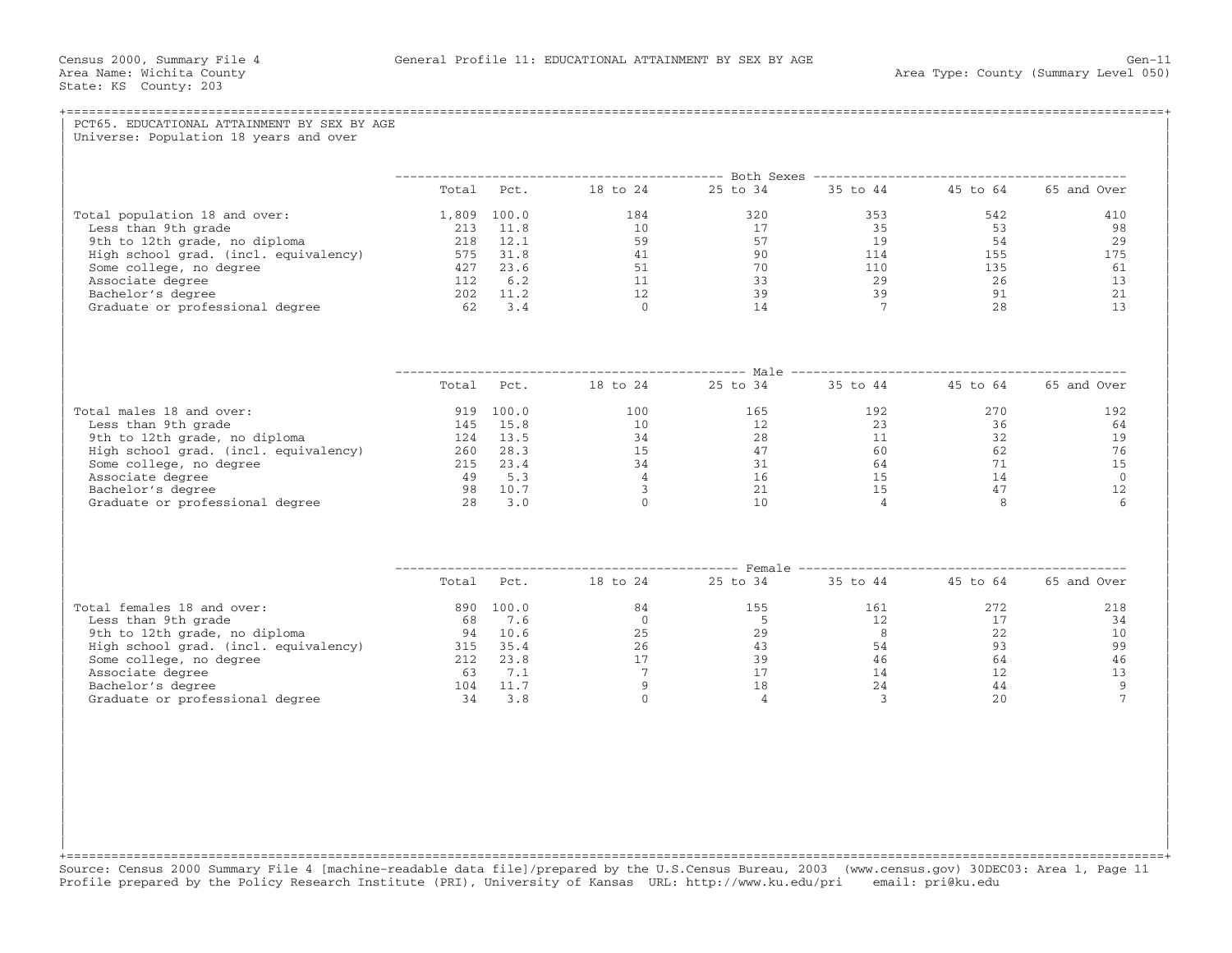| Total population 18 and over: |  |                                                            |                                                                                                                                                                                                                                 |                  |
|-------------------------------|--|------------------------------------------------------------|---------------------------------------------------------------------------------------------------------------------------------------------------------------------------------------------------------------------------------|------------------|
|                               |  |                                                            |                                                                                                                                                                                                                                 |                  |
|                               |  | Total Pct. 18 to 24 25 to 34 35 to 44 45 to 64 65 and Over |                                                                                                                                                                                                                                 |                  |
|                               |  |                                                            |                                                                                                                                                                                                                                 | 410              |
|                               |  |                                                            |                                                                                                                                                                                                                                 | 98               |
|                               |  |                                                            |                                                                                                                                                                                                                                 | 29               |
|                               |  |                                                            |                                                                                                                                                                                                                                 | 175              |
|                               |  |                                                            |                                                                                                                                                                                                                                 | 61               |
|                               |  |                                                            |                                                                                                                                                                                                                                 | 13               |
|                               |  |                                                            |                                                                                                                                                                                                                                 | 21<br>13         |
|                               |  |                                                            |                                                                                                                                                                                                                                 |                  |
|                               |  | Total Pct. 18 to 24 25 to 34 35 to 44 45 to 64 65 and Over |                                                                                                                                                                                                                                 |                  |
|                               |  |                                                            |                                                                                                                                                                                                                                 |                  |
| Total males 18 and over:      |  |                                                            | $\begin{array}{c} 270 \\ 36 \end{array}$                                                                                                                                                                                        | 192              |
|                               |  |                                                            |                                                                                                                                                                                                                                 | 64               |
|                               |  |                                                            | $\frac{32}{62}$                                                                                                                                                                                                                 | 19               |
|                               |  |                                                            |                                                                                                                                                                                                                                 | 76               |
|                               |  |                                                            |                                                                                                                                                                                                                                 | 15<br>$\bigcirc$ |
|                               |  |                                                            |                                                                                                                                                                                                                                 | 12               |
|                               |  |                                                            |                                                                                                                                                                                                                                 | 6                |
|                               |  |                                                            |                                                                                                                                                                                                                                 |                  |
|                               |  | Total Pct. 18 to 24 25 to 34 35 to 44 45 to 64 65 and Over |                                                                                                                                                                                                                                 |                  |
|                               |  |                                                            | 272 — 272 — 272 — 272 — 272 — 272 — 272 — 272 — 272 — 272 — 272 — 272 — 272 — 272 — 272 — 272 — 272 — 272 — 272 — 272 — 272 — 272 — 272 — 272 — 272 — 272 — 272 — 272 — 272 — 272 — 272 — 272 — 272 — 272 — 272 — 272 — 272 — 2 | 218              |
|                               |  |                                                            |                                                                                                                                                                                                                                 | 34               |
|                               |  |                                                            |                                                                                                                                                                                                                                 | 10               |
|                               |  |                                                            |                                                                                                                                                                                                                                 | 99               |
|                               |  |                                                            |                                                                                                                                                                                                                                 | 46               |
|                               |  |                                                            |                                                                                                                                                                                                                                 | 13               |
|                               |  |                                                            |                                                                                                                                                                                                                                 | 9<br>7           |
|                               |  |                                                            |                                                                                                                                                                                                                                 |                  |

+===================================================================================================================================================+ Source: Census 2000 Summary File 4 [machine−readable data file]/prepared by the U.S.Census Bureau, 2003 (www.census.gov) 30DEC03: Area 1, Page 11 Profile prepared by the Policy Research Institute (PRI), University of Kansas URL: http://www.ku.edu/pri email: pri@ku.edu

| | | | | | | | | |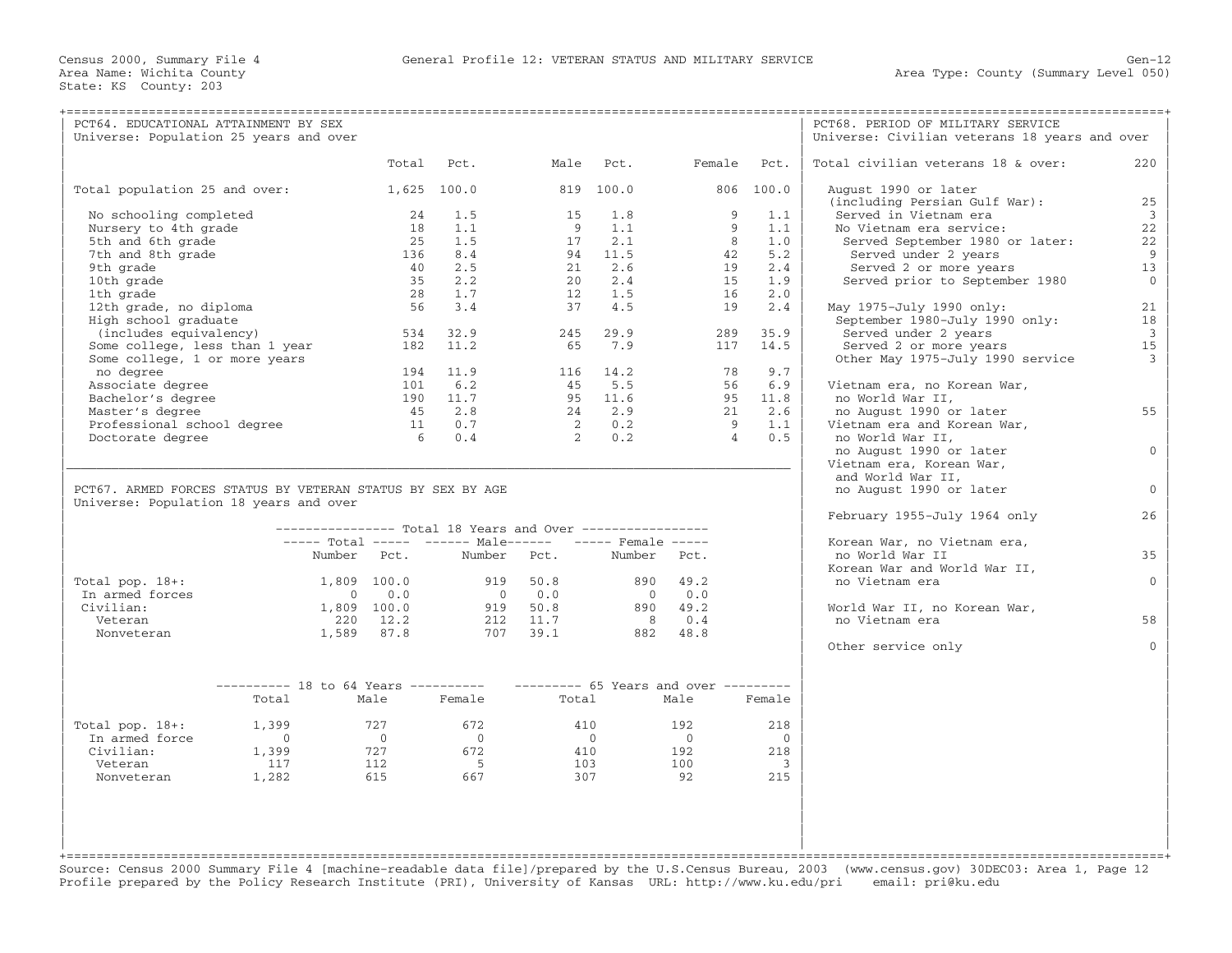| PCT64. EDUCATIONAL ATTAINMENT BY SEX<br>Universe: Population 25 years and over                       |                                                                           |             |                                                  |                                                                                                                   |                |                                                                 |                |                          | PCT68. PERIOD OF MILITARY SERVICE<br>Universe: Civilian veterans 18 years and over |                |
|------------------------------------------------------------------------------------------------------|---------------------------------------------------------------------------|-------------|--------------------------------------------------|-------------------------------------------------------------------------------------------------------------------|----------------|-----------------------------------------------------------------|----------------|--------------------------|------------------------------------------------------------------------------------|----------------|
|                                                                                                      |                                                                           |             | Total                                            | Pct.                                                                                                              |                | Male Pct.                                                       | Female Pct.    |                          | Total civilian veterans 18 & over:                                                 | 220            |
| Total population 25 and over:                                                                        |                                                                           |             |                                                  | 1,625 100.0                                                                                                       |                | 819 100.0                                                       |                | 806 100.0                | August 1990 or later<br>(including Persian Gulf War):                              | 25             |
| No schooling completed                                                                               |                                                                           |             | 24                                               | 1.5                                                                                                               | 15             | 1.8                                                             | 9              | 1.1                      | Served in Vietnam era                                                              | $\overline{3}$ |
| Nursery to 4th grade                                                                                 |                                                                           |             | 18                                               | 1.1                                                                                                               |                | 9 1.1                                                           | 9              | 1.1                      | No Vietnam era service:                                                            | 22             |
| 5th and 6th grade                                                                                    |                                                                           |             | 25                                               | 1.5                                                                                                               |                | $17 \quad 2.1$                                                  | 8 <sup>1</sup> | 1.0                      | Served September 1980 or later:                                                    | 22             |
| 7th and 8th grade                                                                                    |                                                                           |             | 136                                              | 8.4                                                                                                               |                | 94 11.5                                                         |                | 42<br>5.2                | Served under 2 years                                                               | 9              |
| 9th grade                                                                                            |                                                                           |             | 40                                               | 2.5                                                                                                               |                | 21 2.6                                                          | 19             | 2.4                      | Served 2 or more years                                                             | 13             |
| 10th grade                                                                                           |                                                                           |             | 3.5                                              | 2.2                                                                                                               |                | 20 2.4                                                          | 15             | 1.9                      | Served prior to September 1980                                                     | $\overline{0}$ |
| 1th grade                                                                                            |                                                                           |             | 28                                               | 1.7                                                                                                               |                | 12 1.5                                                          | 16             | 2.0                      |                                                                                    |                |
| 12th grade, no diploma                                                                               |                                                                           |             | 56                                               | $3 \cdot 4$                                                                                                       |                | 37 4.5                                                          | 19             | 2.4                      | May 1975-July 1990 only:                                                           | 21             |
| High school graduate                                                                                 |                                                                           |             |                                                  |                                                                                                                   |                |                                                                 |                |                          | September 1980-July 1990 only:                                                     | 18             |
| (includes equivalency)                                                                               |                                                                           |             | 534 32.9                                         |                                                                                                                   |                | 245 29.9                                                        | 289            | 35.9                     | Served under 2 years                                                               | $\overline{3}$ |
| Some college, less than 1 year                                                                       |                                                                           |             | 182 11.2                                         |                                                                                                                   |                | 65 7.9                                                          |                | 117 14.5                 | Served 2 or more years                                                             | 15             |
| Some college, 1 or more years                                                                        |                                                                           |             |                                                  |                                                                                                                   |                |                                                                 |                |                          | Other May 1975-July 1990 service                                                   | $\mathbf{3}$   |
| no degree                                                                                            |                                                                           |             |                                                  | 194 11.9                                                                                                          |                | 116 14.2                                                        | 78             | 9.7                      |                                                                                    |                |
| Associate degree                                                                                     |                                                                           |             | 101                                              | 6.2                                                                                                               |                | 45 5.5                                                          |                | 56 6.9                   | Vietnam era, no Korean War,                                                        |                |
| Bachelor's degree                                                                                    |                                                                           |             |                                                  | 190 11.7                                                                                                          |                | 95 11.6                                                         |                | 95 11.8                  | no World War II,                                                                   |                |
| Master's degree                                                                                      |                                                                           |             |                                                  | 45 2.8                                                                                                            |                | 24 2.9                                                          |                | 21 2.6                   | no August 1990 or later                                                            | 55             |
| Professional school degree                                                                           |                                                                           |             |                                                  | 11 0.7                                                                                                            |                |                                                                 |                | 9 1.1                    | Vietnam era and Korean War,                                                        |                |
| Doctorate degree                                                                                     |                                                                           |             |                                                  | 6 0.4                                                                                                             |                | $\begin{array}{ccc} 2 & \quad 0.2 \\ 2 & \quad 0.2 \end{array}$ | $\overline{4}$ | 0.5                      | no World War II,                                                                   |                |
|                                                                                                      |                                                                           |             |                                                  |                                                                                                                   |                |                                                                 |                |                          | no August 1990 or later                                                            | $\overline{0}$ |
|                                                                                                      |                                                                           |             |                                                  |                                                                                                                   |                |                                                                 |                |                          | Vietnam era, Korean War,                                                           |                |
|                                                                                                      |                                                                           |             |                                                  |                                                                                                                   |                |                                                                 |                |                          | and World War II,                                                                  |                |
| PCT67. ARMED FORCES STATUS BY VETERAN STATUS BY SEX BY AGE<br>Universe: Population 18 years and over |                                                                           |             |                                                  |                                                                                                                   |                |                                                                 |                |                          | no August 1990 or later                                                            | $\overline{0}$ |
|                                                                                                      |                                                                           |             |                                                  | --------------- Total 18 Years and Over -----------------                                                         |                |                                                                 |                |                          | February 1955-July 1964 only                                                       | 26             |
|                                                                                                      |                                                                           |             |                                                  | ----- Total ----- ------ Male------ ----- Female -----                                                            |                |                                                                 |                |                          | Korean War, no Vietnam era,                                                        |                |
|                                                                                                      |                                                                           |             |                                                  | Number Pct. Number Pct.                                                                                           |                | Number Pct.                                                     |                |                          | no World War II                                                                    | 35             |
|                                                                                                      |                                                                           |             |                                                  |                                                                                                                   |                |                                                                 |                |                          | Korean War and World War II,                                                       |                |
| Total pop. 18+:                                                                                      |                                                                           |             | 1,809 100.0                                      |                                                                                                                   | 919 50.8       |                                                                 | 890 49.2       |                          | no Vietnam era                                                                     | $\mathbf{0}$   |
| In armed forces                                                                                      |                                                                           |             | $\begin{array}{ccc} & & 0 & & 0 & 0 \end{array}$ |                                                                                                                   | $0 \qquad 0.0$ |                                                                 | $0 \qquad 0.0$ |                          |                                                                                    |                |
| Civilian:                                                                                            |                                                                           | 1,809 100.0 |                                                  | $919$ $50.8$                                                                                                      |                |                                                                 | 890 49.2       |                          | World War II, no Korean War,                                                       |                |
| Veteran                                                                                              |                                                                           |             |                                                  |                                                                                                                   |                |                                                                 |                |                          | no Vietnam era                                                                     | 58             |
| Nonveteran                                                                                           |                                                                           |             |                                                  | $220$ $12.2$ $212$ $11.7$ $8$ $0.4$<br>$1,589$ $87.8$ $707$ $39.1$ $882$ $48.8$                                   |                |                                                                 |                |                          |                                                                                    |                |
|                                                                                                      |                                                                           |             |                                                  |                                                                                                                   |                |                                                                 |                |                          | Other service only                                                                 | $\Omega$       |
|                                                                                                      | --------- 18 to 64 Years ---------- --------- 65 Years and over --------- |             |                                                  |                                                                                                                   |                |                                                                 |                |                          |                                                                                    |                |
|                                                                                                      | Total                                                                     |             | Male                                             | Female                                                                                                            | Total          |                                                                 | Male           | Female                   |                                                                                    |                |
| Total pop. $18+:$                                                                                    | 1,399                                                                     |             | 727                                              | 672                                                                                                               | 410            |                                                                 | 192            | 218                      |                                                                                    |                |
| In armed force                                                                                       | $\overline{0}$                                                            |             | $\overline{0}$                                   | $\overline{0}$                                                                                                    | $\overline{0}$ |                                                                 | $\bigcap$      | $\bigcirc$               |                                                                                    |                |
| Civilian:                                                                                            |                                                                           |             |                                                  |                                                                                                                   |                |                                                                 | 192            | 218                      |                                                                                    |                |
| Veteran                                                                                              |                                                                           |             |                                                  |                                                                                                                   |                | $\frac{410}{103}$<br>$\overline{103}$                           | 100            | $\overline{\phantom{a}}$ |                                                                                    |                |
| Nonveteran                                                                                           | 1,282                                                                     |             |                                                  | $\begin{array}{cccc} 1,399 & & & 727 & & & 672 \\ 117 & & & 112 & & & 5 \\ 1,282 & & & 615 & & & 667 \end{array}$ |                | 307                                                             | 92             | 215                      |                                                                                    |                |
|                                                                                                      |                                                                           |             |                                                  |                                                                                                                   |                |                                                                 |                |                          |                                                                                    |                |
|                                                                                                      |                                                                           |             |                                                  |                                                                                                                   |                |                                                                 |                |                          |                                                                                    |                |

+===================================================================================================================================================+ Source: Census 2000 Summary File 4 [machine−readable data file]/prepared by the U.S.Census Bureau, 2003 (www.census.gov) 30DEC03: Area 1, Page 12 Profile prepared by the Policy Research Institute (PRI), University of Kansas URL: http://www.ku.edu/pri email: pri@ku.edu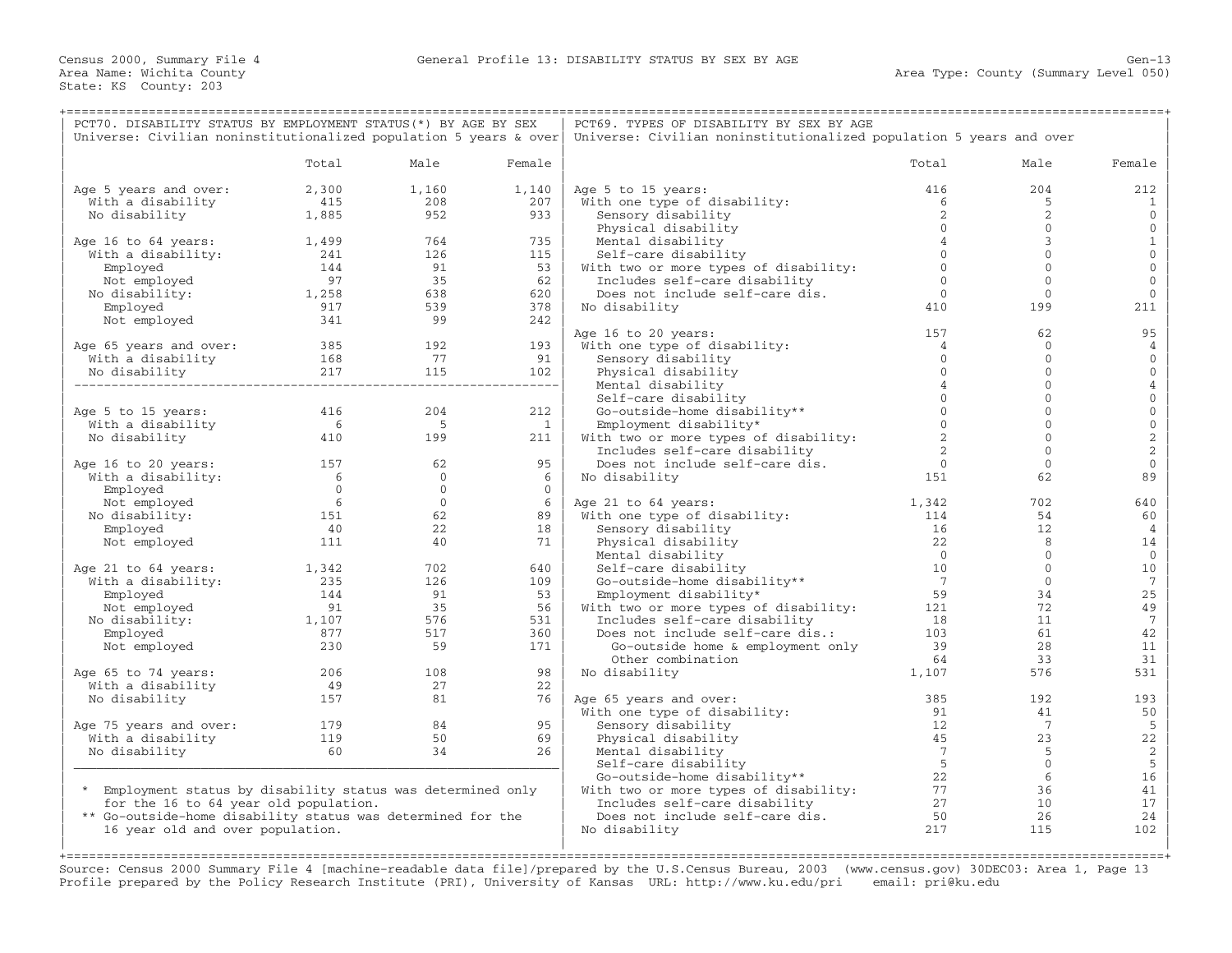| PCT70. DISABILITY STATUS BY EMPLOYMENT STATUS(*) BY AGE BY SEX                                                                                                 |                                                                           |                                                       |                | PCT69. TYPES OF DISABILITY BY SEX BY AGE                                     |                |                |                     |  |  |
|----------------------------------------------------------------------------------------------------------------------------------------------------------------|---------------------------------------------------------------------------|-------------------------------------------------------|----------------|------------------------------------------------------------------------------|----------------|----------------|---------------------|--|--|
| Universe: Civilian noninstitutionalized population 5 years & over                                                                                              |                                                                           |                                                       |                | Universe: Civilian noninstitutionalized population 5 years and over          |                |                |                     |  |  |
|                                                                                                                                                                | Total                                                                     | Male                                                  | Female         |                                                                              | Total          | Male           | Female              |  |  |
| Age 5 years and over:                                                                                                                                          | 2,300                                                                     | 1,160                                                 | 1,140          | Age 5 to 15 years:                                                           | 416            | 204            | 212                 |  |  |
| With a disability                                                                                                                                              | 415                                                                       | 208                                                   | 207            | With one type of disability:                                                 | 6              | -5             | $\mathbf{1}$        |  |  |
| No disability                                                                                                                                                  | 1,885                                                                     | 952                                                   | 933            | Sensory disability                                                           | 2              | 2              | $\mathbf{0}$        |  |  |
|                                                                                                                                                                |                                                                           |                                                       |                | Physical disability                                                          | $\Omega$       | $\mathbf{0}$   | $\mathbf 0$         |  |  |
| Age 16 to 64 years:                                                                                                                                            | 1,499                                                                     | 764                                                   | 735            | Mental disability                                                            | $\overline{4}$ | 3              | $\mathbf{1}$        |  |  |
| With a disability:                                                                                                                                             |                                                                           | 126                                                   | 115            | Self-care disability                                                         | $\Omega$       | $\mathbf{0}$   | $\mathbb O$         |  |  |
| Employed                                                                                                                                                       | $\begin{array}{c} 241 \\ 144 \end{array}$                                 | 91                                                    | 53             | With two or more types of disability:                                        | $\Omega$       | $\mathbf{0}$   | $\mathbf 0$         |  |  |
| Not employed                                                                                                                                                   | $\begin{array}{c}\n 144 \\  \hline\n 97 \\  1,258 \\  0.17\n \end{array}$ | $\begin{array}{r} 35 \\ 35 \\ 638 \\ 539 \end{array}$ | 62             | Includes self-care disability                                                | $\Omega$       | $\Omega$       | $\mathbf{0}$        |  |  |
| No disability:                                                                                                                                                 |                                                                           |                                                       | 620            | Does not include self-care dis.                                              | $\overline{0}$ | $\mathbf{0}$   | $\mathbf 0$         |  |  |
| Employed                                                                                                                                                       |                                                                           |                                                       | 378            | No disability                                                                | 410            | 199            | 211                 |  |  |
| Not employed                                                                                                                                                   | 341                                                                       | 99                                                    | 242            |                                                                              |                |                |                     |  |  |
|                                                                                                                                                                |                                                                           |                                                       |                | Age 16 to 20 years:                                                          | 157            | 62             | 95                  |  |  |
|                                                                                                                                                                |                                                                           |                                                       |                | With one type of disability:                                                 | $\overline{4}$ | $\mathbf 0$    | 4                   |  |  |
|                                                                                                                                                                |                                                                           |                                                       |                | Sensory disability                                                           | $\mathbf{0}$   | $\mathbf{0}$   | $\mathbf 0$         |  |  |
| Age 65 years and over: $\begin{array}{cccc} 385 & 192 & 193 \\ \text{With a disability} & 168 & 77 & 91 \\ \text{No disability} & 217 & 115 & 102 \end{array}$ |                                                                           |                                                       |                | Physical disability                                                          | $\Omega$       | $\mathbf{0}$   | $\mathbf 0$         |  |  |
|                                                                                                                                                                |                                                                           |                                                       |                | Mental disability                                                            | $\overline{4}$ | $\Omega$       | $\sqrt{4}$          |  |  |
|                                                                                                                                                                |                                                                           |                                                       |                | Self-care disability                                                         | $\mathbf{0}$   | $\mathbf{0}$   | $\mathsf{O}\xspace$ |  |  |
| Age 5 to 15 years:                                                                                                                                             |                                                                           | 204                                                   | 212            | Go-outside-home disability**                                                 | $\Omega$       | $\mathbf{0}$   | $\mathsf{O}\xspace$ |  |  |
| With a disability                                                                                                                                              | 416                                                                       | $5^{\circ}$                                           | $\overline{1}$ | Employment disability*                                                       | $\Omega$       | $\Omega$       | $\mathbf 0$         |  |  |
|                                                                                                                                                                | $410$<br>410                                                              | 199                                                   |                |                                                                              | 2              | $\mathbf{0}$   | $\overline{c}$      |  |  |
| No disability                                                                                                                                                  |                                                                           |                                                       | $211$          | With two or more types of disability:                                        |                |                |                     |  |  |
|                                                                                                                                                                |                                                                           |                                                       |                | Includes self-care disability                                                |                | $\mathbf{0}$   | $\sqrt{2}$          |  |  |
| Age 16 to 20 years:                                                                                                                                            | 157                                                                       | 62                                                    | 95             | Does not include self-care dis.                                              | $\overline{0}$ | $\mathbf{0}$   | $\mathbb O$         |  |  |
| With a disability:                                                                                                                                             |                                                                           | $\begin{matrix}0\\0\end{matrix}$                      | 6              | No disability                                                                | 151            | 62             | 89                  |  |  |
| Employed                                                                                                                                                       | $\begin{array}{c} 6 \\ 0 \\ 6 \end{array}$                                |                                                       | $\bigcap$      |                                                                              |                |                |                     |  |  |
| Not employed                                                                                                                                                   |                                                                           | $\overline{0}$<br>$\begin{array}{c}0\\62\end{array}$  | 6              | Age 21 to 64 years:                                                          | 1,342          | 702            | 640                 |  |  |
| No disability:                                                                                                                                                 | 151                                                                       |                                                       | 89             | With one type of disability:                                                 | 114            | 54             | 60                  |  |  |
| Employed                                                                                                                                                       | 40                                                                        | 22                                                    | 18             | Sensory disability                                                           | 16             | 12             | $\overline{4}$      |  |  |
| Not employed                                                                                                                                                   | 111                                                                       | 40                                                    | 71             | Physical disability                                                          | 22             | 8              | 14                  |  |  |
|                                                                                                                                                                |                                                                           |                                                       |                | Mental disability                                                            | $\overline{0}$ | $\mathbf 0$    | $\mathbf 0$         |  |  |
| Age 21 to 64 years:                                                                                                                                            | 1,342                                                                     | 702                                                   | 640            | Self-care disability                                                         | 10             | $\mathbf{0}$   | 10                  |  |  |
| With a disability:                                                                                                                                             | $\begin{array}{c} 235 \\ 144 \end{array}$                                 | 126                                                   | 109            | Go-outside-home disability**                                                 | $\overline{7}$ | $\overline{0}$ | $7\phantom{.0}$     |  |  |
| Employed                                                                                                                                                       |                                                                           | 91                                                    | 53             | Employment disability*                                                       | 59             | 34             | 25                  |  |  |
| Not employed                                                                                                                                                   | $\begin{array}{c} 111 \\ 91 \\ 1,107 \end{array}$                         | 35                                                    |                | 56 With two or more types of disability: 121                                 |                | 72             | 49                  |  |  |
| No disability:                                                                                                                                                 |                                                                           | 576                                                   | 531            | Includes self-care disability                                                | 18             | 11             | $\overline{7}$      |  |  |
| Employed                                                                                                                                                       | 877                                                                       | 517                                                   | 360            |                                                                              |                | 61             | 42                  |  |  |
| Not employed                                                                                                                                                   | 230                                                                       | 59                                                    | 171            | Does not include self-care dis.: 103<br>Go-outside home & employment only 39 |                | 2.8            | 11                  |  |  |
|                                                                                                                                                                |                                                                           |                                                       |                | Other combination                                                            | 64             | 33             | 31                  |  |  |
| Age 65 to 74 years:                                                                                                                                            | $\begin{array}{c} 206 \\ 49 \\ 157 \end{array}$                           | 108                                                   | 98             | No disability                                                                | 1,107          | 576            | 531                 |  |  |
| With a disability                                                                                                                                              |                                                                           | 27                                                    | 22             |                                                                              |                |                |                     |  |  |
| No disability                                                                                                                                                  |                                                                           | 81                                                    | 76             | Age 65 years and over:                                                       | 385            | 192            | 193                 |  |  |
|                                                                                                                                                                |                                                                           |                                                       |                | With one type of disability:                                                 | 91             | 41             | 50                  |  |  |
| Age 75 years and over:                                                                                                                                         |                                                                           |                                                       | 95             | Sensory disability                                                           | 12             | $\overline{7}$ | 5                   |  |  |
| ye /5 years and over: 179<br>With a disability 119<br>No disability 119                                                                                        |                                                                           | $\begin{array}{c} 84 \\ 50 \end{array}$               | 69             | Physical disability                                                          | 45             | 23             | 22                  |  |  |
| No disability                                                                                                                                                  | 60                                                                        | 34                                                    | 26             | Mental disability                                                            | $\overline{7}$ | - 5            | $\sqrt{2}$          |  |  |
|                                                                                                                                                                |                                                                           |                                                       |                | Self-care disability                                                         | $5^{\circ}$    | $\overline{0}$ | $\sqrt{5}$          |  |  |
|                                                                                                                                                                |                                                                           |                                                       |                | Go-outside-home disability**                                                 | 22             | 6              | 16                  |  |  |
| * Employment status by disability status was determined only                                                                                                   |                                                                           |                                                       |                |                                                                              |                | 36             | 41                  |  |  |
| for the 16 to 64 year old population.                                                                                                                          |                                                                           |                                                       |                | With two or more types of disability: 77<br>Includes self-care disability 27 | 27             | 10             | 17                  |  |  |
| ** Go-outside-home disability status was determined for the                                                                                                    |                                                                           |                                                       |                | Does not include self-care dis.                                              | 50             | 26             | 24                  |  |  |
| 16 year old and over population.                                                                                                                               |                                                                           |                                                       |                | No disability                                                                | 217            | 115            | 102                 |  |  |
|                                                                                                                                                                |                                                                           |                                                       |                |                                                                              |                |                |                     |  |  |

+===================================================================================================================================================+ Source: Census 2000 Summary File 4 [machine−readable data file]/prepared by the U.S.Census Bureau, 2003 (www.census.gov) 30DEC03: Area 1, Page 13 Profile prepared by the Policy Research Institute (PRI), University of Kansas URL: http://www.ku.edu/pri email: pri@ku.edu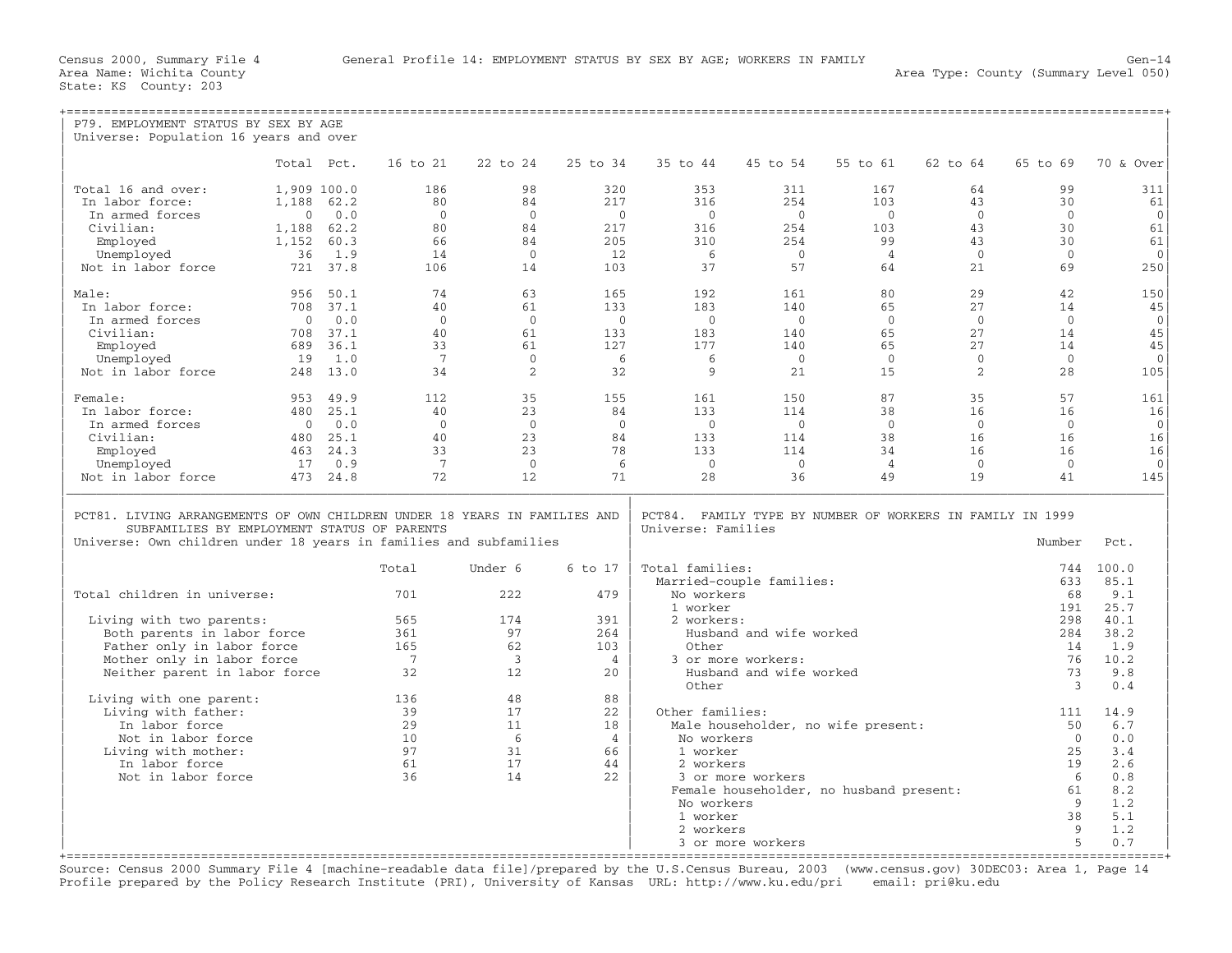| P79. EMPLOYMENT STATUS BY SEX BY AGE                                                                                                                                                          |                |          |                 |                         |                |                                                                                                   |                          |                                         |                |                      |                |
|-----------------------------------------------------------------------------------------------------------------------------------------------------------------------------------------------|----------------|----------|-----------------|-------------------------|----------------|---------------------------------------------------------------------------------------------------|--------------------------|-----------------------------------------|----------------|----------------------|----------------|
| Universe: Population 16 years and over                                                                                                                                                        |                |          |                 |                         |                |                                                                                                   |                          |                                         |                |                      |                |
|                                                                                                                                                                                               | Total Pct.     |          | 16 to 21        | 22 to 24                | 25 to 34       | 35 to 44                                                                                          | 45 to 54                 | 55 to 61                                | 62 to 64       | 65 to 69             | 70 & Over      |
| Total 16 and over:                                                                                                                                                                            | 1,909 100.0    |          | 186             | 98                      | 320            | 353                                                                                               | 311                      | 167                                     | 64             | 99                   | 311            |
| In labor force:                                                                                                                                                                               | 1,188 62.2     |          | 80              | 84                      | 217            | 316                                                                                               | 254                      | 103                                     | 43             | 30                   | 61             |
| In armed forces                                                                                                                                                                               | $\mathbf{0}$   | 0.0      | $\mathbf{0}$    | $\Omega$                | $\bigcirc$     | $\bigcirc$                                                                                        | $\bigcirc$               | $\bigcirc$                              | $\overline{0}$ | $\mathbf{0}$         | $\mathbf{0}$   |
| Civilian:                                                                                                                                                                                     | 1,188          | 62.2     | 80              | 84                      | 217            | 316                                                                                               | 254                      | 103                                     | 43             | 30                   | 61             |
| Employed                                                                                                                                                                                      | 1,152          | 60.3     | 66              | 84                      | 205            | 310                                                                                               | 254                      | 99                                      | 43             | 30                   | 61             |
| Unemployed                                                                                                                                                                                    | 36             | 1.9      | 14              | $\overline{0}$          | 12             | 6                                                                                                 | $\overline{0}$           | $\overline{4}$                          | $\overline{0}$ | $\mathbf{0}$         | $\Omega$       |
| Not in labor force                                                                                                                                                                            |                | 721 37.8 | 106             | 14                      | 103            | 37                                                                                                | 57                       | 64                                      | 21             | 69                   | 250            |
| Male:                                                                                                                                                                                         | 956            | 50.1     | 74              | 63                      | 165            | 192                                                                                               | 161                      | 80                                      | 29             | 42                   | 150            |
| In labor force:                                                                                                                                                                               |                | 708 37.1 | 40              | 61                      | 133            | 183                                                                                               | 140                      | 65                                      | 27             | 14                   | 45             |
| In armed forces                                                                                                                                                                               | $\overline{0}$ | 0.0      | $\Omega$        | $\Omega$                | $\bigcirc$     | $\bigcirc$                                                                                        | $\bigcirc$               | $\overline{0}$                          | $\overline{0}$ | $\overline{0}$       | $\overline{0}$ |
| Civilian:                                                                                                                                                                                     | 708            | 37.1     | 40              | 61                      | 133            | 183                                                                                               | 140                      | 65                                      | 27             | 14                   | 45             |
| Employed                                                                                                                                                                                      | 689            | 36.1     | 33              | 61                      | 127            | 177                                                                                               | 140                      | 65                                      | 27             | 14                   | 45             |
| Unemployed                                                                                                                                                                                    | 19             | 1.0      | $7\overline{ }$ | $\Omega$                | - 6            | - 6                                                                                               | $\bigcap$                | $\bigcirc$                              | $\Omega$       | $\Omega$             | $\Omega$       |
| Not in labor force                                                                                                                                                                            |                | 248 13.0 | 34              | 2                       | 32             | 9                                                                                                 | 21                       | 15                                      | 2              | 28                   | 105            |
| Female:                                                                                                                                                                                       |                | 953 49.9 | 112             | 35                      | 155            | 161                                                                                               | 150                      | 87                                      | 35             | 57                   | 161            |
| In labor force:                                                                                                                                                                               |                | 480 25.1 | 40              | 23                      | 84             | 133                                                                                               | 114                      | 38                                      | 16             | 16                   | 16             |
| In armed forces                                                                                                                                                                               | $\circ$        | 0.0      | $\overline{0}$  | $\overline{0}$          | $\overline{0}$ | $\bigcirc$                                                                                        | $\overline{0}$           | $\circ$                                 | $\overline{0}$ | $\overline{0}$       | $\overline{0}$ |
| Civilian:                                                                                                                                                                                     |                | 480 25.1 | 40              | 23                      | 84             | 133                                                                                               | 114                      | 38                                      | 16             | 16                   | 16             |
| Employed                                                                                                                                                                                      |                | 463 24.3 | 33              | 23                      | 78             | 133                                                                                               | 114                      | 34                                      | 16             | 16                   | 16             |
| Unemployed                                                                                                                                                                                    | 17             | 0.9      | $7\overline{ }$ | $\overline{0}$          | - 6            | $\Omega$                                                                                          | $\Omega$                 | $\overline{4}$                          | $\overline{0}$ | $\mathbf{0}$         | $\Omega$       |
| Not in labor force                                                                                                                                                                            |                | 473 24.8 | 72              | 12                      | 71             | 28                                                                                                | 36                       | 49                                      | 19             | 41                   | 145            |
| PCT81. LIVING ARRANGEMENTS OF OWN CHILDREN UNDER 18 YEARS IN FAMILIES AND<br>SUBFAMILIES BY EMPLOYMENT STATUS OF PARENTS<br>Universe: Own children under 18 years in families and subfamilies |                |          |                 |                         |                | PCT84. FAMILY TYPE BY NUMBER OF WORKERS IN FAMILY IN 1999<br>Universe: Families<br>Number<br>Pct. |                          |                                         |                |                      |                |
|                                                                                                                                                                                               |                |          | Total           | Under 6                 | 6 to 17        | Total families:                                                                                   |                          |                                         |                | 744                  | 100.0          |
|                                                                                                                                                                                               |                |          |                 |                         |                |                                                                                                   | Married-couple families: |                                         |                | 633                  | 85.1           |
| Total children in universe:                                                                                                                                                                   |                |          | 701             | 222                     | 479            | No workers                                                                                        |                          |                                         |                | 68                   | 9.1            |
|                                                                                                                                                                                               |                |          |                 |                         |                | 1 worker                                                                                          |                          |                                         |                | 191                  | 25.7           |
| Living with two parents:                                                                                                                                                                      |                |          | 565             | 174                     | 391            | 2 workers:                                                                                        |                          |                                         |                | 298                  | 40.1           |
| Both parents in labor force                                                                                                                                                                   |                |          | 361             | 97                      | 264            |                                                                                                   | Husband and wife worked  |                                         |                | 284                  | 38.2           |
| Father only in labor force                                                                                                                                                                    |                |          | 165             | 62                      | 103            | Other                                                                                             |                          |                                         |                | 14                   | 1.9            |
| Mother only in labor force                                                                                                                                                                    |                |          | $\overline{7}$  | $\overline{\mathbf{3}}$ | $\overline{4}$ |                                                                                                   | 3 or more workers:       |                                         |                | 76                   | 10.2           |
| Neither parent in labor force                                                                                                                                                                 |                |          | 32              | 12                      | 2.0            | Other                                                                                             | Husband and wife worked  |                                         |                | 73<br>$\overline{3}$ | 9.8<br>0.4     |
| Living with one parent:                                                                                                                                                                       |                |          | 136             | 48                      | 88             |                                                                                                   |                          |                                         |                |                      |                |
| Living with father:                                                                                                                                                                           |                |          | 39              | 17                      | 22             | Other families:                                                                                   |                          |                                         |                | 111                  | 14.9           |
| In labor force                                                                                                                                                                                |                |          | 29              | 11                      | 18             |                                                                                                   |                          | Male householder, no wife present:      |                | 50                   | 6.7            |
| Not in labor force                                                                                                                                                                            |                |          | 10              | 6                       | $\overline{4}$ | No workers                                                                                        |                          |                                         |                | $\overline{0}$       | 0.0            |
| Living with mother:                                                                                                                                                                           |                |          | 97              | 31                      | 66             | 1 worker                                                                                          |                          |                                         |                | 2.5                  | 3.4            |
| In labor force                                                                                                                                                                                |                |          | 61              | 17                      | 44             | 2 workers                                                                                         |                          |                                         |                | 19                   | 2.6            |
| Not in labor force                                                                                                                                                                            |                |          | 36              | 14                      | 2.2.           |                                                                                                   | 3 or more workers        |                                         |                | 6                    | 0.8            |
|                                                                                                                                                                                               |                |          |                 |                         |                |                                                                                                   |                          | Female householder, no husband present: |                | 61                   | 8.2            |
|                                                                                                                                                                                               |                |          |                 |                         |                | No workers                                                                                        |                          |                                         |                | 9                    | 1.2            |
|                                                                                                                                                                                               |                |          |                 |                         |                | 1 worker                                                                                          |                          |                                         |                | 38                   | 5.1            |
|                                                                                                                                                                                               |                |          |                 |                         |                | 2 workers                                                                                         |                          |                                         |                | 9                    | 1.2            |
|                                                                                                                                                                                               |                |          |                 |                         |                |                                                                                                   | 3 or more workers        |                                         |                | 5                    | 0.7            |

+===================================================================================================================================================+ Source: Census 2000 Summary File 4 [machine−readable data file]/prepared by the U.S.Census Bureau, 2003 (www.census.gov) 30DEC03: Area 1, Page 14 Profile prepared by the Policy Research Institute (PRI), University of Kansas URL: http://www.ku.edu/pri email: pri@ku.edu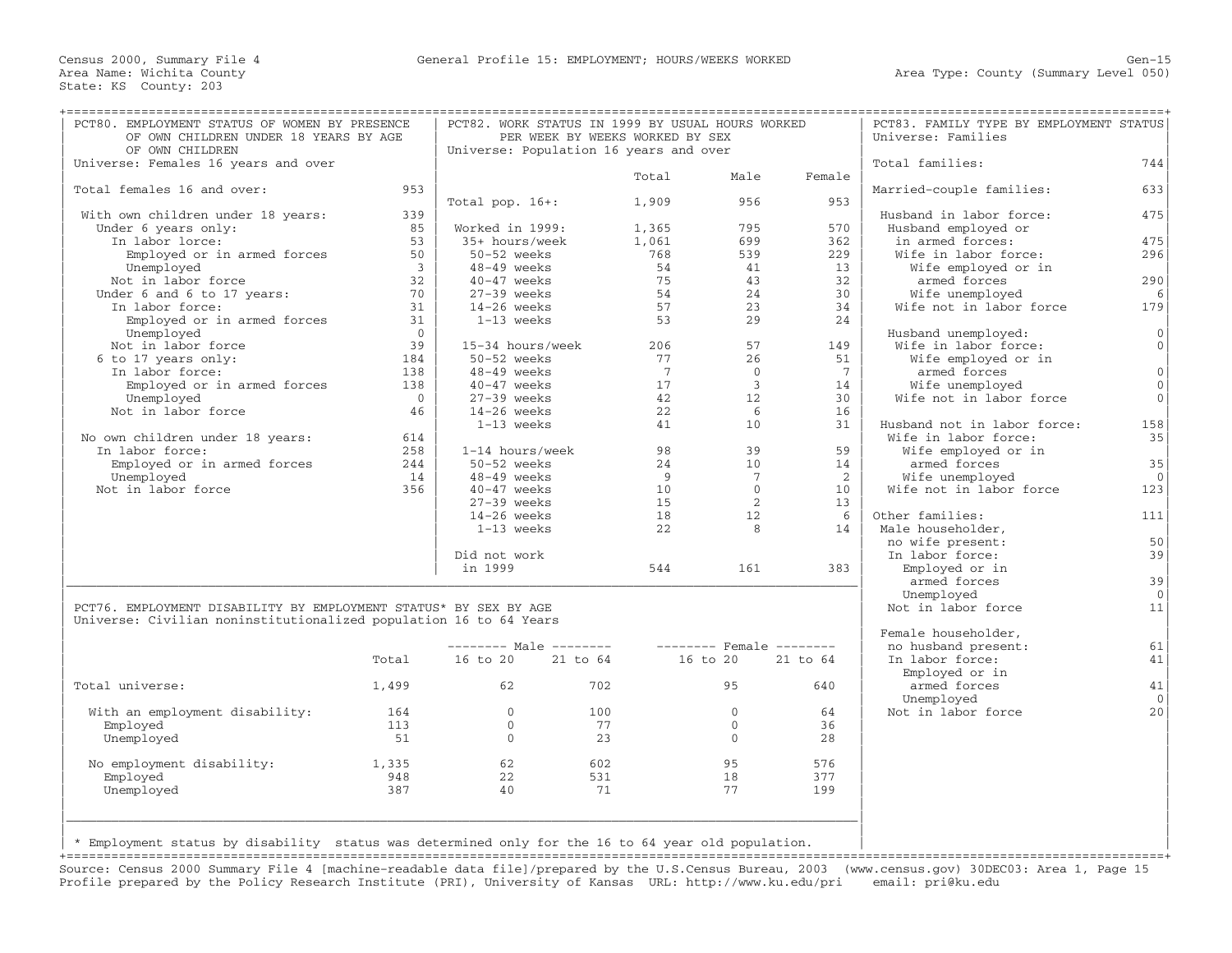| PCT80. EMPLOYMENT STATUS OF WOMEN BY PRESENCE<br>OF OWN CHILDREN UNDER 18 YEARS BY AGE |                         |                                                 | PCT82. WORK STATUS IN 1999 BY USUAL HOURS WORKED<br>PER WEEK BY WEEKS WORKED BY SEX |                 |                |                 | PCT83. FAMILY TYPE BY EMPLOYMENT STATUS<br>Universe: Families |                     |
|----------------------------------------------------------------------------------------|-------------------------|-------------------------------------------------|-------------------------------------------------------------------------------------|-----------------|----------------|-----------------|---------------------------------------------------------------|---------------------|
| OF OWN CHILDREN                                                                        |                         | Universe: Population 16 years and over          |                                                                                     |                 |                |                 |                                                               |                     |
| Universe: Females 16 years and over                                                    |                         |                                                 |                                                                                     |                 |                |                 | Total families:                                               | 744                 |
|                                                                                        | 953                     |                                                 |                                                                                     | Total           | Male           | Female          |                                                               |                     |
| Total females 16 and over:                                                             |                         |                                                 |                                                                                     |                 | 956            |                 | Married-couple families:                                      | 633                 |
|                                                                                        | 339                     | Total pop. $16+:$                               |                                                                                     | 1,909           |                | 953             | Husband in labor force:                                       | 475                 |
| With own children under 18 years:<br>Under 6 years only:                               | 85                      | Worked in 1999:                                 |                                                                                     | 1,365           | 795            | 570             | Husband employed or                                           |                     |
| In labor lorce:                                                                        | 53                      | 35+ hours/week                                  |                                                                                     | 1,061           | 699            | 362             | in armed forces:                                              | 475                 |
| Employed or in armed forces                                                            | 50                      | 50-52 weeks                                     |                                                                                     | 768             | 539            | 229             | Wife in labor force:                                          | 296                 |
| Unemployed                                                                             | $\overline{\mathbf{3}}$ | 48-49 weeks                                     |                                                                                     | 54              | 41             | 13              | Wife employed or in                                           |                     |
| Not in labor force                                                                     | 32                      | $40-47$ weeks                                   |                                                                                     | 75              | 43             | 32              | armed forces                                                  | 290                 |
| Under 6 and 6 to 17 years:                                                             | 70                      | $27-39$ weeks                                   |                                                                                     | 54              | 24             | 30              | Wife unemployed                                               | 6                   |
| In labor force:                                                                        | 31                      | $14-26$ weeks                                   |                                                                                     | 57              | 23             | 34              | Wife not in labor force                                       | 179                 |
| Employed or in armed forces                                                            | 31                      | 1-13 weeks                                      |                                                                                     | 53              | 29             | 24              |                                                               |                     |
| Unemployed                                                                             | $\bigcirc$              |                                                 |                                                                                     |                 |                |                 | Husband unemployed:                                           | $\mathbf{0}$        |
|                                                                                        | 39                      |                                                 |                                                                                     |                 | 57             |                 |                                                               | $\mathsf{O}\xspace$ |
| Not in labor force                                                                     | 184                     | 15-34 hours/week                                |                                                                                     | 206<br>77       | 26             | 149<br>51       | Wife in labor force:                                          |                     |
| 6 to 17 years only:<br>In labor force:                                                 | 138                     | 50-52 weeks<br>48-49 weeks                      |                                                                                     | $7\phantom{.0}$ | $\Omega$       | $7\phantom{.0}$ | Wife employed or in<br>armed forces                           | $\mathbf{0}$        |
| Employed or in armed forces                                                            | 138                     | $40-47$ weeks                                   |                                                                                     | 17              | $\overline{3}$ | 14              |                                                               | $\mathbf{0}$        |
| Unemployed                                                                             | $\overline{0}$          | $27-39$ weeks                                   |                                                                                     | 42              | 12.            | 30              | Wife unemployed<br>Wife not in labor force                    | $\mathbf{0}$        |
|                                                                                        |                         |                                                 |                                                                                     |                 | 6              |                 |                                                               |                     |
| Not in labor force                                                                     | 46                      | $14-26$ weeks<br>$1-13$ weeks                   |                                                                                     | 22<br>41        | 10             | 16<br>31        | Husband not in labor force:                                   | 158                 |
|                                                                                        | 614                     |                                                 |                                                                                     |                 |                |                 | Wife in labor force:                                          | 35                  |
| No own children under 18 years:<br>In labor force:                                     | 258                     | 1-14 hours/week                                 |                                                                                     | 98              | 39             | 59              | Wife employed or in                                           |                     |
| Employed or in armed forces                                                            | 244                     | 50-52 weeks                                     |                                                                                     | 24              | 10             | 14              | armed forces                                                  | 35                  |
| Unemployed                                                                             | 14                      | $48-49$ weeks                                   |                                                                                     | 9               | 7              | 2               | Wife unemployed                                               | $\overline{0}$      |
| Not in labor force                                                                     | 356                     | $40-47$ weeks                                   |                                                                                     | 10              | $\Omega$       | 10              | Wife not in labor force                                       | 123                 |
|                                                                                        |                         | $27-39$ weeks                                   |                                                                                     | 15              | 2              | 13              |                                                               |                     |
|                                                                                        |                         |                                                 |                                                                                     | 18              | 12             | -6              | Other families:                                               | 111                 |
|                                                                                        |                         | $14-26$ weeks<br>1-13 weeks                     |                                                                                     | 22              | 8              | 14              | Male householder,                                             |                     |
|                                                                                        |                         |                                                 |                                                                                     |                 |                |                 | no wife present:                                              | 50                  |
|                                                                                        |                         | Did not work                                    |                                                                                     |                 |                |                 | In labor force:                                               | 39                  |
|                                                                                        |                         | in 1999                                         |                                                                                     | 544             | 161            | 383             | Employed or in                                                |                     |
|                                                                                        |                         |                                                 |                                                                                     |                 |                |                 |                                                               | 39                  |
|                                                                                        |                         |                                                 |                                                                                     |                 |                |                 | armed forces<br>Unemployed                                    | $\overline{0}$      |
| PCT76. EMPLOYMENT DISABILITY BY EMPLOYMENT STATUS* BY SEX BY AGE                       |                         |                                                 |                                                                                     |                 |                |                 |                                                               | 11                  |
| Universe: Civilian noninstitutionalized population 16 to 64 Years                      |                         |                                                 |                                                                                     |                 |                |                 | Not in labor force                                            |                     |
|                                                                                        |                         |                                                 |                                                                                     |                 |                |                 | Female householder,                                           |                     |
|                                                                                        |                         | -------- Male -------- -------- Female -------- |                                                                                     |                 |                |                 | no husband present:                                           | 61                  |
|                                                                                        | Total                   | 16 to 20 21 to 64                               |                                                                                     |                 | 16 to 20       | 21 to 64        | In labor force:                                               | 41                  |
|                                                                                        |                         |                                                 |                                                                                     |                 |                |                 | Employed or in                                                |                     |
| Total universe:                                                                        | 1,499                   | 62 6                                            | 702                                                                                 |                 | 95             | 640             | armed forces                                                  | 41                  |
|                                                                                        |                         |                                                 |                                                                                     |                 |                |                 | Unemployed                                                    | $\overline{0}$      |
| With an employment disability:                                                         | 164                     | $\Omega$                                        | 100                                                                                 |                 | $\Omega$       | 64              | Not in labor force                                            | 20                  |
| Employed                                                                               | 113                     | $\overline{0}$                                  | 77                                                                                  |                 | $\mathbf{0}$   | 36              |                                                               |                     |
| Unemployed                                                                             | 51                      | $\Omega$                                        | 23                                                                                  |                 | $\Omega$       | 28              |                                                               |                     |
|                                                                                        |                         |                                                 |                                                                                     |                 |                |                 |                                                               |                     |
| No employment disability:                                                              | 1,335                   | 62                                              | 602                                                                                 |                 | 95             | 576             |                                                               |                     |
| Emploved                                                                               | 948                     | 22                                              | 531                                                                                 |                 | 18             | 377             |                                                               |                     |
|                                                                                        | 387                     | 40                                              | 71                                                                                  |                 | 77             | 199             |                                                               |                     |
|                                                                                        |                         |                                                 |                                                                                     |                 |                |                 |                                                               |                     |
| Unemployed                                                                             |                         |                                                 |                                                                                     |                 |                |                 |                                                               |                     |
|                                                                                        |                         |                                                 |                                                                                     |                 |                |                 |                                                               |                     |

+===================================================================================================================================================+ Source: Census 2000 Summary File 4 [machine−readable data file]/prepared by the U.S.Census Bureau, 2003 (www.census.gov) 30DEC03: Area 1, Page 15 Profile prepared by the Policy Research Institute (PRI), University of Kansas URL: http://www.ku.edu/pri email: pri@ku.edu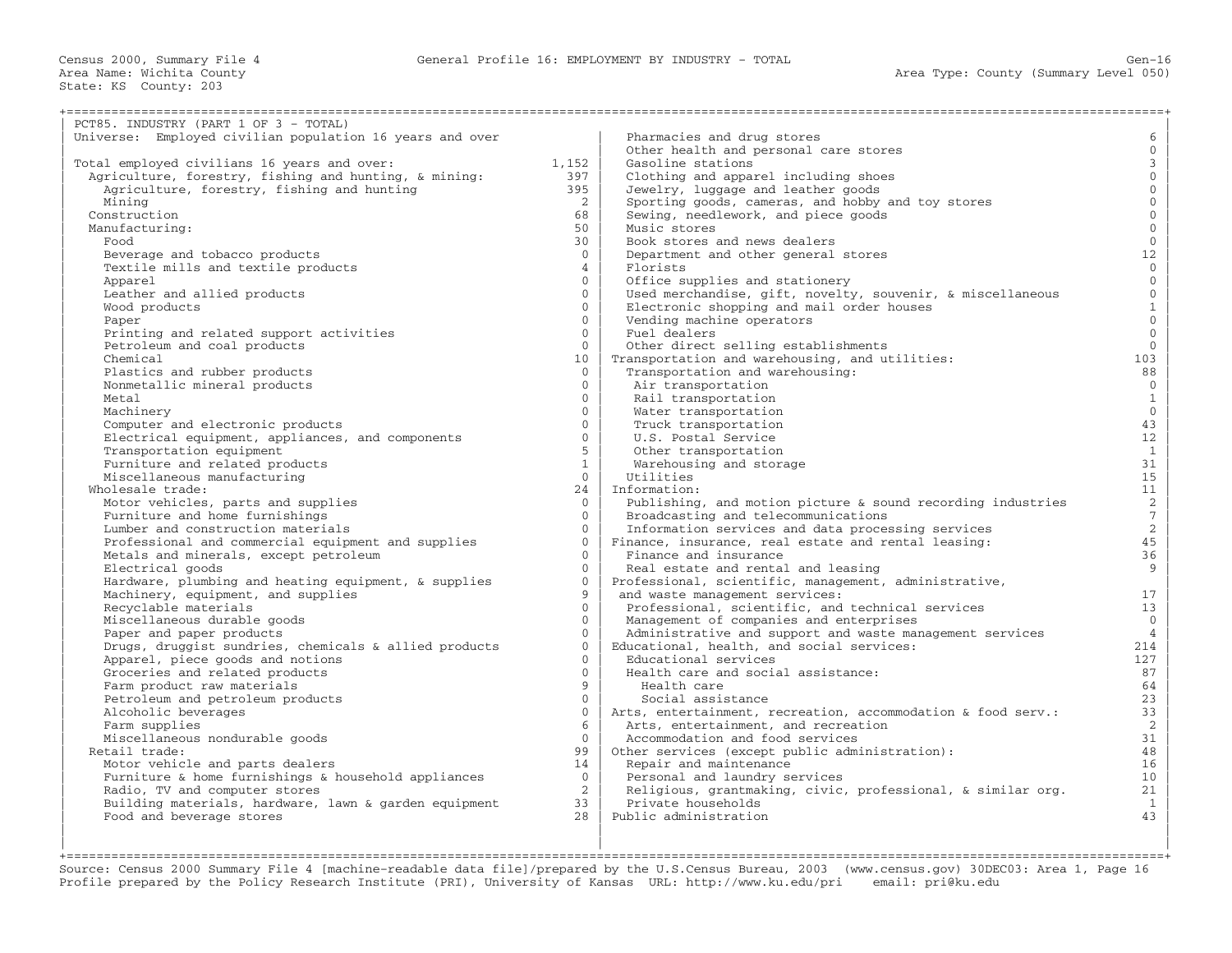| PCT85. INDUSTRY (PART 1 OF 3 - TOTAL)                    |                 |                                                              |                     |
|----------------------------------------------------------|-----------------|--------------------------------------------------------------|---------------------|
| Universe: Employed civilian population 16 years and over |                 | Pharmacies and drug stores                                   | 6                   |
|                                                          |                 | Other health and personal care stores                        | $\mathbf{0}$        |
| Total employed civilians 16 years and over:              | 1,152           | Gasoline stations                                            | $\mathbf{3}$        |
| Agriculture, forestry, fishing and hunting, & mining:    | 397             | Clothing and apparel including shoes                         | $\mathsf{O}\xspace$ |
| Agriculture, forestry, fishing and hunting               | 395             | Jewelry, luggage and leather goods                           | $\mathbf{0}$        |
| Mining                                                   | 2               | Sporting goods, cameras, and hobby and toy stores            | $\overline{0}$      |
| Construction                                             | 68              | Sewing, needlework, and piece goods                          | $\mathbf 0$         |
| Manufacturing:                                           | 50              | Music stores                                                 | $\mathbf{0}$        |
| Food                                                     | 30              | Book stores and news dealers                                 | $\mathbf{0}$        |
| Beverage and tobacco products                            | $\Omega$        | Department and other general stores                          | 12                  |
| Textile mills and textile products                       | $\overline{4}$  | Florists                                                     | $\overline{0}$      |
| Apparel                                                  | $\Omega$        | Office supplies and stationery                               | $\overline{0}$      |
| Leather and allied products                              | $\Omega$        | Used merchandise, gift, novelty, souvenir, & miscellaneous   | $\mathsf{O}\xspace$ |
| Wood products                                            | $\mathbf{0}$    | Electronic shopping and mail order houses                    | $\mathbf 1$         |
| Paper                                                    | $\Omega$        | Vending machine operators                                    | $\mathbf{0}$        |
|                                                          | $\Omega$        | Fuel dealers                                                 | $\overline{0}$      |
| Printing and related support activities                  |                 |                                                              |                     |
| Petroleum and coal products                              | $\Omega$        | Other direct selling establishments                          | $\overline{0}$      |
| Chemical                                                 | 10 <sup>°</sup> | Transportation and warehousing, and utilities:               | 103                 |
| Plastics and rubber products                             | $\Omega$        | Transportation and warehousing:                              | 88                  |
| Nonmetallic mineral products                             | $\overline{0}$  | Air transportation                                           | $\overline{0}$      |
| Metal                                                    | $\Omega$        | Rail transportation                                          | $\mathbf{1}$        |
| Machinery                                                | $\Omega$        | Water transportation                                         | $\overline{0}$      |
| Computer and electronic products                         | $\Omega$        | Truck transportation                                         | 43                  |
| Electrical equipment, appliances, and components         | $\Omega$        | U.S. Postal Service                                          | 12                  |
| Transportation equipment                                 | 5               | Other transportation                                         | $\mathbf{1}$        |
| Furniture and related products                           | $\mathbf{1}$    | Warehousing and storage                                      | 31                  |
| Miscellaneous manufacturing                              | $\overline{0}$  | Utilities                                                    | 15                  |
| Wholesale trade:                                         | 24              | Information:                                                 | 11                  |
| Motor vehicles, parts and supplies                       | $\Omega$        | Publishing, and motion picture & sound recording industries  | $\overline{a}$      |
| Furniture and home furnishings                           | $\Omega$        | Broadcasting and telecommunications                          | $\overline{7}$      |
| Lumber and construction materials                        | $\Omega$        | Information services and data processing services            | $\overline{a}$      |
| Professional and commercial equipment and supplies       | $\Omega$        | Finance, insurance, real estate and rental leasing:          | 45                  |
| Metals and minerals, except petroleum                    | $\Omega$        | Finance and insurance                                        | 36                  |
| Electrical goods                                         | $\Omega$        | Real estate and rental and leasing                           | 9                   |
|                                                          | $\Omega$        | Professional, scientific, management, administrative,        |                     |
| Hardware, plumbing and heating equipment, & supplies     | 9               |                                                              |                     |
| Machinery, equipment, and supplies                       |                 | and waste management services:                               | 17                  |
| Recyclable materials                                     | $\Omega$        | Professional, scientific, and technical services             | 13                  |
| Miscellaneous durable goods                              | $\Omega$        | Management of companies and enterprises                      | $\mathbf 0$         |
| Paper and paper products                                 | $\Omega$        | Administrative and support and waste management services     | $\overline{4}$      |
| Drugs, druggist sundries, chemicals & allied products    | $\Omega$        | Educational, health, and social services:                    | 214                 |
| Apparel, piece goods and notions                         | $\Omega$        | Educational services                                         | 127                 |
| Groceries and related products                           | $\Omega$        | Health care and social assistance:                           | 87                  |
| Farm product raw materials                               | 9               | Health care                                                  | 64                  |
| Petroleum and petroleum products                         | $\Omega$        | Social assistance                                            | 23                  |
| Alcoholic beverages                                      | $\mathbf{0}$    | Arts, entertainment, recreation, accommodation & food serv.: | 33                  |
| Farm supplies                                            | 6               | Arts, entertainment, and recreation                          | 2                   |
| Miscellaneous nondurable goods                           | $\Omega$        | Accommodation and food services                              | 31                  |
| Retail trade:                                            | 99              | Other services (except public administration):               | 48                  |
| Motor vehicle and parts dealers                          | 14              | Repair and maintenance                                       | 16                  |
| Furniture & home furnishings & household appliances      | $\Omega$        | Personal and laundry services                                | 10 <sub>1</sub>     |
| Radio, TV and computer stores                            | $\overline{2}$  | Religious, grantmaking, civic, professional, & similar org.  | 21                  |
| Building materials, hardware, lawn & garden equipment    | 33              | Private households                                           | $\mathbf{1}$        |
| Food and beverage stores                                 | 28              | Public administration                                        | 43                  |
|                                                          |                 |                                                              |                     |
|                                                          |                 |                                                              |                     |

+===================================================================================================================================================+ Source: Census 2000 Summary File 4 [machine−readable data file]/prepared by the U.S.Census Bureau, 2003 (www.census.gov) 30DEC03: Area 1, Page 16 Profile prepared by the Policy Research Institute (PRI), University of Kansas URL: http://www.ku.edu/pri email: pri@ku.edu

| | |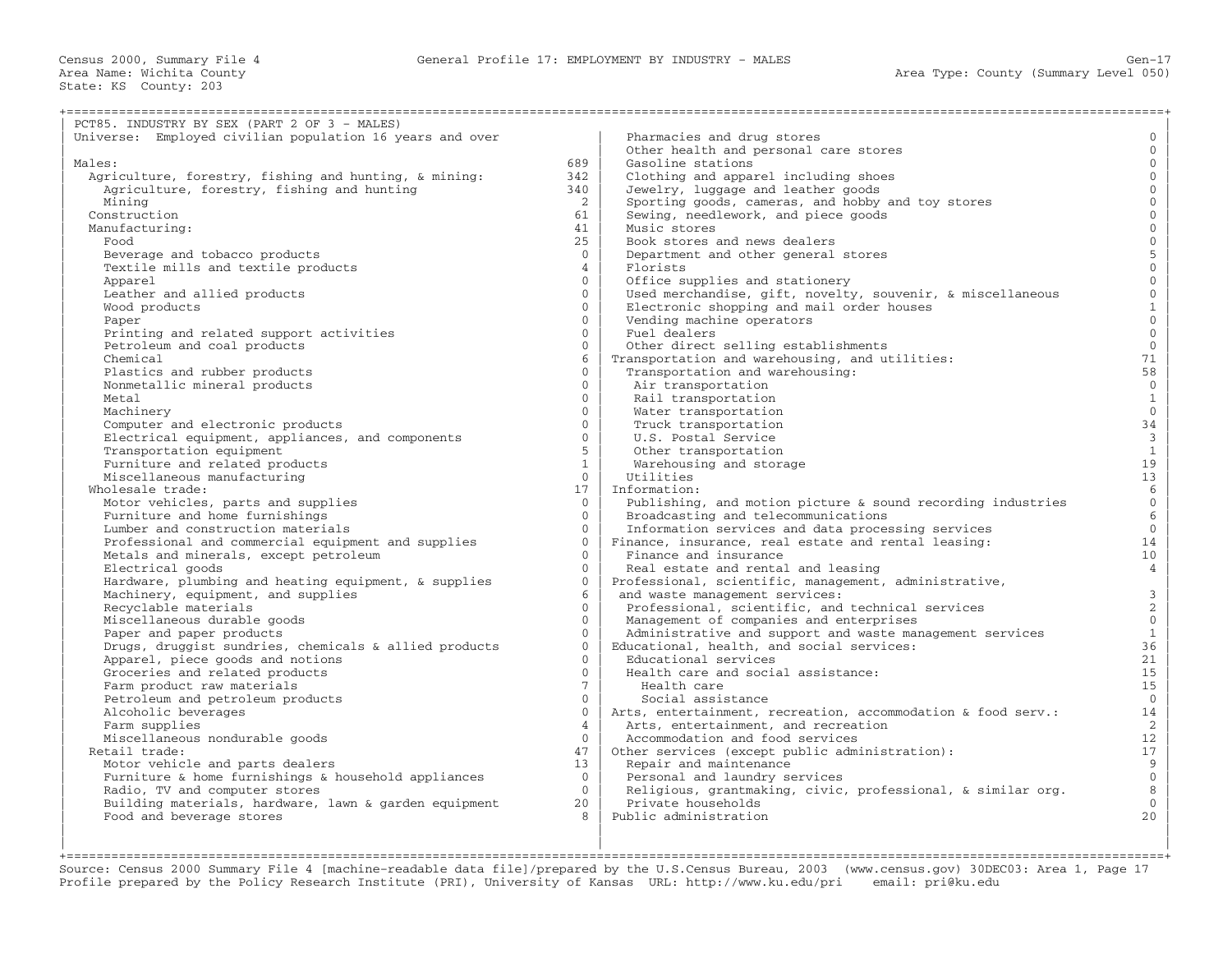| PCT85. INDUSTRY BY SEX (PART 2 OF 3 - MALES)             |                            |                                                              |                                       |
|----------------------------------------------------------|----------------------------|--------------------------------------------------------------|---------------------------------------|
| Universe: Employed civilian population 16 years and over |                            | Pharmacies and drug stores                                   | $\mathbf{0}$                          |
|                                                          |                            | Other health and personal care stores                        | $\Omega$                              |
| Males:                                                   | 689                        | Gasoline stations                                            | $\mathbf{0}$                          |
| Agriculture, forestry, fishing and hunting, & mining:    | 342                        | Clothing and apparel including shoes                         | $\mathbf{0}$                          |
| Agriculture, forestry, fishing and hunting               | 340                        | Jewelry, luggage and leather goods                           | $\mathbf{0}$                          |
| Mining                                                   | 2                          | Sporting goods, cameras, and hobby and toy stores            | $\mathbf{0}$                          |
| Construction                                             |                            | Sewing, needlework, and piece goods                          | $\mathbf 0$                           |
| Manufacturing:                                           | 61<br>41                   | Music stores                                                 | $\mathbf{0}$                          |
| Food                                                     | 25                         | Book stores and news dealers                                 | $\overline{0}$                        |
|                                                          | $\Omega$                   |                                                              |                                       |
| Beverage and tobacco products                            |                            | Department and other general stores                          | $\begin{array}{c} 5 \\ 0 \end{array}$ |
| Textile mills and textile products                       | $\overline{4}$<br>$\Omega$ | Florists                                                     |                                       |
| Apparel                                                  |                            | Office supplies and stationery                               | $\mathbf 0$                           |
| Leather and allied products                              | $\Omega$                   | Used merchandise, gift, novelty, souvenir, & miscellaneous   | $\mathsf{O}\xspace$                   |
| Wood products                                            | $\mathbf{0}$               | Electronic shopping and mail order houses                    | $\mathbf{1}$                          |
| Paper                                                    | $\Omega$                   | Vending machine operators                                    | $\mathbf{0}$                          |
| Printing and related support activities                  | $\Omega$                   | Fuel dealers                                                 | $\mathbf{0}$                          |
| Petroleum and coal products                              | $\Omega$                   | Other direct selling establishments                          | $\mathbf{0}$                          |
| Chemical                                                 | 6                          | Transportation and warehousing, and utilities:               | 71                                    |
| Plastics and rubber products                             | $\Omega$                   | Transportation and warehousing:                              | 58                                    |
| Nonmetallic mineral products                             | $\Omega$                   | Air transportation                                           | $\overline{0}$                        |
| Metal                                                    | $\Omega$                   | Rail transportation                                          | $\mathbf{1}$                          |
| Machinery                                                | $\Omega$                   | Water transportation                                         | $\overline{0}$                        |
| Computer and electronic products                         | $\Omega$                   | Truck transportation                                         | 34                                    |
| Electrical equipment, appliances, and components         | $\Omega$                   | U.S. Postal Service                                          | $\overline{3}$                        |
| Transportation equipment                                 | 5                          | Other transportation                                         | $\,1\,$                               |
| Furniture and related products                           | $\mathbf{1}$               | Warehousing and storage                                      | 19                                    |
| Miscellaneous manufacturing                              | $\overline{0}$             | Utilities                                                    | 13                                    |
| Wholesale trade:                                         | 17                         | Information:                                                 | $6\overline{6}$                       |
| Motor vehicles, parts and supplies                       | $\Omega$                   | Publishing, and motion picture & sound recording industries  | $\mathbf 0$                           |
| Furniture and home furnishings                           | $\Omega$                   | Broadcasting and telecommunications                          | 6                                     |
| Lumber and construction materials                        | $\Omega$                   | Information services and data processing services            | $\overline{0}$                        |
| Professional and commercial equipment and supplies       | $\Omega$                   | Finance, insurance, real estate and rental leasing:          | 14                                    |
| Metals and minerals, except petroleum                    | $\Omega$                   | Finance and insurance                                        | 10                                    |
| Electrical goods                                         | $\Omega$                   | Real estate and rental and leasing                           | $\overline{4}$                        |
| Hardware, plumbing and heating equipment, & supplies     | $\Omega$                   | Professional, scientific, management, administrative,        |                                       |
| Machinery, equipment, and supplies                       | 6                          | and waste management services:                               | $\mathbf{3}$                          |
| Recyclable materials                                     | $\Omega$                   | Professional, scientific, and technical services             | $\overline{c}$                        |
| Miscellaneous durable goods                              | $\Omega$                   | Management of companies and enterprises                      | $\mathbb O$                           |
| Paper and paper products                                 | $\Omega$                   | Administrative and support and waste management services     | $\mathbf{1}$                          |
| Drugs, druggist sundries, chemicals & allied products    | $\Omega$                   | Educational, health, and social services:                    | 36                                    |
| Apparel, piece goods and notions                         | $\Omega$                   | Educational services                                         | 21                                    |
| Groceries and related products                           | $\Omega$                   | Health care and social assistance:                           | 15                                    |
| Farm product raw materials                               | $7^{\circ}$                | Health care                                                  | 15                                    |
| Petroleum and petroleum products                         | $\Omega$                   | Social assistance                                            | $\mathbf{0}$                          |
| Alcoholic beverages                                      | $\mathbf{0}$               | Arts, entertainment, recreation, accommodation & food serv.: | 14                                    |
| Farm supplies                                            | $\overline{4}$             | Arts, entertainment, and recreation                          | 2                                     |
| Miscellaneous nondurable goods                           | $\Omega$                   | Accommodation and food services                              | 12 <sup>°</sup>                       |
| Retail trade:                                            | 47                         | Other services (except public administration):               | 17                                    |
| Motor vehicle and parts dealers                          | 13 <sup>1</sup>            | Repair and maintenance                                       | $\overline{9}$                        |
| Furniture & home furnishings & household appliances      | $\Omega$                   | Personal and laundry services                                | $\overline{0}$                        |
| Radio, TV and computer stores                            | $\Omega$                   | Religious, grantmaking, civic, professional, & similar org.  | 8                                     |
| Building materials, hardware, lawn & garden equipment    | 20                         | Private households                                           | $\overline{0}$                        |
| Food and beverage stores                                 | $\mathcal{R}$              | Public administration                                        | 20                                    |
|                                                          |                            |                                                              |                                       |
|                                                          |                            |                                                              |                                       |

+===================================================================================================================================================+ Source: Census 2000 Summary File 4 [machine−readable data file]/prepared by the U.S.Census Bureau, 2003 (www.census.gov) 30DEC03: Area 1, Page 17 Profile prepared by the Policy Research Institute (PRI), University of Kansas URL: http://www.ku.edu/pri email: pri@ku.edu

| | |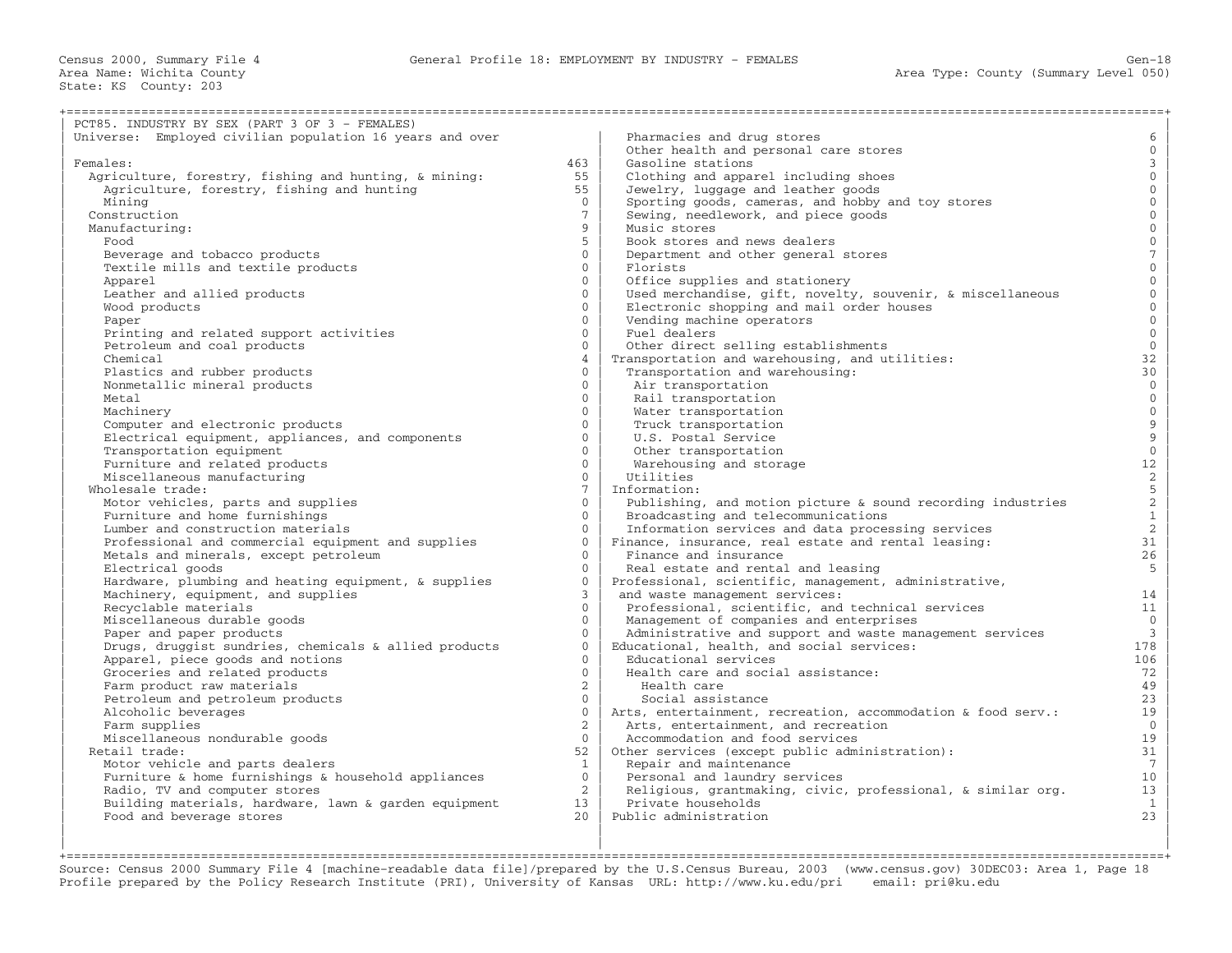| PCT85. INDUSTRY BY SEX (PART 3 OF 3 - FEMALES)                                             |                            |                                                                                                     |                                                 |
|--------------------------------------------------------------------------------------------|----------------------------|-----------------------------------------------------------------------------------------------------|-------------------------------------------------|
| Universe: Employed civilian population 16 years and over                                   |                            | Pharmacies and drug stores                                                                          | 6                                               |
|                                                                                            |                            | Other health and personal care stores                                                               | $\mathbf 0$                                     |
| Females:                                                                                   | 463                        | Gasoline stations                                                                                   | $\mathbf{3}$                                    |
| Agriculture, forestry, fishing and hunting, & mining:                                      | 55                         | Clothing and apparel including shoes                                                                | $\mathbf{0}$                                    |
| Agriculture, forestry, fishing and hunting                                                 | 55                         | Jewelry, luggage and leather goods                                                                  | $\mathbf{0}$                                    |
| Mining                                                                                     | $\overline{0}$             | Sporting goods, cameras, and hobby and toy stores                                                   | $\overline{0}$                                  |
| Construction                                                                               | $7\phantom{.0}$            | Sewing, needlework, and piece goods                                                                 | $\overline{0}$                                  |
| Manufacturing:                                                                             | 9                          | Music stores                                                                                        | $\overline{0}$                                  |
| Food                                                                                       | 5                          | Book stores and news dealers                                                                        | $\mathsf{O}\xspace$                             |
| Beverage and tobacco products                                                              | $\Omega$                   | Department and other general stores                                                                 | $\overline{7}$                                  |
| Textile mills and textile products                                                         | $\Omega$                   | Florists                                                                                            | $\mathbf 0$                                     |
| Apparel                                                                                    | $\Omega$                   | Office supplies and stationery                                                                      | $\overline{0}$                                  |
| Leather and allied products                                                                | $\Omega$                   | Used merchandise, gift, novelty, souvenir, & miscellaneous                                          | $\mathbf 0$                                     |
| Wood products                                                                              | $\Omega$                   | Electronic shopping and mail order houses                                                           | $\mathbf{0}$                                    |
| Paper                                                                                      | $\Omega$                   | Vending machine operators                                                                           | $\overline{0}$                                  |
| Printing and related support activities                                                    | $\Omega$                   | Fuel dealers                                                                                        | $\mathbf{0}$                                    |
| Petroleum and coal products                                                                | $\Omega$                   | Other direct selling establishments                                                                 | $\mathbb O$                                     |
| Chemical                                                                                   | $\overline{4}$             | Transportation and warehousing, and utilities:                                                      | 32                                              |
| Plastics and rubber products                                                               | $\Omega$                   | Transportation and warehousing:                                                                     | 30                                              |
| Nonmetallic mineral products                                                               | $\Omega$                   | Air transportation                                                                                  | $\overline{0}$                                  |
| Metal                                                                                      | $\Omega$                   | Rail transportation                                                                                 | $\overline{0}$                                  |
| Machinery                                                                                  | $\Omega$                   | Water transportation                                                                                | $\mathsf{O}\xspace$                             |
| Computer and electronic products                                                           | $\Omega$                   | Truck transportation                                                                                |                                                 |
| Electrical equipment, appliances, and components                                           | $\Omega$                   | U.S. Postal Service                                                                                 | $\frac{9}{9}$                                   |
| Transportation equipment                                                                   | $\Omega$                   | Other transportation                                                                                | $\,0\,$                                         |
| Furniture and related products                                                             | $\Omega$                   | Warehousing and storage                                                                             | $12\,$                                          |
| Miscellaneous manufacturing                                                                | $\Omega$                   | Utilities                                                                                           |                                                 |
| Wholesale trade:                                                                           | $7\overline{ }$            | Information:                                                                                        | $\begin{array}{c} 2 \\ 5 \\ 2 \\ 1 \end{array}$ |
| Motor vehicles, parts and supplies                                                         | $\Omega$                   | Publishing, and motion picture $\&$ sound recording industries                                      |                                                 |
| Furniture and home furnishings                                                             | $\Omega$                   | Broadcasting and telecommunications                                                                 |                                                 |
| Lumber and construction materials                                                          | $\Omega$                   | Information services and data processing services                                                   | $\overline{c}$                                  |
| Professional and commercial equipment and supplies                                         | $\Omega$                   | Finance, insurance, real estate and rental leasing:                                                 | 31                                              |
| Metals and minerals, except petroleum                                                      | $\Omega$                   | Finance and insurance                                                                               | 26                                              |
| Electrical goods                                                                           | $\Omega$                   | Real estate and rental and leasing                                                                  | 5 <sup>5</sup>                                  |
|                                                                                            | $\Omega$                   | Professional, scientific, management, administrative,                                               |                                                 |
| Hardware, plumbing and heating equipment, & supplies<br>Machinery, equipment, and supplies | 3                          | and waste management services:                                                                      | 14                                              |
| Recyclable materials                                                                       | $\Omega$                   |                                                                                                     | 11                                              |
|                                                                                            | $\Omega$                   | Professional, scientific, and technical services                                                    | $\mathbb O$                                     |
| Miscellaneous durable goods                                                                | $\Omega$                   | Management of companies and enterprises<br>Administrative and support and waste management services | $\overline{3}$                                  |
| Paper and paper products                                                                   | $\Omega$                   | Educational, health, and social services:                                                           | 178                                             |
| Drugs, druggist sundries, chemicals & allied products                                      | $\Omega$                   | Educational services                                                                                | 106                                             |
| Apparel, piece goods and notions                                                           | $\Omega$                   |                                                                                                     |                                                 |
| Groceries and related products                                                             |                            | Health care and social assistance:                                                                  | 72                                              |
| Farm product raw materials                                                                 | $\overline{2}$<br>$\Omega$ | Health care                                                                                         | 49<br>23                                        |
| Petroleum and petroleum products                                                           | $\Omega$                   | Social assistance                                                                                   |                                                 |
| Alcoholic beverages                                                                        | $\overline{2}$             | Arts, entertainment, recreation, accommodation & food serv.:                                        | 19<br>$\overline{0}$                            |
| Farm supplies                                                                              | $\Omega$                   | Arts, entertainment, and recreation                                                                 |                                                 |
| Miscellaneous nondurable goods                                                             |                            | Accommodation and food services                                                                     | 19                                              |
| Retail trade:                                                                              | 52                         | Other services (except public administration):                                                      | 31                                              |
| Motor vehicle and parts dealers                                                            | $\mathbf{1}$               | Repair and maintenance                                                                              | $7\phantom{.0}$                                 |
| Furniture & home furnishings & household appliances                                        | $\Omega$                   | Personal and laundry services                                                                       | 10 <sup>°</sup>                                 |
| Radio, TV and computer stores                                                              | $\overline{2}$             | Religious, grantmaking, civic, professional, & similar org.                                         | 13                                              |
| Building materials, hardware, lawn & garden equipment                                      | 13                         | Private households                                                                                  | $\mathbf{1}$                                    |
| Food and beverage stores                                                                   | 2.0                        | Public administration                                                                               | 23                                              |
|                                                                                            |                            |                                                                                                     |                                                 |
|                                                                                            |                            |                                                                                                     |                                                 |

+===================================================================================================================================================+ Source: Census 2000 Summary File 4 [machine−readable data file]/prepared by the U.S.Census Bureau, 2003 (www.census.gov) 30DEC03: Area 1, Page 18 Profile prepared by the Policy Research Institute (PRI), University of Kansas URL: http://www.ku.edu/pri email: pri@ku.edu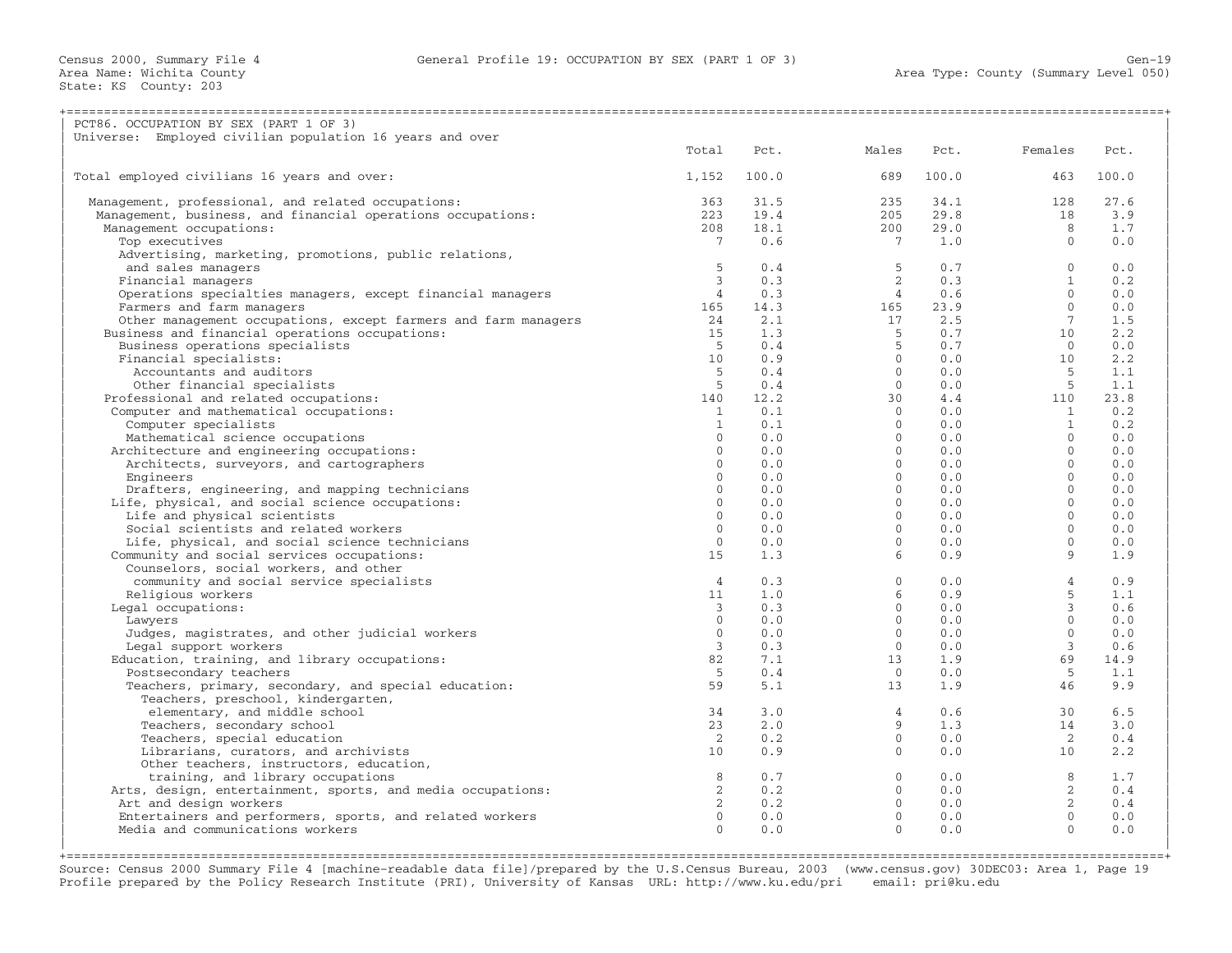| PCT86. OCCUPATION BY SEX (PART 1 OF 3)                         |                 |       |                 |       |                |       |
|----------------------------------------------------------------|-----------------|-------|-----------------|-------|----------------|-------|
| Universe: Employed civilian population 16 years and over       | Total           | Pct.  | Males           | Pct.  | Females        | Pct.  |
|                                                                |                 |       |                 |       |                |       |
| Total employed civilians 16 years and over:                    | 1,152           | 100.0 | 689             | 100.0 | 463            | 100.0 |
| Management, professional, and related occupations:             | 363             | 31.5  | 235             | 34.1  | 128            | 27.6  |
| Management, business, and financial operations occupations:    | 223             | 19.4  | 205             | 29.8  | 18             | 3.9   |
| Management occupations:                                        | 208             | 18.1  | 200             | 29.0  | 8              | 1.7   |
| Top executives                                                 | $7^{\circ}$     | 0.6   | $7\phantom{.0}$ | 1.0   | $\Omega$       | 0.0   |
| Advertising, marketing, promotions, public relations,          |                 |       |                 |       |                |       |
| and sales managers                                             | 5               | 0.4   | 5               | 0.7   | $\mathbf{0}$   | 0.0   |
| Financial managers                                             | $\mathbf{3}$    | 0.3   | $\overline{2}$  | 0.3   | $\mathbf{1}$   | 0.2   |
| Operations specialties managers, except financial managers     | $\overline{4}$  | 0.3   | $\overline{4}$  | 0.6   | $\Omega$       | 0.0   |
| Farmers and farm managers                                      | 165             | 14.3  | 165             | 23.9  | $\Omega$       | 0.0   |
| Other management occupations, except farmers and farm managers | 24              | 2.1   | 17              | 2.5   | $7^{\circ}$    | 1.5   |
| Business and financial operations occupations:                 | 15              | 1.3   | -5              | 0.7   | 10             | 2.2   |
| Business operations specialists                                | -5              | 0.4   | 5               | 0.7   | $\Omega$       | 0.0   |
| Financial specialists:                                         | 10 <sup>1</sup> | 0.9   | $\Omega$        | 0.0   | 10             | 2.2   |
| Accountants and auditors                                       | .5              | 0.4   | $\Omega$        | 0.0   | .5             | 1.1   |
| Other financial specialists                                    | 5               | 0.4   | $\circ$         | 0.0   | $-5$           | 1.1   |
| Professional and related occupations:                          | 140             | 12.2  | 30              | 4.4   | 110            | 23.8  |
| Computer and mathematical occupations:                         | 1               | 0.1   | $\Omega$        | 0.0   | 1              | 0.2   |
| Computer specialists                                           | $\mathbf{1}$    | 0.1   | $\Omega$        | 0.0   | $\overline{1}$ | 0.2   |
| Mathematical science occupations                               | $\Omega$        | 0.0   | $\Omega$        | 0.0   | $\Omega$       | 0.0   |
| Architecture and engineering occupations:                      | $\Omega$        | 0.0   | $\Omega$        | 0.0   | $\Omega$       | 0.0   |
| Architects, surveyors, and cartographers                       | $\Omega$        | 0.0   | $\circ$         | 0.0   | $\Omega$       | 0.0   |
| Engineers                                                      | $\Omega$        | 0.0   | $\Omega$        | 0.0   | $\Omega$       | 0.0   |
| Drafters, engineering, and mapping technicians                 | $\Omega$        | 0.0   | $\Omega$        | 0.0   | $\Omega$       | 0.0   |
| Life, physical, and social science occupations:                | $\mathbf{0}$    | 0.0   | $\circ$         | 0.0   | $\mathbf{0}$   | 0.0   |
| Life and physical scientists                                   | $\Omega$        | 0.0   | $\Omega$        | 0.0   | $\Omega$       | 0.0   |
| Social scientists and related workers                          | $\Omega$        | 0.0   | $\Omega$        | 0.0   | $\Omega$       | 0.0   |
| Life, physical, and social science technicians                 | $\Omega$        | 0.0   | $\Omega$        | 0.0   | $\Omega$       | 0.0   |
| Community and social services occupations:                     | 15              | 1.3   | 6               | 0.9   | 9              | 1.9   |
| Counselors, social workers, and other                          |                 |       |                 |       |                |       |
| community and social service specialists                       | $\overline{4}$  | 0.3   | $\mathbf{0}$    | 0.0   | $\overline{4}$ | 0.9   |
| Religious workers                                              | 11              | 1.0   | 6               | 0.9   | 5              | 1.1   |
| Legal occupations:                                             | 3               | 0.3   | $\Omega$        | 0.0   | 3              | 0.6   |
| Lawyers                                                        | $\Omega$        | 0.0   | $\Omega$        | 0.0   | $\Omega$       | 0.0   |
| Judges, magistrates, and other judicial workers                | $\Omega$        | 0.0   | $\circ$         | 0.0   | $\Omega$       | 0.0   |
|                                                                | $\mathbf{3}$    | 0.3   | $\Omega$        | 0.0   | $\mathbf{3}$   | 0.6   |
| Legal support workers                                          | 82              | 7.1   | 13              | 1.9   | 69             | 14.9  |
| Education, training, and library occupations:                  |                 |       |                 |       |                |       |
| Postsecondary teachers                                         | 5               | 0.4   | $\Omega$        | 0.0   | -5             | 1.1   |
| Teachers, primary, secondary, and special education:           | 59              | 5.1   | 13              | 1.9   | 46             | 9.9   |
| Teachers, preschool, kindergarten,                             |                 |       |                 |       |                |       |
| elementary, and middle school                                  | 34              | 3.0   | $\overline{4}$  | 0.6   | 30             | 6.5   |
| Teachers, secondary school                                     | 23              | 2.0   | 9               | 1.3   | 14             | 3.0   |
| Teachers, special education                                    | $\overline{2}$  | 0.2   | $\Omega$        | 0.0   | $\overline{2}$ | 0.4   |
| Librarians, curators, and archivists                           | 10 <sup>°</sup> | 0.9   | $\Omega$        | 0.0   | 10             | 2.2   |
| Other teachers, instructors, education,                        |                 |       |                 |       |                |       |
| training, and library occupations                              | 8               | 0.7   | $\Omega$        | 0.0   | 8              | 1.7   |
| Arts, design, entertainment, sports, and media occupations:    | $\overline{2}$  | 0.2   | $\Omega$        | 0.0   | $2^{1}$        | 0.4   |
| Art and design workers                                         | $\mathbf{2}$    | 0.2   | $\Omega$        | 0.0   | $\overline{2}$ | 0.4   |
| Entertainers and performers, sports, and related workers       | $\Omega$        | 0.0   | $\Omega$        | 0.0   | $\mathbf{0}$   | 0.0   |
| Media and communications workers                               | $\Omega$        | 0.0   | $\Omega$        | 0.0   | $\Omega$       | 0.0   |
|                                                                |                 |       |                 |       |                |       |

+===================================================================================================================================================+ Source: Census 2000 Summary File 4 [machine−readable data file]/prepared by the U.S.Census Bureau, 2003 (www.census.gov) 30DEC03: Area 1, Page 19 Profile prepared by the Policy Research Institute (PRI), University of Kansas URL: http://www.ku.edu/pri email: pri@ku.edu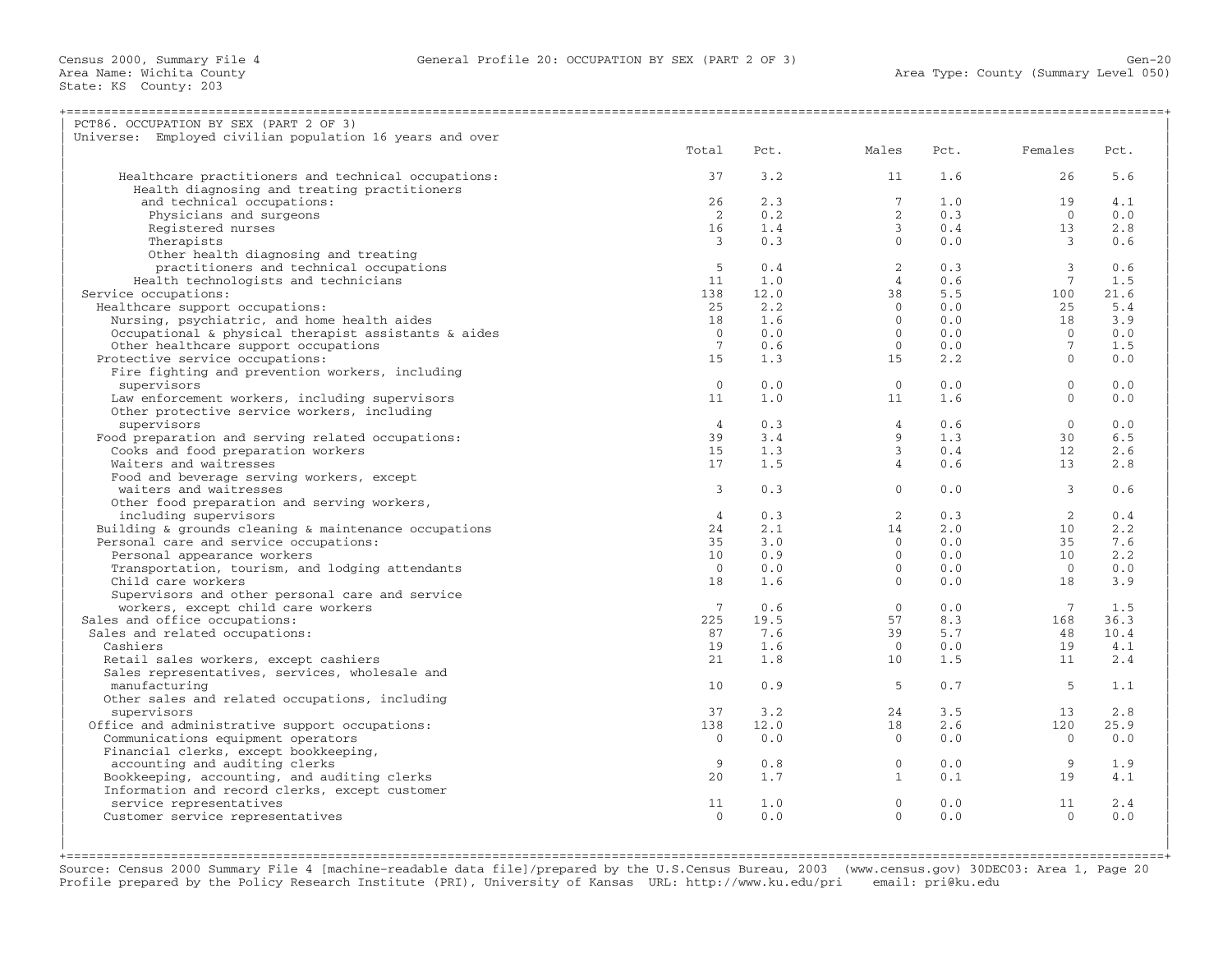| PCT86. OCCUPATION BY SEX (PART 2 OF 3)                      |                 |      |                 |      |                         |             |
|-------------------------------------------------------------|-----------------|------|-----------------|------|-------------------------|-------------|
| Universe: Employed civilian population 16 years and over    |                 |      |                 |      |                         |             |
|                                                             | Total           | Pct. | Males           | Pct. | Females                 | Pct.        |
|                                                             | 37              | 3.2  | 11              | 1.6  | 26                      | 5.6         |
| Healthcare practitioners and technical occupations:         |                 |      |                 |      |                         |             |
| Health diagnosing and treating practitioners                | 26              | 2.3  |                 | 1.0  |                         |             |
| and technical occupations:                                  |                 |      | $7\overline{ }$ |      | 19                      | 4.1         |
| Physicians and surgeons                                     | $\overline{2}$  | 0.2  | $\overline{2}$  | 0.3  | $\Omega$                | 0.0         |
| Registered nurses                                           | 16              | 1.4  | $\mathbf{3}$    | 0.4  | 13 <sup>°</sup>         | 2.8         |
| Therapists                                                  | $\overline{3}$  | 0.3  | $\Omega$        | 0.0  | $\overline{\mathbf{3}}$ | 0.6         |
| Other health diagnosing and treating                        |                 |      |                 |      |                         |             |
| practitioners and technical occupations                     | 5               | 0.4  | 2               | 0.3  | $\mathbf{3}$            | 0.6         |
| Health technologists and technicians                        | 11              | 1.0  | $\overline{4}$  | 0.6  | $7\phantom{.0}$         | 1.5         |
| Service occupations:                                        | 138             | 12.0 | 38              | 5.5  | 100                     | 21.6        |
| Healthcare support occupations:                             | 25              | 2.2  | $\Omega$        | 0.0  | 25                      | 5.4         |
| Nursing, psychiatric, and home health aides                 | 18              | 1.6  | $\Omega$        | 0.0  | 18                      | 3.9         |
| Occupational & physical therapist assistants & aides        | $\circ$         | 0.0  | $\Omega$        | 0.0  | $\bigcirc$              | 0.0         |
| Other healthcare support occupations                        | $7^{\circ}$     | 0.6  | $\overline{0}$  | 0.0  | $7\overline{ }$         | 1.5         |
| Protective service occupations:                             | 15              | 1.3  | 15              | 2.2  | $\Omega$                | 0.0         |
| Fire fighting and prevention workers, including             |                 |      |                 |      |                         |             |
| supervisors                                                 | $\Omega$        | 0.0  | $\overline{0}$  | 0.0  | $\Omega$                | 0.0         |
| Law enforcement workers, including supervisors              | 11              | 1.0  | 11              | 1.6  | $\Omega$                | 0.0         |
| Other protective service workers, including                 |                 |      |                 |      |                         |             |
| supervisors                                                 | $\overline{4}$  | 0.3  | $\overline{4}$  | 0.6  | $\Omega$                | 0.0         |
| Food preparation and serving related occupations:           | 39              | 3.4  | 9               | 1.3  | 30                      | 6.5         |
| Cooks and food preparation workers                          | 15              | 1.3  | $\mathcal{E}$   | 0.4  | 12                      | 2.6         |
| Waiters and waitresses                                      | 17              | 1.5  | $\overline{4}$  | 0.6  | 13                      | 2.8         |
| Food and beverage serving workers, except                   |                 |      |                 |      |                         |             |
| waiters and waitresses                                      | $\mathbf{3}$    | 0.3  | $\mathbf{0}$    | 0.0  | $\mathbf{3}$            | 0.6         |
| Other food preparation and serving workers,                 |                 |      |                 |      |                         |             |
| including supervisors                                       | $\overline{4}$  | 0.3  | $2^{\circ}$     | 0.3  | $\overline{2}$          | 0.4         |
| Building $\&$ grounds cleaning $\&$ maintenance occupations | 24              | 2.1  | 14              | 2.0  | 10                      | 2.2         |
| Personal care and service occupations:                      | 35              | 3.0  | $\Omega$        | 0.0  | 35                      | 7.6         |
| Personal appearance workers                                 | 10              | 0.9  | $\Omega$        | 0.0  | 10                      | 2.2         |
|                                                             | $\Omega$        | 0.0  | $\Omega$        | 0.0  | $\bigcirc$              | 0.0         |
| Transportation, tourism, and lodging attendants             |                 |      | $\Omega$        |      |                         |             |
| Child care workers                                          | 18              | 1.6  |                 | 0.0  | 18                      | 3.9         |
| Supervisors and other personal care and service             |                 |      |                 |      |                         |             |
| workers, except child care workers                          | $7\phantom{.0}$ | 0.6  | $\Omega$        | 0.0  | $7\phantom{.0}$         | 1.5         |
| Sales and office occupations:                               | 225             | 19.5 | 57              | 8.3  | 168                     | 36.3        |
| Sales and related occupations:                              | 87              | 7.6  | 39              | 5.7  | 48                      | 10.4        |
| Cashiers                                                    | 19              | 1.6  | $\overline{0}$  | 0.0  | 19                      | 4.1         |
| Retail sales workers, except cashiers                       | 21              | 1.8  | 10              | 1.5  | 11                      | $2 \cdot 4$ |
| Sales representatives, services, wholesale and              |                 |      |                 |      |                         |             |
| manufacturing                                               | 10              | 0.9  | 5               | 0.7  | 5                       | 1.1         |
| Other sales and related occupations, including              |                 |      |                 |      |                         |             |
| supervisors                                                 | 37              | 3.2  | 24              | 3.5  | 13                      | 2.8         |
| Office and administrative support occupations:              | 138             | 12.0 | 18              | 2.6  | 120                     | 25.9        |
| Communications equipment operators                          | $\mathbf{0}$    | 0.0  | $\Omega$        | 0.0  | $\Omega$                | 0.0         |
| Financial clerks, except bookkeeping,                       |                 |      |                 |      |                         |             |
| accounting and auditing clerks                              | 9               | 0.8  | $\overline{0}$  | 0.0  | 9                       | 1.9         |
| Bookkeeping, accounting, and auditing clerks                | 20              | 1.7  | $\mathbf{1}$    | 0.1  | 19                      | 4.1         |
| Information and record clerks, except customer              |                 |      |                 |      |                         |             |
| service representatives                                     | 11              | 1.0  | $\mathbf{0}$    | 0.0  | 11                      | 2.4         |
| Customer service representatives                            | $\mathbf{0}$    | 0.0  | $\Omega$        | 0.0  | $\overline{0}$          | 0.0         |
|                                                             |                 |      |                 |      |                         |             |
|                                                             |                 |      |                 |      |                         |             |

+===================================================================================================================================================+ Source: Census 2000 Summary File 4 [machine−readable data file]/prepared by the U.S.Census Bureau, 2003 (www.census.gov) 30DEC03: Area 1, Page 20 Profile prepared by the Policy Research Institute (PRI), University of Kansas URL: http://www.ku.edu/pri email: pri@ku.edu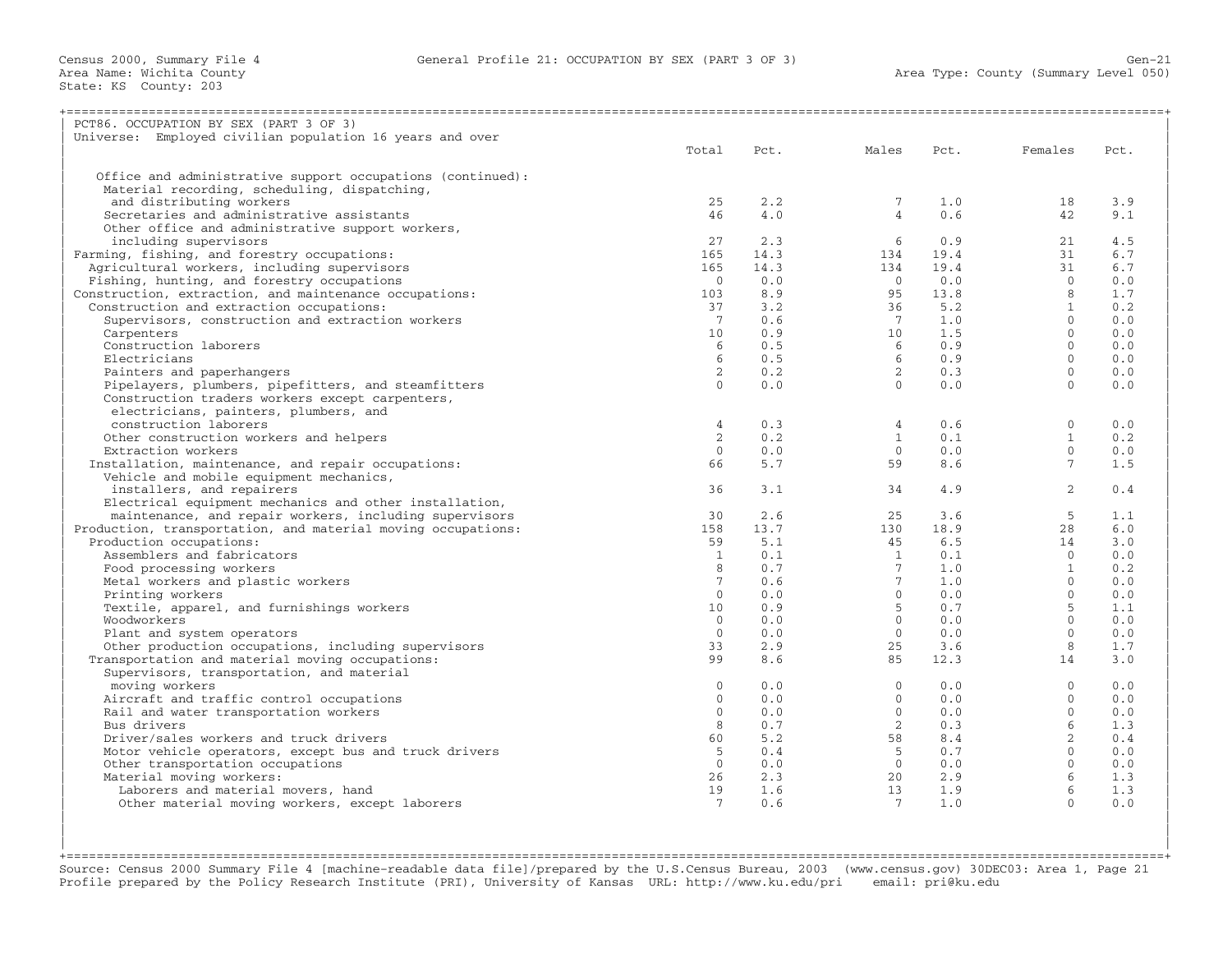| PCT86. OCCUPATION BY SEX (PART 3 OF 3)                       |                 |      |                 |      |                  |      |
|--------------------------------------------------------------|-----------------|------|-----------------|------|------------------|------|
| Universe: Employed civilian population 16 years and over     |                 |      |                 |      |                  |      |
|                                                              | Total           | Pct. | Males           | Pct. | Females          | Pct. |
|                                                              |                 |      |                 |      |                  |      |
| Office and administrative support occupations (continued):   |                 |      |                 |      |                  |      |
| Material recording, scheduling, dispatching,                 |                 |      |                 |      |                  |      |
| and distributing workers                                     | 25              | 2.2  | $7^{\circ}$     | 1.0  | 18               | 3.9  |
| Secretaries and administrative assistants                    | 46              | 4.0  | $\overline{4}$  | 0.6  | 42               | 9.1  |
| Other office and administrative support workers,             |                 |      |                 |      |                  |      |
| including supervisors                                        | 27              | 2.3  | 6               | 0.9  | 21               | 4.5  |
| Farming, fishing, and forestry occupations:                  | 165             | 14.3 | 134             | 19.4 | 31               | 6.7  |
| Agricultural workers, including supervisors                  | 165             | 14.3 | 134             | 19.4 | 31               | 6.7  |
| Fishing, hunting, and forestry occupations                   | $\overline{0}$  | 0.0  | $\bigcirc$      | 0.0  | $\Omega$         | 0.0  |
| Construction, extraction, and maintenance occupations:       | 103             | 8.9  | 95              | 13.8 | 8                | 1.7  |
| Construction and extraction occupations:                     | 37              | 3.2  | 36              | 5.2  | $\mathbf{1}$     | 0.2  |
| Supervisors, construction and extraction workers             | $\overline{7}$  | 0.6  | $7\phantom{.0}$ | 1.0  | $\Omega$         | 0.0  |
| Carpenters                                                   | 10 <sup>°</sup> | 0.9  | 10              | 1.5  | $\mathbf{0}$     | 0.0  |
| Construction laborers                                        | 6               | 0.5  | 6               | 0.9  | $\Omega$         | 0.0  |
| Electricians                                                 | 6               | 0.5  | 6               | 0.9  | $\Omega$         | 0.0  |
|                                                              | 2               | 0.2  | $\overline{2}$  | 0.3  | $\Omega$         | 0.0  |
| Painters and paperhangers                                    | $\bigcap$       |      | $\Omega$        |      | $\Omega$         | 0.0  |
| Pipelayers, plumbers, pipefitters, and steamfitters          |                 | 0.0  |                 | 0.0  |                  |      |
| Construction traders workers except carpenters,              |                 |      |                 |      |                  |      |
| electricians, painters, plumbers, and                        |                 |      |                 |      |                  |      |
| construction laborers                                        | $\overline{4}$  | 0.3  | $\overline{4}$  | 0.6  | $\mathbf{0}$     | 0.0  |
| Other construction workers and helpers                       | $\overline{2}$  | 0.2  | $\mathbf{1}$    | 0.1  | $\mathbf{1}$     | 0.2  |
| Extraction workers                                           | $\Omega$        | 0.0  | $\Omega$        | 0.0  | $\Omega$         | 0.0  |
| Installation, maintenance, and repair occupations:           | 66              | 5.7  | 59              | 8.6  | $7^{\circ}$      | 1.5  |
| Vehicle and mobile equipment mechanics,                      |                 |      |                 |      |                  |      |
| installers, and repairers                                    | 36              | 3.1  | 34              | 4.9  | $\overline{2}$   | 0.4  |
| Electrical equipment mechanics and other installation,       |                 |      |                 |      |                  |      |
| maintenance, and repair workers, including supervisors       | 30              | 2.6  | 2.5             | 3.6  | $5^{\circ}$      | 1.1  |
| Production, transportation, and material moving occupations: | 158             | 13.7 | 130             | 18.9 | 28               | 6.0  |
| Production occupations:                                      | 59              | 5.1  | 45              | 6.5  | 14               | 3.0  |
| Assemblers and fabricators                                   | $\mathbf{1}$    | 0.1  | $\overline{1}$  | 0.1  | $\Omega$         | 0.0  |
| Food processing workers                                      | 8               | 0.7  | $7^{\circ}$     | 1.0  | $\mathbf{1}$     | 0.2  |
| Metal workers and plastic workers                            | $7^{\circ}$     | 0.6  | $7^{\circ}$     | 1.0  | $\Omega$         | 0.0  |
| Printing workers                                             | $\Omega$        | 0.0  | $\Omega$        | 0.0  | $\Omega$         | 0.0  |
| Textile, apparel, and furnishings workers                    | 10              | 0.9  | 5 <sup>1</sup>  | 0.7  | $5^{\circ}$      | 1.1  |
| Woodworkers                                                  | $\Omega$        | 0.0  | $\Omega$        | 0.0  | $\Omega$         | 0.0  |
| Plant and system operators                                   | $\overline{0}$  | 0.0  | $\overline{0}$  | 0.0  | $\Omega$         | 0.0  |
| Other production occupations, including supervisors          | 33              | 2.9  | 2.5             | 3.6  | 8                | 1.7  |
| Transportation and material moving occupations:              | 99              | 8.6  | 85              | 12.3 | 14               | 3.0  |
| Supervisors, transportation, and material                    |                 |      |                 |      |                  |      |
| moving workers                                               | $\Omega$        | 0.0  | $\Omega$        | 0.0  | $\Omega$         | 0.0  |
| Aircraft and traffic control occupations                     | $\Omega$        | 0.0  | $\Omega$        | 0.0  | $\Omega$         | 0.0  |
| Rail and water transportation workers                        | $\Omega$        | 0.0  | $\Omega$        | 0.0  | $\Omega$         | 0.0  |
| Bus drivers                                                  | 8               | 0.7  | $\overline{a}$  | 0.3  | $6 \overline{6}$ | 1.3  |
| Driver/sales workers and truck drivers                       | 60              | 5.2  | 58              | 8.4  | 2                | 0.4  |
| Motor vehicle operators, except bus and truck drivers        | 5               | 0.4  | 5               | 0.7  | $\Omega$         | 0.0  |
| Other transportation occupations                             | $\Omega$        | 0.0  | $\Omega$        | 0.0  | $\Omega$         | 0.0  |
| Material moving workers:                                     | 26              | 2.3  | 20              | 2.9  | 6                | 1.3  |
| Laborers and material movers, hand                           | 19              | 1.6  | 13              | 1.9  | 6                | 1.3  |
| Other material moving workers, except laborers               | $7\phantom{.0}$ | 0.6  | $7\overline{ }$ | 1.0  | $\cap$           | 0.0  |
|                                                              |                 |      |                 |      |                  |      |
|                                                              |                 |      |                 |      |                  |      |

+===================================================================================================================================================+ Source: Census 2000 Summary File 4 [machine−readable data file]/prepared by the U.S.Census Bureau, 2003 (www.census.gov) 30DEC03: Area 1, Page 21 Profile prepared by the Policy Research Institute (PRI), University of Kansas URL: http://www.ku.edu/pri email: pri@ku.edu

| |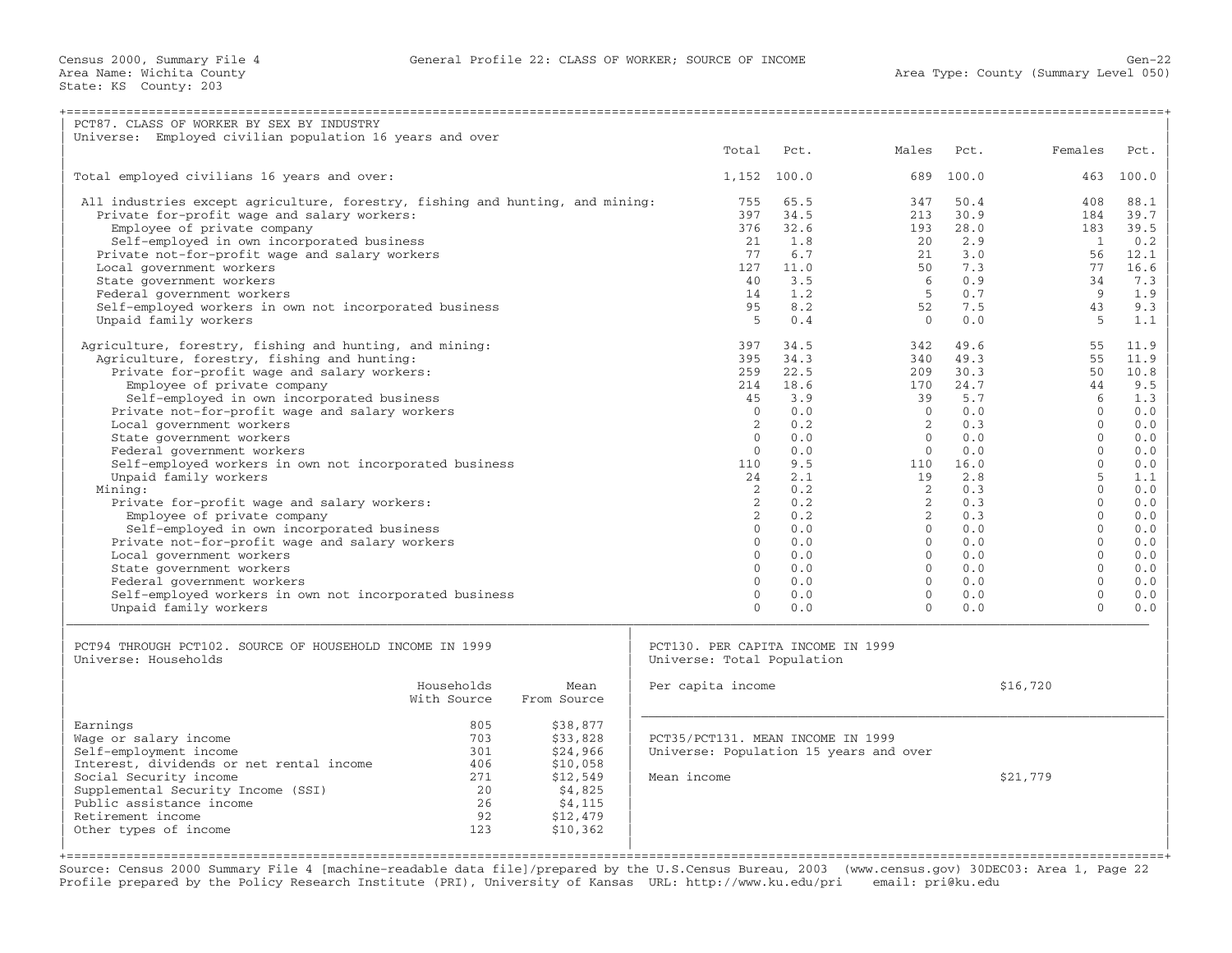| PCT87. CLASS OF WORKER BY SEX BY INDUSTRY                                     |             |                                        |               |                            |            |                      |            |
|-------------------------------------------------------------------------------|-------------|----------------------------------------|---------------|----------------------------|------------|----------------------|------------|
| Universe: Employed civilian population 16 years and over                      |             |                                        |               |                            |            |                      |            |
|                                                                               |             | Total                                  | Pct.          | Males                      | Pct.       | Females              | Pct.       |
| Total employed civilians 16 years and over:                                   |             |                                        | $1,152$ 100.0 | 689                        | 100.0      | 463                  | 100.0      |
| All industries except agriculture, forestry, fishing and hunting, and mining: |             | 755                                    | 65.5          | 347                        | 50.4       | 408                  | 88.1       |
| Private for-profit wage and salary workers:                                   |             | 397                                    | 34.5          | 213                        | 30.9       | 184                  | 39.7       |
| Employee of private company                                                   |             | 376                                    | 32.6          | 193                        | 28.0       | 183                  | 39.5       |
| Self-employed in own incorporated business                                    |             | 21                                     | 1.8           | 20                         | 2.9        | $\overline{1}$       | 0.2        |
| Private not-for-profit wage and salary workers                                |             | 77                                     | 6.7           | 2.1                        | 3.0        | 56                   | 12.1       |
| Local government workers                                                      |             | 127                                    | 11.0          | 50                         | 7.3        | 77                   | 16.6       |
| State government workers                                                      |             | 40                                     | 3.5           | 6                          | 0.9        | 34                   | 7.3        |
| Federal government workers                                                    |             | 14                                     | 1.2           | -5                         | 0.7        | $\overline{9}$       | 1.9        |
| Self-employed workers in own not incorporated business                        |             | 95                                     | 8.2           | 52                         | 7.5        | 43                   | 9.3        |
| Unpaid family workers                                                         |             | $5^{\circ}$                            | 0.4           | $\Omega$                   | 0.0        | -5                   | 1.1        |
| Agriculture, forestry, fishing and hunting, and mining:                       |             | 397                                    | 34.5          | 342                        | 49.6       | 55                   | 11.9       |
| Agriculture, forestry, fishing and hunting:                                   |             | 395                                    | 34.3          | 340                        | 49.3       | 55                   | 11.9       |
| Private for-profit wage and salary workers:                                   |             | 259                                    | 22.5          | 209                        | 30.3       | 50                   | 10.8       |
| Employee of private company                                                   |             | 214                                    | 18.6          | 170                        | 24.7       | 44                   | 9.5        |
| Self-employed in own incorporated business                                    |             | 45                                     | 3.9           | 39                         | 5.7        | 6                    | 1.3        |
| Private not-for-profit wage and salary workers                                |             | $\Omega$                               | 0.0           | $\Omega$                   | 0.0        | $\Omega$             | 0.0        |
| Local government workers                                                      |             | $2^{1}$                                | 0.2           | $2^{1}$                    | 0.3        | $\Omega$             | 0.0        |
| State government workers                                                      |             | $\Omega$                               | 0.0           | $\Omega$                   | 0.0        | $\Omega$             | 0.0        |
| Federal government workers                                                    |             | $\Omega$                               | 0.0           | $\Omega$                   | 0.0        | $\Omega$             | 0.0        |
| Self-employed workers in own not incorporated business                        |             | 110                                    | 9.5           | 110                        | 16.0       | $\Omega$             | 0.0        |
| Unpaid family workers                                                         |             | 24                                     | 2.1           | 19                         | 2.8        | 5                    | 1.1        |
| Mining:                                                                       |             | $2^{1}$                                | 0.2           | $\overline{2}$             | 0.3        | $\Omega$             | 0.0        |
| Private for-profit wage and salary workers:                                   |             | $\overline{2}$                         | 0.2           | $2^{\circ}$                | 0.3        | $\Omega$<br>$\Omega$ | 0.0        |
| Employee of private company<br>Self-employed in own incorporated business     |             | 2<br>$\Omega$                          | 0.2<br>0.0    | $\overline{2}$<br>$\Omega$ | 0.3<br>0.0 | $\Omega$             | 0.0        |
| Private not-for-profit wage and salary workers                                |             | $\Omega$                               | 0.0           | $\Omega$                   | 0.0        | $\Omega$             | 0.0<br>0.0 |
| Local government workers                                                      |             | $\Omega$                               | 0.0           | $\Omega$                   | 0.0        | $\Omega$             | 0.0        |
| State government workers                                                      |             | $\Omega$                               | 0.0           | $\Omega$                   | 0.0        | $\Omega$             | 0.0        |
| Federal government workers                                                    |             | $\Omega$                               | 0.0           | $\Omega$                   | 0.0        | $\Omega$             | 0.0        |
| Self-employed workers in own not incorporated business                        |             | $\Omega$                               | 0.0           | $\Omega$                   | 0.0        | $\Omega$             | 0.0        |
| Unpaid family workers                                                         |             | $\Omega$                               | 0.0           | $\Omega$                   | 0.0        | $\Omega$             | 0.0        |
|                                                                               |             |                                        |               |                            |            |                      |            |
| PCT94 THROUGH PCT102. SOURCE OF HOUSEHOLD INCOME IN 1999                      |             | PCT130. PER CAPITA INCOME IN 1999      |               |                            |            |                      |            |
| Universe: Households                                                          |             | Universe: Total Population             |               |                            |            |                      |            |
|                                                                               |             |                                        |               |                            |            |                      |            |
| Households                                                                    | Mean        | Per capita income                      |               |                            |            | \$16,720             |            |
| With Source                                                                   | From Source |                                        |               |                            |            |                      |            |
| Earnings<br>805                                                               | \$38,877    |                                        |               |                            |            |                      |            |
| Wage or salary income<br>703                                                  | \$33,828    | PCT35/PCT131. MEAN INCOME IN 1999      |               |                            |            |                      |            |
| Self-employment income<br>301                                                 | \$24,966    | Universe: Population 15 years and over |               |                            |            |                      |            |
| Interest, dividends or net rental income<br>406                               | \$10,058    |                                        |               |                            |            |                      |            |
| Social Security income<br>271                                                 | \$12,549    | Mean income                            |               |                            |            | \$21,779             |            |
| Supplemental Security Income (SSI)<br>20                                      | \$4,825     |                                        |               |                            |            |                      |            |
| Public assistance income<br>26                                                | \$4,115     |                                        |               |                            |            |                      |            |
| Retirement income<br>92                                                       | \$12,479    |                                        |               |                            |            |                      |            |
| 123<br>Other types of income                                                  | \$10,362    |                                        |               |                            |            |                      |            |
| ========================                                                      |             |                                        |               |                            |            |                      |            |

Source: Census 2000 Summary File 4 [machine−readable data file]/prepared by the U.S.Census Bureau, 2003 (www.census.gov) 30DEC03: Area 1, Page 22 Profile prepared by the Policy Research Institute (PRI), University of Kansas URL: http://www.ku.edu/pri email: pri@ku.edu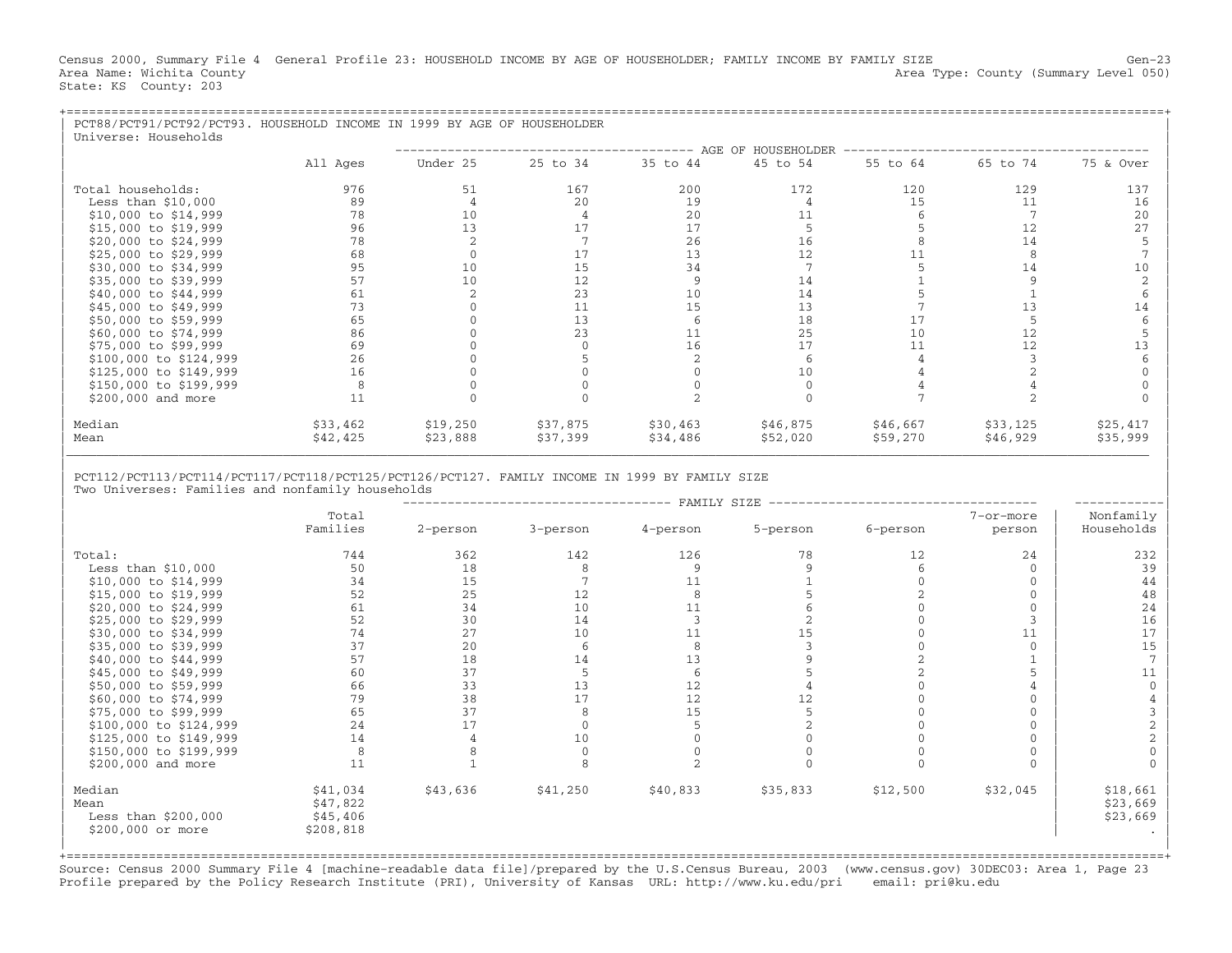Census 2000, Summary File 4 General Profile 23: HOUSEHOLD INCOME BY AGE OF HOUSEHOLDER; FAMILY INCOME BY FAMILY SIZE Gen−23 Area Name: Wichita County (Summary Level 050) (Area Type: County (Summary Level 050) State: KS County: 203

| PCT88/PCT91/PCT92/PCT93. HOUSEHOLD INCOME IN 1999 BY AGE OF HOUSEHOLDER<br>Universe: Households |          |          |          |          |                    |          |          |           |
|-------------------------------------------------------------------------------------------------|----------|----------|----------|----------|--------------------|----------|----------|-----------|
|                                                                                                 |          |          |          |          | AGE OF HOUSEHOLDER |          |          |           |
|                                                                                                 | All Ages | Under 25 | 25 to 34 | 35 to 44 | 45 to 54           | 55 to 64 | 65 to 74 | 75 & Over |
| Total households:                                                                               | 976      | 51       | 167      | 200      | 172                | 120      | 129      | 137       |
| Less than $$10,000$                                                                             | 89       |          | 20       | 19       |                    | 15       | 11       | 16        |
| \$10,000 to \$14,999                                                                            | 78       | 10       |          | 20       | 11                 |          |          | 20        |
| \$15,000 to \$19,999                                                                            | 96       | 13       |          | 17       |                    |          | 12       | 27        |
| \$20,000 to \$24,999                                                                            | 78       |          |          | 26       | 16                 |          | 14       |           |
| \$25,000 to \$29,999                                                                            | 68       |          | 17       | 13       | 12                 |          |          |           |
| \$30,000 to \$34,999                                                                            | 95       | 10       | 15       | 34       |                    |          | 14       | 10        |
| \$35,000 to \$39,999                                                                            | 57       | 10       | 12       |          | 14                 |          |          |           |
| \$40,000 to \$44,999                                                                            | 61       |          | 23       | 10       | 14                 |          |          |           |
| \$45,000 to \$49,999                                                                            | 73       |          | 11       | 15       | 13                 |          |          | 14        |
| \$50,000 to \$59,999                                                                            | 65       |          | 13       |          | 18                 | 17       |          |           |
| \$60,000 to \$74,999                                                                            | 86       |          | 23       | 11       | 25                 | 10       | 12.      |           |
| \$75,000 to \$99,999                                                                            | 69       |          |          | 16       | 17                 | 11       |          |           |
| \$100,000 to \$124,999                                                                          | 26       |          |          |          |                    |          |          |           |
| \$125,000 to \$149,999                                                                          | 16       |          |          |          | 10                 |          |          |           |
| \$150,000 to \$199,999                                                                          | 8        |          |          |          |                    |          |          |           |
| \$200,000 and more                                                                              | 11       |          |          |          |                    |          |          |           |
| Median                                                                                          | \$33,462 | \$19,250 | \$37,875 | \$30,463 | \$46,875           | \$46,667 | \$33,125 | \$25,417  |
| Mean                                                                                            | \$42,425 | \$23,888 | \$37,399 | \$34,486 | \$52,020           | \$59,270 | \$46,929 | \$35,999  |

| |

| PCT112/PCT113/PCT114/PCT117/PCT118/PCT125/PCT126/PCT127. FAMILY INCOME IN 1999 BY FAMILY SIZE | Two Universes: Families and nonfamily households

|                        | FAMILY SIZE |          |          |          |          |          |           |            |  |  |  |  |  |
|------------------------|-------------|----------|----------|----------|----------|----------|-----------|------------|--|--|--|--|--|
|                        | Total       |          |          |          |          |          | 7-or-more | Nonfamily  |  |  |  |  |  |
|                        | Families    | 2-person | 3-person | 4-person | 5-person | 6-person | person    | Households |  |  |  |  |  |
| Total:                 | 744         | 362      | 142      | 126      | 78       | 12       | 24        | 232        |  |  |  |  |  |
| Less than $$10,000$    | 50          | 18       |          |          |          |          | $\Omega$  | 39         |  |  |  |  |  |
| \$10,000 to \$14,999   | 34          | 15       |          | 11       |          |          | $\Omega$  | 44         |  |  |  |  |  |
| \$15,000 to \$19,999   | 52          | 25       | 12       |          |          |          |           | 48         |  |  |  |  |  |
|                        |             |          |          |          |          |          |           |            |  |  |  |  |  |
| \$20,000 to \$24,999   | 61          | 34       | 10       | 11       |          |          | $\Omega$  | 24         |  |  |  |  |  |
| \$25,000 to \$29,999   | 52          | 30       | 14       |          |          |          |           | 16         |  |  |  |  |  |
| \$30,000 to \$34,999   | 74          | 27       | 10       | 11       | 15       |          | 11        | 17         |  |  |  |  |  |
| \$35,000 to \$39,999   | 37          | 20       |          |          |          |          | $\Omega$  | 15         |  |  |  |  |  |
| \$40,000 to \$44,999   | 57          | 18       | 14       | 13       |          |          |           |            |  |  |  |  |  |
| \$45,000 to \$49,999   | 60          | 37       |          |          |          |          |           | 11         |  |  |  |  |  |
| \$50,000 to \$59,999   | 66          | 33       | 13       | 12       |          |          |           |            |  |  |  |  |  |
| \$60,000 to \$74,999   | 79          | 38       | 17       | 12       | 12       |          |           |            |  |  |  |  |  |
| \$75,000 to \$99,999   | 65          | 37       |          | 15       |          |          | $\Omega$  |            |  |  |  |  |  |
| \$100,000 to \$124,999 | 24          | 17       |          |          |          |          |           |            |  |  |  |  |  |
| \$125,000 to \$149,999 | 14          |          | 10       |          |          |          | $\Omega$  |            |  |  |  |  |  |
| \$150,000 to \$199,999 | 8           |          |          |          |          |          | $\Omega$  |            |  |  |  |  |  |
| \$200,000 and more     | 11          |          |          |          |          |          | $\Omega$  |            |  |  |  |  |  |
| Median                 | \$41,034    | \$43,636 | \$41,250 | \$40,833 | \$35,833 | \$12,500 | \$32,045  | \$18,661   |  |  |  |  |  |
| Mean                   | \$47,822    |          |          |          |          |          |           | \$23,669   |  |  |  |  |  |
| Less than $$200,000$   | \$45,406    |          |          |          |          |          |           | \$23,669   |  |  |  |  |  |
| \$200,000 or more      | \$208,818   |          |          |          |          |          |           |            |  |  |  |  |  |
|                        |             |          |          |          |          |          |           |            |  |  |  |  |  |
|                        |             |          |          |          |          |          |           |            |  |  |  |  |  |

+===================================================================================================================================================+ Source: Census 2000 Summary File 4 [machine−readable data file]/prepared by the U.S.Census Bureau, 2003 (www.census.gov) 30DEC03: Area 1, Page 23 Profile prepared by the Policy Research Institute (PRI), University of Kansas URL: http://www.ku.edu/pri email: pri@ku.edu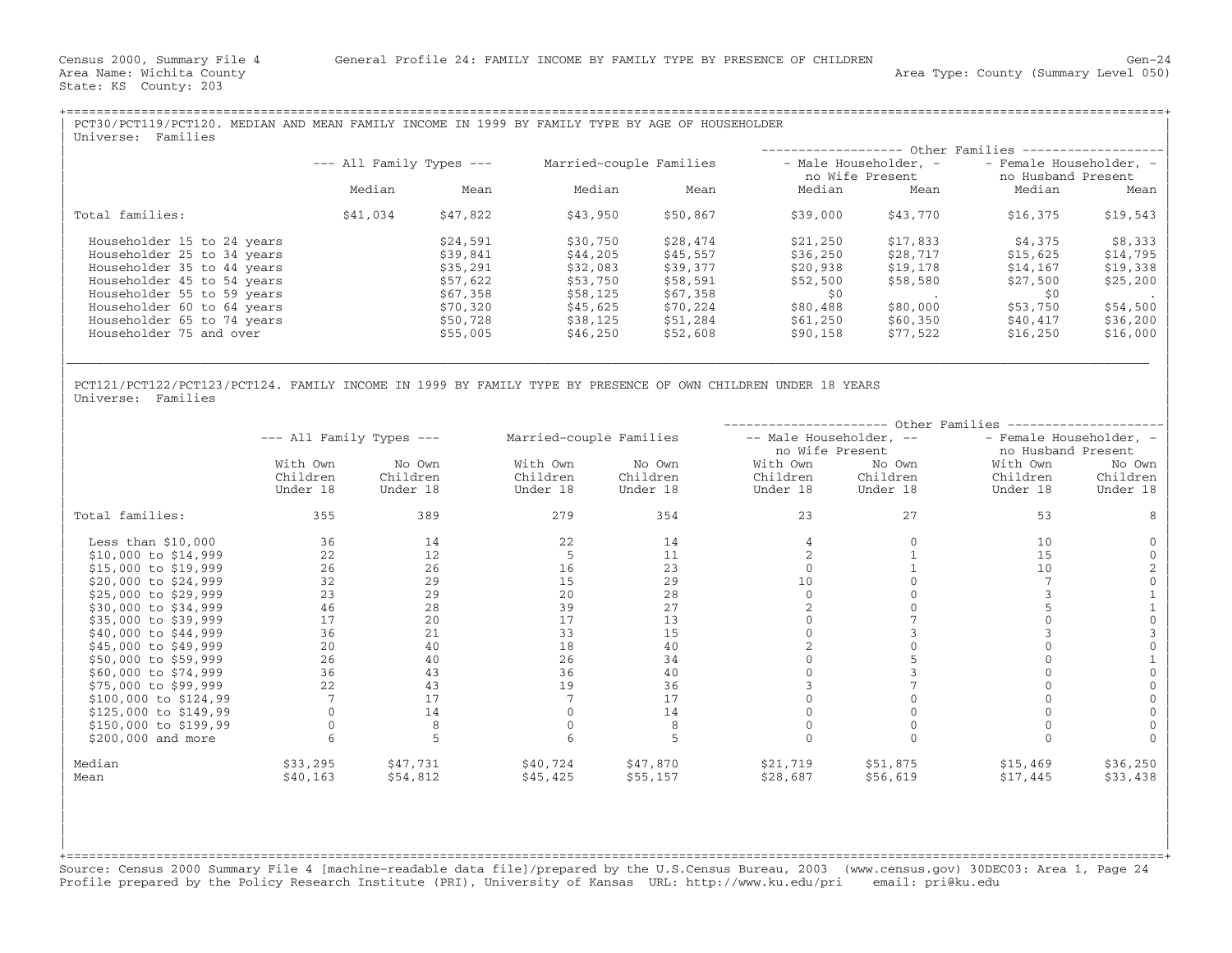| PCT30/PCT119/PCT120. MEDIAN AND MEAN FAMILY INCOME IN 1999 BY FAMILY TYPE BY AGE OF HOUSEHOLDER<br>Families<br>Universe: |                              |          |                         |          |                                          |          |                                               |           |  |
|--------------------------------------------------------------------------------------------------------------------------|------------------------------|----------|-------------------------|----------|------------------------------------------|----------|-----------------------------------------------|-----------|--|
|                                                                                                                          |                              |          |                         |          |                                          |          | - Other Families -------                      |           |  |
|                                                                                                                          | $---$ All Family Types $---$ |          | Married-couple Families |          | - Male Householder, -<br>no Wife Present |          | - Female Householder, -<br>no Husband Present |           |  |
|                                                                                                                          | Median                       | Mean     | Median                  | Mean     | Median                                   | Mean     | Median                                        | Mean      |  |
| Total families:                                                                                                          | \$41,034                     | \$47,822 | \$43,950                | \$50,867 | \$39,000                                 | \$43,770 | \$16,375                                      | \$19,543  |  |
| Householder 15 to 24 years                                                                                               |                              | \$24,591 | \$30,750                | \$28,474 | \$21,250                                 | \$17,833 | \$4,375                                       | \$8,333   |  |
| Householder 25 to 34 years                                                                                               |                              | \$39,841 | \$44,205                | \$45,557 | \$36,250                                 | \$28,717 | \$15,625                                      | \$14,795  |  |
| Householder 35 to 44 years                                                                                               |                              | \$35,291 | \$32,083                | \$39,377 | \$20,938                                 | \$19,178 | \$14,167                                      | \$19,338  |  |
| Householder 45 to 54 years                                                                                               |                              | \$57,622 | \$53,750                | \$58,591 | \$52,500                                 | \$58,580 | \$27,500                                      | \$25, 200 |  |
| Householder 55 to 59 years                                                                                               |                              | \$67,358 | \$58,125                | \$67,358 | \$0                                      |          | \$0                                           |           |  |
| Householder 60 to 64 years                                                                                               |                              | \$70,320 | \$45,625                | \$70,224 | \$80,488                                 | \$80,000 | \$53,750                                      | \$54,500  |  |
| Householder 65 to 74 years                                                                                               |                              | \$50,728 | \$38,125                | \$51,284 | \$61,250                                 | \$60,350 | \$40,417                                      | \$36,200  |  |
| Householder 75 and over                                                                                                  |                              | \$55,005 | \$46,250                | \$52,608 | \$90,158                                 | \$77,522 | \$16,250                                      | \$16,000  |  |
|                                                                                                                          |                              |          |                         |          |                                          |          |                                               |           |  |

| |

| |

| PCT121/PCT122/PCT123/PCT124. FAMILY INCOME IN 1999 BY FAMILY TYPE BY PRESENCE OF OWN CHILDREN UNDER 18 YEARS | Universe: Families

|                         |                              |          |                         |          |                         |          | Other Families          |          |  |  |  |  |  |
|-------------------------|------------------------------|----------|-------------------------|----------|-------------------------|----------|-------------------------|----------|--|--|--|--|--|
|                         | $---$ All Family Types $---$ |          | Married-couple Families |          | -- Male Householder, -- |          | - Female Householder, - |          |  |  |  |  |  |
|                         |                              |          |                         |          | no Wife Present         |          | no Husband Present      |          |  |  |  |  |  |
|                         | With Own                     | No Own   | With Own                | No Own   | With Own                | No Own   | With Own                | No Own   |  |  |  |  |  |
|                         | Children                     | Children | Children                | Children | Children                | Children | Children                | Children |  |  |  |  |  |
|                         | Under 18                     | Under 18 | Under 18                | Under 18 | Under 18                | Under 18 | Under 18                | Under 18 |  |  |  |  |  |
| Total families:         | 355                          | 389      | 279                     | 354      | 23                      | 27       | 53                      | 8        |  |  |  |  |  |
| Less than $$10,000$     | 36                           | 14       | 22                      | 14       |                         |          | 10                      |          |  |  |  |  |  |
| $$10,000$ to $$14,999$  | 22                           | 12       | 5                       | 11       |                         |          | 15                      |          |  |  |  |  |  |
| $$15,000$ to $$19,999$  | 26                           | 26       | 16                      | 23       |                         |          | 10                      |          |  |  |  |  |  |
| \$20,000 to \$24,999    | 32                           | 29       | 15                      | 29       | 10                      |          |                         |          |  |  |  |  |  |
| \$25,000 to \$29,999    | 23                           | 29       | 20                      | 28       |                         |          |                         |          |  |  |  |  |  |
| \$30,000 to \$34,999    | 46                           | 28       | 39                      | 27       |                         |          |                         |          |  |  |  |  |  |
| \$35,000 to \$39,999    | 17                           | 20       | 17                      | 13       |                         |          |                         |          |  |  |  |  |  |
| \$40,000 to \$44,999    | 36                           | 21       | 33                      | 15       |                         |          |                         |          |  |  |  |  |  |
| \$45,000 to \$49,999    | 20                           | 40       | 18                      | 40       |                         |          |                         |          |  |  |  |  |  |
| \$50,000 to \$59,999    | 26                           | 40       | 26                      | 34       |                         |          |                         |          |  |  |  |  |  |
| \$60,000 to \$74,999    | 36                           | 43       | 36                      | 40       |                         |          |                         |          |  |  |  |  |  |
| \$75,000 to \$99,999    | 22                           | 43       | 19                      | 36       |                         |          |                         |          |  |  |  |  |  |
| $$100,000$ to $$124,99$ |                              | 17       |                         | 17       |                         |          |                         |          |  |  |  |  |  |
| \$125,000 to \$149,99   |                              | 14       |                         | 14       |                         |          |                         |          |  |  |  |  |  |
| \$150,000 to \$199,99   |                              |          |                         |          |                         |          |                         |          |  |  |  |  |  |
| \$200,000 and more      |                              |          |                         |          |                         |          |                         |          |  |  |  |  |  |
| Median                  | \$33,295                     | \$47,731 | \$40,724                | \$47,870 | \$21,719                | \$51,875 | \$15,469                | \$36,250 |  |  |  |  |  |
| Mean                    | \$40,163                     | \$54,812 | \$45,425                | \$55,157 | \$28,687                | \$56,619 | \$17,445                | \$33,438 |  |  |  |  |  |

+===================================================================================================================================================+ Source: Census 2000 Summary File 4 [machine−readable data file]/prepared by the U.S.Census Bureau, 2003 (www.census.gov) 30DEC03: Area 1, Page 24 Profile prepared by the Policy Research Institute (PRI), University of Kansas URL: http://www.ku.edu/pri email: pri@ku.edu

| | | | | | | |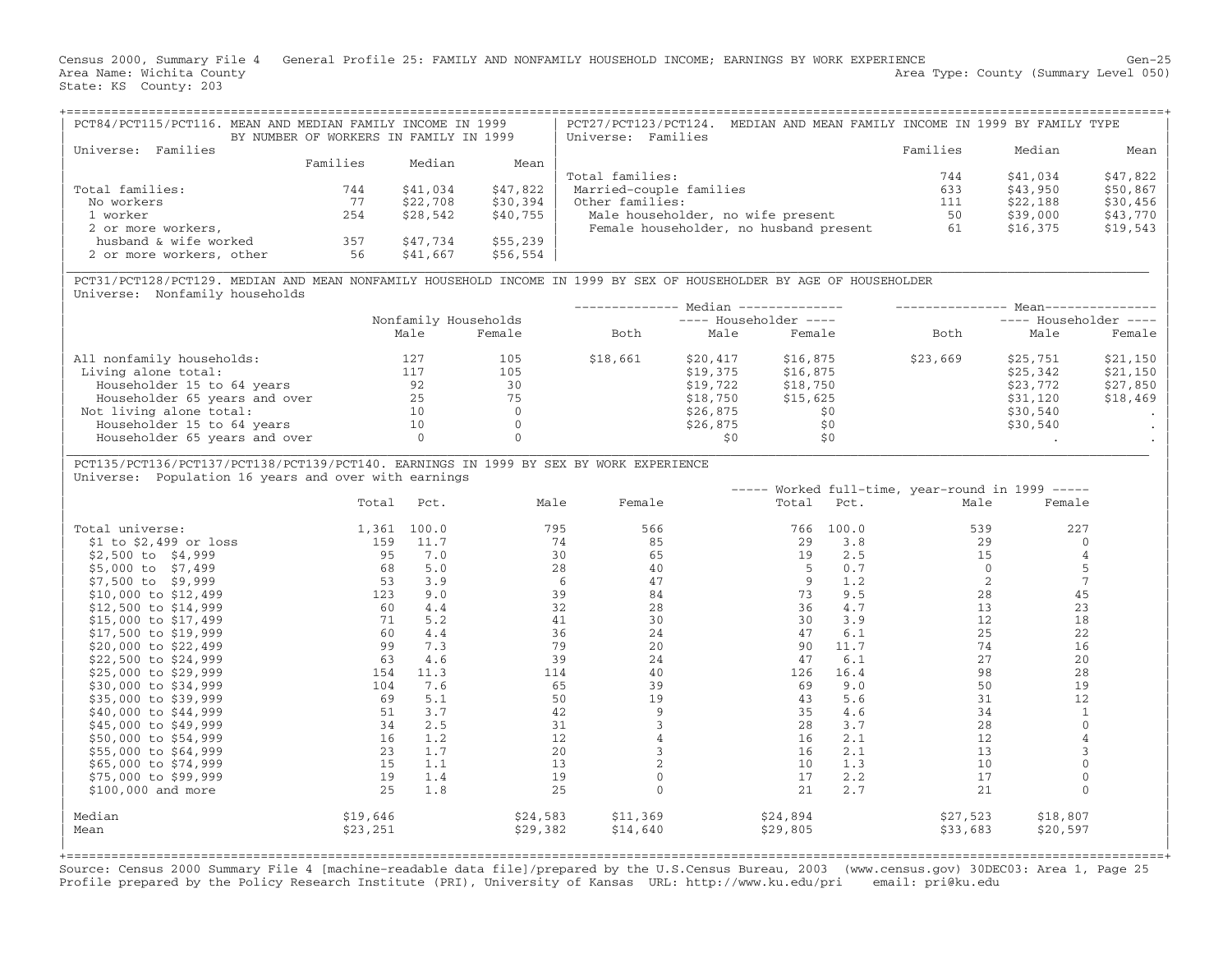Census 2000, Summary File 4 General Profile 25: FAMILY AND NONFAMILY HOUSEHOLD INCOME; EARNINGS BY WORK EXPERIENCE Gen−25 Area Name: Wichita County  $\blacksquare$  Area Type: County (Summary Level 050) State: KS County: 203

| PCT84/PCT115/PCT116. MEAN AND MEDIAN FAMILY INCOME IN 1999 | BY NUMBER OF WORKERS IN FAMILY IN 1999 |          |          | PCT27/PCT123/PCT124. MEDIAN AND MEAN FAMILY INCOME IN 1999 BY FAMILY TYPE<br>Universe: Families                     |          |          |           |
|------------------------------------------------------------|----------------------------------------|----------|----------|---------------------------------------------------------------------------------------------------------------------|----------|----------|-----------|
| Families<br>Universe:                                      |                                        |          |          |                                                                                                                     | Families | Median   | Mean      |
|                                                            | Families                               | Median   | Mean     |                                                                                                                     |          |          |           |
|                                                            |                                        |          |          | Total families:                                                                                                     | 744      | \$41,034 | \$47,822  |
| Total families:                                            | 744                                    | \$41,034 | \$47,822 | Married-couple families                                                                                             | 633      | \$43,950 | $$50,867$ |
| No workers                                                 | 77                                     | \$22,708 | \$30,394 | Other families:                                                                                                     | 111      | \$22,188 | \$30,456  |
| 1 worker                                                   | 254                                    | \$28,542 | \$40,755 | Male householder, no wife present                                                                                   | 50       | \$39,000 | $$43,770$ |
| 2 or more workers,                                         |                                        |          |          | Female householder, no husband present                                                                              | 61       | \$16,375 | $$19,543$ |
| husband & wife worked                                      | 357                                    | \$47,734 | \$55,239 |                                                                                                                     |          |          |           |
| 2 or more workers, other                                   | 56                                     | \$41,667 | \$56,554 |                                                                                                                     |          |          |           |
|                                                            |                                        |          |          |                                                                                                                     |          |          |           |
|                                                            |                                        |          |          | PCT31/PCT128/PCT129. MEDIAN AND MEAN NONFAMILY HOUSEHOLD INCOME IN 1999 BY SEX OF HOUSEHOLDER BY AGE OF HOUSEHOLDER |          |          |           |

Universe: Nonfamily households

|                               |                      |        |          |                         | Median -------------- |          | Mean--<br>$---$ Householder $---$ |          |  |
|-------------------------------|----------------------|--------|----------|-------------------------|-----------------------|----------|-----------------------------------|----------|--|
|                               | Nonfamily Households |        |          | $---$ Householder $---$ |                       |          |                                   |          |  |
|                               | Male                 | Female | Both     | Male                    | Female                | Both     | Male                              | Female   |  |
| All nonfamily households:     | 127                  | 105    | \$18,661 | \$20,417                | \$16,875              | \$23,669 | \$25,751                          | \$21,150 |  |
| Living alone total:           | 117                  | 105    |          | \$19,375                | \$16,875              |          | \$25,342                          | \$21,150 |  |
| Householder 15 to 64 years    | 92                   | 30     |          | \$19,722                | \$18,750              |          | \$23,772                          | \$27,850 |  |
| Householder 65 years and over | 25                   | 75     |          | \$18,750                | \$15,625              |          | \$31,120                          | \$18,469 |  |
| Not living alone total:       | 10                   |        |          | \$26,875                | \$0                   |          | \$30,540                          |          |  |
| Householder 15 to 64 years    | 10                   |        |          | \$26,875                | \$0                   |          | \$30,540                          |          |  |
| Householder 65 years and over |                      |        |          |                         | \$0                   |          |                                   |          |  |
|                               |                      |        |          |                         |                       |          |                                   |          |  |

## | PCT135/PCT136/PCT137/PCT138/PCT139/PCT140. EARNINGS IN 1999 BY SEX BY WORK EXPERIENCE | Universe: Population 16 years and over with earnings

|                          |          |       |          |          |          |       | Worked full-time, year-round in 1999 ----- |          |  |
|--------------------------|----------|-------|----------|----------|----------|-------|--------------------------------------------|----------|--|
|                          | Total    | Pct.  | Male     | Female   | Total    | Pct.  | Male                                       | Female   |  |
| Total universe:          | 1,361    | 100.0 | 795      | 566      | 766      | 100.0 | 539                                        | 227      |  |
| $$1$ to $$2,499$ or loss | 159      | 11.7  | 74       | 85       | 29       | 3.8   | 29                                         |          |  |
| \$2,500 to \$4,999       | 95       | 7.0   | 30       | 65       | 19       | 2.5   | 15                                         |          |  |
| \$5,000 to \$7,499       | 68       | 5.0   | 28       | 40       | 5        | 0.7   |                                            |          |  |
| \$7,500 to \$9,999       | 53       | 3.9   | -6       | 47       | 9        | 1.2   | $\overline{2}$                             |          |  |
| \$10,000 to \$12,499     | 123      | 9.0   | 39       | 84       | 73       | 9.5   | 28                                         | 45       |  |
| \$12,500 to \$14,999     | 60       | 4.4   | 32       | 28       | 36       | 4.7   | 13                                         | 23       |  |
| \$15,000 to \$17,499     | 71       | 5.2   | 41       | 30       | 30       | 3.9   | 12                                         | 18       |  |
| \$17,500 to \$19,999     | 60       | 4.4   | 36       | 24       | 47       | 6.1   | 25                                         | 22       |  |
| \$20,000 to \$22,499     | 99       | 7.3   | 79       | 20       | 90       | 11.7  | 74                                         | 16       |  |
| \$22,500 to \$24,999     | 63       | 4.6   | 39       | 24       | 47       | 6.1   | 27                                         | 20       |  |
| \$25,000 to \$29,999     | 154      | 11.3  | 114      | 40       | 126      | 16.4  | 98                                         | 28       |  |
| \$30,000 to \$34,999     | 104      | 7.6   | 65       | 39       | 69       | 9.0   | 50                                         | 19       |  |
| \$35,000 to \$39,999     | 69       | 5.1   | 50       | 19       | 43       | 5.6   | 31                                         | 12       |  |
| \$40,000 to \$44,999     | 51       | 3.7   | 42       |          | 35       | 4.6   | 34                                         |          |  |
| \$45,000 to \$49,999     | 34       | 2.5   | 31       |          | 28       | 3.7   | 28                                         |          |  |
| \$50,000 to \$54,999     | 16       | 1.2   | 12       |          | 16       | 2.1   | 12                                         |          |  |
| \$55,000 to \$64,999     | 23       | 1.7   | 20       |          | 16       | 2.1   | 13                                         |          |  |
| \$65,000 to \$74,999     | 15       | 1.1   | 13       |          | 10       | 1.3   | 10                                         |          |  |
| \$75,000 to \$99,999     | 19       | 1.4   | 19       |          | 17       | 2.2   | 17                                         |          |  |
| \$100,000 and more       | 25       | 1.8   | 25       |          | 21       | 2.7   | 21                                         |          |  |
| Median                   | \$19,646 |       | \$24,583 | \$11,369 | \$24,894 |       | \$27,523                                   | \$18,807 |  |
| Mean                     | \$23,251 |       | \$29,382 | \$14,640 | \$29,805 |       | \$33,683                                   | \$20,597 |  |
|                          |          |       |          |          |          |       |                                            |          |  |

+===================================================================================================================================================+ Source: Census 2000 Summary File 4 [machine−readable data file]/prepared by the U.S.Census Bureau, 2003 (www.census.gov) 30DEC03: Area 1, Page 25 Profile prepared by the Policy Research Institute (PRI), University of Kansas URL: http://www.ku.edu/pri email: pri@ku.edu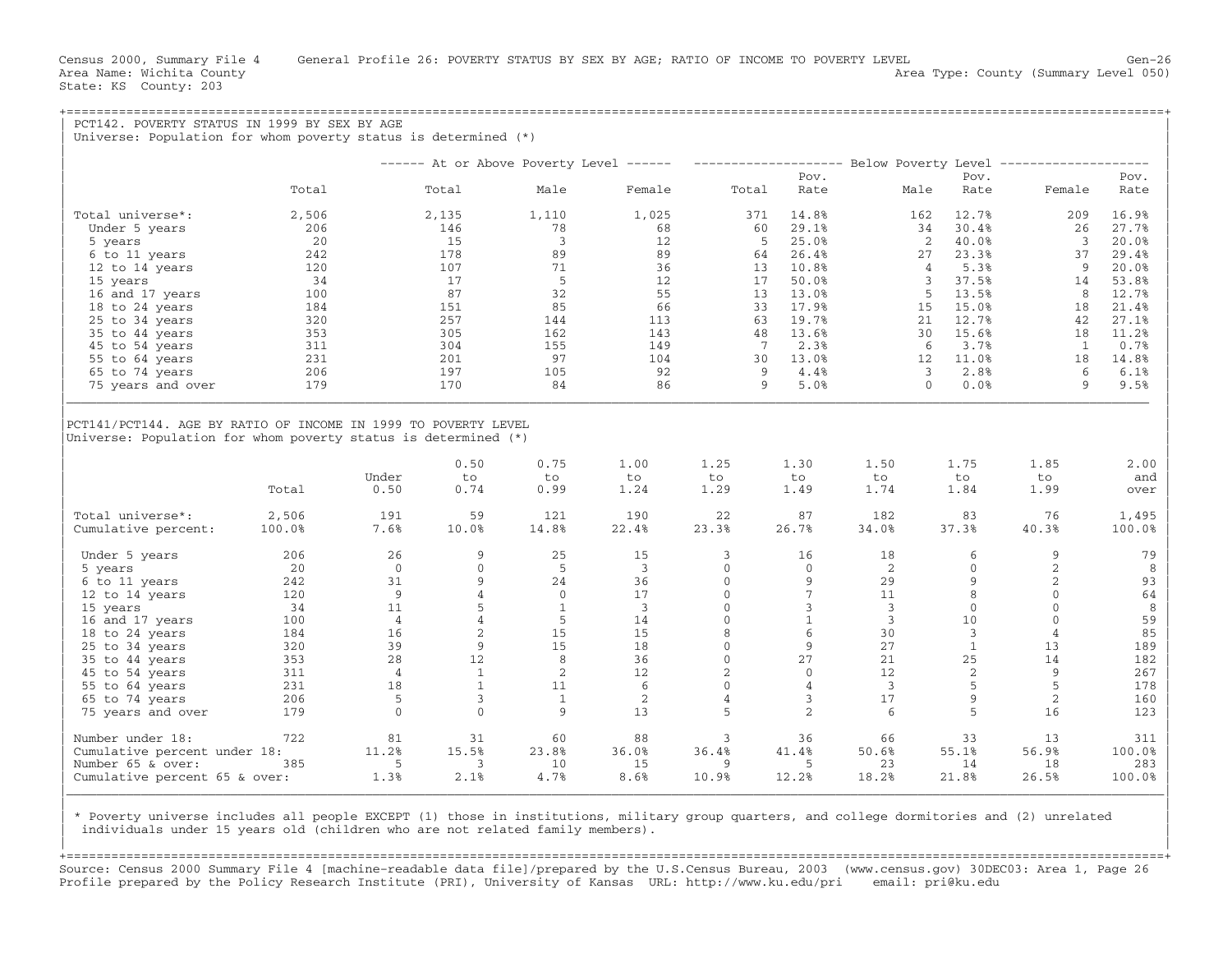| PCT142. POVERTY STATUS IN 1999 BY SEX BY AGE<br>Universe: Population for whom poverty status is determined $(*)$ |        |                |                |              |                                         |                |                |                                         |                        |                |        |
|------------------------------------------------------------------------------------------------------------------|--------|----------------|----------------|--------------|-----------------------------------------|----------------|----------------|-----------------------------------------|------------------------|----------------|--------|
|                                                                                                                  |        |                |                |              | ------ At or Above Poverty Level ------ |                |                | ------------------- Below Poverty Level |                        |                |        |
|                                                                                                                  |        |                |                |              |                                         |                | Pov.           |                                         | Pov.                   |                | Pov.   |
|                                                                                                                  | Total  |                | Total          | Male         | Female                                  | Total          | Rate           | Male                                    | Rate                   | Female         | Rate   |
| Total universe*:                                                                                                 | 2,506  |                | 2,135          | 1,110        | 1,025                                   | 371            | 14.8%          | 162                                     | 12.7%                  | 209            | 16.9%  |
| Under 5 years                                                                                                    | 206    |                | 146            | 78           | 68                                      | 60             | 29.1%          | 34                                      | 30.4%                  | 26             | 27.7%  |
| 5 years                                                                                                          | 20     |                | 15             | 3            | 12                                      | -5             | 25.0%          |                                         | 2<br>40.0%             | $\overline{3}$ | 20.0%  |
| 6 to 11 years                                                                                                    | 242    |                | 178            | 89           | 89                                      | 64             | 26.4%          | 27                                      | 23.3%                  | 37             | 29.4%  |
| 12 to 14 years                                                                                                   | 120    |                | 107            | 71           | 36                                      | 13             | 10.8%          |                                         | $\overline{4}$<br>5.3% | 9              | 20.0%  |
| 15 years                                                                                                         | 34     |                | 17             | 5            | 12                                      | 17             | 50.0%          |                                         | 3<br>37.5%             | 14             | 53.8%  |
| 16 and 17 years                                                                                                  | 100    |                | 87             | 32           | 55                                      | 13             | 13.0%          |                                         | 13.5%<br>5             | 8              | 12.7%  |
| 18 to 24 years                                                                                                   | 184    |                | 151            | 85           | 66                                      | 33             | 17.9%          | 15                                      | 15.0%                  | 18             | 21.4%  |
| 25 to 34 years                                                                                                   | 320    |                | 257            | 144          | 113                                     | 63             | 19.7%          | 21                                      | 12.7%                  | 42             | 27.1%  |
| 35 to 44 years                                                                                                   | 353    |                | 305            | 162          | 143                                     | 48             | 13.6%          | 30                                      | 15.6%                  | 18             | 11.2%  |
| 45 to 54 years                                                                                                   | 311    |                | 304            | 155          | 149                                     | 7              | 2.3%           |                                         | 3.7%<br>-6             | 1              | 0.7%   |
| 55 to 64 years                                                                                                   | 231    |                | 201            | 97           | 104                                     | 30             | 13.0%          | 12                                      | 11.0%                  | 18             | 14.8%  |
| 65 to 74 years                                                                                                   | 206    |                | 197            | 105          | 92                                      | 9              | 4.4%           |                                         | 2.8%<br>3              | 6              | 6.1%   |
| 75 years and over                                                                                                | 179    |                | 170            | 84           | 86                                      | 9              | 5.0%           |                                         | $\Omega$<br>0.0%       | 9              | 9.5%   |
| Universe: Population for whom poverty status is determined $(*)$                                                 |        |                |                |              |                                         |                |                |                                         |                        |                |        |
|                                                                                                                  |        |                | 0.50           | 0.75         | 1.00                                    | 1.25           | 1.30           | 1.50                                    | 1.75                   | 1.85           | 2.00   |
|                                                                                                                  |        | Under          | to             | to           | to                                      | to             | to             | to                                      | to                     | to             | and    |
|                                                                                                                  | Total  | 0.50           | 0.74           | 0.99         | 1.24                                    | 1.29           | 1.49           | 1.74                                    | 1.84                   | 1.99           | over   |
| Total universe*:                                                                                                 | 2,506  | 191            | 59             | 121          | 190                                     | 22             | 87             | 182                                     | 83                     | 76             | 1,495  |
| Cumulative percent:                                                                                              | 100.0% | 7.6%           | 10.0%          | 14.8%        | 22.4%                                   | 23.3%          | 26.7%          | 34.0%                                   | 37.3%                  | 40.3%          | 100.0% |
| Under 5 years                                                                                                    | 206    | 26             | 9              | 25           | 15                                      | 3              | 16             | 18                                      | 6                      | 9              | 79     |
| 5 years                                                                                                          | 20     | $\mathbf 0$    | $\mathbf{0}$   | -5           | 3                                       | $\mathbf{0}$   | $\overline{0}$ | 2                                       | 0                      | $\overline{2}$ | 8      |
| 6 to 11 years                                                                                                    | 242    | 31             | 9              | 24           | 36                                      | $\Omega$       | 9              | 29                                      | 9                      | $\overline{2}$ | 93     |
| 12 to 14 years                                                                                                   | 120    | 9              | $\overline{4}$ | $\mathbf{0}$ | 17                                      | $\mathbf{0}$   | 7              | 11                                      | 8                      | $\mathbf{0}$   | 64     |
| 15 years                                                                                                         | 34     | 11             | 5              | 1            | $\overline{3}$                          | $\Omega$       | 3              | 3                                       | $\Omega$               | $\Omega$       | 8      |
| 16 and 17 years                                                                                                  | 100    | $\overline{4}$ | $\overline{4}$ | -5           | 14                                      | $\mathbf{0}$   | $\mathbf{1}$   | $\overline{3}$                          | 10                     | $\mathbf{0}$   | 59     |
| 18 to 24 years                                                                                                   | 184    | 16             | 2              | 15           | 15                                      | 8              | 6              | 30                                      | 3                      | 4              | 85     |
| 25 to 34 years                                                                                                   | 320    | 39             | 9              | 15           | 18                                      | $\mathbf{0}$   | 9              | 27                                      | 1                      | 13             | 189    |
| 35 to 44 years                                                                                                   | 353    | 28             | 12             | 8            | 36                                      | $\Omega$       | 27             | 21                                      | 25                     | 14             | 182    |
| 45 to 54 years                                                                                                   | 311    | $\overline{4}$ | $\mathbf{1}$   | 2            | 12                                      | 2              | $\mathbf{0}$   | 12                                      | 2                      | 9              | 267    |
| 55 to 64 years                                                                                                   | 231    | 18             | $\mathbf{1}$   | 11           | 6                                       | $\mathbf{0}$   | $\overline{4}$ | $\overline{3}$                          | 5                      | 5              | 178    |
| 65 to 74 years                                                                                                   | 206    | 5              | 3              | 1            | 2                                       | $\overline{4}$ | 3              | 17                                      | 9                      | 2              | 160    |
| 75 years and over                                                                                                | 179    | $\overline{0}$ | $\Omega$       | 9            | 13                                      | 5              | 2              | 6                                       | 5                      | 16             | 123    |
| Number under 18:                                                                                                 | 722    | 81             | 31             | 60           | 88                                      | 3              | 36             | 66                                      | 33                     | 13             | 311    |
| Cumulative percent under 18:                                                                                     |        | 11.2%          | 15.5%          | 23.8%        | 36.0%                                   | 36.4%          | 41.4%          | 50.6%                                   | 55.1%                  | 56.9%          | 100.0% |
| Number 65 & over:                                                                                                | 385    | 5              | 3              | 10           | 15                                      | 9              | 5              | 23                                      | 14                     | 18             | 283    |
| Cumulative percent 65 & over:                                                                                    |        | 1.3%           | 2.1%           | 4.7%         | 8.6%                                    | 10.9%          | 12.2%          | 18.2%                                   | 21.8%                  | 26.5%          | 100.0% |

| \* Poverty universe includes all people EXCEPT (1) those in institutions, military group quarters, and college dormitories and (2) unrelated | individuals under 15 years old (children who are not related family members).

| | +===================================================================================================================================================+ Source: Census 2000 Summary File 4 [machine−readable data file]/prepared by the U.S.Census Bureau, 2003 (www.census.gov) 30DEC03: Area 1, Page 26 Profile prepared by the Policy Research Institute (PRI), University of Kansas URL: http://www.ku.edu/pri email: pri@ku.edu

|\_\_\_\_\_\_\_\_\_\_\_\_\_\_\_\_\_\_\_\_\_\_\_\_\_\_\_\_\_\_\_\_\_\_\_\_\_\_\_\_\_\_\_\_\_\_\_\_\_\_\_\_\_\_\_\_\_\_\_\_\_\_\_\_\_\_\_\_\_\_\_\_\_\_\_\_\_\_\_\_\_\_\_\_\_\_\_\_\_\_\_\_\_\_\_\_\_\_\_\_\_\_\_\_\_\_\_\_\_\_\_\_\_\_\_\_\_\_\_\_\_\_\_\_\_\_\_\_\_\_\_\_\_\_\_\_\_\_\_\_\_\_\_\_\_\_\_| | |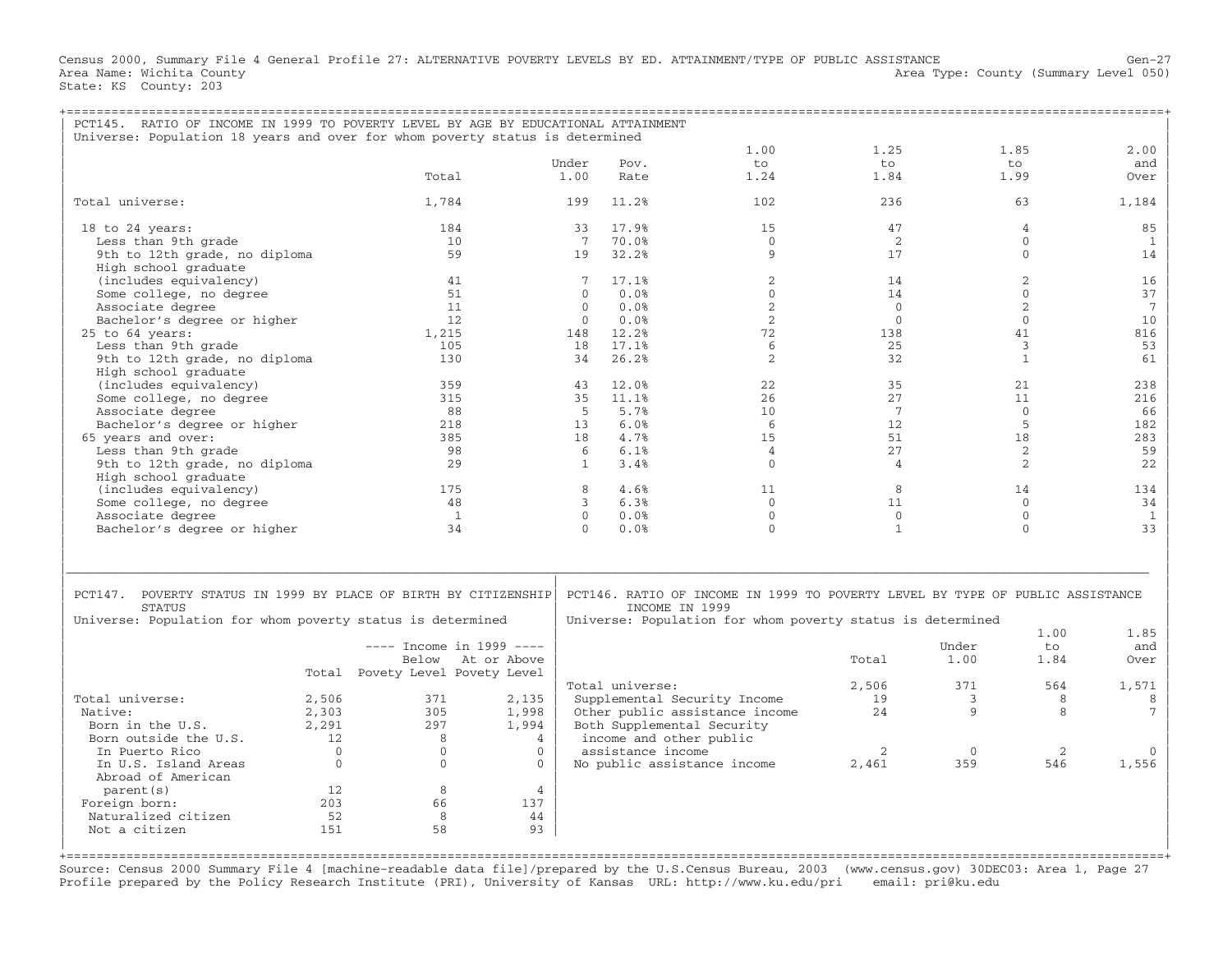Census 2000, Summary File 4 General Profile 27: ALTERNATIVE POVERTY LEVELS BY ED. ATTAINMENT/TYPE OF PUBLIC ASSISTANCE Gen−27 Area Name: Wichita County 1999 (Summary Level 050) Area Type: County (Summary Level 050) State: KS County: 203

| PCT145. RATIO OF INCOME IN 1999 TO POVERTY LEVEL BY AGE BY EDUCATIONAL ATTAINMENT |              |                                 |                   |              |                   |                                                                               |                   |              |              |                 |
|-----------------------------------------------------------------------------------|--------------|---------------------------------|-------------------|--------------|-------------------|-------------------------------------------------------------------------------|-------------------|--------------|--------------|-----------------|
| Universe: Population 18 years and over for whom poverty status is determined      |              |                                 |                   |              |                   |                                                                               |                   |              |              |                 |
|                                                                                   |              |                                 |                   | Under        | Pov.              | 1.00<br>to                                                                    | 1.25<br>$t \circ$ |              | 1.85<br>to   | 2.00<br>and     |
|                                                                                   |              | Total                           |                   | 1.00         | Rate              | 1.24                                                                          | 1.84              |              | 1.99         | Over            |
|                                                                                   |              |                                 |                   |              |                   |                                                                               |                   |              |              |                 |
| Total universe:                                                                   |              | 1,784                           |                   | 199          | 11.2%             | 102                                                                           | 236               |              | 63           | 1,184           |
| 18 to 24 years:                                                                   |              | 184                             |                   | 33           | 17.9%             | 1.5                                                                           | 47                |              | 4            | 85              |
| Less than 9th grade                                                               |              | 10                              |                   | 7            | 70.0%             | $\Omega$                                                                      | 2                 |              | $\Omega$     | $\mathbf{1}$    |
| 9th to 12th grade, no diploma                                                     |              | 59                              |                   | 19           | 32.2%             | 9                                                                             | 17                |              | $\Omega$     | 14              |
| High school graduate                                                              |              |                                 |                   |              |                   |                                                                               |                   |              |              |                 |
| (includes equivalency)                                                            |              | 41                              |                   | 7            | 17.1%             | $\overline{2}$                                                                | 14                |              | 2            | 16              |
| Some college, no degree                                                           |              | 51                              |                   | $\mathbf{0}$ | 0.0%              | $\mathbf{0}$                                                                  | 14                |              | $\mathbf 0$  | 37              |
| Associate degree                                                                  |              | 11                              |                   | $\mathbf{0}$ | 0.0%              | 2                                                                             | $\mathbf{0}$      |              | 2            | $7\phantom{.0}$ |
| Bachelor's degree or higher                                                       |              | 12.                             |                   | $\Omega$     | 0.0%              | 2                                                                             | $\Omega$          |              | $\Omega$     | 10              |
| 25 to 64 years:                                                                   |              | 1,215                           |                   | 148          | 12.2%             | 72                                                                            | 138               |              | 41           | 816             |
| Less than 9th grade                                                               |              | 105                             |                   | 18           | 17.1%             | 6                                                                             | 25                |              | 3            | 53              |
| 9th to 12th grade, no diploma                                                     |              | 130                             |                   | 34           | 26.2%             | 2                                                                             | 32                |              | $\mathbf{1}$ | 61              |
| High school graduate                                                              |              |                                 |                   |              |                   |                                                                               |                   |              |              |                 |
| (includes equivalency)                                                            |              | 359                             |                   | 43           | 12.0%             | 22                                                                            | 35                |              | 21           | 238             |
| Some college, no degree                                                           |              | 315                             |                   | 35           | 11.1%             | 26                                                                            | 27                |              | 11           | 216             |
| Associate degree                                                                  |              | 88                              |                   | -5           | 5.7%              | 10                                                                            | 7                 |              | $\Omega$     | 66              |
| Bachelor's degree or higher                                                       |              | 218                             |                   | 13           | 6.0%              | 6                                                                             | 12                |              | 5            | 182             |
| 65 years and over:                                                                |              | 385                             |                   | 18           | 4.7%              | 15                                                                            | 51                |              | 18           | 283             |
| Less than 9th grade                                                               |              | 98                              |                   | 6            | 6.1%              | $\overline{4}$                                                                | 27                |              | 2            | 59              |
| 9th to 12th grade, no diploma                                                     |              | 29                              |                   | $\mathbf{1}$ | 3.4%              | $\mathbf{0}$                                                                  | $\overline{4}$    |              | 2            | 22              |
| High school graduate                                                              |              |                                 |                   |              |                   |                                                                               |                   |              |              |                 |
| (includes equivalency)                                                            |              | 175                             |                   | 8            | 4.6%              | 11                                                                            | 8                 |              | 14           | 134             |
| Some college, no degree                                                           |              | 48                              |                   | 3            | 6.3%              | $\Omega$                                                                      | 11                |              | $\Omega$     | 34              |
| Associate degree                                                                  |              | $\mathbf{1}$                    |                   | $\Omega$     | 0.0%              | $\mathbf{0}$                                                                  | $\mathbf{0}$      |              | $\mathbf{0}$ | <sup>1</sup>    |
| Bachelor's degree or higher                                                       |              | 34                              |                   | $\cap$       | 0.0%              | $\Omega$                                                                      | $\mathbf{1}$      |              | $\Omega$     | 33              |
| PCT147. POVERTY STATUS IN 1999 BY PLACE OF BIRTH BY CITIZENSHIP                   |              |                                 |                   |              |                   | PCT146. RATIO OF INCOME IN 1999 TO POVERTY LEVEL BY TYPE OF PUBLIC ASSISTANCE |                   |              |              |                 |
| <b>STATUS</b>                                                                     |              |                                 |                   |              |                   | INCOME IN 1999                                                                |                   |              |              |                 |
| Universe: Population for whom poverty status is determined                        |              |                                 |                   |              |                   | Universe: Population for whom poverty status is determined                    |                   |              | 1.00         | 1.85            |
|                                                                                   |              | $---$ Income in 1999 $---$      |                   |              |                   |                                                                               |                   | Under        | to           | and             |
|                                                                                   |              |                                 | Below At or Above |              |                   |                                                                               | Total             | 1.00         | 1.84         | Over            |
|                                                                                   |              | Total Povety Level Povety Level |                   |              |                   |                                                                               |                   |              |              |                 |
|                                                                                   |              |                                 |                   |              | Total universe:   |                                                                               | 2,506             | 371          | 564          | 1,571           |
| Total universe:                                                                   | 2,506        | 371                             | 2,135             |              |                   | Supplemental Security Income                                                  | 19                | 3            | 8            | 8               |
| Native:                                                                           | 2,303        | 305                             | 1,998             |              |                   | Other public assistance income                                                | 24                | 9            | 8            | 7               |
| Born in the U.S.                                                                  | 2,291        | 297                             | 1,994             |              |                   | Both Supplemental Security                                                    |                   |              |              |                 |
| Born outside the U.S.                                                             | 12           | 8                               | $\overline{4}$    |              |                   | income and other public                                                       |                   |              |              |                 |
| In Puerto Rico                                                                    | $\Omega$     | $\Omega$                        | $\Omega$          |              | assistance income |                                                                               | 2                 | $\mathbf{0}$ | 2            | $\Omega$        |
| In U.S. Island Areas                                                              | $\mathbf{0}$ | $\mathbf{0}$                    | $\Omega$          |              |                   | No public assistance income                                                   | 2,461             | 359          | 546          | 1,556           |
| Abroad of American                                                                |              |                                 |                   |              |                   |                                                                               |                   |              |              |                 |
| parent (s)                                                                        | 12           | 8                               | $\overline{4}$    |              |                   |                                                                               |                   |              |              |                 |
| Foreign born:                                                                     | 203          | 66                              | 137               |              |                   |                                                                               |                   |              |              |                 |
| Naturalized citizen                                                               | 52           | 8                               | 44                |              |                   |                                                                               |                   |              |              |                 |
| Not a citizen                                                                     | 151          | 58                              | 93                |              |                   |                                                                               |                   |              |              |                 |
|                                                                                   |              |                                 |                   |              |                   |                                                                               |                   |              |              |                 |

+===================================================================================================================================================+ Source: Census 2000 Summary File 4 [machine−readable data file]/prepared by the U.S.Census Bureau, 2003 (www.census.gov) 30DEC03: Area 1, Page 27 Profile prepared by the Policy Research Institute (PRI), University of Kansas URL: http://www.ku.edu/pri email: pri@ku.edu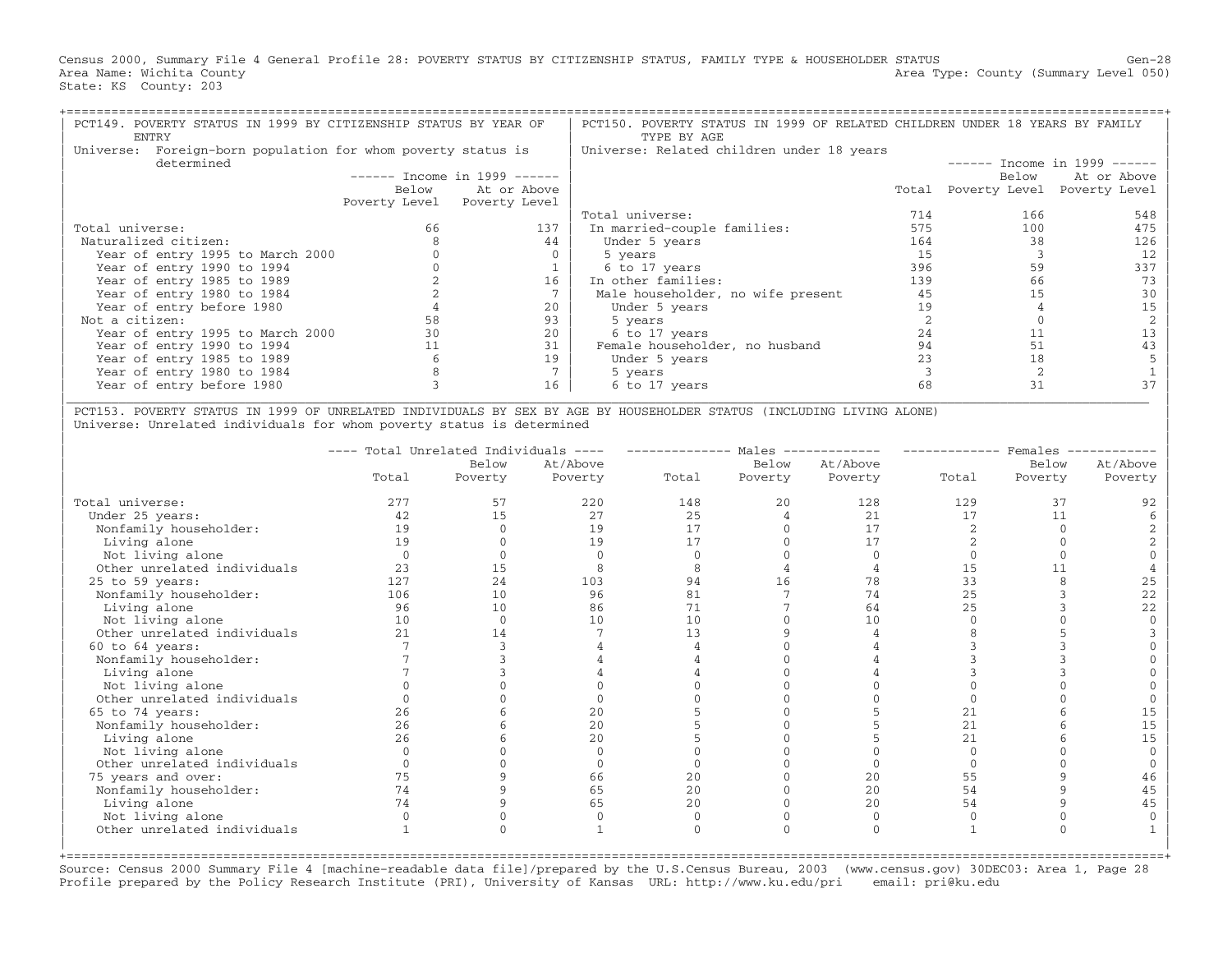Census 2000, Summary File 4 General Profile 28: POVERTY STATUS BY CITIZENSHIP STATUS, FAMILY TYPE & HOUSEHOLDER STATUS Gen−28 Area Name: Wichita County  $\blacksquare$  Area Type: County (Summary Level 050) State: KS County: 203

| PCT149. POVERTY STATUS IN 1999 BY CITIZENSHIP STATUS BY YEAR OF<br>ENTRY |       |                               | PCT150. POVERTY STATUS IN 1999 OF RELATED CHILDREN UNDER 18 YEARS BY FAMILY<br>TYPE BY AGE |     |                                   |             |  |  |  |  |
|--------------------------------------------------------------------------|-------|-------------------------------|--------------------------------------------------------------------------------------------|-----|-----------------------------------|-------------|--|--|--|--|
| Foreign-born population for whom poverty status is<br>Universe:          |       |                               | Universe: Related children under 18 years                                                  |     |                                   |             |  |  |  |  |
| determined                                                               |       |                               | $-----$ Income in 1999 ------                                                              |     |                                   |             |  |  |  |  |
|                                                                          |       | $-----$ Income in 1999 $----$ |                                                                                            |     | Below                             | At or Above |  |  |  |  |
|                                                                          | Below | At or Above                   |                                                                                            |     | Total Poverty Level Poverty Level |             |  |  |  |  |
|                                                                          |       | Poverty Level Poverty Level   |                                                                                            |     |                                   |             |  |  |  |  |
|                                                                          |       |                               | Total universe:                                                                            | 714 | 166                               | 548         |  |  |  |  |
| Total universe:                                                          | 66    | 137                           | In married-couple families:                                                                | 575 | 100                               | 475         |  |  |  |  |
| Naturalized citizen:                                                     |       | 44                            | Under 5 years                                                                              | 164 | 38                                | 126         |  |  |  |  |
| Year of entry 1995 to March 2000                                         |       |                               | 5 years                                                                                    | 15  |                                   | 12          |  |  |  |  |
| Year of entry 1990 to 1994                                               |       |                               | 6 to 17 years                                                                              | 396 | 59                                | 337         |  |  |  |  |
| Year of entry 1985 to 1989                                               |       | 16                            | In other families:                                                                         | 139 | 66                                | 73          |  |  |  |  |
| Year of entry 1980 to 1984                                               |       |                               | Male householder, no wife present                                                          | 45  | 15                                | 30          |  |  |  |  |
| Year of entry before 1980                                                |       | 20                            | Under 5 years                                                                              | 19  |                                   |             |  |  |  |  |
| Not a citizen:                                                           |       | 93                            | 5 years                                                                                    |     |                                   |             |  |  |  |  |
| Year of entry 1995 to March 2000                                         |       | 2.0                           | 6 to 17 years                                                                              | 2.4 |                                   |             |  |  |  |  |
| Year of entry 1990 to 1994                                               |       | 31                            | Female householder, no husband                                                             | 94  | 51                                |             |  |  |  |  |
| Year of entry 1985 to 1989                                               |       | 19                            | Under 5 years                                                                              | 23  | 18                                |             |  |  |  |  |
| Year of entry 1980 to 1984                                               |       |                               | 5 years                                                                                    |     |                                   |             |  |  |  |  |
| Year of entry before 1980                                                |       | 16                            | 6 to 17 years                                                                              | 68  | 31                                |             |  |  |  |  |

| PCT153. POVERTY STATUS IN 1999 OF UNRELATED INDIVIDUALS BY SEX BY AGE BY HOUSEHOLDER STATUS (INCLUDING LIVING ALONE) | Universe: Unrelated individuals for whom poverty status is determined

|                             | ---- Total Unrelated Individuals | $\qquad \qquad - \qquad - \qquad$ |          | Males |         | Females<br>. _ _ _ _ _ _ _ _ _ _ _ _ |       |          |          |
|-----------------------------|----------------------------------|-----------------------------------|----------|-------|---------|--------------------------------------|-------|----------|----------|
|                             |                                  | Below                             | At/Above |       | Below   | At/Above                             |       | Below    | At/Above |
|                             | Total                            | Poverty                           | Poverty  | Total | Poverty | Poverty                              | Total | Poverty  | Poverty  |
| Total universe:             | 277                              | 57                                | 220      | 148   | 20      | 128                                  | 129   | 37       | 92       |
| Under 25 years:             | 42                               | 15                                | 27       | 25    |         | 21                                   | 17    | 11       |          |
| Nonfamily householder:      | 19                               |                                   | 19       | 17    |         | 17                                   |       |          |          |
| Living alone                | 19                               |                                   | 19       | 17    |         | 17                                   |       |          |          |
| Not living alone            | $\Omega$                         |                                   | $\cap$   |       |         |                                      |       |          |          |
| Other unrelated individuals | 23                               | 15                                | 8        |       |         |                                      | 15    | 11       |          |
| 25 to 59 years:             | 127                              | 24                                | 103      | 94    | 16      | 78                                   | 33    |          | 25       |
| Nonfamily householder:      | 106                              | 10                                | 96       | 81    |         | 74                                   | 25    |          | 22       |
| Living alone                | 96                               | 10                                | 86       | 71    |         | 64                                   | 25    |          | 22       |
| Not living alone            | 10                               |                                   | 10       | 10    |         | 10                                   |       |          |          |
| Other unrelated individuals | 2.1                              | 14                                |          | 13    |         |                                      |       |          |          |
| $60$ to $64$ years:         |                                  |                                   |          |       |         |                                      |       |          |          |
| Nonfamily householder:      |                                  |                                   |          |       |         |                                      |       |          |          |
| Living alone                |                                  |                                   |          |       |         |                                      |       |          |          |
| Not living alone            |                                  |                                   |          |       |         |                                      |       |          |          |
| Other unrelated individuals |                                  |                                   |          |       |         |                                      |       |          |          |
| 65 to 74 years:             | 2.6                              |                                   | 20       |       |         |                                      | 21    |          | 15       |
| Nonfamily householder:      | 26                               |                                   | 20       |       |         |                                      | 2.1   |          | 15       |
| Living alone                | 26                               |                                   | 20       |       |         |                                      | 21    |          | 15       |
| Not living alone            |                                  |                                   |          |       |         |                                      |       |          |          |
| Other unrelated individuals |                                  |                                   |          |       |         |                                      |       |          |          |
| 75 years and over:          | 75                               |                                   | 66       | 20    |         | 20                                   | 55    |          | 46       |
| Nonfamily householder:      | 74                               |                                   | 65       | 20    |         | 20                                   | 54    |          | 45       |
| Living alone                | 74                               |                                   | 65       | 2.0   |         | 2.0                                  | 54    |          | 45       |
| Not living alone            |                                  |                                   | $\Omega$ |       |         | $\Omega$                             |       |          |          |
| Other unrelated individuals |                                  |                                   |          |       |         | $\cap$                               |       | $\Omega$ |          |
|                             |                                  |                                   |          |       |         |                                      |       |          |          |

Source: Census 2000 Summary File 4 [machine−readable data file]/prepared by the U.S.Census Bureau, 2003 (www.census.gov) 30DEC03: Area 1, Page 28 Profile prepared by the Policy Research Institute (PRI), University of Kansas URL: http://www.ku.edu/pri email: pri@ku.edu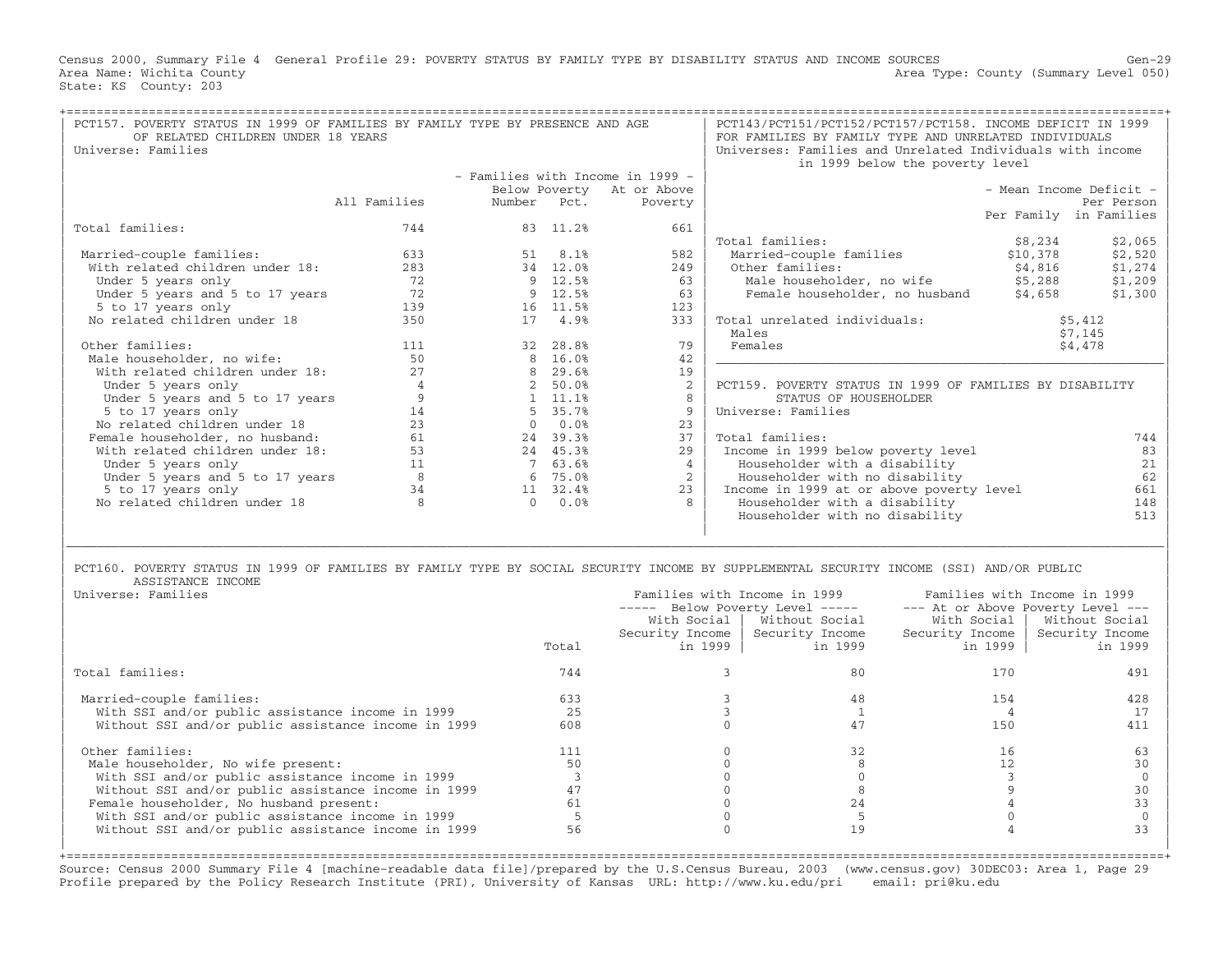Census 2000, Summary File 4 General Profile 29: POVERTY STATUS BY FAMILY TYPE BY DISABILITY STATUS AND INCOME SOURCES Gen−29 Area Name: Wichita County  $\blacksquare$  Area Type: County (Summary Level 050) State: KS County: 203

| PCT157. POVERTY STATUS IN 1999 OF FAMILIES BY FAMILY TYPE BY PRESENCE AND AGE<br>OF RELATED CHILDREN UNDER 18 YEARS<br>Universe: Families                                          | PCT143/PCT151/PCT152/PCT157/PCT158. INCOME DEFICIT IN 1999<br>FOR FAMILIES BY FAMILY TYPE AND UNRELATED INDIVIDUALS<br>Universes: Families and Unrelated Individuals with income<br>in 1999 below the poverty level |        |                |                                                    |                                                                         |                                                          |                                  |                     |                                                                                                                   |
|------------------------------------------------------------------------------------------------------------------------------------------------------------------------------------|---------------------------------------------------------------------------------------------------------------------------------------------------------------------------------------------------------------------|--------|----------------|----------------------------------------------------|-------------------------------------------------------------------------|----------------------------------------------------------|----------------------------------|---------------------|-------------------------------------------------------------------------------------------------------------------|
|                                                                                                                                                                                    |                                                                                                                                                                                                                     |        |                | - Families with Income in 1999 -                   |                                                                         |                                                          |                                  |                     |                                                                                                                   |
|                                                                                                                                                                                    |                                                                                                                                                                                                                     |        |                | Below Poverty At or Above                          |                                                                         |                                                          |                                  |                     | - Mean Income Deficit -                                                                                           |
|                                                                                                                                                                                    | All Families                                                                                                                                                                                                        | Number | Pct.           | Poverty                                            |                                                                         |                                                          |                                  |                     | Per Person                                                                                                        |
|                                                                                                                                                                                    |                                                                                                                                                                                                                     |        |                |                                                    |                                                                         |                                                          |                                  |                     | Per Family in Families                                                                                            |
| Total families:                                                                                                                                                                    | 744                                                                                                                                                                                                                 |        | 83 11.2%       | 661                                                |                                                                         |                                                          |                                  |                     |                                                                                                                   |
|                                                                                                                                                                                    |                                                                                                                                                                                                                     |        |                |                                                    | Total families:                                                         |                                                          |                                  | \$8,234             | \$2,065                                                                                                           |
| Married-couple families:                                                                                                                                                           | 633                                                                                                                                                                                                                 | 51     | 8.1%           | 582                                                |                                                                         | Married-couple families                                  |                                  | \$10,378            | \$2,520                                                                                                           |
| With related children under 18:                                                                                                                                                    | 283                                                                                                                                                                                                                 |        | 34 12.0%       | 249                                                | Other families:                                                         |                                                          |                                  | \$4,816             | \$1,274                                                                                                           |
| Under 5 years only                                                                                                                                                                 | 72                                                                                                                                                                                                                  |        | 9 12.5%        | 63                                                 |                                                                         | Male householder, no wife                                |                                  | \$5,288             | \$1,209                                                                                                           |
| Under 5 years and 5 to 17 years                                                                                                                                                    | 72                                                                                                                                                                                                                  |        | 9 12.5%        | 63                                                 |                                                                         | Female householder, no husband                           |                                  | \$4,658             | \$1,300                                                                                                           |
| 5 to 17 years only                                                                                                                                                                 | 139                                                                                                                                                                                                                 |        | 16 11.5%       | 123                                                |                                                                         |                                                          |                                  |                     |                                                                                                                   |
| No related children under 18                                                                                                                                                       | 350                                                                                                                                                                                                                 |        | 17 4.9%        | 333                                                |                                                                         | Total unrelated individuals:                             |                                  |                     | \$5,412                                                                                                           |
|                                                                                                                                                                                    |                                                                                                                                                                                                                     |        |                |                                                    | Males                                                                   |                                                          |                                  |                     | \$7,145                                                                                                           |
| Other families:                                                                                                                                                                    | 111                                                                                                                                                                                                                 |        | 32 28.8%       | 79                                                 | Females                                                                 |                                                          |                                  |                     | \$4,478                                                                                                           |
| Male householder, no wife:                                                                                                                                                         | 50                                                                                                                                                                                                                  |        | 8 16.0%        | 42                                                 |                                                                         |                                                          |                                  |                     |                                                                                                                   |
| With related children under 18:                                                                                                                                                    | 2.7                                                                                                                                                                                                                 |        | 8 29.6%        | 19                                                 |                                                                         |                                                          |                                  |                     |                                                                                                                   |
| Under 5 years only                                                                                                                                                                 | $\overline{4}$                                                                                                                                                                                                      |        | 2 50.0%        | 2                                                  |                                                                         | PCT159. POVERTY STATUS IN 1999 OF FAMILIES BY DISABILITY |                                  |                     |                                                                                                                   |
| Under 5 years and 5 to 17 years                                                                                                                                                    | 9                                                                                                                                                                                                                   |        | 1, 11.18       | 8                                                  |                                                                         | STATUS OF HOUSEHOLDER                                    |                                  |                     |                                                                                                                   |
| 5 to 17 years only                                                                                                                                                                 | 14                                                                                                                                                                                                                  | 5      | 35.7%          | 9                                                  | Universe: Families                                                      |                                                          |                                  |                     |                                                                                                                   |
| No related children under 18                                                                                                                                                       | 23                                                                                                                                                                                                                  |        | $0.0$ %        | 23                                                 |                                                                         |                                                          |                                  |                     |                                                                                                                   |
| Female householder, no husband:                                                                                                                                                    | 61                                                                                                                                                                                                                  |        | 24 39.3%       | 37                                                 | Total families:                                                         |                                                          |                                  |                     | 744                                                                                                               |
| With related children under 18:                                                                                                                                                    | 53                                                                                                                                                                                                                  |        | 24 45.3%       | 29                                                 |                                                                         | Income in 1999 below poverty level                       |                                  |                     | 83                                                                                                                |
| Under 5 years only                                                                                                                                                                 | 11                                                                                                                                                                                                                  |        | 7 63.6%        | $\overline{4}$                                     |                                                                         | Householder with a disability                            |                                  |                     | 21                                                                                                                |
| Under 5 years and 5 to 17 years                                                                                                                                                    | 8                                                                                                                                                                                                                   |        | 6 75.0%        | 2                                                  |                                                                         | Householder with no disability                           |                                  |                     | 62                                                                                                                |
| 5 to 17 years only                                                                                                                                                                 | 34                                                                                                                                                                                                                  |        | 11 32.4%       | 23                                                 |                                                                         | Income in 1999 at or above poverty level                 |                                  |                     | 661                                                                                                               |
| No related children under 18                                                                                                                                                       | 8                                                                                                                                                                                                                   |        | 0.0%           | 8                                                  |                                                                         | Householder with a disability                            |                                  |                     | 148                                                                                                               |
|                                                                                                                                                                                    |                                                                                                                                                                                                                     |        |                |                                                    |                                                                         | Householder with no disability                           |                                  |                     | 513                                                                                                               |
| PCT160. POVERTY STATUS IN 1999 OF FAMILIES BY FAMILY TYPE BY SOCIAL SECURITY INCOME BY SUPPLEMENTAL SECURITY INCOME (SSI) AND/OR PUBLIC<br>ASSISTANCE INCOME<br>Universe: Families |                                                                                                                                                                                                                     |        | Total          | ----- Below Poverty Level -----<br>Security Income | Families with Income in 1999<br>With Social   Without Social<br>in 1999 | Security Income<br>in 1999                               | With Social  <br>Security Income | in 1999             | Families with Income in 1999<br>--- At or Above Poverty Level ---<br>Without Social<br>Security Income<br>in 1999 |
| Total families:                                                                                                                                                                    |                                                                                                                                                                                                                     |        | 744            |                                                    | $\mathbf{3}$                                                            | 80                                                       |                                  | 170                 | 491                                                                                                               |
| Married-couple families:                                                                                                                                                           |                                                                                                                                                                                                                     |        | 633            |                                                    | 3                                                                       | 48                                                       |                                  | 154                 | 428                                                                                                               |
| With SSI and/or public assistance income in 1999                                                                                                                                   |                                                                                                                                                                                                                     |        | 25             |                                                    | $\mathbf{3}$                                                            | 1                                                        |                                  | $\overline{4}$      | 17                                                                                                                |
|                                                                                                                                                                                    |                                                                                                                                                                                                                     |        | 608            |                                                    | $\Omega$                                                                | 47                                                       |                                  | 150                 |                                                                                                                   |
| Without SSI and/or public assistance income in 1999                                                                                                                                |                                                                                                                                                                                                                     |        |                |                                                    |                                                                         |                                                          |                                  |                     | 411                                                                                                               |
|                                                                                                                                                                                    |                                                                                                                                                                                                                     |        |                |                                                    |                                                                         |                                                          |                                  |                     |                                                                                                                   |
| Other families:                                                                                                                                                                    |                                                                                                                                                                                                                     |        | 111            |                                                    | $\Omega$                                                                | 32                                                       |                                  | 16                  | 63                                                                                                                |
| Male householder, No wife present:                                                                                                                                                 |                                                                                                                                                                                                                     |        | 50             |                                                    | $\mathbf{0}$                                                            | 8                                                        |                                  | 12                  | 30                                                                                                                |
| With SSI and/or public assistance income in 1999                                                                                                                                   |                                                                                                                                                                                                                     |        | $\overline{3}$ |                                                    | $\overline{0}$                                                          | $\mathbf{0}$                                             |                                  | $\overline{3}$      | $\mathbf{0}$                                                                                                      |
| Without SSI and/or public assistance income in 1999<br>Female householder, No husband present:                                                                                     |                                                                                                                                                                                                                     |        | 47<br>61       |                                                    | $\Omega$<br>$\Omega$                                                    | 8<br>24                                                  |                                  | 9<br>$\overline{4}$ | 30<br>33                                                                                                          |

| With SSI and/or public assistance income in 1999 5 0 5 0 0 | Without SSI and/or public assistance income in 1999 | | +===================================================================================================================================================+ Source: Census 2000 Summary File 4 [machine−readable data file]/prepared by the U.S.Census Bureau, 2003 (www.census.gov) 30DEC03: Area 1, Page 29 Profile prepared by the Policy Research Institute (PRI), University of Kansas URL: http://www.ku.edu/pri email: pri@ku.edu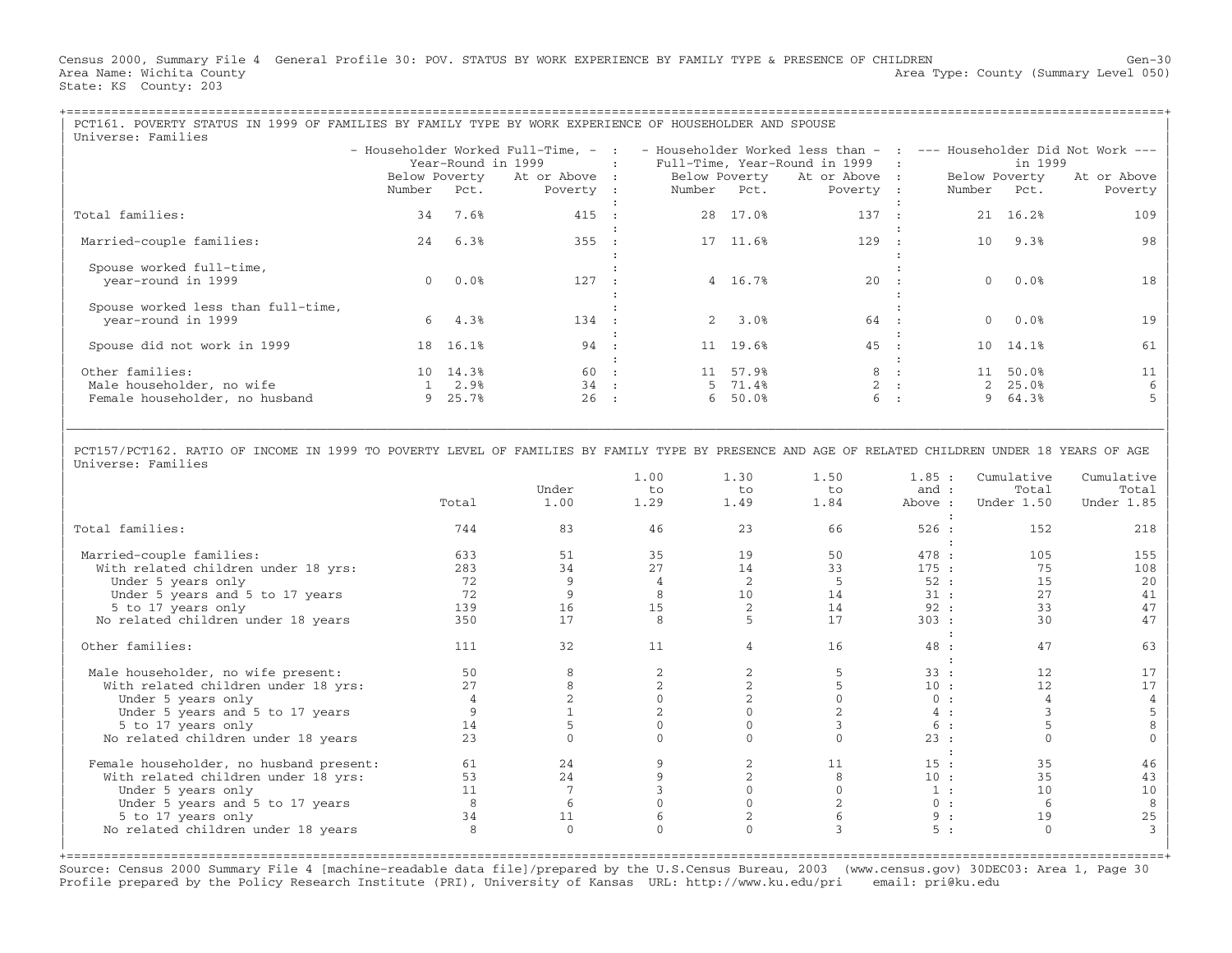Census 2000, Summary File 4 General Profile 30: POV. STATUS BY WORK EXPERIENCE BY FAMILY TYPE & PRESENCE OF CHILDREN Gen−30 Area Name: Wichita County 1999 (Summary Level 050) Area Type: County (Summary Level 050) State: KS County: 203

| PCT161. POVERTY STATUS IN 1999 OF FAMILIES BY FAMILY TYPE BY WORK EXPERIENCE OF HOUSEHOLDER AND SPOUSE<br>Universe: Families |  |                                       |                    |                                                                                                                                                                                                                                                                      |  |                                 |         |                        |  |                                               |     |  |
|------------------------------------------------------------------------------------------------------------------------------|--|---------------------------------------|--------------------|----------------------------------------------------------------------------------------------------------------------------------------------------------------------------------------------------------------------------------------------------------------------|--|---------------------------------|---------|------------------------|--|-----------------------------------------------|-----|--|
|                                                                                                                              |  |                                       |                    | - Householder Worked Full-Time, - :  - Householder Worked less than -  :  --- Householder Did Not Work ---<br>: Full-Time, Year-Round in 1999   :<br>Below Poverty At or Above : Below Poverty At or Above :<br>Number Pct.    Poverty :    Number Pct.    Poverty : |  | Below Poverty<br>Number Pct.    | in 1999 | At or Above<br>Poverty |  |                                               |     |  |
| Total families:                                                                                                              |  | 34 7.6%                               | 415 :              |                                                                                                                                                                                                                                                                      |  | 28 17.0%                        | 137 :   |                        |  | 21 16.2%                                      | 109 |  |
| Married-couple families:                                                                                                     |  | 24 6.3%                               | 355 :              |                                                                                                                                                                                                                                                                      |  | 17 11.6%                        | $129$ : |                        |  | 10 9.3%                                       | 98  |  |
| Spouse worked full-time,<br>year-round in 1999                                                                               |  | $0.0$ $0.0$ $8$                       | 127 :              |                                                                                                                                                                                                                                                                      |  | 4 16.7%                         | $20$ :  |                        |  | $0.0$ %                                       | 18  |  |
| Spouse worked less than full-time,<br>year-round in 1999                                                                     |  | $6\quad 4.3%$                         | 134 :              |                                                                                                                                                                                                                                                                      |  | 2, 3.0%                         | 64 :    |                        |  | $0.0$ %                                       |     |  |
| Spouse did not work in 1999                                                                                                  |  | 18 16.1%                              | 94 :               |                                                                                                                                                                                                                                                                      |  | 11 19.6%                        | 45 :    |                        |  | 10 14.1%                                      | 61  |  |
| Other families:<br>Male householder, no wife<br>Female householder, no husband                                               |  | 10 14.3%<br>$1 \quad 2.98$<br>9 25.7% | 60 :<br>34 :<br>26 | $\sim$ 1.                                                                                                                                                                                                                                                            |  | 11 57.9%<br>5 71.4%<br>6, 50.0% |         | 8 :<br>2 :<br>6 :      |  | 11 50.0%<br>$2, 25.0$ <sup>8</sup><br>9 64.3% |     |  |

| | | PCT157/PCT162. RATIO OF INCOME IN 1999 TO POVERTY LEVEL OF FAMILIES BY FAMILY TYPE BY PRESENCE AND AGE OF RELATED CHILDREN UNDER 18 YEARS OF AGE | Universe: Families

|\_\_\_\_\_\_\_\_\_\_\_\_\_\_\_\_\_\_\_\_\_\_\_\_\_\_\_\_\_\_\_\_\_\_\_\_\_\_\_\_\_\_\_\_\_\_\_\_\_\_\_\_\_\_\_\_\_\_\_\_\_\_\_\_\_\_\_\_\_\_\_\_\_\_\_\_\_\_\_\_\_\_\_\_\_\_\_\_\_\_\_\_\_\_\_\_\_\_\_\_\_\_\_\_\_\_\_\_\_\_\_\_\_\_\_\_\_\_\_\_\_\_\_\_\_\_\_\_\_\_\_\_\_\_\_\_\_\_\_\_\_\_\_\_\_\_\_|

|                                         | Total         | Under<br>1.00 | 1.00<br>to<br>1.29 | 1.30<br>to<br>1.49 | 1.50<br>to<br>1.84 | 1.85:<br>and :<br>Above : | Cumulative<br>Total<br>Under 1.50 | Cumulative<br>Total<br>Under 1.85 |
|-----------------------------------------|---------------|---------------|--------------------|--------------------|--------------------|---------------------------|-----------------------------------|-----------------------------------|
|                                         |               |               |                    |                    |                    |                           |                                   |                                   |
| Total families:                         | 744           | 83            | 46                 | 23                 | 66                 | 526:                      | 152                               | 218                               |
| Married-couple families:                | 633           | 51            | 35                 | 19                 | 50                 | 478 :                     | 105                               | 155                               |
| With related children under 18 yrs:     | 283           | 34            | 2.7                | 14                 | 33                 | 175:                      | 75                                | 108                               |
| Under 5 years only                      | 72            | 9             |                    | $\overline{2}$     |                    | 52:                       | 15                                | 20                                |
| Under 5 years and 5 to 17 years         | 72            | 9             |                    | 10                 | 14                 | 31:                       | 27                                | 41                                |
| 5 to 17 years only                      | 139           | 16            | 15                 |                    | 14                 | 92:                       | 33                                | 47                                |
| No related children under 18 years      | 350           | 17            | 8                  |                    | 17                 | 303 :                     | 30                                | 47                                |
|                                         |               |               |                    |                    |                    |                           |                                   |                                   |
|                                         |               | 32            | 11                 |                    | 16                 |                           | 47                                |                                   |
| Other families:                         | 111           |               |                    | 4                  |                    | 48 :                      |                                   | 63                                |
|                                         |               |               |                    |                    |                    |                           |                                   |                                   |
| Male householder, no wife present:      | 50            |               |                    |                    |                    | 33:                       | 12                                | 17                                |
| With related children under 18 yrs:     | 2.7           |               |                    |                    |                    | 10:                       | 12                                | 17                                |
| Under 5 years only                      |               |               |                    |                    |                    | 0:                        |                                   |                                   |
| Under 5 years and 5 to 17 years         |               |               |                    |                    |                    | 4:                        |                                   |                                   |
| 5 to 17 years only                      | 14            |               |                    |                    |                    | 6 :                       |                                   |                                   |
| No related children under 18 years      | 23            |               |                    |                    |                    | 23:                       |                                   |                                   |
|                                         |               |               |                    |                    |                    |                           |                                   |                                   |
| Female householder, no husband present: | 61            | 24            |                    |                    | 11                 | 15:                       | 35                                | 46                                |
| With related children under 18 yrs:     | 53            | 24            |                    |                    |                    | 10:                       | 35                                | 43                                |
| Under 5 years only                      | 11            |               |                    |                    |                    | 1:                        | 10                                | 10                                |
| Under 5 years and 5 to 17 years         | 8             |               |                    |                    |                    | 0:                        | -6                                | 8                                 |
| 5 to 17 years only                      | 34            | 11            |                    |                    |                    | 9:                        | 19                                | 25                                |
| No related children under 18 years      | $\mathcal{R}$ | $\mathbf{0}$  |                    |                    |                    | 5:                        | $\Omega$                          |                                   |
|                                         |               |               |                    |                    |                    |                           |                                   |                                   |

Source: Census 2000 Summary File 4 [machine−readable data file]/prepared by the U.S.Census Bureau, 2003 (www.census.gov) 30DEC03: Area 1, Page 30 Profile prepared by the Policy Research Institute (PRI), University of Kansas URL: http://www.ku.edu/pri email: pri@ku.edu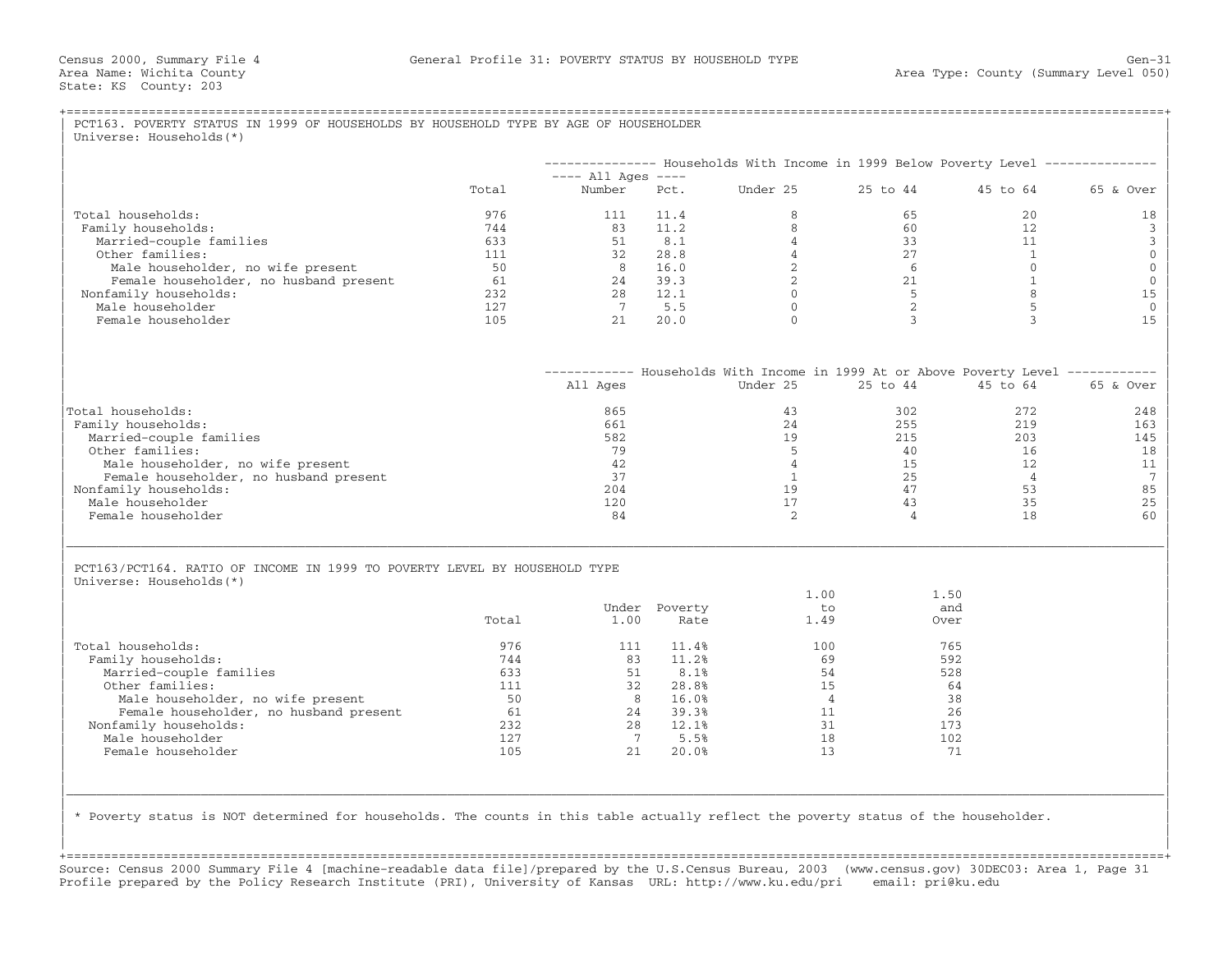|                                                                           |       |                                |               | -------------- Households With Income in 1999 Below Poverty Level --------------   |                |                 |                            |
|---------------------------------------------------------------------------|-------|--------------------------------|---------------|------------------------------------------------------------------------------------|----------------|-----------------|----------------------------|
|                                                                           | Total | $---$ All Ages $---$<br>Number | Pct.          | Under 25                                                                           | 25 to 44       | 45 to 64        | 65 & Over                  |
| Total households:                                                         | 976   | 111                            | 11.4          | 8                                                                                  | 65             | 20              | 18                         |
| Family households:                                                        | 744   | 83                             | 11.2          | 8                                                                                  | 60             | 12 <sup>°</sup> | 3                          |
| Married-couple families                                                   | 633   | 51                             | 8.1           | $\overline{4}$                                                                     | 33             | 11              | 3                          |
| Other families:                                                           | 111   | 32                             | 28.8          | $\overline{4}$                                                                     | 27             | $\overline{1}$  | $\mathbf 0$<br>$\mathbf 0$ |
| Male householder, no wife present                                         | 50    | 8 <sup>1</sup>                 | 16.0          | 2                                                                                  | 6              | $\Omega$        | $\mathbf{0}$               |
| Female householder, no husband present                                    | 61    | 24                             | 39.3          | 2                                                                                  | 21             | 1               |                            |
| Nonfamily households:                                                     | 232   | 28                             | 12.1          | $\Omega$                                                                           | $-5$           | 8               | 15                         |
| Male householder                                                          | 127   | $7\phantom{0}$                 | 5.5           | $\Omega$                                                                           | 2              | 5               |                            |
| Female householder                                                        | 105   | 21                             | 20.0          | $\Omega$                                                                           | 3              | 3               | 15                         |
|                                                                           |       |                                |               | ------------ Households With Income in 1999 At or Above Poverty Level ------------ |                |                 |                            |
|                                                                           |       | All Ages                       |               | Under 25                                                                           | 25 to 44       | 45 to 64        | 65 & Over                  |
| Total households:                                                         |       | 865                            |               | 43                                                                                 | 302            | 272             | 248                        |
| Family households:                                                        |       | 661                            |               | 24                                                                                 | 255            | 219             | 163                        |
| Married-couple families                                                   |       | 582                            |               | 19                                                                                 | 215            | 203             | 145                        |
| Other families:                                                           |       | 79                             |               | 5                                                                                  | 40             | 16              | 18                         |
| Male householder, no wife present                                         |       | 42                             |               | $\overline{4}$                                                                     | 15             | 12              | 11                         |
| Female householder, no husband present                                    |       | 37                             |               | $\mathbf{1}$                                                                       | 25             | $\overline{4}$  |                            |
| Nonfamily households:                                                     |       | 204                            |               | 19                                                                                 | 47             | 53              | 85                         |
| Male householder                                                          |       | 120                            |               | 17                                                                                 | 43             | 35              | 25                         |
| Female householder                                                        |       | 84                             |               | $\overline{2}$                                                                     | $\overline{4}$ | 18              | 60                         |
| PCT163/PCT164. RATIO OF INCOME IN 1999 TO POVERTY LEVEL BY HOUSEHOLD TYPE |       |                                |               |                                                                                    |                |                 |                            |
| Universe: Households (*)                                                  |       |                                |               |                                                                                    |                |                 |                            |
|                                                                           |       |                                |               | 1.00                                                                               | 1.50           |                 |                            |
|                                                                           |       |                                | Under Poverty | to                                                                                 |                | and             |                            |
|                                                                           | Total | 1.00                           | Rate          | 1.49                                                                               |                | Over            |                            |
| Total households:                                                         | 976   | 111                            | 11.4%         | 100                                                                                |                | 765             |                            |
| Family households:                                                        | 744   | 83                             | 11.2%         | 69                                                                                 |                | 592             |                            |
| Married-couple families                                                   | 633   | 51                             | 8.1%          | 54                                                                                 |                | 528             |                            |
| Other families:                                                           | 111   | 32                             | 28.8%         | 15                                                                                 |                | 64              |                            |
| Male householder, no wife present                                         | 50    | 8 <sup>1</sup>                 | 16.0%         | $\overline{4}$                                                                     |                | 38              |                            |
| Female householder, no husband present                                    | 61    |                                | 24 39.3%      | 11                                                                                 |                | 26              |                            |
| Nonfamily households:                                                     | 232   | 28                             | 12.1%         | 31                                                                                 |                | 173             |                            |
| Male householder                                                          | 127   | 7                              | 5.5%          | 18                                                                                 |                | 102             |                            |
| Female householder                                                        | 105   | 21                             | 20.0%         | 13                                                                                 |                | 71              |                            |
|                                                                           |       |                                |               |                                                                                    |                |                 |                            |

| | +===================================================================================================================================================+ Source: Census 2000 Summary File 4 [machine−readable data file]/prepared by the U.S.Census Bureau, 2003 (www.census.gov) 30DEC03: Area 1, Page 31 Profile prepared by the Policy Research Institute (PRI), University of Kansas URL: http://www.ku.edu/pri email: pri@ku.edu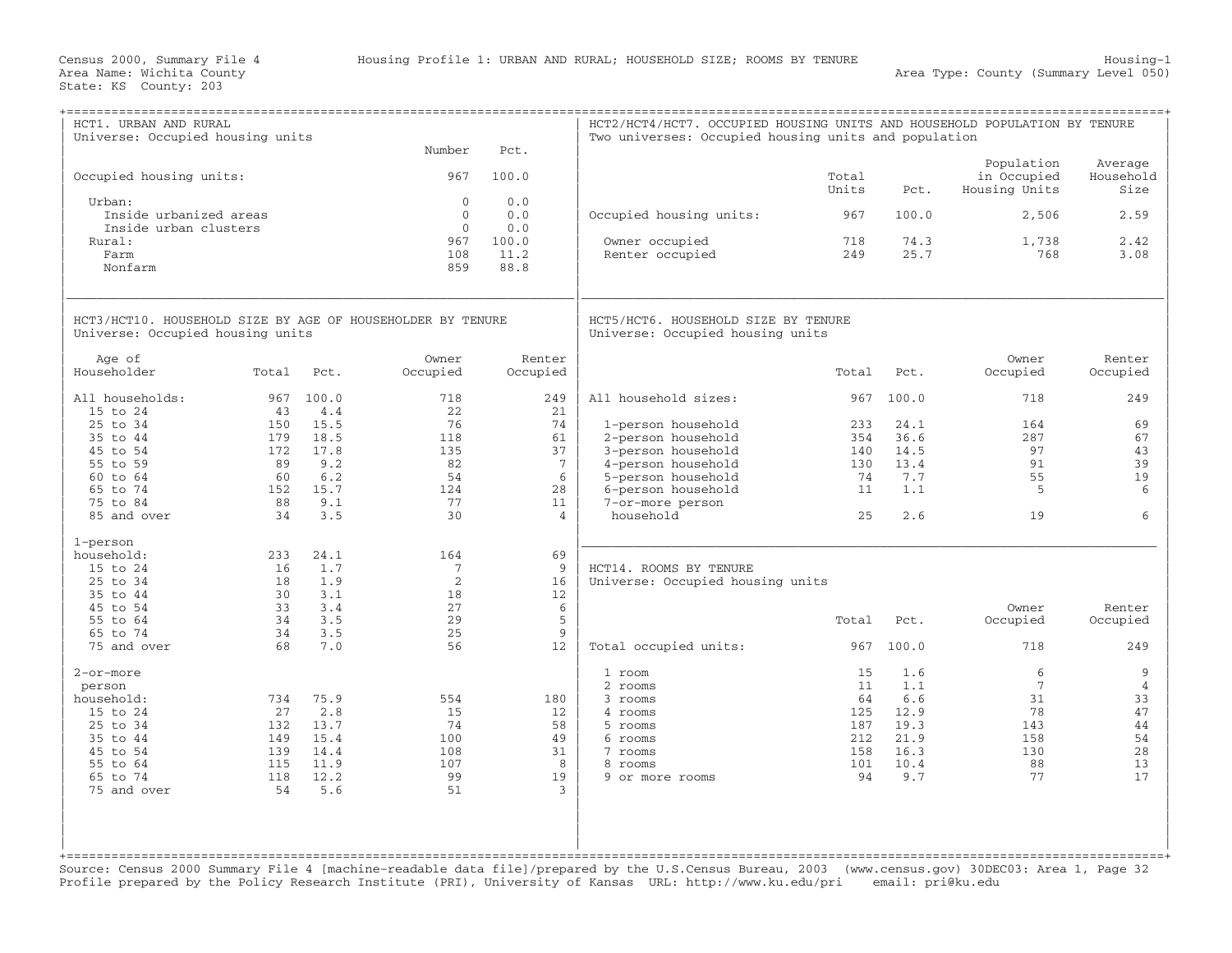| HCT1. URBAN AND RURAL<br>Universe: Occupied housing units                                      |            |              | Number                       | Pct.               | HCT2/HCT4/HCT7. OCCUPIED HOUSING UNITS AND HOUSEHOLD POPULATION BY TENURE<br>Two universes: Occupied housing units and population |                |              |                                            |                              |
|------------------------------------------------------------------------------------------------|------------|--------------|------------------------------|--------------------|-----------------------------------------------------------------------------------------------------------------------------------|----------------|--------------|--------------------------------------------|------------------------------|
| Occupied housing units:                                                                        |            |              | 967                          | 100.0              |                                                                                                                                   | Total<br>Units | Pct.         | Population<br>in Occupied<br>Housing Units | Average<br>Household<br>Size |
| Urban:<br>Inside urbanized areas                                                               |            |              | $\mathbf{0}$<br>$\mathbf{0}$ | 0.0<br>0.0         | Occupied housing units:                                                                                                           | 967            | 100.0        | 2,506                                      | 2.59                         |
| Inside urban clusters<br>Rural:                                                                |            |              | $\Omega$<br>967              | 0.0<br>100.0       | Owner occupied                                                                                                                    | 718            | 74.3         | 1,738                                      | 2.42                         |
| Farm<br>Nonfarm                                                                                |            |              | 108<br>859                   | 11.2<br>88.8       | Renter occupied                                                                                                                   | 249            | 25.7         | 768                                        | 3.08                         |
| HCT3/HCT10. HOUSEHOLD SIZE BY AGE OF HOUSEHOLDER BY TENURE<br>Universe: Occupied housing units |            |              |                              |                    | HCT5/HCT6. HOUSEHOLD SIZE BY TENURE<br>Universe: Occupied housing units                                                           |                |              |                                            |                              |
| Age of<br>Householder                                                                          | Total      | Pct.         | Owner<br>Occupied            | Renter<br>Occupied |                                                                                                                                   | Total          | Pct.         | Owner<br>Occupied                          | Renter<br>Occupied           |
| All households:<br>15 to 24                                                                    | 967<br>43  | 100.0<br>4.4 | 718<br>22                    | 249<br>21          | All household sizes:                                                                                                              | 967            | 100.0        | 718                                        | 249                          |
| 25 to 34                                                                                       | 150        | 15.5         | 76                           | 74                 | 1-person household                                                                                                                | 233            | 24.1         | 164                                        | 69                           |
| 35 to 44                                                                                       | 179        | 18.5         | 118                          | 61                 | 2-person household                                                                                                                | 354            | 36.6         | 287                                        | 67                           |
| 45 to 54                                                                                       | 172        | 17.8         | 135                          | 37                 | 3-person household                                                                                                                | 140            | 14.5         | 97                                         | 43                           |
| 55 to 59                                                                                       | 89         | 9.2          | 82                           | $7\phantom{.0}$    | 4-person household                                                                                                                | 130            | 13.4         | 91                                         | 39                           |
| 60 to 64                                                                                       | 60         | 6.2          | 54                           | 6                  | 5-person household                                                                                                                | 74             | 7.7          | 55                                         | 19                           |
| 65 to 74<br>75 to 84                                                                           | 152<br>88  | 15.7<br>9.1  | 124<br>77                    | 28<br>11           | 6-person household                                                                                                                | 11             | 1.1          | 5                                          | 6                            |
| 85 and over                                                                                    | 34         | 3.5          | 30                           | $\overline{4}$     | 7-or-more person<br>household                                                                                                     | 25             | 2.6          | 19                                         | 6                            |
|                                                                                                |            |              |                              |                    |                                                                                                                                   |                |              |                                            |                              |
| 1-person<br>household:                                                                         | 233        | 24.1         | 164                          | 69                 |                                                                                                                                   |                |              |                                            |                              |
| 15 to 24                                                                                       | 16         | 1.7          | $7\phantom{.0}$              | 9                  | HCT14. ROOMS BY TENURE                                                                                                            |                |              |                                            |                              |
| 25 to 34                                                                                       | 18         | 1.9          | $\overline{2}$               | 16                 | Universe: Occupied housing units                                                                                                  |                |              |                                            |                              |
| 35 to 44                                                                                       | 30         | 3.1          | 18                           | 12 <sup>°</sup>    |                                                                                                                                   |                |              |                                            |                              |
| 45 to 54                                                                                       | 33         | 3.4          | 27                           | 6                  |                                                                                                                                   |                |              | Owner                                      | Renter                       |
| 55 to 64                                                                                       | 34         | 3.5          | 29                           | 5                  |                                                                                                                                   | Total          | Pct.         | Occupied                                   | Occupied                     |
| 65 to 74                                                                                       | 34         | 3.5          | 25                           | $\mathsf{q}$       |                                                                                                                                   |                |              |                                            |                              |
| 75 and over                                                                                    | 68         | 7.0          | 56                           | 12                 | Total occupied units:                                                                                                             | 967            | 100.0        | 718                                        | 249                          |
| 2-or-more                                                                                      |            |              |                              |                    | 1 room                                                                                                                            | 15             | 1.6          | 6                                          | 9                            |
| person                                                                                         |            |              |                              |                    | 2 rooms                                                                                                                           | 11             | 1.1          | $7\phantom{.0}$                            | $\overline{4}$               |
| household:                                                                                     | 734        | 75.9         | 554                          | 180                | 3 rooms                                                                                                                           | 64             | 6.6          | 31                                         | 33                           |
| 15 to 24                                                                                       | 27         | 2.8          | 15                           | 12                 | 4 rooms                                                                                                                           | 125            | 12.9         | 78                                         | 47                           |
| 25 to 34                                                                                       | 132        | 13.7         | 74                           | 58                 | 5 rooms                                                                                                                           | 187            | 19.3         | 143                                        | 44                           |
| 35 to 44<br>45 to 54                                                                           | 149<br>139 | 15.4<br>14.4 | 100<br>108                   | 49<br>31           | 6 rooms<br>7 rooms                                                                                                                | 212<br>158     | 21.9<br>16.3 | 158<br>130                                 | 54<br>28                     |
| 55 to 64                                                                                       | 115        | 11.9         | 107                          | 8                  | 8 rooms                                                                                                                           | 101            | 10.4         | 88                                         | 13                           |
| 65 to 74                                                                                       | 118        | 12.2         | 99                           | 19                 | 9 or more rooms                                                                                                                   | 94             | 9.7          | 77                                         | 17                           |
| 75 and over                                                                                    | 54         | 5.6          | 51                           | $\mathcal{L}$      |                                                                                                                                   |                |              |                                            |                              |
|                                                                                                |            |              |                              |                    |                                                                                                                                   |                |              |                                            |                              |

Source: Census 2000 Summary File 4 [machine−readable data file]/prepared by the U.S.Census Bureau, 2003 (www.census.gov) 30DEC03: Area 1, Page 32 Profile prepared by the Policy Research Institute (PRI), University of Kansas URL: http://www.ku.edu/pri email: pri@ku.edu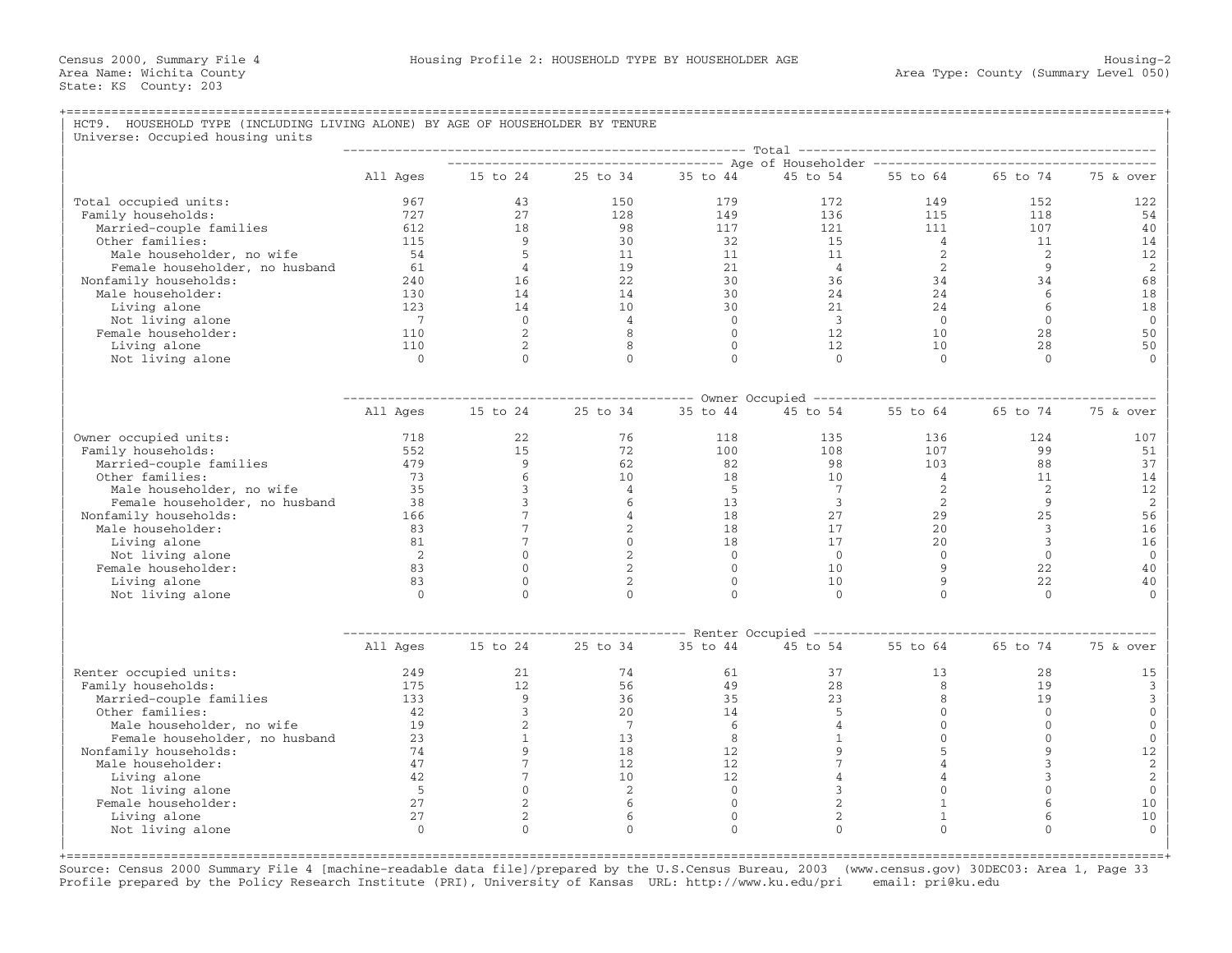| HCT9. HOUSEHOLD TYPE (INCLUDING LIVING ALONE) BY AGE OF HOUSEHOLDER BY TENURE |                            |                                    |                                  |                |                               |                  |                      |                    |
|-------------------------------------------------------------------------------|----------------------------|------------------------------------|----------------------------------|----------------|-------------------------------|------------------|----------------------|--------------------|
| Universe: Occupied housing units                                              |                            |                                    |                                  |                |                               |                  |                      |                    |
|                                                                               | All Ages                   | 15 to 24                           | 25 to 34                         | 35 to 44       | 45 to 54                      | 55 to 64         | 65 to 74             | 75 & over          |
|                                                                               |                            |                                    |                                  |                |                               |                  |                      |                    |
| Total occupied units:                                                         | 967                        | 43                                 | 150                              | 179            | 172                           | 149              | 152                  | 122                |
| Family households:                                                            | 727                        | 27                                 | 128                              | 149            | 136                           | 115              | 118                  | 54                 |
| Married-couple families                                                       | 612                        | 18                                 | 98                               | 117            | 121                           | 111              | 107                  | 40                 |
| Other families:                                                               | 115                        | 9                                  | 30                               | 32             | 15                            | $\overline{4}$   | 11                   | 14                 |
| Male householder, no wife                                                     | 54                         | 5                                  | 11                               | 11             | 11                            | 2                | 2                    | 12                 |
| Female householder, no husband                                                | 61                         | $\overline{4}$                     | 19                               | 21             | $\overline{4}$                | 2                | $\overline{9}$       | 2                  |
| Nonfamily households:                                                         | 240                        | 16                                 | 22                               | 30             | 36                            | 34               | 34                   | 68                 |
| Male householder:                                                             | 130                        | 14                                 | 14                               | 30             | 24                            | 24               | 6                    | 18                 |
| Living alone                                                                  | 123<br>$\overline{7}$      | 14<br>$\bigcirc$                   | 10<br>$\overline{4}$             | 30<br>$\Omega$ | 21<br>$\overline{\mathbf{3}}$ | 24<br>$\bigcirc$ | 6<br>$\Omega$        | 18<br>$\mathbf{0}$ |
| Not living alone<br>Female householder:                                       | 110                        | 2                                  | 8                                | $\Omega$       | 12                            | 10               | 28                   | 50                 |
| Living alone                                                                  | 110                        | $\overline{2}$                     | 8                                | $\overline{0}$ | 12                            | 10               | 28                   | 50                 |
| Not living alone                                                              | $\overline{0}$             | $\Omega$                           | $\Omega$                         | $\Omega$       | $\Omega$                      | $\bigcirc$       | $\Omega$             | $\Omega$           |
|                                                                               |                            |                                    |                                  |                |                               |                  |                      |                    |
|                                                                               |                            |                                    |                                  |                |                               |                  |                      |                    |
|                                                                               | All Ages                   | 15 to 24                           | 25 to 34                         | 35 to 44       | 45 to 54                      | 55 to 64         | 65 to 74             | 75 & over          |
| Owner occupied units:                                                         | 718                        | 22                                 | 76                               | 118            | 135                           | 136              | 124                  | 107                |
| Family households:                                                            | 552                        | 15                                 | 72                               | 100            | 108                           | 107              | 99                   | 51                 |
| Married-couple families                                                       | 479                        | 9                                  | 62                               | 82             | 98                            | 103              | 88                   | 37                 |
| Other families:                                                               | 73                         | 6                                  | 10 <sup>°</sup>                  | 18             | 10                            | $\overline{4}$   | 11                   | 14                 |
| Male householder, no wife                                                     | 35                         | 3                                  | $\overline{4}$                   | $5^{\circ}$    | $7\phantom{.0}$               | 2                | 2                    | 12                 |
| Female householder, no husband                                                | 38                         | 3                                  | 6                                | 13             | $\overline{3}$                | 2                | 9                    | 2                  |
| Nonfamily households:                                                         | 166<br>83                  | $7\overline{ }$<br>$7\overline{ }$ | $\overline{4}$<br>$\overline{2}$ | 18<br>18       | 27<br>17                      | 29<br>20         | 25<br>$\overline{3}$ | 56<br>16           |
| Male householder:<br>Living alone                                             | 81                         | $\overline{7}$                     | $\mathbf{0}$                     | 18             | 17                            | 20               | $\overline{3}$       | 16                 |
| Not living alone                                                              | $\overline{\phantom{0}}^2$ | $\mathbf{0}$                       | $\overline{2}$                   | $\overline{0}$ | $\overline{0}$                | $\overline{0}$   | $\mathbf{0}$         | $\mathbf 0$        |
| Female householder:                                                           | 83                         | $\Omega$                           | $\overline{2}$                   | $\Omega$       | 10                            | 9                | 22                   | 40                 |
| Living alone                                                                  | 83                         | $\Omega$                           | 2                                | $\Omega$       | 10                            | $\mathbf{Q}$     | 22                   | 40                 |
| Not living alone                                                              | $\Omega$                   | $\Omega$                           | $\Omega$                         | $\Omega$       | $\Omega$                      | $\Omega$         | $\Omega$             | $\Omega$           |
|                                                                               |                            |                                    |                                  |                |                               |                  |                      |                    |
|                                                                               |                            |                                    |                                  |                |                               |                  |                      |                    |
|                                                                               | All Ages                   | 15 to 24                           | 25 to 34                         | 35 to 44       | 45 to 54                      | 55 to 64         | 65 to 74             | 75 & over          |
| Renter occupied units:                                                        | 249                        | 21                                 | 74                               | 61             | 37                            | 13               | 28                   | 15                 |
| Family households:                                                            | 175                        | 12                                 | 56                               | 49             | 28                            | 8                | 19                   | 3                  |
| Married-couple families                                                       | 133                        | 9                                  | 36                               | 35             | 23                            | 8                | 19                   | 3                  |
| Other families:                                                               | 42                         | $\mathbf{3}$                       | 20                               | 14             | 5                             | $\mathbf{0}$     | $\mathbf 0$          | $\mathbf 0$        |
| Male householder, no wife                                                     | 19                         | $\overline{2}$                     | $7\phantom{.0}$                  | 6              | $\overline{4}$                | $\mathbf{0}$     | $\mathbf{0}$         | $\mathbf 0$        |
| Female householder, no husband                                                | 23<br>74                   | $\mathbf{1}$<br>9                  | 13<br>18                         | 8<br>12        | $\mathbf{1}$<br>9             | $\Omega$<br>5    | $\Omega$<br>9        | $\mathbf{0}$<br>12 |
| Nonfamily households:<br>Male householder:                                    | 47                         | $7\overline{ }$                    | 12.                              | 12             | $\overline{7}$                | $\overline{4}$   | 3                    | 2                  |
| Living alone                                                                  | 42                         | $7\phantom{.}$                     | 10                               | 12             | 4                             | $\overline{4}$   | 3                    | 2                  |
| Not living alone                                                              | 5                          | $\mathbf{0}$                       | 2                                | $\overline{0}$ | 3                             | $\mathbf{0}$     | $\mathbf{0}$         | $\mathbb O$        |
| Female householder:                                                           | 27                         | 2                                  | 6                                | $\mathbf{0}$   | $\overline{c}$                | $\mathbf{1}$     | 6                    | 10                 |
| Living alone                                                                  | 27                         | 2                                  | 6                                | $\mathbf{0}$   | $\overline{2}$                | $\mathbf{1}$     | 6                    | 10                 |
| Not living alone                                                              | $\Omega$                   | $\Omega$                           | $\Omega$                         | $\Omega$       | $\Omega$                      | $\Omega$         | $\Omega$             | $\Omega$           |

+===================================================================================================================================================+ Source: Census 2000 Summary File 4 [machine−readable data file]/prepared by the U.S.Census Bureau, 2003 (www.census.gov) 30DEC03: Area 1, Page 33 Profile prepared by the Policy Research Institute (PRI), University of Kansas URL: http://www.ku.edu/pri email: pri@ku.edu

| |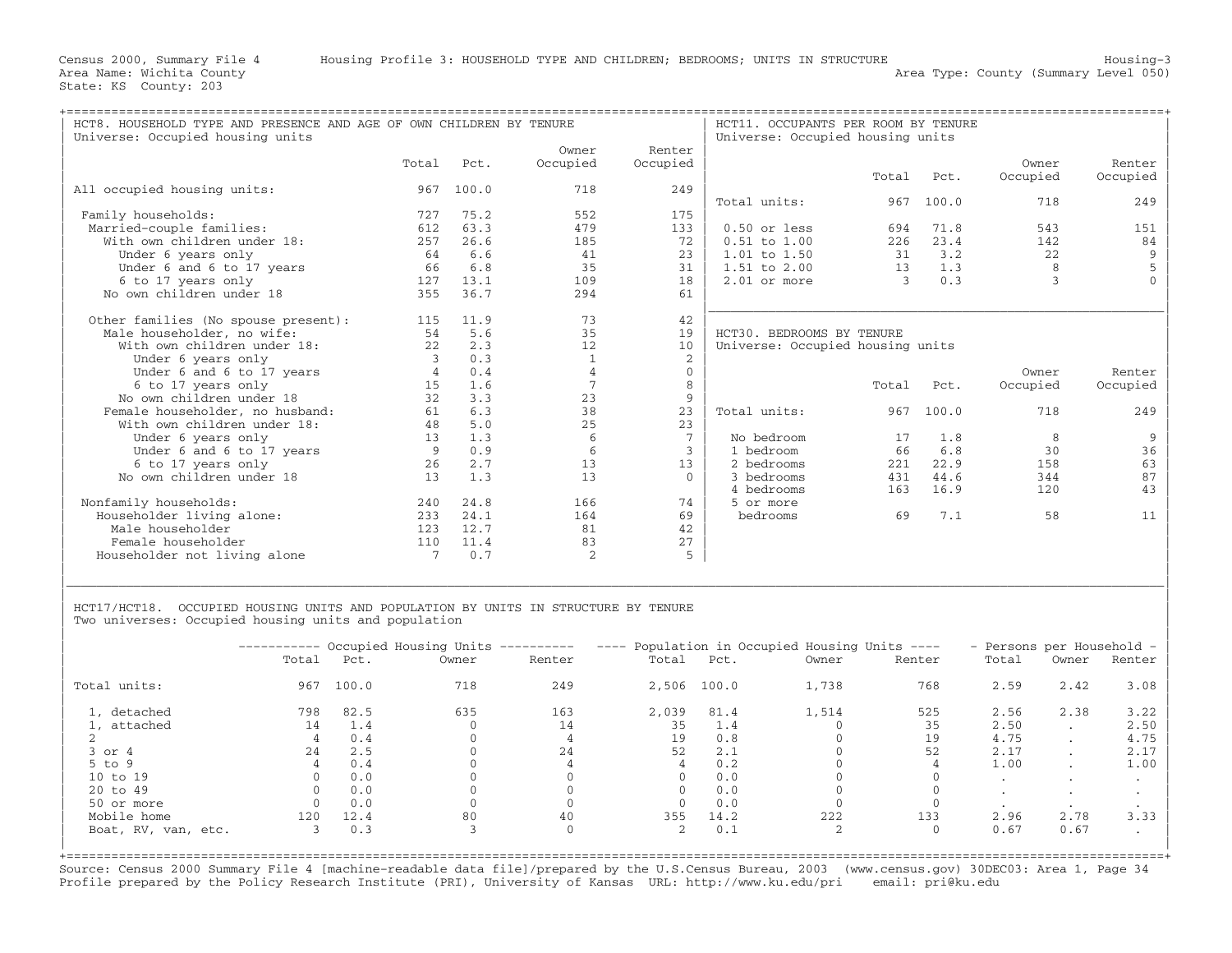| HCT8. HOUSEHOLD TYPE AND PRESENCE AND AGE OF OWN CHILDREN BY TENURE<br>Universe: Occupied housing units |       |       |              |             | HCT11. OCCUPANTS PER ROOM BY TENURE<br>Universe: Occupied housing units |               |       |          |          |
|---------------------------------------------------------------------------------------------------------|-------|-------|--------------|-------------|-------------------------------------------------------------------------|---------------|-------|----------|----------|
|                                                                                                         |       |       | Owner        | Renter      |                                                                         |               |       |          |          |
|                                                                                                         | Total | Pct.  | Occupied     | Occupied    |                                                                         |               |       | Owner    | Renter   |
|                                                                                                         |       |       |              |             |                                                                         | Total         | Pct.  | Occupied | Occupied |
| All occupied housing units:                                                                             | 967   | 100.0 | 718          | 249         |                                                                         |               |       |          |          |
|                                                                                                         |       |       |              |             | Total units:                                                            | 967           | 100.0 | 718      | 249      |
| Family households:                                                                                      | 727   | 75.2  | 552          | 175         |                                                                         |               |       |          |          |
| Married-couple families:                                                                                | 612   | 63.3  | 479          | 133         | $0.50$ or less                                                          | 694           | 71.8  | 543      | 151      |
| With own children under 18:                                                                             | 257   | 26.6  | 185          | 72          | $0.51$ to $1.00$                                                        | 226           | 23.4  | 142      | 84       |
| Under 6 years only                                                                                      | 64    | 6.6   | 41           | 23          | $1.01$ to $1.50$                                                        | 31            | 3.2   | 22       | 9        |
| Under 6 and 6 to 17 years                                                                               | 66    | 6.8   | 35           | 31          | $1.51$ to $2.00$                                                        | 13            | 1.3   | 8        |          |
| 6 to 17 years only                                                                                      | 127   | 13.1  | 109          | 18          | $2.01$ or more                                                          | $\mathcal{L}$ | 0.3   |          |          |
| No own children under 18                                                                                | 355   | 36.7  | 294          | 61          |                                                                         |               |       |          |          |
|                                                                                                         |       |       |              |             |                                                                         |               |       |          |          |
| Other families (No spouse present):                                                                     | 115   | 11.9  | 73           | 42          |                                                                         |               |       |          |          |
| Male householder, no wife:                                                                              | 54    | 5.6   | 35           | 19          | HCT30. BEDROOMS BY TENURE                                               |               |       |          |          |
| With own children under 18:                                                                             | 22    | 2.3   | 12           | 10          | Universe: Occupied housing units                                        |               |       |          |          |
| Under 6 years only                                                                                      | 3     | 0.3   | $\mathbf{1}$ | 2           |                                                                         |               |       |          |          |
| Under 6 and 6 to 17 years                                                                               | 4     | 0.4   | 4            | $\mathbf 0$ |                                                                         |               |       | Owner    | Renter   |
| 6 to 17 years only                                                                                      | 15    | 1.6   |              | 8           |                                                                         | Total         | Pct.  | Occupied | Occupied |
| No own children under 18                                                                                | 32    | 3.3   | 23           | 9           |                                                                         |               |       |          |          |
| Female householder, no husband:                                                                         | 61    | 6.3   | 38           | 23          | Total units:                                                            | 967           | 100.0 | 718      | 249      |
| With own children under 18:                                                                             | 48    | 5.0   | 25           | 23          |                                                                         |               |       |          |          |
| Under 6 years only                                                                                      | 13    | 1.3   | 6            | 7           | No bedroom                                                              | 17            | 1.8   | 8        | 9        |
| Under 6 and 6 to 17 years                                                                               | 9     | 0.9   | -6           | 3           | 1 bedroom                                                               | 66            | 6.8   | 30       | 36       |
| 6 to 17 years only                                                                                      | 26    | 2.7   | 13           | 13          | 2 bedrooms                                                              | 221           | 22.9  | 158      | 63       |
| No own children under 18                                                                                | 13    | 1.3   | 13           | $\Omega$    | 3 bedrooms                                                              | 431           | 44.6  | 344      | 87       |
|                                                                                                         |       |       |              |             | 4 bedrooms                                                              | 163           | 16.9  | 120      | 43       |
| Nonfamily households:                                                                                   | 240   | 24.8  | 166          | 74          | 5 or more                                                               |               |       |          |          |
| Householder living alone:                                                                               | 233   | 24.1  | 164          | 69          | bedrooms                                                                | 69            | 7.1   | 58       | 11       |
| Male householder                                                                                        | 123   | 12.7  | 81           | 42          |                                                                         |               |       |          |          |
| Female householder                                                                                      | 110   | 11.4  | 83           | 27          |                                                                         |               |       |          |          |
| Householder not living alone                                                                            | 7     | 0.7   | 2            | 5           |                                                                         |               |       |          |          |
|                                                                                                         |       |       |              |             |                                                                         |               |       |          |          |

| | HCT17/HCT18. OCCUPIED HOUSING UNITS AND POPULATION BY UNITS IN STRUCTURE BY TENURE Two universes: Occupied housing units and population

|                     | ----------- |       | Occupied Housing Units ---------- ---- |              |       | Population in Occupied Housing Units ---- | - Persons per Household - |        |         |                      |        |
|---------------------|-------------|-------|----------------------------------------|--------------|-------|-------------------------------------------|---------------------------|--------|---------|----------------------|--------|
|                     | Total       | Pct.  | Owner                                  | Renter       | Total | Pct.                                      | Owner                     | Renter | Total   | Owner                | Renter |
| Total units:        | 967         | 100.0 | 718                                    | 249          |       | 2,506 100.0                               | 1,738                     | 768    | 2.59    | 2.42                 | 3.08   |
| 1, detached         | 798         | 82.5  | 635                                    | 163          | 2,039 | 81.4                                      | 1,514                     | 525    | 2.56    | 2.38                 | 3.22   |
| 1, attached         | 14          | 1.4   |                                        | 14           | 35    | 1.4                                       |                           | 35     | 2.50    | $\ddot{\phantom{0}}$ | 2.50   |
|                     |             | 0.4   |                                        |              | 19    | 0.8                                       |                           | 19     | 4.75    | $\ddot{\phantom{0}}$ | 4.75   |
| $3$ or $4$          | 24          | 2.5   |                                        | 24           | 52    | 2.1                                       |                           | 52     | 2.17    | $\sim$               | 2.17   |
| $5$ to $9$          |             | 0.4   |                                        |              |       | 0.2                                       |                           |        | 1.00    | $\cdot$              | 1.00   |
| 10 to 19            |             | 0.0   |                                        |              |       | 0.0                                       |                           |        | $\cdot$ | $\cdot$              |        |
| 20 to 49            |             | 0.0   |                                        |              |       | 0.0                                       |                           |        | $\cdot$ | $\cdot$              |        |
| 50 or more          |             | 0.0   |                                        |              |       | 0.0                                       |                           |        |         |                      |        |
| Mobile home         | 120         | 12.4  | 80                                     | 40           | 355   | 14.2                                      | 222                       | 133    | 2.96    | 2.78                 | 3.33   |
| Boat, RV, van, etc. |             | 0.3   |                                        | $\mathbf{0}$ |       | 0.1                                       | 2                         |        | 0.67    | 0.67                 |        |

|\_\_\_\_\_\_\_\_\_\_\_\_\_\_\_\_\_\_\_\_\_\_\_\_\_\_\_\_\_\_\_\_\_\_\_\_\_\_\_\_\_\_\_\_\_\_\_\_\_\_\_\_\_\_\_\_\_\_\_\_\_\_\_\_\_\_\_\_\_\_\_\_\_\_\_\_\_\_\_\_\_\_\_\_\_\_\_\_\_\_\_\_\_\_\_\_\_\_\_\_\_\_\_\_\_\_\_\_\_\_\_\_\_\_\_\_\_\_\_\_\_\_\_\_\_\_\_\_\_\_\_\_\_\_\_\_\_\_\_\_\_\_\_\_\_\_\_|

+===================================================================================================================================================+ Source: Census 2000 Summary File 4 [machine−readable data file]/prepared by the U.S.Census Bureau, 2003 (www.census.gov) 30DEC03: Area 1, Page 34 Profile prepared by the Policy Research Institute (PRI), University of Kansas URL: http://www.ku.edu/pri email: pri@ku.edu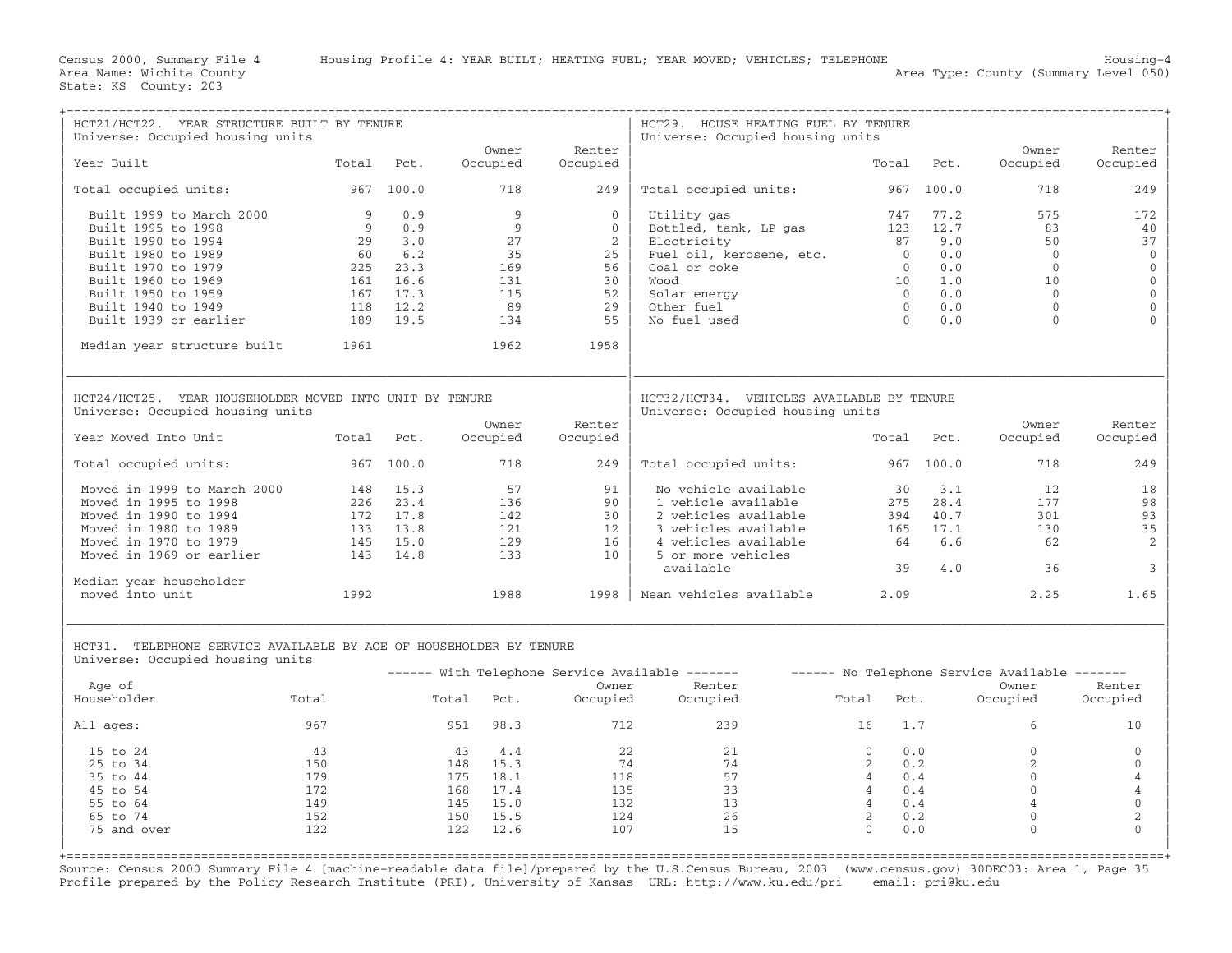| HCT21/HCT22. YEAR STRUCTURE BUILT BY TENURE<br>Universe: Occupied housing units                                                                   |                |                  |                   |                    | HCT29. HOUSE HEATING FUEL BY TENURE<br>Universe: Occupied housing units                                   |                                  |            |                     |                                    |
|---------------------------------------------------------------------------------------------------------------------------------------------------|----------------|------------------|-------------------|--------------------|-----------------------------------------------------------------------------------------------------------|----------------------------------|------------|---------------------|------------------------------------|
| Year Built                                                                                                                                        | Total          | Pct.             | Owner<br>Occupied | Renter<br>Occupied |                                                                                                           | Total                            | Pct.       | Owner<br>Occupied   | Renter<br>Occupied                 |
| Total occupied units:                                                                                                                             |                | 967 100.0        | 718               | 249                | Total occupied units:                                                                                     |                                  | 967 100.0  | 718                 | 249                                |
| Built 1999 to March 2000                                                                                                                          | $\overline{9}$ | 0.9              | 9                 | $\Omega$           | Utility gas                                                                                               | 747                              | 77.2       | 575                 | 172                                |
| Built 1995 to 1998                                                                                                                                | 9              | 0.9              | 9                 | $\Omega$           | Bottled, tank, LP gas                                                                                     |                                  | 123 12.7   | 83                  | 40                                 |
| Built 1990 to 1994                                                                                                                                | 29             | $3 \cdot 0$      | 27                | 2                  | Electricity                                                                                               | 87                               | 9.0        | 50<br>$\bigcap$     | 37                                 |
| Built 1980 to 1989                                                                                                                                | 60             | 6.2              | 35                | 25                 | Fuel oil, kerosene, etc.                                                                                  | $\overline{0}$<br>$\overline{0}$ | 0.0<br>0.0 | $\overline{0}$      | $\mathbf 0$                        |
| Built 1970 to 1979                                                                                                                                | 161            | 225 23.3<br>16.6 | 169<br>131        | 56<br>30           | Coal or coke<br>Wood                                                                                      | 10                               | 1.0        | 10                  | $\mathbb O$<br>$\mathsf{O}\xspace$ |
| Built 1960 to 1969<br>Built 1950 to 1959                                                                                                          |                | 167 17.3         | 115               | 52                 |                                                                                                           | $\overline{0}$                   | 0.0        | $\overline{0}$      | $\mathbb O$                        |
| Built 1940 to 1949                                                                                                                                | 118            | 12.2             | 89                | 29                 | Solar energy<br>Other fuel                                                                                | $\overline{0}$                   | 0.0        | $\Omega$            | $\mathbb O$                        |
| Built 1939 or earlier                                                                                                                             | 189            | 19.5             | 134               | 55                 | No fuel used                                                                                              | $\bigcirc$                       | 0.0        | $\Omega$            |                                    |
|                                                                                                                                                   |                |                  |                   |                    |                                                                                                           |                                  |            |                     |                                    |
| Median year structure built                                                                                                                       | 1961           |                  | 1962              | 1958               |                                                                                                           |                                  |            |                     |                                    |
| HCT24/HCT25. YEAR HOUSEHOLDER MOVED INTO UNIT BY TENURE<br>Universe: Occupied housing units                                                       |                |                  |                   |                    | HCT32/HCT34. VEHICLES AVAILABLE BY TENURE<br>Universe: Occupied housing units                             |                                  |            |                     |                                    |
| Year Moved Into Unit                                                                                                                              | Total          | Pct.             | Owner<br>Occupied | Renter<br>Occupied |                                                                                                           |                                  | Total Pct. | Owner<br>Occupied   | Renter<br>Occupied                 |
| Total occupied units:                                                                                                                             |                | 967 100.0        | 718               | 249                | Total occupied units:                                                                                     |                                  | 967 100.0  | 718                 | 249                                |
| Moved in 1999 to March 2000                                                                                                                       |                | 148 15.3         | 57                | 91                 | No vehicle available                                                                                      | 30                               | 3.1        | 12                  | 18                                 |
| Moved in 1995 to 1998                                                                                                                             |                | 226 23.4         | 136               | 90                 | 1 vehicle available                                                                                       | 275                              | 28.4       | 177                 | 98                                 |
| Moved in 1990 to 1994                                                                                                                             |                | 172 17.8         | 142               | 30                 | 2 vehicles available                                                                                      | 394                              | 40.7       | 301                 | 93                                 |
| Moved in 1980 to 1989                                                                                                                             |                | 133 13.8         | 121               | 12                 | 3 vehicles available                                                                                      | 165                              | 17.1       | 130                 | 35                                 |
| Moved in 1970 to 1979                                                                                                                             | 145            | 15.0             | 129               | 16                 | 4 vehicles available                                                                                      | 64                               | 6.6        | 62                  | 2                                  |
| Moved in 1969 or earlier                                                                                                                          | 143            | 14.8             | 133               | 10                 | 5 or more vehicles                                                                                        |                                  |            |                     |                                    |
| Median year householder                                                                                                                           |                |                  |                   |                    | available                                                                                                 | 39                               | 4.0        | 36                  | $\mathbf{3}$                       |
| moved into unit                                                                                                                                   | 1992           |                  | 1988              | 1998               | Mean vehicles available                                                                                   | 2.09                             |            | 2.25                | 1.65                               |
| HCT31. TELEPHONE SERVICE AVAILABLE BY AGE OF HOUSEHOLDER BY TENURE<br>Universe: Occupied housing units                                            |                |                  |                   |                    |                                                                                                           |                                  |            |                     |                                    |
| Age of                                                                                                                                            |                |                  |                   | Owner              | ------ With Telephone Service Available ------- - ------ No Telephone Service Available -------<br>Renter |                                  |            | Owner               | Renter                             |
| Householder                                                                                                                                       | Total          |                  | Total<br>Pct.     | Occupied           | Occupied                                                                                                  | Total<br>Pct.                    |            | Occupied            | Occupied                           |
| All ages:                                                                                                                                         | 967            |                  | 951 98.3          | 712                | 239                                                                                                       | 16                               | 1.7        | 6                   | 10                                 |
| 15 to 24                                                                                                                                          | 43             |                  | 4.4<br>43         | 22                 | 21                                                                                                        | $\Omega$                         | 0.0        | $\mathbf{0}$        | $\mathbf{0}$                       |
| 25 to 34                                                                                                                                          | 150            |                  | 148 15.3          | 74                 | 74                                                                                                        | 2                                | 0.2        | 2                   | $\mathbf 0$                        |
| 35 to 44                                                                                                                                          | 179            |                  | 175 18.1          | 118                | 57                                                                                                        | $\overline{4}$                   | 0.4        | $\mathbf{0}$        | 4                                  |
| 45 to 54                                                                                                                                          | 172            |                  | 168 17.4          | 135                | 33                                                                                                        | $\overline{4}$                   | 0.4        | $\mathbf{0}$        | $\overline{4}$                     |
| 55 to 64                                                                                                                                          | 149            |                  | 145<br>15.0       | 132                | 13                                                                                                        | $\overline{4}$                   | 0.4        | $\overline{4}$      | $\mathbf{0}$                       |
| 65 to 74                                                                                                                                          | 152            |                  | 150 15.5          | 124                | 26                                                                                                        | $\overline{2}$                   | 0.2        | $\mathsf{O}\xspace$ | $\overline{c}$                     |
| 75 and over                                                                                                                                       | 122            |                  | 122<br>12.6       | 107                | 15                                                                                                        | $\Omega$                         | 0.0        | $\Omega$            | $\Omega$                           |
| Source: Census 2000 Summary File 4 [machine-readable data file]/prepared by the U.S.Census Bureau, 2003 (www.census.gov) 30DEC03: Area 1, Page 35 |                |                  |                   |                    |                                                                                                           |                                  |            |                     |                                    |

Profile prepared by the Policy Research Institute (PRI), University of Kansas URL: http://www.ku.edu/pri email: pri@ku.edu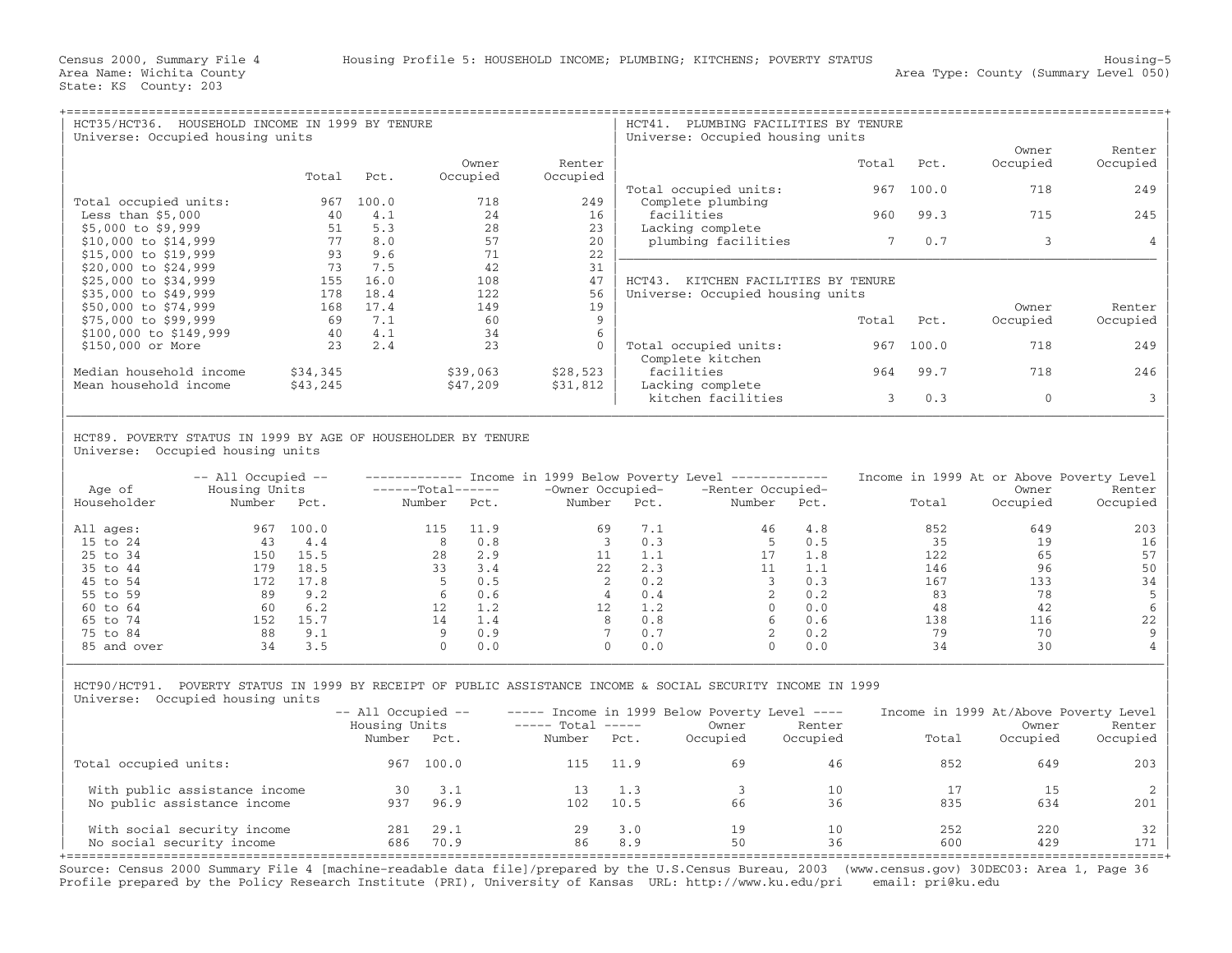| HOUSEHOLD INCOME IN 1999 BY TENURE<br>HCT35/HCT36.<br>Universe: Occupied housing units |          |       |          |          | HCT41.<br>PLUMBING FACILITIES BY TENURE<br>Universe: Occupied housing units |       |       |              |          |
|----------------------------------------------------------------------------------------|----------|-------|----------|----------|-----------------------------------------------------------------------------|-------|-------|--------------|----------|
|                                                                                        |          |       |          |          |                                                                             |       |       | Owner        | Renter   |
|                                                                                        |          |       | Owner    | Renter   |                                                                             | Total | Pct.  | Occupied     | Occupied |
|                                                                                        | Total    | Pct.  | Occupied | Occupied | Total occupied units:                                                       | 967   | 100.0 | 718          | 249      |
| Total occupied units:                                                                  | 967      | 100.0 | 718      | 249      | Complete plumbing                                                           |       |       |              |          |
| Less than $$5,000$                                                                     | 40       | 4.1   | 24       | 16       | facilities                                                                  | 960   | 99.3  | 715          | 245      |
| $$5,000$ to \$9,999                                                                    | 51       | 5.3   | 28       | 23       | Lacking complete                                                            |       |       |              |          |
| $$10,000$ to $$14,999$                                                                 | 77       | 8.0   | 57       | 20       | plumbing facilities                                                         | 7     | 0.7   | 3            |          |
| $$15,000$ to $$19,999$                                                                 | 93       | 9.6   | 71       | 22       |                                                                             |       |       |              |          |
| \$20,000 to \$24,999                                                                   | 73       | 7.5   | 42       | 31       |                                                                             |       |       |              |          |
| \$25,000 to \$34,999                                                                   | 155      | 16.0  | 108      | 47       | $HCT43$ .<br>KITCHEN FACILITIES BY TENURE                                   |       |       |              |          |
| \$35,000 to \$49,999                                                                   | 178      | 18.4  | 122      | 56       | Universe: Occupied housing units                                            |       |       |              |          |
| \$50,000 to \$74,999                                                                   | 168      | 17.4  | 149      | 19       |                                                                             |       |       | Owner        | Renter   |
| \$75,000 to \$99,999                                                                   | 69       | 7.1   | 60       | 9        |                                                                             | Total | Pct.  | Occupied     | Occupied |
| \$100,000 to \$149,999                                                                 | 40       | 4.1   | 34       |          |                                                                             |       |       |              |          |
| \$150,000 or More                                                                      | 23       | 2.4   | 23       | $\Omega$ | Total occupied units:                                                       | 967   | 100.0 | 718          | 249      |
|                                                                                        |          |       |          |          | Complete kitchen                                                            |       |       |              |          |
| Median household income                                                                | \$34,345 |       | \$39,063 | \$28,523 | facilities                                                                  | 964   | 99.7  | 718          | 246      |
| Mean household income                                                                  | \$43,245 |       | \$47,209 | \$31,812 | Lacking complete                                                            |       |       |              |          |
|                                                                                        |          |       |          |          | kitchen facilities                                                          | 3     | 0.3   | $\mathbf{0}$ |          |
|                                                                                        |          |       |          |          |                                                                             |       |       |              |          |

## | | HCT89. POVERTY STATUS IN 1999 BY AGE OF HOUSEHOLDER BY TENURE Universe: Occupied housing units

| Age of      | $--$ All Occupied $--$<br>Housing Units |       | $---Total---$ |      | -Owner Occupied- |      | Income in 1999 Below Poverty Level ------------<br>-Renter Occupied- |      | Income in 1999 At or Above Poverty Level | Owner    | Renter   |
|-------------|-----------------------------------------|-------|---------------|------|------------------|------|----------------------------------------------------------------------|------|------------------------------------------|----------|----------|
| Householder | Number                                  | Pct.  | Number        | Pct. | Number           | Pct. | Number                                                               | Pct. | Total                                    | Occupied | Occupied |
| All ages:   | 967                                     | 100.0 | 115           | 11.9 | 69               | 7.1  | 46                                                                   | 4.8  | 852                                      | 649      | 203      |
| 15 to 24    | 43                                      | 4.4   | 8             | 0.8  |                  | 0.3  |                                                                      | 0.5  | 35                                       | 19       | 16       |
| 25 to 34    | 150                                     | 15.5  | 28            | 2.9  |                  | 1.1  |                                                                      | 1.8  | 122                                      | 65       | 57       |
| 35 to 44    | 179                                     | 18.5  | 33            | 3.4  | 22               | 2.3  |                                                                      | 1.1  | 146                                      | 96       | 50       |
| 45 to 54    | 172                                     | 17.8  |               | 0.5  |                  | 0.2  |                                                                      | 0.3  | 167                                      | 133      | 34       |
| 55 to 59    | 89                                      | 9.2   |               | 0.6  |                  | 0.4  |                                                                      | 0.2  | 83                                       | 78       |          |
| 60 to 64    | 60                                      | 6.2   |               | 1.2  | 12               | 1.2  |                                                                      | 0.0  | 48                                       | 42       |          |
| 65 to 74    | 152                                     | 15.7  | 14            | 1.4  | 8                | 0.8  | 6                                                                    | 0.6  | 138                                      | 116      | 22       |
| 75 to 84    | 88                                      | 9.1   |               | 0.9  |                  | 0.7  |                                                                      | 0.2  | 79                                       | 70       | -9       |
| 85 and over | 34                                      | 3.5   |               | 0.0  | $\Omega$         | 0.0  | 0                                                                    | 0.0  | 34                                       | 30       |          |

| HCT90/HCT91. POVERTY STATUS IN 1999 BY RECEIPT OF PUBLIC ASSISTANCE INCOME & SOCIAL SECURITY INCOME IN 1999 | Universe: Occupied housing units

|                                                              | $--$ All Occupied $--$<br>Housing Units<br>Number | Pct.         | $---$ Total $---$<br>Number | Pct.        | $---$ Income in 1999 Below Poverty Level $---$<br>Owner<br>Occupied | Renter<br>Occupied | Income in 1999 At/Above Poverty Level<br>Total | Owner<br>Occupied | Renter<br>Occupied |
|--------------------------------------------------------------|---------------------------------------------------|--------------|-----------------------------|-------------|---------------------------------------------------------------------|--------------------|------------------------------------------------|-------------------|--------------------|
| Total occupied units:                                        | 967                                               | 100.0        | 115                         | 11.9        | 69                                                                  | 46                 | 852                                            | 649               | 203                |
| With public assistance income<br>No public assistance income | 30<br>937                                         | 3.1<br>96.9  | 102                         | 1.3<br>10.5 | 66                                                                  | 10<br>36           | 835                                            | 15<br>634         | 201                |
| With social security income<br>No social security income     | 281<br>686                                        | 29.1<br>70.9 | 29<br>86                    | 3.0<br>8.9  | 19<br>50                                                            | 10<br>36           | 252<br>600                                     | 220<br>429        | 32<br>171          |

| |

+===================================================================================================================================================+ Source: Census 2000 Summary File 4 [machine−readable data file]/prepared by the U.S.Census Bureau, 2003 (www.census.gov) 30DEC03: Area 1, Page 36 Profile prepared by the Policy Research Institute (PRI), University of Kansas URL: http://www.ku.edu/pri email: pri@ku.edu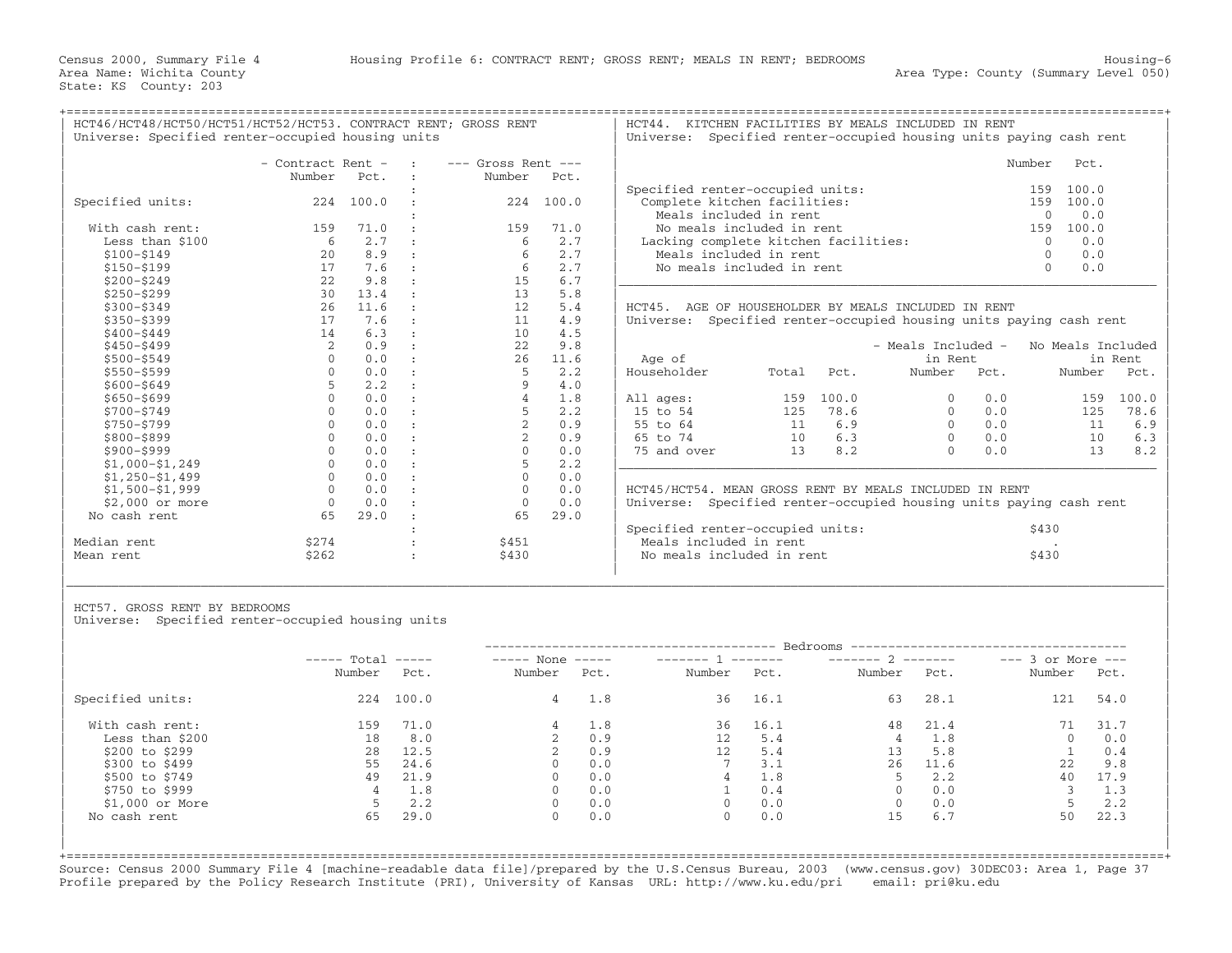+===================================================================================================================================================+

| | | - Contract Rent - : −−− Gross Rent -−− Number Pct. : Number Pct. | : | Specified renter−occupied units: 159 100.0 | | Specified units: 224 100.0 : 224 100.0 | Complete kitchen facilities: 159 100.0 |  $|\hspace{.6cm}$  Meals included in rent  $|\hspace{.6cm}$  Meals included in rent  $|\hspace{.6cm}$  0  $\rangle$  0.0  $|\hspace{.6cm}$ | With cash rent: 159 71.0 : 159 71.0 | No meals included in rent 159 100.0 | | Less than \$100 6 2.7 : 6 2.7 | Lacking complete kitchen facilities: 0 0.0 | | \$100−\$149 20 8.9 : 6 2.7 | Meals included in rent 0 0.0 | | \$150−\$199 17 7.6 : 6 2.7 | No meals included in rent 0 0.0 | | \$200−\$249 22 9.8 : 15 6.7 |\_\_\_\_\_\_\_\_\_\_\_\_\_\_\_\_\_\_\_\_\_\_\_\_\_\_\_\_\_\_\_\_\_\_\_\_\_\_\_\_\_\_\_\_\_\_\_\_\_\_\_\_\_\_\_\_\_\_\_\_\_\_\_\_\_\_\_\_\_\_\_\_ | | \$250−\$299 30 13.4 : 13 5.8 | | | \$300−\$349 26 11.6 : 12 5.4 | HCT45. AGE OF HOUSEHOLDER BY MEALS INCLUDED IN RENT | | \$350−\$399 17 7.6 : 11 4.9 | Universe: Specified renter−occupied housing units paying cash rent | | \$400−\$449 14 6.3 : 10 4.5 | | | \$450−\$499 2 0.9 : 22 9.8 | − Meals Included − No Meals Included | | \$500−\$549 0 0.0 : 26 11.6 | Age of in Rent in Rent | | \$550−\$599 0 0.0 : 5 2.2 | Householder Total Pct. Number Pct. Number Pct. | | \$600−\$649 5 2.2 : 9 4.0 | | | \$650−\$699 0 0.0 : 4 1.8 | All ages: 159 100.0 0 0.0 159 100.0 | | \$700−\$749 0 0.0 : 5 2.2 | 15 to 54 125 78.6 0 0.0 125 78.6 | | \$750−\$799 0 0.0 : 2 0.9 | 55 to 64 11 6.9 0 0.0 11 6.9 | | \$800−\$899 0 0.0 : 2 0.9 | 65 to 74 10 6.3 0 0.0 10 6.3 | | \$900−\$999 0 0.0 : 0 0.0 | 75 and over 13 8.2 0 0.0 13 8.2 | | \$1,000−\$1,249 0 0.0 : 5 2.2 |\_\_\_\_\_\_\_\_\_\_\_\_\_\_\_\_\_\_\_\_\_\_\_\_\_\_\_\_\_\_\_\_\_\_\_\_\_\_\_\_\_\_\_\_\_\_\_\_\_\_\_\_\_\_\_\_\_\_\_\_\_\_\_\_\_\_\_\_\_\_\_\_ | | \$1,250−\$1,499 0 0.0 : 0 0.0 | | | \$1,500−\$1,999 0 0.0 : 0 0.0 | HCT45/HCT54. MEAN GROSS RENT BY MEALS INCLUDED IN RENT | | \$2,000 or more 0 0.0 : 0 0.0 | Universe: Specified renter−occupied housing units paying cash rent | | No cash rent 65 29.0 : 65 29.0 | | | specified renter−occupied units: \$430 | Specified renter−occupied units: \$430 | \$430 | \$430 | \$430 | \$430 | \$ | Median rent \$274 : \$451 | Meals included in rent . |

| HCT46/HCT48/HCT50/HCT51/HCT52/HCT53. CONTRACT RENT; GROSS RENT<br>Universe: Specified renter-occupied housing units |                   |                         |           |                        | HCT44.<br>KITCHEN FACILITIES BY MEALS INCLUDED IN RENT<br>Universe: Specified renter-occupied housing units paying cash rent |                                      |        |       |  |  |
|---------------------------------------------------------------------------------------------------------------------|-------------------|-------------------------|-----------|------------------------|------------------------------------------------------------------------------------------------------------------------------|--------------------------------------|--------|-------|--|--|
|                                                                                                                     | - Contract Rent - |                         | $\sim$ 1. | $---$ Gross Rent $---$ |                                                                                                                              |                                      | Number | Pct.  |  |  |
|                                                                                                                     | Number            | Pct.                    |           | Number                 | Pct.                                                                                                                         |                                      |        |       |  |  |
|                                                                                                                     |                   |                         |           |                        |                                                                                                                              | Specified renter-occupied units:     | 159    | 100.0 |  |  |
| Specified units:                                                                                                    | 224               | 100.0                   |           | 224                    | 100.0                                                                                                                        | Complete kitchen facilities:         | 159    | 100.0 |  |  |
|                                                                                                                     |                   |                         |           |                        |                                                                                                                              | Meals included in rent               |        | 0.0   |  |  |
| With cash rent:                                                                                                     | 159               | 71.0                    |           | 159                    | 71.0                                                                                                                         | No meals included in rent            | 159    | 100.0 |  |  |
| Less than \$100                                                                                                     |                   | 2.7                     | $\sim$ 1. | h                      | 2.7                                                                                                                          | Lacking complete kitchen facilities: |        | 0.0   |  |  |
| \$100-\$149                                                                                                         | 2.0               | 8.9                     | $\sim$ 1  | 6.                     | 2.7                                                                                                                          | Meals included in rent               |        | 0.0   |  |  |
| \$150-\$199                                                                                                         |                   | 7.6                     |           | 6                      | 2.7                                                                                                                          | No meals included in rent            |        | 0.0   |  |  |
| $A \cap A \cap A \cap A$                                                                                            | $\cap$ $\cap$     | $\cap$ $\cap$ $\subset$ |           | 1 E .                  | $\sim$ $\sim$                                                                                                                |                                      |        |       |  |  |

|       |       |          |     |                                       | in Rent                     |
|-------|-------|----------|-----|---------------------------------------|-----------------------------|
| Total | Pct.  | Number   |     |                                       | Pct.                        |
|       |       |          |     |                                       |                             |
| 159   | 100.0 | 0        | 0.0 | 159                                   | 100.0                       |
| 125   | 78.6  | $\Omega$ | 0.0 | 125                                   | 78.6                        |
| 11    | 6.9   | $\Omega$ | 0.0 | 11                                    | 6.9                         |
| 10    | 6.3   | $\Omega$ | 0.0 | 10                                    | 6.3                         |
| 13    | 8.2   | 0        | 0.0 | 13                                    | 8.2                         |
|       |       |          |     |                                       |                             |
|       |       |          |     | - Meals Included -<br>in Rent<br>Pct. | No Meals Included<br>Number |

|             |       |       | Specified renter-occupied units: | 543U |
|-------------|-------|-------|----------------------------------|------|
| Median rent |       | \$45⊥ | Meals included in rent           |      |
| Mean rent   | \$262 | \$430 | No meals included in rent        |      |
|             |       |       |                                  |      |

HCT57. GROSS RENT BY BEDROOMS

Universe: Specified renter-occupied housing units

|                  | $---$ Total | $\qquad \qquad - - - - -$ | $---$ None     | ------- 1<br>$\qquad \qquad - - - - -$ |        | Bedrooms -----------------<br>$------ 2$<br>________ |              |      | $---$ 3 or More $---$ |      |
|------------------|-------------|---------------------------|----------------|----------------------------------------|--------|------------------------------------------------------|--------------|------|-----------------------|------|
|                  | Number      | Pct.                      | Number         | Pct.                                   | Number | Pct.                                                 | Number       | Pct. | Number                | Pct. |
| Specified units: | 224         | 100.0                     | $\overline{4}$ | 1.8                                    | 36     | 16.1                                                 | 63           | 28.1 | 121                   | 54.0 |
| With cash rent:  | 159         | 71.0                      | 4              | 1.8                                    | 36     | 16.1                                                 | 48           | 21.4 |                       | 31.7 |
| Less than \$200  | 18          | 8.0                       |                | 0.9                                    | 12     | 5.4                                                  | 4            | 1.8  | $\Omega$              | 0.0  |
| \$200 to \$299   | 28          | 12.5                      |                | 0.9                                    | 12     | 5.4                                                  | 13           | 5.8  |                       | 0.4  |
| \$300 to \$499   | 55          | 24.6                      | $\Omega$       | 0.0                                    |        | 3.1                                                  | 26           | 11.6 | 22                    | 9.8  |
| \$500 to \$749   | 49          | 21.9                      | $\Omega$       | 0.0                                    |        | 1.8                                                  | 5            | 2.2  | 40                    | 17.9 |
| \$750 to \$999   |             | 1.8                       | $\Omega$       | 0.0                                    |        | 0.4                                                  | $\Omega$     | 0.0  |                       | 1.3  |
| $$1,000$ or More |             | 2.2                       | 0              | 0.0                                    |        | 0.0                                                  | $\mathbf{0}$ | 0.0  |                       | 2.2  |
| No cash rent     | 65          | 29.0                      | $\Omega$       | 0.0                                    |        | 0.0                                                  | 15           | 6.7  | 50                    | 22.3 |

|\_\_\_\_\_\_\_\_\_\_\_\_\_\_\_\_\_\_\_\_\_\_\_\_\_\_\_\_\_\_\_\_\_\_\_\_\_\_\_\_\_\_\_\_\_\_\_\_\_\_\_\_\_\_\_\_\_\_\_\_\_\_\_\_\_\_\_\_\_\_\_\_\_\_\_\_\_\_\_\_\_\_\_\_\_\_\_\_\_\_\_\_\_\_\_\_\_\_\_\_\_\_\_\_\_\_\_\_\_\_\_\_\_\_\_\_\_\_\_\_\_\_\_\_\_\_\_\_\_\_\_\_\_\_\_\_\_\_\_\_\_\_\_\_\_\_\_| | |

+===================================================================================================================================================+Source: Census 2000 Summary File 4 [machine−readable data file]/prepared by the U.S.Census Bureau, 2003 (www.census.gov) 30DEC03: Area 1, Page 37 Profile prepared by the Policy Research Institute (PRI), University of Kansas URL: http://www.ku.edu/pri email: pri@ku.edu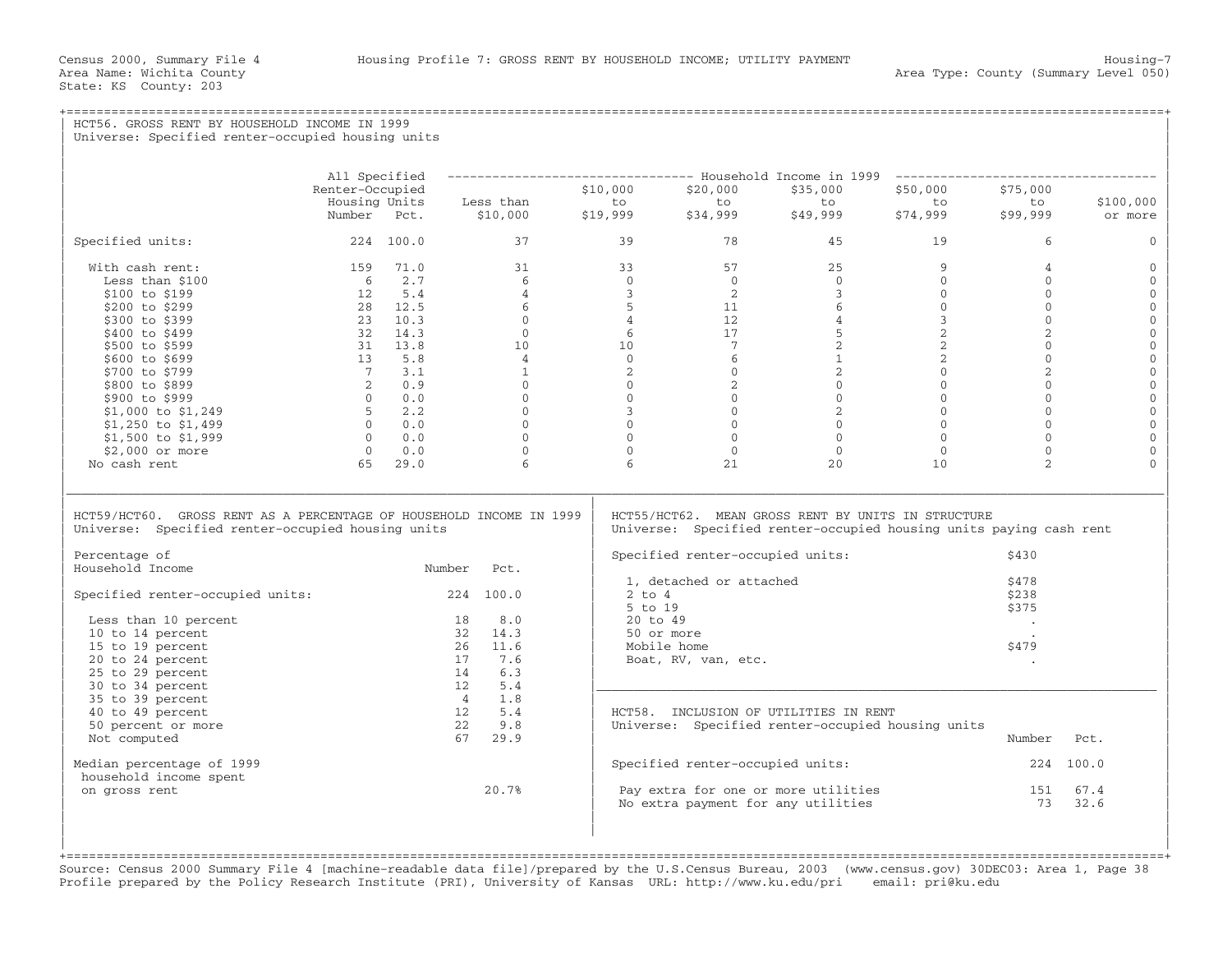## +===================================================================================================================================================+ HCT56. GROSS RENT BY HOUSEHOLD INCOME IN 1999 Universe: Specified renter-occupied housing units | | | | | All Specified −−−−−−−−−−−−−−−−−−−−−−−−−−−−−−−−− Household Income in 1999 −−−−−−−−−−−−−−−−−−−−−−−−−−−−−−−−−−− | | Renter−Occupied \$10,000 \$20,000 \$35,000 \$50,000 \$75,000 | | Housing Units Less than to to to to to \$100,000 | | Number Pct. \$10,000 \$19,999 \$34,999 \$49,999 \$74,999 \$99,999 or more | | | | Specified units: 224 100.0 37 39 78 45 19 6 0 | | | | With cash rent: 159 71.0 31 33 57 25 9 4 0 | | Less than \$100 6 2.7 6 0 0 0 0 0 0 | | \$100 to \$199 12 5.4 4 3 2 3 0 0 0 | | \$200 to \$299 28 12.5 6 5 11 6 0 0 0 | | \$300 to \$399 23 10.3 0 4 12 4 3 0 0 | | \$400 to \$499 32 14.3 0 6 17 5 2 2 0 | | \$500 to \$599 31 13.8 10 10 7 2 2 0 0 | | \$600 to \$699 13 5.8 4 0 6 1 2 0 0 | | \$700 to \$799 7 3.1 1 2 0 2 0 2 0 | | \$800 to \$899 2 0.9 0 0 2 0 0 0 0 | | \$900 to \$999 0 0.0 0 0 0 0 0 0 0 |  $|\qquad \text{ $>$1,000$ to $1,249$} \qquad \qquad \qquad 5 \qquad 2.2 \qquad \qquad 0 \qquad \qquad 3 \qquad \qquad 0 \qquad \qquad 2 \qquad \qquad 0 \qquad \qquad 0 \qquad \qquad 0 \qquad \qquad 0 \qquad$ | \$1,250 to \$1,499 0 0.0 0 0 0 0 0 0 0 | | \$1,500 to \$1,999 0 0.0 0 0 0 0 0 0 0 | | \$2,000 or more 0 0.0 0 0 0 0 0 0 0 | | No cash rent 65 29.0 6 6 21 20 10 2 0 | | | |\_\_\_\_\_\_\_\_\_\_\_\_\_\_\_\_\_\_\_\_\_\_\_\_\_\_\_\_\_\_\_\_\_\_\_\_\_\_\_\_\_\_\_\_\_\_\_\_\_\_\_\_\_\_\_\_\_\_\_\_\_\_\_\_\_\_\_\_\_\_\_\_\_\_\_\_\_\_\_\_\_\_\_\_\_\_\_\_\_\_\_\_\_\_\_\_\_\_\_\_\_\_\_\_\_\_\_\_\_\_\_\_\_\_\_\_\_\_\_\_\_\_\_\_\_\_\_\_\_\_\_\_\_\_\_\_\_\_\_\_\_\_\_\_\_\_\_| | | | HCT59/HCT60. GROSS RENT AS A PERCENTAGE OF HOUSEHOLD INCOME IN 1999 | HCT55/HCT62. MEAN GROSS RENT BY UNITS IN STRUCTURE<br>Universe: Specified renter-occupied housing units | Universe: Specified renter-occupied housing units Universe: Specified renter-occupied housing units paying cash rent | | | Percentage of | Specified renter-occupied units: \$430 | Specified renter-occupied units: \$430 | Specified renter-occupied units: Number Pct. | Specification occupied ants.<br>1. detached or attached  $\frac{1}{478}$  $\vert$  1, detached or attached  $\vert$  3.178  $\vert$ | Specified renter−occupied units: 224 100.0 | 2 to 4 \$238 |  $\vert$  5 to 19  $\vert$  5 to 19  $\vert$  5 to 19  $\vert$  5 to 19  $\vert$  5 to 19  $\vert$  5 to 19  $\vert$  5 to 19  $\vert$  5 to 19  $\vert$  5 to 19  $\vert$  5 to 19  $\vert$  5 to 19  $\vert$  5 to 19  $\vert$  5 to 19  $\vert$  5 to 19  $\vert$  5 to 19  $\vert$  5 to 19  $\vert$  5 to 19  $\vert$  Less than 10 percent  $\vert$  18  $\vert$  8.0  $\vert$  20 to 49  $\vert$  .  $\vert$  . |  $10$  to 14 percent  $32$   $14.3$  | 50 or more .  $\qquad \qquad$ | 15 to 19 percent 26 11.6 | Mobile home \$479 | | 20 to 24 percent 17 7.6 | Boat, RV, van, etc. . | | 25 to 29 percent 14 6.3 | | | 30 to 34 percent 12 5.4 |\_\_\_\_\_\_\_\_\_\_\_\_\_\_\_\_\_\_\_\_\_\_\_\_\_\_\_\_\_\_\_\_\_\_\_\_\_\_\_\_\_\_\_\_\_\_\_\_\_\_\_\_\_\_\_\_\_\_\_\_\_\_\_\_\_\_\_\_\_\_\_\_\_\_\_ |  $\begin{array}{cccc} | & 35 \text{ to } 39 \text{ percent} \end{array}$   $\begin{array}{cccc} 4 & 1.8 \end{array}$  $\vert$  40 to 49 percent  $\vert$  12  $\vert$  5.4  $\vert$  HCT58. INCLUSION OF UTILITIES IN RENT  $\vert$ | 50 percent or more 22 9.8 | Universe: Specified renter−occupied housing units | | Not computed 67 29.9 | Number Pct. | | | | | Median percentage of 1999 | Specified renter−occupied units: 224 100.0 | household income spent 151 and the spent 151 and the spent of the spent of the spent of the spent of the spent  $\frac{151}{N_0}$  extra for one or more utilities 151 67.4  $\vert$  on gross rent  $\vert$  20.7%  $\vert$  Pay extra for one or more utilities  $\vert$  151  $\vert$  67.4  $\vert$  $\vert$  No extra payment for any utilities  $\vert$  32.6  $\vert$ | | | | | | | |

+===================================================================================================================================================+Source: Census 2000 Summary File 4 [machine−readable data file]/prepared by the U.S.Census Bureau, 2003 (www.census.gov) 30DEC03: Area 1, Page 38 Profile prepared by the Policy Research Institute (PRI), University of Kansas URL: http://www.ku.edu/pri email: pri@ku.edu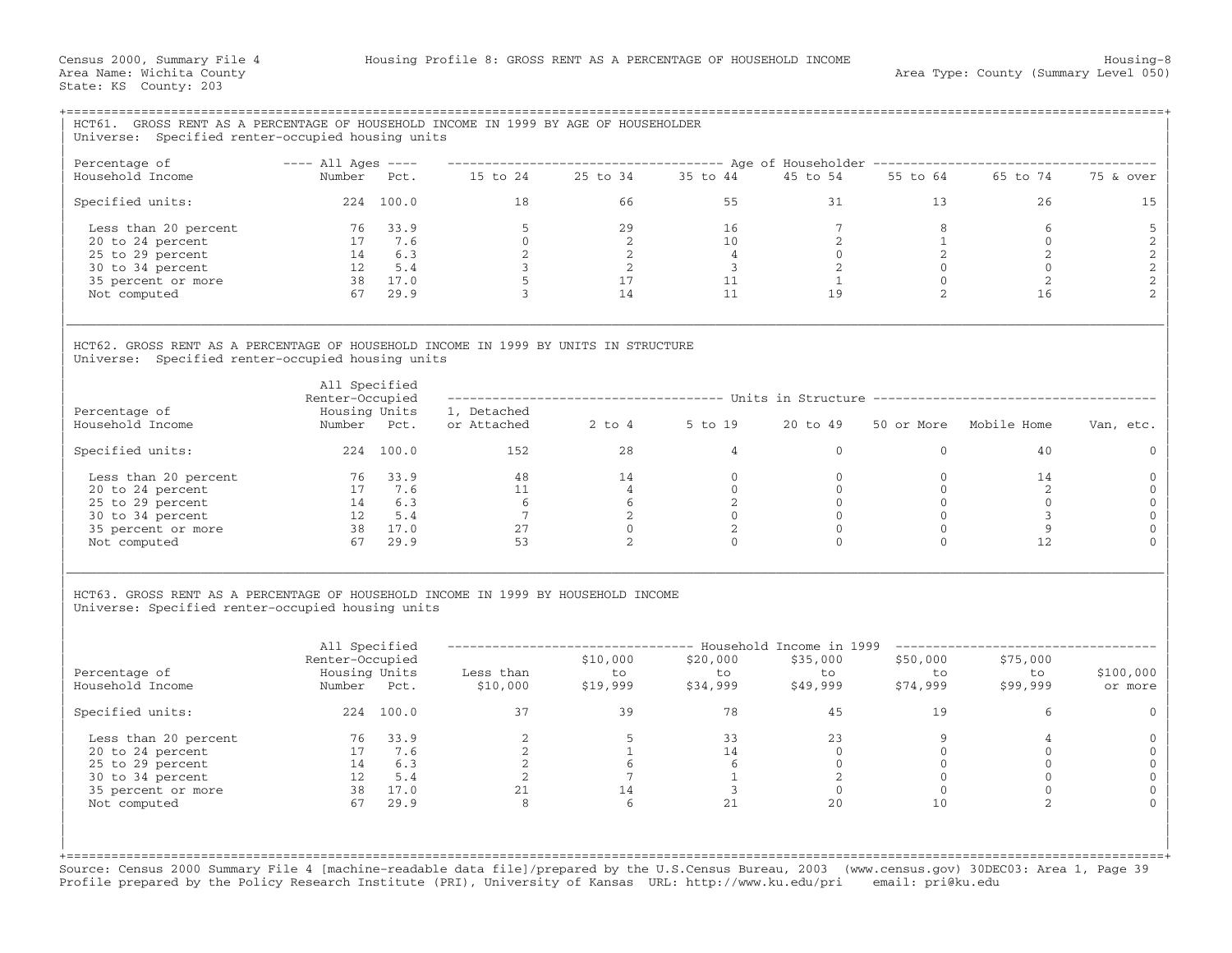| HCT61. GROSS RENT AS A PERCENTAGE OF HOUSEHOLD INCOME IN 1999 BY AGE OF HOUSEHOLDER<br>Universe: Specified renter-occupied housing units                                                                                                                                                     |                                                       |           |                                                                                      |                                                                                        |                                                                              |                |                      |                        |                                            |  |  |  |  |
|----------------------------------------------------------------------------------------------------------------------------------------------------------------------------------------------------------------------------------------------------------------------------------------------|-------------------------------------------------------|-----------|--------------------------------------------------------------------------------------|----------------------------------------------------------------------------------------|------------------------------------------------------------------------------|----------------|----------------------|------------------------|--------------------------------------------|--|--|--|--|
| Percentage of                                                                                                                                                                                                                                                                                | $---$ All Ages $---$                                  |           |                                                                                      | ------------------------------------ Age of Householder ------------------------------ |                                                                              |                |                      |                        |                                            |  |  |  |  |
| Household Income                                                                                                                                                                                                                                                                             | Number Pct.                                           |           |                                                                                      |                                                                                        | 15 to 24  25 to 34  35 to 44  45 to 54                                       |                | 55 to 64             | 65 to 74               | 75 & over                                  |  |  |  |  |
| Specified units:                                                                                                                                                                                                                                                                             |                                                       | 224 100.0 | 18                                                                                   | 66                                                                                     | 55                                                                           | 31             | 13 <sup>7</sup>      | 26                     | 15                                         |  |  |  |  |
| Less than 20 percent                                                                                                                                                                                                                                                                         |                                                       | 76 33.9   | 5                                                                                    | 29                                                                                     | 16                                                                           | $7^{\circ}$    | 8                    | 6                      |                                            |  |  |  |  |
| 20 to 24 percent                                                                                                                                                                                                                                                                             |                                                       | 17 7.6    | $\overline{0}$                                                                       | $\overline{2}$                                                                         | 10                                                                           | $\overline{2}$ | 1                    | $\overline{0}$         | $\frac{5}{2}$                              |  |  |  |  |
| 25 to 29 percent                                                                                                                                                                                                                                                                             |                                                       |           |                                                                                      |                                                                                        | $\overline{4}$                                                               | $\overline{0}$ | $\overline{2}$       | $\overline{2}$         |                                            |  |  |  |  |
| 30 to 34 percent                                                                                                                                                                                                                                                                             | $\begin{array}{cc} 14 & 6.3 \\ 12 & 5.4 \end{array}$  |           | $\frac{2}{3}$                                                                        | $\frac{2}{2}$                                                                          | $\overline{\mathbf{3}}$                                                      | 2              | $\overline{0}$       | $\Omega$               | $\begin{array}{c} 2 \\ 2 \\ 2 \end{array}$ |  |  |  |  |
| 35 percent or more                                                                                                                                                                                                                                                                           | $38$ $17.0$                                           |           | $\overline{5}$                                                                       | $\frac{17}{14}$                                                                        | 11                                                                           | 1              | $\overline{0}$       | 2                      |                                            |  |  |  |  |
| Not computed                                                                                                                                                                                                                                                                                 |                                                       | 67 29.9   | $\frac{1}{3}$                                                                        |                                                                                        | 11                                                                           | 19             | 2                    | 16                     | $\overline{c}$                             |  |  |  |  |
| HCT62. GROSS RENT AS A PERCENTAGE OF HOUSEHOLD INCOME IN 1999 BY UNITS IN STRUCTURE<br>Universe: Specified renter-occupied housing units                                                                                                                                                     | All Specified<br>Renter-Occupied                      |           |                                                                                      |                                                                                        | ------------------------------------ Units in Structure -------------------- |                |                      |                        |                                            |  |  |  |  |
| Percentage of                                                                                                                                                                                                                                                                                | Housing Units                                         |           | 1, Detached                                                                          |                                                                                        |                                                                              |                |                      |                        |                                            |  |  |  |  |
| Household Income                                                                                                                                                                                                                                                                             | Number Pct.                                           |           | or Attached 2 to 4 5 to 19                                                           |                                                                                        |                                                                              | 20 to 49       |                      | 50 or More Mobile Home | Van, etc.                                  |  |  |  |  |
| Specified units:                                                                                                                                                                                                                                                                             |                                                       | 224 100.0 | 152                                                                                  | 28                                                                                     | $\overline{4}$                                                               | $\Omega$       | $\Omega$             | 40                     | $\Omega$                                   |  |  |  |  |
| Less than 20 percent                                                                                                                                                                                                                                                                         | 76 33.9                                               |           | 48                                                                                   | 14                                                                                     | $\overline{0}$                                                               | $\overline{0}$ | $\mathbf{0}$         | 14                     | $\Omega$                                   |  |  |  |  |
| 20 to 24 percent                                                                                                                                                                                                                                                                             |                                                       | 17 7.6    |                                                                                      | 4                                                                                      | $\overline{0}$                                                               | $\overline{0}$ | $\mathbf{0}$         | 2                      | $\mathbf 0$                                |  |  |  |  |
| 25 to 29 percent                                                                                                                                                                                                                                                                             | $\begin{array}{cc} 17 & 7.0 \\ 14 & 6.3 \end{array}$  |           |                                                                                      | $\frac{4}{6}$                                                                          | 2                                                                            | $\overline{0}$ | $\mathbf{0}$         | $\circ$                | $\Omega$                                   |  |  |  |  |
| 30 to 34 percent                                                                                                                                                                                                                                                                             |                                                       |           | $\begin{array}{c} 11 \\ 6 \\ 7 \end{array}$<br>$\begin{array}{c} 6 \\ 7 \end{array}$ | $\overline{2}$                                                                         | $\Omega$                                                                     | $\Omega$       | $\Omega$             | 3                      | $\Omega$                                   |  |  |  |  |
| 35 percent or more                                                                                                                                                                                                                                                                           | $\begin{array}{cc} 12 & 5.4 \\ 38 & 17.0 \end{array}$ |           | 27                                                                                   | $\Omega$                                                                               | 2                                                                            | $\Omega$       | $\mathbf{0}$         | 9                      | $\Omega$                                   |  |  |  |  |
| Not computed                                                                                                                                                                                                                                                                                 |                                                       | 67 29.9   | 53                                                                                   | 2                                                                                      | $\Omega$                                                                     | $\Omega$       | $\Omega$             | 12                     |                                            |  |  |  |  |
| HCT63. GROSS RENT AS A PERCENTAGE OF HOUSEHOLD INCOME IN 1999 BY HOUSEHOLD INCOME<br>Universe: Specified renter-occupied housing units<br>All Specified<br>----------- Household Income in 1999 -------------<br>Renter-Occupied<br>\$10,000<br>\$20,000<br>\$35,000<br>\$50,000<br>\$75,000 |                                                       |           |                                                                                      |                                                                                        |                                                                              |                |                      |                        |                                            |  |  |  |  |
| Percentage of<br>Household Income                                                                                                                                                                                                                                                            | Number Pct.                                           |           | Housing Units Less than<br>\$10,000                                                  | to<br>\$19,999                                                                         | to<br>\$34,999                                                               | to<br>\$49,999 | to<br>to<br>\$74,999 | to<br>\$99,999         | \$100,000<br>or more                       |  |  |  |  |
| Specified units:                                                                                                                                                                                                                                                                             |                                                       | 224 100.0 | 37                                                                                   | 39                                                                                     | 78                                                                           | 45             | 19                   | 6                      | $\Omega$                                   |  |  |  |  |
| Less than 20 percent                                                                                                                                                                                                                                                                         | 76 33.9                                               |           | 2                                                                                    | 5 <sup>5</sup>                                                                         | 33                                                                           | 23             | 9                    | $\overline{4}$         | 0                                          |  |  |  |  |
| 20 to 24 percent                                                                                                                                                                                                                                                                             |                                                       | 17 7.6    | $\overline{\phantom{0}}$ 2                                                           | $\sim$ 1                                                                               | 14                                                                           | $\bigcirc$     | $\Omega$             | $\Omega$               | $\mathbf{0}$                               |  |  |  |  |
| 25 to 29 percent                                                                                                                                                                                                                                                                             | 14 6.3                                                |           | $\overline{\phantom{a}}$                                                             | 6                                                                                      | 6                                                                            | $\overline{0}$ | $\overline{0}$       | $\mathbf{0}$           | $\mathbf{0}$                               |  |  |  |  |
| 30 to 34 percent                                                                                                                                                                                                                                                                             |                                                       | 12 5.4    | $\overline{2}$                                                                       | $7\overline{ }$                                                                        | $\overline{1}$                                                               | 2              | $\overline{0}$       | $\mathbf{0}$           | $\Omega$                                   |  |  |  |  |
| 35 percent or more                                                                                                                                                                                                                                                                           | 38 17.0                                               |           | 21                                                                                   | 14                                                                                     | $\overline{\mathbf{3}}$                                                      | $\overline{0}$ | $\overline{0}$       | $\mathbf{0}$           | $\Omega$                                   |  |  |  |  |
| Not computed                                                                                                                                                                                                                                                                                 |                                                       | 67 29.9   | $\mathcal{R}$                                                                        | 6                                                                                      | 21                                                                           | 20             | 10                   | $\mathfrak{D}$         |                                            |  |  |  |  |
|                                                                                                                                                                                                                                                                                              |                                                       |           |                                                                                      |                                                                                        |                                                                              |                |                      |                        |                                            |  |  |  |  |

Source: Census 2000 Summary File 4 [machine−readable data file]/prepared by the U.S.Census Bureau, 2003 (www.census.gov) 30DEC03: Area 1, Page 39 Profile prepared by the Policy Research Institute (PRI), University of Kansas URL: http://www.ku.edu/pri email: pri@ku.edu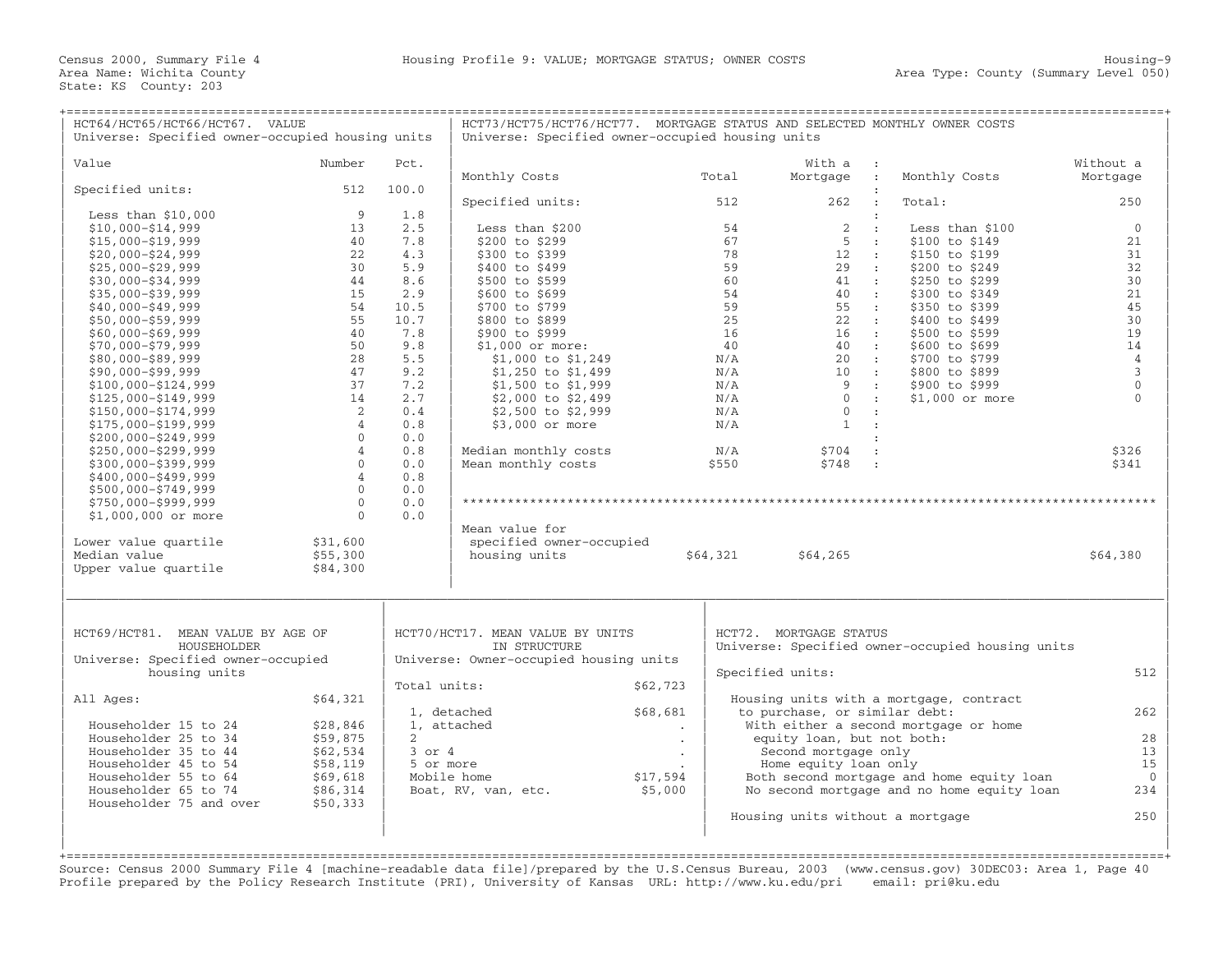| HCT64/HCT65/HCT66/HCT67. VALUE<br>Universe: Specified owner-occupied housing units |                                |              | HCT73/HCT75/HCT76/HCT77. MORTGAGE STATUS AND SELECTED MONTHLY OWNER COSTS<br>Universe: Specified owner-occupied housing units |          |              |                                                  |                                                                                         |                     |
|------------------------------------------------------------------------------------|--------------------------------|--------------|-------------------------------------------------------------------------------------------------------------------------------|----------|--------------|--------------------------------------------------|-----------------------------------------------------------------------------------------|---------------------|
| Value                                                                              | Number                         | Pct.         |                                                                                                                               |          |              |                                                  |                                                                                         | Without a           |
|                                                                                    |                                |              | Monthly Costs                                                                                                                 |          | Total        | With a<br>Mortgage<br>$\sim$ 1.                  | Monthly Costs                                                                           | Mortgage            |
| Specified units:                                                                   | 512                            | 100.0        |                                                                                                                               |          |              |                                                  |                                                                                         |                     |
|                                                                                    |                                |              | Specified units:                                                                                                              |          | 512          | 262<br>$\cdot$ :                                 | Total:                                                                                  | 250                 |
| Less than $$10,000$                                                                | 9                              | 1.8          |                                                                                                                               |          |              | $\cdot$                                          |                                                                                         |                     |
| $$10,000 - $14,999$                                                                | 13                             | 2.5          | Less than \$200                                                                                                               |          | 54           | 2<br>$\mathbf{r}$                                | Less than \$100                                                                         | $\mathbf{0}$        |
| $$15,000 - $19,999$                                                                | 40<br>22                       | 7.8<br>4.3   | \$200 to \$299<br>\$300 to \$399                                                                                              |          | 67<br>78     | -5<br>$\sim$ 10 $\,$<br>12                       | \$100 to \$149<br>\$150 to \$199                                                        | 21<br>31            |
| $$20,000 - $24,999$<br>$$25,000 - $29,999$                                         | 30                             | 5.9          | \$400 to \$499                                                                                                                |          | 59           | $\sim$ 10<br>29<br>$\sim$ 10                     | \$200 to \$249                                                                          | 32                  |
| $$30,000 - $34,999$                                                                | 44                             | 8.6          | \$500 to \$599                                                                                                                |          | 60           | 41<br>$\sim$ 10                                  | \$250 to \$299                                                                          | 30                  |
| $$35,000 - $39,999$                                                                | 15                             | 2.9          | \$600 to \$699                                                                                                                |          | 54           | 40<br>$\sim$ 1.                                  | \$300 to \$349                                                                          | 21                  |
| $$40,000 - $49,999$                                                                | 54                             | 10.5         | \$700 to \$799                                                                                                                |          | 59           | 55<br>$\sim$ 100                                 | \$350 to \$399                                                                          | 45                  |
| $$50,000 - $59,999$                                                                | 55                             | 10.7         | \$800 to \$899                                                                                                                |          | 25           | 22<br>$\sim$ 100                                 | \$400 to \$499                                                                          | 30                  |
| $$60,000 - $69,999$                                                                | 40                             | 7.8          | \$900 to \$999                                                                                                                |          | 16           | 16<br>$\sim 100$                                 | \$500 to \$599                                                                          | 19                  |
| $$70,000 - $79,999$                                                                | 50                             | 9.8          | $$1,000$ or more:                                                                                                             |          | 40           | 40<br>$\sim$ 100                                 | \$600 to \$699                                                                          | 14                  |
| $$80,000 - $89,999$                                                                | 28                             | 5.5          | \$1,000 to \$1,249                                                                                                            |          | N/A          | 2.0<br>$\sim$ 100                                | \$700 to \$799                                                                          | $\overline{4}$      |
| $$90,000 - $99,999$                                                                | 47                             | 9.2          | $$1,250$ to $$1,499$                                                                                                          |          | N/A          | 10<br>$\sim$ 100 $\pm$                           | \$800 to \$899                                                                          | $\mathbf{3}$        |
| $$100,000 - $124,999$                                                              | 37                             | 7.2          | $$1,500$ to $$1,999$                                                                                                          |          | N/A          | 9<br>$\sim$ 100                                  | \$900 to \$999                                                                          | $\mathbf{0}$        |
| $$125,000 - $149,999$                                                              | 14                             | 2.7          | \$2,000 to \$2,499                                                                                                            |          | N/A          | $\Omega$<br>$\sim$ 100                           | \$1,000 or more                                                                         | $\Omega$            |
| $$150,000 - $174,999$                                                              | 2                              | 0.4          | \$2,500 to \$2,999                                                                                                            |          | N/A          | $\mathbf{0}$<br>$\cdot$ :                        |                                                                                         |                     |
| $$175,000 - $199,999$                                                              | $\overline{4}$                 | 0.8          | \$3,000 or more                                                                                                               |          | N/A          | $\mathbf{1}$<br>$\mathbf{r}$                     |                                                                                         |                     |
| $$200,000 - $249,999$                                                              | $\mathbf{0}$                   | 0.0          |                                                                                                                               |          |              | $\mathbf{r}$                                     |                                                                                         |                     |
| $$250,000 - $299,999$                                                              | $\overline{4}$<br>$\mathbf{0}$ | 0.8<br>0.0   | Median monthly costs<br>Mean monthly costs                                                                                    |          | N/A<br>\$550 | \$704<br>$\cdot$<br>\$748<br>$\sim$ 1            |                                                                                         | \$326<br>\$341      |
| \$300,000-\$399,999<br>\$400,000-\$499,999                                         | $\overline{4}$                 | 0.8          |                                                                                                                               |          |              |                                                  |                                                                                         |                     |
| $$500,000 - $749,999$                                                              | $\Omega$                       | 0.0          |                                                                                                                               |          |              |                                                  |                                                                                         |                     |
| \$750,000-\$999,999                                                                | $\mathbf{0}$                   | 0.0          |                                                                                                                               |          |              |                                                  |                                                                                         |                     |
| \$1,000,000 or more                                                                | $\Omega$                       | 0.0          |                                                                                                                               |          |              |                                                  |                                                                                         |                     |
|                                                                                    |                                |              | Mean value for                                                                                                                |          |              |                                                  |                                                                                         |                     |
| Lower value quartile                                                               | \$31,600                       |              | specified owner-occupied                                                                                                      |          |              |                                                  |                                                                                         |                     |
| Median value                                                                       | \$55,300                       |              | housing units                                                                                                                 |          | \$64,321     | \$64,265                                         |                                                                                         | \$64,380            |
| Upper value quartile                                                               | \$84,300                       |              |                                                                                                                               |          |              |                                                  |                                                                                         |                     |
|                                                                                    |                                |              |                                                                                                                               |          |              |                                                  |                                                                                         |                     |
| HCT69/HCT81. MEAN VALUE BY AGE OF                                                  |                                |              | HCT70/HCT17. MEAN VALUE BY UNITS                                                                                              |          |              | HCT72. MORTGAGE STATUS                           |                                                                                         |                     |
| HOUSEHOLDER                                                                        |                                |              | IN STRUCTURE                                                                                                                  |          |              | Universe: Specified owner-occupied housing units |                                                                                         |                     |
| Universe: Specified owner-occupied                                                 |                                |              | Universe: Owner-occupied housing units                                                                                        |          |              |                                                  |                                                                                         |                     |
| housing units                                                                      |                                |              |                                                                                                                               |          |              | Specified units:                                 |                                                                                         | 512                 |
|                                                                                    |                                | Total units: |                                                                                                                               | \$62,723 |              |                                                  |                                                                                         |                     |
| All Ages:                                                                          | \$64,321                       |              |                                                                                                                               |          |              |                                                  | Housing units with a mortgage, contract                                                 |                     |
|                                                                                    |                                |              | 1, detached                                                                                                                   | \$68,681 |              | to purchase, or similar debt:                    |                                                                                         | 262                 |
| Householder 15 to 24                                                               | \$28,846                       |              | 1, attached                                                                                                                   | $\cdot$  |              |                                                  | With either a second mortgage or home                                                   |                     |
| Householder 25 to 34                                                               | \$59,875                       | $2^{1}$      |                                                                                                                               | $\cdot$  |              | equity loan, but not both:                       |                                                                                         | 28                  |
| Householder 35 to 44                                                               | \$62,534                       | $3$ or $4$   |                                                                                                                               |          |              | Second mortgage only                             |                                                                                         | 13                  |
| Householder 45 to 54                                                               | \$58,119                       | 5 or more    |                                                                                                                               |          |              | Home equity loan only                            |                                                                                         | 15                  |
| Householder 55 to 64<br>Householder 65 to 74                                       | \$69,618<br>\$86,314           |              | Mobile home                                                                                                                   | \$17,594 |              |                                                  | Both second mortgage and home equity loan<br>No second mortgage and no home equity loan | $\mathbf{0}$<br>234 |
| Householder 75 and over                                                            | \$50,333                       |              | Boat, RV, van, etc.                                                                                                           | \$5,000  |              |                                                  |                                                                                         |                     |
|                                                                                    |                                |              |                                                                                                                               |          |              | Housing units without a mortgage                 |                                                                                         | 250                 |
|                                                                                    |                                |              |                                                                                                                               |          |              |                                                  |                                                                                         |                     |
|                                                                                    |                                |              |                                                                                                                               |          |              |                                                  |                                                                                         |                     |

+===================================================================================================================================================+ Source: Census 2000 Summary File 4 [machine−readable data file]/prepared by the U.S.Census Bureau, 2003 (www.census.gov) 30DEC03: Area 1, Page 40 Profile prepared by the Policy Research Institute (PRI), University of Kansas URL: http://www.ku.edu/pri email: pri@ku.edu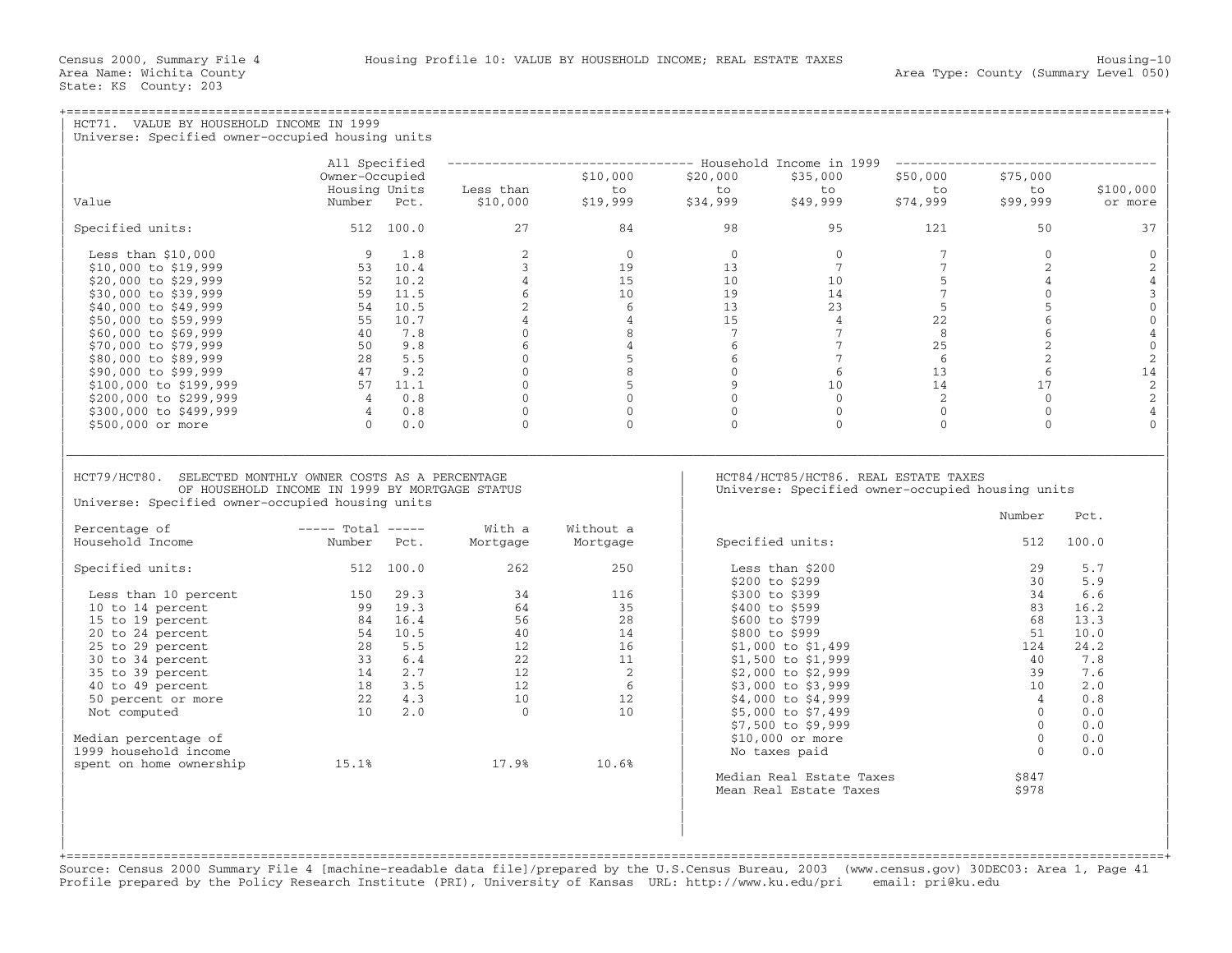| HCT71. VALUE BY HOUSEHOLD INCOME IN 1999<br>Universe: Specified owner-occupied housing units                |                                                                                                                                  |                                                                                          |                                                                                                      |                                                    |                            |                                                          |                                                                                   |                                                           |                                |  |  |
|-------------------------------------------------------------------------------------------------------------|----------------------------------------------------------------------------------------------------------------------------------|------------------------------------------------------------------------------------------|------------------------------------------------------------------------------------------------------|----------------------------------------------------|----------------------------|----------------------------------------------------------|-----------------------------------------------------------------------------------|-----------------------------------------------------------|--------------------------------|--|--|
|                                                                                                             |                                                                                                                                  |                                                                                          |                                                                                                      |                                                    |                            |                                                          |                                                                                   |                                                           |                                |  |  |
|                                                                                                             | All Specified                                                                                                                    |                                                                                          |                                                                                                      |                                                    |                            |                                                          | ------------------------------- Household Income in 1999 ------------------------ |                                                           |                                |  |  |
|                                                                                                             | Owner-Occupied                                                                                                                   |                                                                                          |                                                                                                      | \$10,000                                           | \$20,000                   | \$35,000                                                 | \$50,000                                                                          | \$75,000                                                  |                                |  |  |
| Value                                                                                                       | Housing Units                                                                                                                    |                                                                                          | Less than                                                                                            | to<br>$$19,999$ $$34,999$                          | to                         | to                                                       | to to                                                                             | to<br>\$99,999                                            | \$100,000                      |  |  |
|                                                                                                             | Number Pct.                                                                                                                      |                                                                                          | \$10,000                                                                                             |                                                    |                            |                                                          |                                                                                   |                                                           | or more                        |  |  |
| Specified units: 512 100.0                                                                                  |                                                                                                                                  |                                                                                          | 27                                                                                                   | 84                                                 | 98                         | 95                                                       | 121                                                                               | 50                                                        | 37                             |  |  |
| Less than $$10,000$                                                                                         |                                                                                                                                  | 9 1.8                                                                                    | 2                                                                                                    | $\Omega$                                           | $\overline{0}$             | $0 \qquad \qquad$                                        | 7                                                                                 | $\overline{0}$                                            | $\overline{0}$                 |  |  |
| \$10,000 to \$19,999                                                                                        |                                                                                                                                  | 53 10.4                                                                                  | $\overline{3}$                                                                                       |                                                    | $\frac{0}{19}$<br>13       | 7                                                        | $7^{\circ}$                                                                       | $2^{\circ}$                                               | 2                              |  |  |
| \$20,000 to \$29,999                                                                                        |                                                                                                                                  | 52 10.2                                                                                  | $\overline{4}$                                                                                       |                                                    | 10 <sup>1</sup>            | 10                                                       | $\overline{5}$                                                                    | $\overline{4}$                                            | $\sqrt{4}$                     |  |  |
| \$30,000 to \$39,999                                                                                        |                                                                                                                                  | 59 11.5                                                                                  | 6                                                                                                    |                                                    | 19                         | 14                                                       | $7^{\circ}$                                                                       | $\overline{0}$                                            | $\mathsf 3$                    |  |  |
| \$40,000 to \$49,999                                                                                        |                                                                                                                                  | 54 10.5                                                                                  | 2                                                                                                    | $\begin{bmatrix} 15 \\ 10 \\ 6 \\ 4 \end{bmatrix}$ | 13 <sup>7</sup>            | 23                                                       | $-5$                                                                              | 5                                                         | $\overline{0}$                 |  |  |
| \$50,000 to \$59,999                                                                                        |                                                                                                                                  | 55 10.7                                                                                  |                                                                                                      |                                                    | 15                         | $\overline{4}$                                           | 22                                                                                | $6\overline{6}$                                           | $\mathbb O$                    |  |  |
| \$60,000 to \$69,999                                                                                        | 40 7.8                                                                                                                           |                                                                                          |                                                                                                      | 8                                                  | $\overline{7}$             | 7 <sup>7</sup>                                           | 8 <sup>1</sup>                                                                    | 6                                                         | $\sqrt{4}$                     |  |  |
| \$70,000 to \$79,999                                                                                        |                                                                                                                                  |                                                                                          |                                                                                                      | $\overline{4}$                                     | 6                          | 7                                                        | 25                                                                                | $\overline{2}$                                            | $\mathbb O$                    |  |  |
| \$80,000 to \$89,999                                                                                        |                                                                                                                                  |                                                                                          |                                                                                                      | $\begin{array}{c}\n4 \\ 0 \\ 6\n\end{array}$<br>5  | 6                          | 7                                                        | 6                                                                                 |                                                           | $\sqrt{2}$                     |  |  |
| \$90,000 to \$99,999                                                                                        | $\begin{array}{ccc} 50 & 9.8 \\ 28 & 5.5 \\ 47 & 9.2 \\ 57 & 11.1 \\ 4 & 1.3 \end{array}$                                        |                                                                                          | $\begin{bmatrix} 0 \\ 0 \\ 0 \\ 0 \end{bmatrix}$<br>$\begin{bmatrix} 0 \\ 0 \\ 0 \\ 0 \end{bmatrix}$ | 8                                                  | $\overline{0}$             | $6\overline{}$<br>$\begin{array}{c} 6 \\ 10 \end{array}$ | 13                                                                                | $\begin{array}{c}\n\bullet \\ 17 \\ \bullet\n\end{array}$ | 14                             |  |  |
| \$100,000 to \$199,999                                                                                      |                                                                                                                                  |                                                                                          |                                                                                                      | 5                                                  | $\overline{9}$<br>$\Omega$ |                                                          | 14                                                                                |                                                           | $\sqrt{2}$                     |  |  |
| \$200,000 to \$299,999                                                                                      | $\begin{array}{cc} 4 & 0.8 \\ 4 & 0.8 \end{array}$                                                                               |                                                                                          |                                                                                                      | $\Omega$                                           |                            | $\Omega$                                                 | $\overline{2}$                                                                    |                                                           | $\sqrt{2}$                     |  |  |
| \$300,000 to \$499,999<br>\$500,000 or more                                                                 |                                                                                                                                  | $0 \qquad 0.0$                                                                           | $\Omega$                                                                                             | $\overline{0}$<br>$\Omega$                         | $\mathbf{0}$<br>$\Omega$   | $\overline{0}$<br>$\Omega$                               | $\overline{0}$<br>$\Omega$                                                        | $\overline{0}$<br>$\Omega$                                | $\overline{4}$<br>$\mathbf{0}$ |  |  |
| HCT79/HCT80. SELECTED MONTHLY OWNER COSTS AS A PERCENTAGE<br>OF HOUSEHOLD INCOME IN 1999 BY MORTGAGE STATUS |                                                                                                                                  | HCT84/HCT85/HCT86. REAL ESTATE TAXES<br>Universe: Specified owner-occupied housing units |                                                                                                      |                                                    |                            |                                                          |                                                                                   |                                                           |                                |  |  |
| Universe: Specified owner-occupied housing units                                                            |                                                                                                                                  |                                                                                          |                                                                                                      |                                                    |                            |                                                          |                                                                                   | Number                                                    | Pct.                           |  |  |
| Percentage of                                                                                               | $---$ Total $---$                                                                                                                |                                                                                          | With a                                                                                               | Without a                                          |                            |                                                          |                                                                                   |                                                           |                                |  |  |
| Household Income                                                                                            | Number Pct.                                                                                                                      |                                                                                          | Mortgage                                                                                             | Mortgage                                           |                            | Specified units:                                         |                                                                                   | 512                                                       | 100.0                          |  |  |
| Specified units:                                                                                            | $512$ $100.0$                                                                                                                    |                                                                                          | 262                                                                                                  | 250                                                |                            | Less than \$200<br>\$200 to \$299                        |                                                                                   | 29<br>30                                                  | 5.7<br>5.9                     |  |  |
| Less than 10 percent                                                                                        | 150 29.3                                                                                                                         |                                                                                          | 34                                                                                                   | 116                                                |                            | \$300 to \$399                                           |                                                                                   | 34                                                        | 6.6                            |  |  |
| 10 to 14 percent                                                                                            | 99 19.3                                                                                                                          |                                                                                          | 64                                                                                                   | 35                                                 |                            | \$400 to \$599                                           |                                                                                   | 83                                                        | 16.2                           |  |  |
| 15 to 19 percent                                                                                            | 84 16.4                                                                                                                          |                                                                                          | 56                                                                                                   | 28                                                 |                            | \$600 to \$799                                           |                                                                                   | 68                                                        | 13.3                           |  |  |
| 20 to 24 percent                                                                                            |                                                                                                                                  |                                                                                          |                                                                                                      | 14                                                 |                            | \$800 to \$999                                           |                                                                                   | 51                                                        | 10.0                           |  |  |
| 25 to 29 percent                                                                                            | $\begin{array}{cccc} 84 & 16.4 \\ 54 & 10.5 \\ 28 & 5.5 \\ 33 & 6.4 \\ 14 & 2.7 \\ 18 & 3.5 \\ 22 & 4.3 \\ 10 & 2.0 \end{array}$ |                                                                                          | $\frac{58}{40}$                                                                                      | 16                                                 |                            | $$1,000$ to $$1,499$                                     |                                                                                   | 124                                                       | 24.2                           |  |  |
| 30 to 34 percent                                                                                            |                                                                                                                                  |                                                                                          | 22<br>$\begin{array}{c} 22 \\ 12 \\ 12 \\ 10 \\ \end{array}$                                         | 11                                                 |                            | \$1,500 to \$1,999                                       |                                                                                   | 40                                                        | 7.8                            |  |  |
| 35 to 39 percent                                                                                            |                                                                                                                                  |                                                                                          |                                                                                                      | $\overline{2}$                                     |                            | \$2,000 to \$2,999                                       |                                                                                   | 39                                                        | 7.6                            |  |  |
| 40 to 49 percent                                                                                            |                                                                                                                                  |                                                                                          |                                                                                                      | 6                                                  |                            | \$3,000 to \$3,999                                       |                                                                                   | 10                                                        | 2.0                            |  |  |
| 50 percent or more                                                                                          |                                                                                                                                  |                                                                                          |                                                                                                      | 12                                                 |                            | \$4,000 to \$4,999                                       |                                                                                   | $\overline{4}$                                            | 0.8                            |  |  |
| Not computed                                                                                                |                                                                                                                                  |                                                                                          | $\overline{0}$                                                                                       | 10                                                 |                            | \$5,000 to \$7,499                                       |                                                                                   | $\Omega$                                                  | 0.0                            |  |  |
|                                                                                                             |                                                                                                                                  |                                                                                          |                                                                                                      |                                                    |                            | \$7,500 to \$9,999                                       |                                                                                   | $\Omega$                                                  | 0.0                            |  |  |
| Median percentage of                                                                                        |                                                                                                                                  |                                                                                          |                                                                                                      |                                                    |                            | $$10,000$ or more                                        |                                                                                   | $\overline{0}$                                            | 0.0                            |  |  |
| 1999 household income                                                                                       | 15.1%                                                                                                                            |                                                                                          |                                                                                                      |                                                    |                            | No taxes paid                                            |                                                                                   | $\Omega$                                                  | 0.0                            |  |  |
| spent on home ownership                                                                                     |                                                                                                                                  |                                                                                          | 17.9%                                                                                                | 10.6%                                              |                            | Median Real Estate Taxes<br>Mean Real Estate Taxes       |                                                                                   | \$847<br>\$978                                            |                                |  |  |
|                                                                                                             |                                                                                                                                  |                                                                                          |                                                                                                      |                                                    |                            |                                                          |                                                                                   |                                                           |                                |  |  |

+===================================================================================================================================================+ Source: Census 2000 Summary File 4 [machine−readable data file]/prepared by the U.S.Census Bureau, 2003 (www.census.gov) 30DEC03: Area 1, Page 41 Profile prepared by the Policy Research Institute (PRI), University of Kansas URL: http://www.ku.edu/pri email: pri@ku.edu

| |